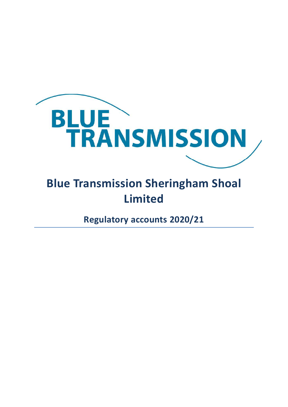

## Limited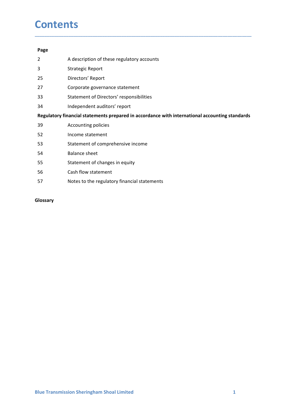## **Contents**

## Page

- **Contents**<br>
Page<br>
2 A description of these regulatory accounts<br>
3 Strategic Report<br>
27 Corporate governance statement<br>
27 Corporate governance statement **Contents**<br> **Page**<br>
2 A description of these regulatory accounts<br>
3 Strategic Report<br>
25 Directors' Report<br>
27 Corporate governance statement<br>
34 Statement of Directors' responsibilities
- 
- 25 Directors' Report
- 
- 
- 

## 27 Corporate governance statement **Contents**<br> **Page**<br>
2 A description of these regulatory accounts<br>
3 Strategic Report<br>
27 Corporate governance statement<br>
33 Statement of Directors' responsibilities<br>
134 Independent auditors' report<br> **Regulatory financial Contents**<br> **Page**<br>
24 A description of these regulatory accounts<br>
33 Strategic Report<br>
25 Directors' Report<br>
27 Corporate governance statement<br>
33 Statement of Directors' responsibilities<br>
19 Accounting policies<br>
19 Accou **Contents**<br> **Regulatory**<br>
22 A description of these regulatory accounts<br>
33 Strategic Report<br>
27 Corporate governance statement<br>
33 Statement of Directors' responsibilities<br> **Regulatory financial statements prepared in acc Contents**<br> **Page**<br>
2 A description of these regulatory accounts<br>
3 Strategic Report<br>
27 Corporate governance statement<br>
33 Statement of Directors' responsibilities<br>
13 Independent auditors' report<br> **Regulatory financial s Contents**<br> **Example 32**<br>
A description of these regulatory accounts<br>
33<br>
Strategic Report<br>
27 Corporate governance statement<br>
33<br>
Statement of Directors' responsibilities<br>
134 Independent auditors' report<br> **Regulatory fin CONTENTS**<br> **Page**<br>
2 A description of these regulatory accounts<br>
3 Strategic Report<br>
27 Corporate governance statement<br>
33 Statement of Directors' resport<br> **Regulatory financial statements propred in accordance with inter** 54 Balance sheet Page<br>
22 A description of these regulatory accounts<br>
33 Strategic Report<br>
25 Directors' Report<br>
27 Corporate governance statement<br>
33 Statement of Directors' responsibilities<br>
1991<br>
1991<br>
1991<br>
1992<br>
1992<br>
1992<br>
1993<br>
25 L rease<br>
25 A description of these regulatory accounts<br>
33 Strategic Report<br>
27 Corporate governance statement<br>
33 Statement of Directors' responsibilities<br>
34 Independent auditors' report<br> **Regulatory financial statements p** Francisco Control Translation Control Control Control Control Control Control Control Control Control Control Control Control Control Control Control Control Control Control Control Control Control Control Control Control

\_\_\_\_\_\_\_\_\_\_\_\_\_\_\_\_\_\_\_\_\_\_\_\_\_\_\_\_\_\_\_\_\_\_\_\_\_\_\_\_\_\_\_\_\_\_\_\_\_\_\_\_\_\_\_\_\_\_\_\_\_\_\_\_\_\_\_\_\_\_\_\_\_\_\_\_\_\_\_\_\_\_\_\_\_\_\_\_\_\_

- 
- 
- 
- 
- 
- 
- 

## Glossary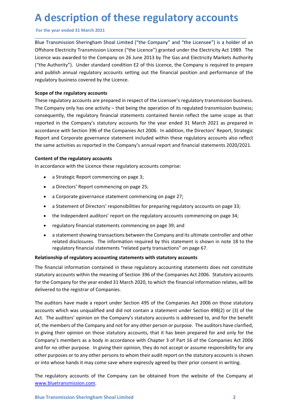A description of these regulatory accounts<br>For the year ended 31 March 2021<br>Blue Transmission Sheringham Shoal Limited ("the Company" and "the Licensee") is a holder of an<br>Offshore Electricity Transmission Licence ("the Li **A description of these regulatory accounts**<br>For the year ended 31 March 2021<br>Blue Transmission Sheringham Shoal Limited ("the Company" and "the Licensee") is a holder of an<br>Offshore Electricity Transmission Licence ("the A description of these regulatory accounts<br>
For the year ended 31 March 2021<br>
Blue Transmission Sheringham Shoal Limited ("the Company" and "the Licensee") is a holder of an<br>
Offshore Electricity Transmission Licence ("the A description of these regulatory accounts<br>
For the year ended 31 March 2021<br>
Blue Transmission Sheringham Shoal Limited ("the Company" and "the Licensee") is a holder of an<br>
Offshore Electricity Transmission Licence ("the A description of these regulatory accounts<br>
For the year ended 31 March 2021<br>
Blue Transmission Sheringham Shoal Limited ("the Company" and "the Licensee") is a holder of an<br>
Offshore Electricity Transmission Licence ("the A description of these regulatory accounts<br>
For the year ended 31 March 2021<br>
Blue Transmission Sheringham Shoal Limited ("the Company" and "the Licensee") is a holder of an<br>
Offshore Electricity Transmission Licence ("the **A description of these regulatory accounts**<br>For the year ended 31 March 2021<br>Blue Transmission Sheringham Shoal Limited ("the Company" and "the Licensee") is a holder of an<br>Offshore Electricity Transmission Licence ("the **A description of these regulatory accounts**<br>For the year ended 31 March 2021<br>Blue Transmission Sheringham Shoal Limited ("the Company" and "the Licensee") is a holder of an<br>Offshore Electricity Transmission Licence ("the A description of these regulatory accounts<br>For the year ended 31 March 2021<br>Blue Transmission Sheringham Shoal Limited ("the Company" and "the Licensee") is a holder of<br>Offshore Electricity Transmission Licence ("the Licen A description of these regulatory accounts<br>
For the year ended 31 March 2021<br>
Blue Transmission Sheringham Shoal Limited ("the Company" and "the Licensee") is a holder of an<br>
Offshore Electricity Transmission Licence ("the

\_\_\_\_\_\_\_\_\_\_\_\_\_\_\_\_\_\_\_\_\_\_\_\_\_\_\_\_\_\_\_\_\_\_\_\_\_\_\_\_\_\_\_\_\_\_\_\_\_\_\_\_\_\_\_\_\_\_\_\_\_\_\_\_\_\_\_\_\_\_\_\_\_\_\_\_\_\_\_\_\_\_\_\_\_\_\_\_

A description of these regulatory accounts<br>
For the year ended 31 March 2021<br>
Blue Transmission Sheringham Shoal Limited ("the Company" and "the Licensee") is a holder of an<br>
Bluffince Electricity Transmission Licence ("th A description of these regulatory accounts<br>
For the year ended 31 March 2021<br>
Blue Transmission Sheringham Shoal Limited ("the Company" and "the Licensee") is a holder of an<br>
Offshore Electricity Transmission Licence ("the A description of these regulatory accounts<br>For the year ended 31 March 2021<br>Blue Transmission Sheringham Shoal Limited ("the Company" and "the Licensee") is a holder of an<br>Offshore Electricity Transmission Licence ("the Li **A description of these regulatory accounts**<br>For the year ended 31 March 2021<br>Blue Transmission Sheringham Shoal Limited ("the Company" and "the Licensee") is a holder of an<br>Offshore Electricity Transmission Licence ("the **A CLESCTIP DUION OT THESE TEGUIEDTY ACCOUNTS**<br>For the year ended 31 March 2021<br>Blue Transmission Sheringham Shoal Limited ("the Company" and "the Licensee") is a holder of an<br>Offshore Electricity Transmission Licence ("th For the year ended 31 March 2021<br>Blue Transmission Sheringham Shoal Limited ("the Company" and "the Licensee") is a holder of an<br>Offshore Electricity Transmission Licence ("the Licence") granted under the Electricity Act 1 Blue Transmission Sheringham Shoal Limited ("the Company" and "the Licensee") is a holder of a<br>Offshore Electricity Transmission Licence ("the Licence") granted under the Electricity Act 1989. Th<br>Licence was awarded to the Offshore Electricity Transmission Licence ("the Licence") granted under the Electricity Act 1989. The Licence was awarded to the Company on 26 June 2013 by The Gas and Electricity Markets Authority ("the Authority"). Under was awarded to the Company on 26 June 2013 by The Gas and Electricity Markets Authority<br>
throfinty<sup>2</sup>). Under standard condition E2 of this Licence, the Company is required to prepare<br>
tish amunal regulatory accounts setti muning y. Once is anneative commencies of the is unerrice, the company is required to prepare<br>is a bilsh annual regulatory accounts setting out the financial position and performance of the<br>pry business covered by the Lice For the regulatory accounts<br>
and the regulatory accounts<br>
are repared in respect of the Licensee's regulatory transmission business;<br>
repared in respect to the being the operation of its regulated transmission business;<br>
n **f the regulatory accounts**<br>
argulatory accounts are prepared in respect of the Licensee's regulated transmission business;<br>
papary only has one activity – that being the operation of its regulated transmission business;<br> The regulatory accounts are prepared in respect of the Licensee's regulatory transmission business;<br>repary only has one activity – that being the operation of its regulated transmission business;<br>pany only has one activity npany only has one activity – that being the operation of its regulated transmission business;<br>nently, the regulatory financial statements contained herein reflect the same scope as that<br>in the Company's statutory account ently, the regulatory financial statements contained herein reflect the same scope as that<br>in the Company's statutory accounts for the year ended 31 March 2021 as prepared in<br>the Company statutory accounts for the verse en is in the Company's statutory accounts for the year ended 31 March 2021 as prepared in<br>the with Section 396 of the Companies Act 2006. In addition, the Directors' Report, Strategic<br>end Corporate governance statement includ rece with Section 396 of the Companies Act 2006. In addition, the Directors' Report, Strategic<br>end Corporate governance statement included within these regulatory accounts also reflect<br>a conditions reported in the Company'

- 
- 
- 
- 
- 
- 
- 

Report and Corporate governance statement included within these regulatory accounts also reflect<br>the same activities as reported in the Company's annual report and financial statements 2020/2021.<br>Content of the regulatory Content of the regulatory accounts are enormous and the set of the regulatory accounts comprise:<br>
• a Strategic Report commencing on page 3;<br>
• a Deprote Seperate resement commencing on page 25;<br>
• a Corporate governance s Content of the regulatory accounts<br>
• a Strategic Report commencing on page 3;<br>
• a Directors' Report commencing on page 25;<br>
• a Corporate governance statement commencing on page 27;<br>
• a Statement of Directors' responsib In accordance with the Licence these regulatory accounts comprise:<br>
• a Strategic Report commencing on page 25;<br>
• a Directors' Report commencing on page 25;<br>
• a Corporate governance statement commencing on page 27;<br>
• a **Example 19**<br> **a** Strategic Report commencing on page 3;<br> **a** Directors' Report commencing on page 25;<br> **a** Corporate governance statement commencing on page 27;<br> **a** Statement of Directors' responsibilities for preparing

Examples of the teaming of stector solotic methanic and the teaming of the Company for the teaming of the teaming of stector of the financial information relates, will be delivered to the registrar of Companies.<br>The audito a Directors' Report commencing on page 25;<br>
• a Corporate governance statement commencing on page 27;<br>
• a Statement of Directors' responsibilities for preparing regulatory accounts on page 33;<br>
• the Independent auditors' accounts which was unqualified and did not contain a statement under Section and other controls on particular a Corporate governance statement auditors' report on the regulatory accounts commencing on page 34;<br>
• the Indep action of Directors'' responsibilities for preparing gon page 27;<br>
a Statement of Directors'' responsibilities for preparing regulatory accounts on page 38;<br>
a the Independent auditors'' report on the regulatory accounts c • a Statement of Directors' responsibilities for preparing regulatory accounts on page 33;<br>• the Independent auditors' report on the regulatory accounts commencing on page 34;<br>• regulatory financial statements commencing o • the Independent auditors' report on the regulatory accounts commencing on page 34;<br>• regulatory financial statements commencing on page 39; and<br>• a statement showing transactions between the Company and its ultimate cont • regulatory financial statements commencing on page 39; and<br>• a statement showing transactions between the Company and its ultimate controller and other<br>related disclosures. The information required by this statement is s <sup>2</sup> regulatory imminion stachements commention purpose. The information controller and other<br>
<sup>2</sup> a statement showing transactions electure to company and its ultimate controller and other<br>
related disclosures. The informa • a statement showing transactions between the Company and its ultimate controller and other<br>related disclosures. The information required by this statement is shown in note 18 to the<br>regulatory financial statements "relat related associates. The information required by this statement is shown in note 18 to the<br>regulatory financial statements "related party transactions" on page 67.<br>
Relationship of regulatory accounting statements with stat Relationship of regulatory accounting statements with statutory accounts<br>The financial information contained in these regulatory accounting statements does not constitute<br>statutory accounts within the meaning of Section 39

www.bluetransmission.com.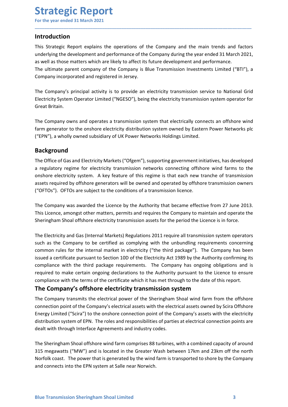## Introduction

Strategic Report<br>
For the year ended 31 March 2021<br>
Introduction<br>
This Strategic Report explains the operations of the Company and the main trends and **Strategic Report**<br>For the year ended 31 March 2021<br>Introduction<br>This Strategic Report explains the operations of the Company and the main trends and factors<br>underlying the development and performance of the Company during **Strategic Report**<br>For the year ended 31 March 2021<br>Introduction<br>This Strategic Report explains the operations of the Company and the main trends and factors<br>underlying the development and performance of the Company during **Strategic Report**<br>For the year ended 31 March 2021<br>Introduction<br>This Strategic Report explains the operations of the Company and the main trends and factors<br>underlying the development and performance of the Company during **Strategic Report**<br>For the year ended 31 March 2021<br>Introduction<br>This Strategic Report explains the operations of the Company and the main trends and factors<br>underlying the development and performance of the Company during **Strategic Report**<br>
For the year ended 31 March 2021<br> **Introduction**<br>
This Strategic Report explains the operations of the Company and the main trends and factors<br>
and as those matters which are likely to affect its future **Strategic Report**<br>For the year ended 31 March 2021<br>Introduction<br>This Strategic Report explains the operations of the Company and the main trends and factors<br>underlying the development and performance of the Company during **Strategic Report**<br>This Strategic Report explains the operations of the Company and the main trends and factors<br>This Strategic Report explains the operations of the Company during the year ended 31 March 2021,<br>as well as t **Strategic Report**<br>
For the year ended 31 March 2021<br>
Intr**oduction**<br>
This Strategic Report explains the operations of the Company and the main trends and factors<br>
underlying the development and performance of the Company **Strategic Report**<br>For the year ended 31 March 2021<br>Introduction<br>This Strategic Report explains the operations of the Company and the mai<br>underlying the development and performance of the Company during the year e<br>as well **Strategic Report**<br>
For the year ended 31 March 2021<br>
Introduction<br>
This Strategic Report explains the operations of the Company and the main trends and factors<br>
as well as those matters which are likely to affect its futu **Strategic Report**<br>For the year ended 31 March 2021<br>Introduction<br>This Strategic Report explains the operations of the Company and the main trends and factors<br>underlying the development and performance of the Company during For the year ended 31 March 2021<br> **Introduction**<br>
This Strategic Report explains the operations of the Company and the main trends and factors<br>
This Strategic Report explains the operations of the Company during the year e

\_\_\_\_\_\_\_\_\_\_\_\_\_\_\_\_\_\_\_\_\_\_\_\_\_\_\_\_\_\_\_\_\_\_\_\_\_\_\_\_\_\_\_\_\_\_\_\_\_\_\_\_\_\_\_\_\_\_\_\_\_\_\_\_\_\_\_\_\_\_\_\_\_\_\_\_\_\_\_\_\_\_\_\_\_\_\_\_\_\_

## Background

This Strategic Report explains the operations of the Company and the main trends and factors<br>underlying the development and performance of the Company during the year ended 31 March 2021,<br>as well as those matters which are Into Strategic regime trapelar the operations of the Company dring the mail tentos and actions<br>
underlying the development and performance of the Company during the year ended 31 March 2021,<br>
as well as those matters which underlying the development and performance of the Company during the year ended 31 march 2021,<br>as well as those matters which are likely to affect its future development and performance.<br>The ultimate parent company of the as were as trotos matters with are likely to arliet its fourted the company is bue Transmission Investments Limited ("BTI"), a Company incorporated and registered in Jersey.<br>The Company's principal activity is to provide a The utintale parter company or the Company is sole Transmission Investments Limited (1911), a<br>Company incorporated and registered in Jersey.<br>The Company's principal activity is to provide an electricity transmission servic The Company's principal activity is to provide an electricity transmission service to National Grid<br>Electricity System Operator Limited ("NGESO"), being the electricity transmission system operator for<br>Great Britain.<br>The C The Company symmolgal activity is to provide all reactricity transmission service to watomat orind<br>Electricity System Operator Limited ("NGESO"), being the electricity transmission system operator for<br>Great Britain.<br>The Co Electricity system operator timited ( Wocso) ), being the electricity transmission system operator for<br>The Company owns and operates a transmission system that electrically connects an offshore wind<br>farm generator to the o

The Company owns and operates a transmission system that electrically connects an offshore wind<br>farm generator to the onshore electricity distribution system owned by Eastern Power Networks plc<br>("EPN"), a wholly owned subs The Company was an operators at ansintssion system tran electrically conflective and the Line Company complete<br>
fram generator to the onshore electricity distribution system owned by Eastern Power Networks plc<br>
("EPN"), a rarm generator to the omshane electricity attention system women by eastern Power Networks Juckson ("EPN"), a wholly owned subsidiary of UK Power Networks Holdings Limited.<br>The Office of Gas and Electricity Markets ("Ofgem **EEV 17.4 WHOMY WHEE SUBSOLARY OF UNK POWER METALT THE COMPLEM SECTION THE COMPT THE COMPT CONDUCT THE COMPT CONDUCT THE COMPT CONDUCT CONDUCT CONDUCT CONDUCT CONDUCT CONDUCT CONDUCT CONDUCT CONDUCT CONDUCT CONDUCT CONDUCT Background**<br>The Office of Gas and Electricity Markets ("Ofgem"), supporting government initiatives, has developed<br>a regulatory regime for electricity stransmission networks connecting offshore wind farms to the<br>onshore el **recults** of Gas and Electricity Markets ("Ofgem"), supporting government initiatives, has developed<br>The Office of Gas and Electricity transmission networks connecting offshore wind farms to the<br>onshore electricity system. The Office of Gas and Electricity Markets ("Ofgem"), supporting government initiatives, has developed<br>a regulatory regime for electricity transmission networks connecting offshore wind farms to the<br>onshore electricity syst a regulatory regime tor electricity transmission networks connecting ortistance wind farms to the compary of electricity system. A key feature of this regime is that each new tranche of transmission assets required by offs stasses required by offshore generators will be owned and operated by offshore transmission owners<br>
("OFTOs"). OFTOs are subject to the conditions of a transmission licence.<br>
The Company was awarded the Licence by the Auth Company sample of the Company selectrical assets with the electrical assets with the Company of the Company was awarded the Licence by the Authority that became effective from 27 June 2013.<br>This Licence, amongst other matt The Company was awarded the Licence by the Authority that became effective from 27 June 2013.<br>This Licence, amongst other matters, premits and requires the Company to maintain and operate the Sheringham Shoal offshore elec The Company was awarded the Licence by the Authority that became effective from 27 June 2013.<br>This Licence, amongst other matters, permits and requires the Company to maintain and operate the Sheringham Shoal offshore elec The Licenter may transmits the electrical power of the Sheringham Shoal offshore electricity transmission assets for the period the Licence is in force.<br>This Licence, amongst other matters, permits and requires the Company The Electricity and Gas (Internal Markets) Regulations 2011 require all transmission poperators<br>The Electricity and Gas (Internal Markets) Regulations 2011 require all transmission system operators<br>such as the Company to b The Electricity and Gas (Internal Markets) Regulations 2011 require all transmission system operators<br>such as the Company to be certified as complying with the unbundling requirements concerning<br>common rules for the intern Incellent at the internal market in electric as complying with the unbundling requirements concerning<br>common rules for the internal market in electricity ("the third package"). The Company has been<br>issued a certificate pur common rules for the internal market in electricity ("the third package"). The Company has been<br>issued a certificate pursuant to Section 10D of the Electricity Act 1989 by the Authority confirming its<br>issued a certificate

compliance with the terms of the certificate which it has met through to the date of this report.<br> **The Company's offshore electricity transmission system**<br>
The Company transmits the electrical power of the Sheringham Shoa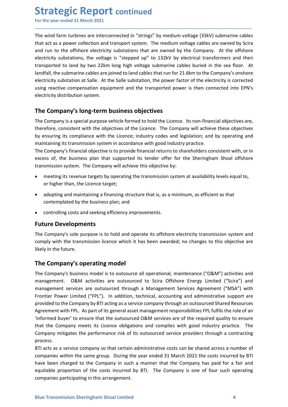Strategic Report continued<br>
For the year ended 31 March 2021<br>
The wind farm turbines are interconnected in "strings" by medium voltage (33kV) submarine<br>
that act as a power collection and transport system. The medium volta **Strategic Report continued**<br>For the year ended 31 March 2021<br>The wind farm turbines are interconnected in "strings" by medium voltage (33kV) submarine cables<br>that act as a power collection and transport system. The medium **Strategic Report continued**<br>For the year ended 31 March 2021<br>The wind farm turbines are interconnected in "strings" by medium voltage (33kV) submarine cables<br>that act as a power collection and transport system. The medium **Strategic Report continued**<br>For the year ended 31 March 2021<br>The wind farm turbines are interconnected in "strings" by medium voltage (33kV) submarine cables<br>that act as a power collection and transport system. The medium **Strategic Report continued**<br>For the year ended 31 March 2021<br>The wind farm turbines are interconnected in "strings" by medium voltage (33kV) submarine cables<br>that act as a power collection and transport system. The medium **Strategic Report continued**<br>For the year ended 31 March 2021<br>The wind farm turbines are interconnected in "strings" by medium voltage (33kV) submarine cables<br>that act as a power collection and transport system. The medium **Strategic Report continued**<br>Tor the year ended 31 March 2021<br>The wind farm turbines are interconnected in "strings" by medium voltage (33kV) submarine cables<br>that act as a power collection and transport system. The medium **Strategic Report continued**<br>For the year ended 31 March 2021<br>The wind farm turbines are interconnected in "strings" by medium voltage (33kV) submarine cables<br>that act as a power collection and transport system. The medium **Strategic Report continued**<br>For the year ended 31 March 2021<br>The wind farm turbines are interconnected in "strings" by medium voltage (33kV) submarine cables<br>that atd at a power collectricn and transport system. The mediu **Strategic Report continued**<br>For the year ended 31 March 2021<br>The wind farm turbines are interconnected in "strings" by medium voltage (33kV) submarine cables<br>that act as a power collection and transport system. The medium **Strategic Report continued**<br>For the year ended 31 March 2021<br>The wind farm turbines are interconnected in "strings" by medium voltage (33kV) submarine cables<br>that act as a power collection and transport system. The medium **Strategic Report continued**<br>
The wind farm turbines are interconnected in "strings" by medium voltage (33kV) submarine cables<br>
the wind farm turbines are interconnected in "strings" by medium voltage (33kV) submarine cabl **Strategic Report continued**<br>For the year ended 31 March 2021<br>The wind farm turbines are interconnected in "strings" by medium voltage (33kV) submarine cables<br>that act as a power collection and transport system. The medium For the year ended 31 March 2021<br>The wind farm turbines are interconnected in "strings" by medium voltage (33kV) submarine cables<br>that act as a power collection and transport system. The medium voltage cables are owned by The wind farm turbulane interconnected in "strings" by medium voltage (33kV) submarine cables<br>that act as a power collection and transport system. The medium voltage cables are owned by Scira<br>and run to the offshore electr The wind farm turbines are interconnected in "strings" by medium voltage (33kV) submarine cables<br>that act as a power collection and transport system. The medium voltage cables are owned by Scira<br>and run to the offshore ele Inter munditain cassing the microsomected in smaller of the Company and the company. At the offshore<br>
that act as a power collection and transport system. The medium voltage cables are owned by Scira<br>
and run to the offsho the the system. The method of the business parallel that the this object that is, as a minimum, as efficient as that<br>consider the method with the busine electricity substations, the voltage is "stepped up" to 132kV by elec tricity substations, the voltage is "stepped up" to 132kV by electrical transformers and then<br>sported to land by two 22km long high voltage submarine cables buried in the sea floor. At<br>fall, the submarine cables are joined sported to land by two 22km long high voltage submarine cables buried in the sea floor. At falal, the submarine cables the pioned to land cables that run for 21.6km to the Company's onshore tricity substation at Salle. At

\_\_\_\_\_\_\_\_\_\_\_\_\_\_\_\_\_\_\_\_\_\_\_\_\_\_\_\_\_\_\_\_\_\_\_\_\_\_\_\_\_\_\_\_\_\_\_\_\_\_\_\_\_\_\_\_\_\_\_\_\_\_\_\_\_\_\_\_\_\_\_\_\_\_\_\_\_\_\_\_\_\_\_\_\_\_\_\_\_\_

and, the submarine tables are jointer do laint data coust natrum or 2.1.6th to the company systemeted g reactive compensation equipment and the transported power factor of the electricity is corrected g reactive compensati Inculty substatuni at same. At the same substatunit, the power raturo of the electricity storiected<br>If greative compensation equipment and the transported power is then connected into EPN's<br>tricity distribution system.<br> **C** tricity distribution system.<br> **Endomary's long-term business objectives**<br> **Company's a** special purpose vehicle formed to hold the Licence. Its non-financial objectives are,<br>
efore, consistent with the objectives of the Li The Company's long-term business objectives<br>The Company is a special purpose vehicle formed to hold the Licence. Its non-finan<br>therefore, consistent with the objectives of the Licence. The Company will achiev<br>by ensuring i The Company's as pecial purpose vehicle formed to hold the Licence. Its non-financial objectives are,<br>therefore, consistent with the objectives of the Licence. The Company will achieve these objectives<br>by ensuring its comp The Company is a special purpose vehicle formed to hold the Lucence. Its non-linnacial objectives are<br>
therefore, consistent with the objectives of the Licence. The Company will achieve these objectives<br>
by ensuring its co

therefore, consistent with the objectives of the Licence. The Company will achieve thy ensuring its complaince with the Licence; industry codes and legislation; and by<br>maintaining its transmission system in accordance with

- 
- 
- 

management. O&M activities are outsourced to Scira Offshore Energy Limited ("Scira") and<br>management services are outsourced through a Management Services Agreement ("MSA") with<br>Frontier Power Limited ("FPL"). In addition, maintaining its transmission system in accordance with good industry practice.<br>The Company's financial objective is to provide financial returns to shareholders consistent with, or in<br>excess of, the business plan that supp The Company's operating model<br>The Company tendent of the Sheringham Shoal offshore<br>
transmission system. The Company will achieve this objective by:<br>
• meeting its revenue targets by operating the transmission system at av Extendion of the United Sciral Haust Special Constant International Constant Constant Constant Constant Constant<br>
Constitution of higher than, the Licence target;<br>
Considering its revenue targets by operating the transmiss on intering the compart service services are outsourced to solve the relationship of the prediction of higher than, the Licence target;<br>
• adopting and maintaining a financing structure that is, as a minimum, as efficient From the mething its revenue targets by operating the transmission system at availability levels equal to,<br>
• controlling and maintaining a financing structure that is, as a minimum, as efficient as that<br>
contemplated by t or higher than, the Licence target;<br>
• adopting and maintaining a financing structure that is, as a minimum, as efficient as that<br>
• controlling costs and seeking efficiency improvements.<br> **Fulture Developments**<br>
• control • adopting and maintaining a financing structure that is, as a minimum, as efficient as that<br>
• controlling costs and seeking efficiency improvements.<br> **Future Developments**<br> **Future Developments**<br> **Future Developments**<br> contemplated by the business plan; and<br> **•** controlling costs and seeking efficiency improvements.<br>
The Company's sole purpose is to hold and operate its offshore electricity transmission system and<br>
comply with the transm • controlling costs and seeking efficiency improvements.<br> **Future Developments**<br>
The Company's sole purpose is to hold and operate its offshore electricity transmission system and<br>
comply with the transmission licence whic • controlling costs and seeking efficiency improvements.<br> **Future Developments**<br> **Company's oute purpose is to hold and operate its offshore electricity transmission system and<br>
comply with the transmission licence which i** process. The Company's sole purpose is to hold and operate its offshore electricity transmission system and<br>comply with the transmission licence which it has been awarded; no changes to this objective are<br>likely in the future.<br>The In company sole purpose is to not and operate its omstore electricity transmission system and comply with the transmission licence which it has been awarded; no changes to this objective are likely in the future.<br>The Compa compy win the transmission licence which it has been awarded; no changes to this objective are<br>likely in the future.<br>The Company's susiness model is to outsource all operational, maintenance ("O&M") activities and<br>manageme IRE **Company's operating model**<br>The Company's business model is to outsource all operational, maintenance ("O&M") activities and<br>management. O&M activities are outsourced through a Management Services Agreement ("MSA") wit The **Company's operating model**<br>The **Company's business model** is to outsource all operational, maintenance ("O&M") activities and<br>management. O&M activities are outsourced to Scira Offshore Energy Limited ("Scira") and<br>ma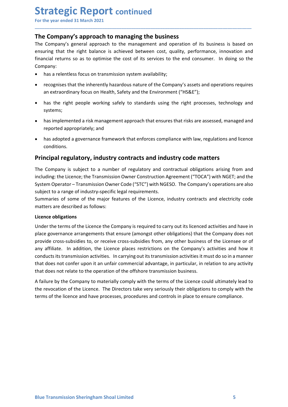**Strategic Report continued**<br>
For the year ended 31 March 2021<br>
The Company's approach to managing the business<br>
The Company's general approach to the management and operation of its business is ba **Strategic Report continued**<br>For the year ended 31 March 2021<br>The Company's approach to managing the business<br>The Company's general approach to the management and operation of its business is based or<br>ensuring that the rig **Strategic Report continued**<br>
For the year ended 31 March 2021<br> **The Company's approach to managing the business**<br>
The Company's general approach to the management and operation of its business is based on<br>
ensuring that t **Strategic Report continued**<br>For the year ended 31 March 2021<br>The Company's approach to managing the business<br>The Company's general approach to the management and operation of its business is based on<br>ensuring that the rig **Strategic Report continued**<br>
For the year ended 31 March 2021<br> **The Company's approach to managing the business**<br>
The Company's general approach to the management and operation of its business is based on<br>
ensuring that t **Strategic Report continued**<br>For the year ended 31 March 2021<br>**The Company's approach to managing the business**<br>The Company's general approach to the management and operation of its business is based on<br>ensuring that the r Company: **Trategic Report continued**<br>
the year ended 31 March 2021<br> **E Company's approach to managing the business**<br>
Company's general approach to the management and operation of its business is based on<br>
tring that the right balan **rategic Report continued**<br> **Example 31 March 2021**<br> **Example 31 March 2021**<br> **Company's approach to managing the business**<br>
Company's general approach to the management and operation of its business is based on<br>
uring tha **Example 18 Amorth Constant Constant Constant Constant Constant Company's approach to managing the business<br>
Company's approach to managing the business<br>
Company's general approach to the management and operation of its bu Example 18 ACCO CONTRIGUATE CONTIGNATE CONTRIGUATE COMPONS**<br> **Example year ended 31 March 2021**<br> **Example y** seneral approach to the management and operation of its business is based on<br>
oring that the right balance is ac **Examplemented a standard and the management and operator** and the management approach of the management and operation of its business is based on company's general approach to the management and operation of its business **The Example 18 Match 2021**<br> **Example 18 Match 2021**<br> **Example 31 March 2021**<br> **Example 31 March 2021**<br> **Example 31 March 2021**<br> **Example 31 March 2021**<br> **Example 31 March 2021**<br> **Example 31 March to the management and ope** the year ended 31 March 2021<br> **E Company's approach to managing the business**<br> **Company's general approach to the management and operation of its business is based on**<br>
primaring that the right balance is achieved between

\_\_\_\_\_\_\_\_\_\_\_\_\_\_\_\_\_\_\_\_\_\_\_\_\_\_\_\_\_\_\_\_\_\_\_\_\_\_\_\_\_\_\_\_\_\_\_\_\_\_\_\_\_\_\_\_\_\_\_\_\_\_\_\_\_\_\_\_\_\_\_\_\_\_\_\_\_\_\_\_\_\_\_\_\_\_\_\_\_\_

- 
- 
- systems;
- 
- conditions.

The Company is supproduct Comaningary and publises and industry contracts and including: the Company's general approach to the management and operation of its business is based on ensuring that the right balance is achieve ensuring that the right balance is achieved between cost, quality, performance, innovation and<br>
financial returns so as to optimise the cost of its services to the end consumer. In doing so the<br>
Company:<br>
• has a relentles financial returns so as to optimise the cost of its services to the end consumer. In doing so the<br>
company:<br>
• has a relentless focus on transmission system availability;<br>
• recognises that the inherently hazardous nature Company:<br>
• has a relentless focus on transmission system availability;<br>
• recognises that the inherently hazardous nature of the Company's assets and operations requires<br>
an extraordinary focus on Health, Safety and the E • has a relentless focus on transmission system availability;<br>• recognises that the inherently hazardous nature of the Company's assets and operations requires<br>• an extraordinary focus on Health, Safety and the Environment • recognises that the inherently hazardous nature of the Company's assets and operations requires<br>
• has the right people working safely to standards using the right processes, technology and<br>
• has implemented a risk mana The company is subject to a numerally matrical dust and the company's assess and uperations required as the right people working safely to standards using the right processes, technology a systems;<br>
• has the right people

• has the right people working safely to standards using the right process<br>systems;<br>
• has implemented a risk management approach that ensures that risks are asse<br>
reported appropriately; and<br>
• has adopted a governance fr Systems;<br>
Systems;<br>
Systems;<br>
Also amplemented a risk management approach that ensures that risks are assessed, managed and<br>
reported appropriately; and<br>
The Company is subject to a number of regulatory and contractual obl **Examplemented a risk management approach that ensures that risks are assessed, managed and reported appropriately; and<br>
<b>Examplemented** a governance framework that enforces compliance with law, regulations and licence con • has implemented a risk management approach that ensures that risks are assessed, managed and<br>
• reported appropriately; and<br>
• has adopted a governance framework that enforces compliance with law, regulations and licence reported appropriately; and<br>
• has adoptomate framework that enforces compliance with law, regulations and licence<br>
conditions.<br> **Principal regulatory, industry contracts and industry code matters**<br>
The Company is subject • has adopted a governance framework that enforces compliance with law, regulations and licence<br> **Principal regulatory, industry contracts and industry code matters**<br>
The Company is subject to a number of regulatory and co conditions.<br> **Principal regulatory, industry contracts and industry code matters**<br>
The Company is subject to a number of regulatory and contractual obligations arising from and<br>
including: the Licence; the Transmission Own **Principal regulatory, industry contracts and industry code matters**<br>The Company is subject to a number of regulatory and contractual obligations arising from and<br>including: the Licence; the Transmission Owner Construction The Company is subject to a number of regulatory and contractual obligations arising from and including: the Licence; the Transmission Owner Construction Agreement ("TOCA") with NGET; and the System Operator – Transmission The Company is subject to a number of regulatory and contractual obligations arising from and including: the Licence; the Transmission Owner Code ("STC") with NGESO. The Company's operations are also subject to a range of including: the Licence; the Transmission Owner Construction Agreement ("TOCA") with NGET, and the<br>System Operator – Transmission Owner Code ("STC") with NGESO. The Company's operations are also<br>subject to a range of indust

A failure by the Company to materially comply with the terms of the Licence could ultimately lead to<br>the revocation of the Licence. The Directors take very seriously their obligations to comply with the<br>terms of the licenc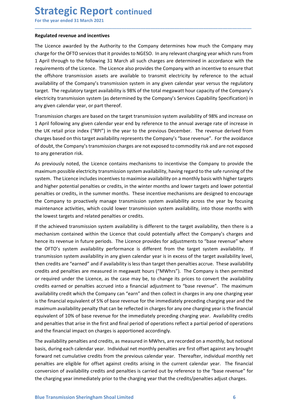# **Strategic Report continued**<br>
For the year ended 31 March 2021<br>
Regulated revenue and incentives<br>
The Licence awarded by the Authority to the Company determines how much the Compar

**Strategic Report continued**<br>For the year ended 31 March 2021<br>Regulated revenue and incentives<br>The Licence awarded by the Authority to the Company determines how much the Company may<br>charge for the OFTO services that it pr **Strategic Report continued**<br>For the year ended 31 March 2021<br>Regulated revenue and incentives<br>The Licence awarded by the Authority to the Company determines how much the Company r<br>charge for the OFTO services that it prov **Strategic Report continued**<br>For the year ended 31 March 2021<br>Regulated revenue and incentives<br>The Licence awarded by the Authority to the Company determines how much the Company may<br>charge for the OFTO services that it pr **Strategic Report continued**<br>For the year ended 31 March 2021<br>The Licence awarded by the Authority to the Company determines how much the Company may<br>charge for the OFTO services that it provides to NGESO. In any relevant **Strategic Report continued**<br>For the year ended 31 March 2021<br>Regulated revenue and incentives<br>The Licence awarded by the Authority to the Company determines how much the Company may<br>charge for the OFTO services that it pr **Strategic Report continued**<br>For the year ended 31 March 2021<br>The Licence awarded by the Authority to the Company determines how much the Company may<br>charge for the OFTO services that it provides to NGESO. In any relevant **Strategic Report continued**<br>For the year ended 31 March 2021<br>The Licence awarded by the Authority to the Company determines how much the Company may<br>charge for the OFTO services that it provides to NGESO. In any relevant **Strategic Report continued**<br>For the year ended 31 March 2021<br>The Licence awarded by the Authority to the Company determines how much the Company may<br>tharge for the OFTO services that it provides to NGESO. In any relevant **Strategic Report continued**<br> **For the year ended 31 March 2021**<br> **Regulated revenue and incentives**<br>
The Licence awarded by the Authority to the Company determines how much the Company may<br>
charge for the OFTO services th **Strategic Report continued**<br>For the year ended 31 March 2021<br>Regulated revenue and incentives<br>The Licence awarded by the Authority to the Company determines how much the Company may<br>charge for the OFTO services that it pr **Strategic Report continued**<br>For the year ended 31 March 2021<br>Regulated revenue and incentives<br>The Licence awarded by the Authority to the Company determines how much the Company may<br>charge for the OFTO services that it pr **Strategic Report continued**<br>For the year ended 31 March 2021<br>Regulated revenue and incentives<br>The Licence awarded by the Authority to the Company determines how much the Company may<br>charge for the OFTO services that it pr **Strategic Report continued**<br>
For the year ended 31 March 2021<br>
Regulated revenue and incentives<br>
The Licence awarded by the Authority to the Company determines how much the Company may<br>
rhave for the OFTO services that it **STIT CHE THE THE PROPIT CONTITIMED**<br>For the year ended 31 March 2021<br>**Regulated revenue and incentives**<br>The Licence awarded by the Authority to the Company determines how much the Company may<br>charge for the OFTO services For the year ended 31 March 2021<br> **Regulated revenue and incentives**<br>
The Licence awarded by the Authority to the Company determines how much the Company may<br>
charge for the OFTO services that it provides to NGESO. In any **Regulated revenue and incentives**<br>The Licence awarded by the Authority to the Company determines how much the Company may<br>charge for the OFTO services that it provides to NGESO. In any relevant charging year which runs fr **Regulated revenue and incentives**<br>The Licence awarded by the Authority to the Company determines how much the Com<br>charge for the OFTO services that it provides to NGESO. In any relevant charging year which<br>1 April through The Licence awarded by the Authority to the Company determines how much the Company may<br>charge for the OFTO services that it provides to NGESO. In any relevant charging year which runs from<br>thany a for the OFTO services th charge for the OFTO services that it provides to NGESO. In any relevant charging year which runs from 1 April through to the following 31 March all such charges are determined in accordance with the requirements of the Lic

\_\_\_\_\_\_\_\_\_\_\_\_\_\_\_\_\_\_\_\_\_\_\_\_\_\_\_\_\_\_\_\_\_\_\_\_\_\_\_\_\_\_\_\_\_\_\_\_\_\_\_\_\_\_\_\_\_\_\_\_\_\_\_\_\_\_\_\_\_\_\_\_\_\_\_\_\_\_\_\_\_\_\_\_\_\_\_\_\_\_

1 April through to the following 31 March all such charges are determined in accordance with the requirements of the Licence is to percome abso provides the Company with an incentive to ensure that the difshore transmissio requirements of the Licence. The Licence also provides the Company with an incentive to ensure that<br>the offshore transmission assets are available to transmit electricity by refreence to the actual<br>availability of the Comp the offshore transmission assets are available to transmit electricity by reference to the actual<br>availability of the Company's transmission system in any given calendar year versus the regulatory<br>target. The regulatory ta availability of the Company's transmission system in any given calendar year versus the regulatory<br>
electricity transmission system (alability) is 98% of the total megawatt hour capacity of the Company's<br>
electricity trans target. The regulatory target availability is 98% of the total megawatt hour capacity of the Company's any given calentricity transmission system availability Specification) in electricity transmission system availability electricity transmission system (as determined by the Company's Services Capability Specification) in<br>any given calendar year, or part thereof.<br>Transmission charges are based on the target transmission system availability any given calendar year, or part thereor.<br>Transmission system availability of 98% and increase on<br>Transmission charges are based on the target transmission system availability of 98% and increase in<br>The UK retail price ind Transmission charges are based on the target transmission system availability of 98% and increase on<br>1 April following any gliven callend year are to by reference to the annual average rate of increase in<br>the UK retail pri 1 April following any given calendar year end by reference to the annual average rate of increase in the UK retail price index ("RBPI") in the year to the previous December. The revenue derived from the presents the Compan

or required under the Licence, as the case may be, to change its prices to convert the availability credits sarned or penalties accrued into a financial adjustment to "base revenue". The maximum availability recdit which t the UK retail price index ("RPI") in the year to the previous December. The revenue derived from<br>endages based on this target availability represents the Company's "base revenue". For the avoidance<br>of doubt, the Company's charges based on this target availability represents the Company's "base revenue". For the avoidance of doubt, the Company is transmission charges are not exposed to commodity risk and are not exposed to compressed to comp of doobt, the Company's transmission charges are not exposed to commodity risk and are not exposed<br>ot any generation risk.<br>As previously noted, the Licence contains mechanisms to incentivise the Company to provide the<br>maxi to any generation risk.<br>As previously noted, the Licence contains mechanisms to incentivise the Company to provide the maximum possible electricity transmission system availability, having regard to the safer numing of the As previously noted, the Licence contains mechanisms to incentivise the Company to provide the maximum possible electricity transmission system availability, having regard to the safe running of the saking the change syst sy percolony methanic methanics in encominal into the many incominal of the financial equivalent of perceptive the maximum possible electricity transmission system availability, having regard to the safe running of the sys maximum pussione executive to maximism associate and the company correlates and higher potential penalties or credits, in the winter months and lower targets and lower potential<br>and higher potential penalties or credits, i system: The texten encotors meantles or reading the minimal mean lingther potential penalties or credits, in the winter months and lower targets and lower potential penalties or credits, in the summer months. These incenti and my er pocketion and mather of the winter montins and user and work carges an outwer potential<br>penalties or credits, in the summer months. These incentive mechanisms are designed to encourage<br>the Company to proactively penature corretuns, on the summer innotinas: "nete interestive interestival and evenyle to encourage the omany to proactively manage transmission system availability across the year by focusing maintenance activities, whic the company to phoatomey mannes aristmassion system availability, into those months with<br>the lowest targets and related penalties or credits.<br>The achieved transmission system availability is different to the target availab mentement extertions, which count of solar the constitution and the closes and related transmission system availability is different to the target availability, then there is a mechanism contained within the Licence that c If the achieved transmission system availability is different to the target availability, then there is a<br>mechanism contained within the Licence that could potentially affect the Company's charges and<br>thence its revenue in net eachiever unsimilation the Licence that could potentially affect the Company's charges and<br>hence its revenue in future periods. The Licence provides for adjustments to "base revenue" where<br>the OFTO's system availabilit metaniani consinere whim the there is the cumulative and to the compary struct the compary strates the CFIO's system availability performance is different from the target system availability. If the OFIO's system availabil ienter is the methane are eligible for offset against credits arising in the credits /penalties are eligible Transmission system availability in any given calendar year is in excess of the target availability is transmissi core are even to a system and in any given calcular year is in excess of the target availability evel, then credits are "earned" and if availability is less than target then penalties accrue. These availability evel, then the chargins and the financial map wear in the care of the charging term in the comparty is the comparty term credits and penalties are measured in megawatt hours ("MWhrs"). The Company is then permitted or required under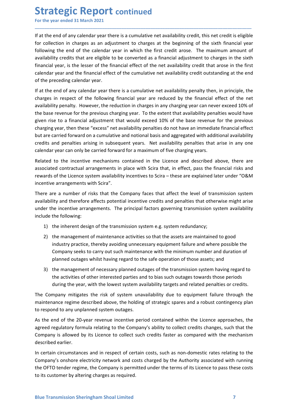**Strategic Report continued**<br>
For the year ended 31 March 2021<br>
If at the end of any calendar year there is a cumulative net availability credit, this net credit is of<br>
for collection in charges as an adjustment to charges **Strategic Report continued**<br>For the year ended 31 March 2021<br>If at the end of any calendar year there is a cumulative net availability credit, this net credit is eligible<br>for collection in charges as an adjustment to char **Strategic Report continued**<br>For the year ended 31 March 2021<br>If at the end of any calendar year there is a cumulative net availability credit, this net credit is eligible<br>for collection in charges as an adjustment to char **Strategic Report continued**<br>For the year ended 31 March 2021<br>If at the end of any calendar year there is a cumulative net availability credit, this net credit is eligible<br>for collection in charges as an adjustment to char **Strategic Report continued**<br>For the year ended 31 March 2021<br>If at the end of any calendar year there is a cumulative net availability credit, this net credit is eligible<br>for collection in charges as an adjustment to char **Strategic Report continued**<br>For the year ended 31 March 2021<br>If at the end of any calendar year there is a cumulative net availability credit, this net credit is eligible<br>for collection in charges as an adjustment to char **Strategic Report continued**<br>For the year ended 31 March 2021<br>If at the end of any calendar year there is a cumulative net availability credit, this net credit is eligible<br>for collection in charges as an adjustment to char **Strategic Report continued**<br>For the year ended 31 March 2021<br>If at the end of any calendar year there is a cumulative net availability credit, this net credit is eligible<br>for collection in charges as an adjustment to char **Strategic Report continued**<br>For the year ended 31 March 2021<br>If at the end of any calendar year there is a cumulative net availability credit, this net credit is eligibl<br>for collection in charges as an adjustment to charg **Strategic Report continued**<br>For the year ended 31 March 2021<br>If at the end of any calendar year there is a cumulative net availability credit, this net credit is eligible<br>for collection in charges as an adjustment to char **Strategic Report continued**<br>For the year ended 31 March 2021<br>If at the end of any calendar year there is a cumulative net availability credit, this net credit is eligible<br>for collection in charges as an adjustment to char

\_\_\_\_\_\_\_\_\_\_\_\_\_\_\_\_\_\_\_\_\_\_\_\_\_\_\_\_\_\_\_\_\_\_\_\_\_\_\_\_\_\_\_\_\_\_\_\_\_\_\_\_\_\_\_\_\_\_\_\_\_\_\_\_\_\_\_\_\_\_\_\_\_\_\_\_\_\_\_\_\_\_\_\_\_\_\_\_\_\_

**Strategic Report continued**<br>For the year ended 31 March 2021<br>If at the end of any calendar year there is a cumulative net availability credit, this net credit is eligible<br>for collection in charges as an adjustment to char **Strategic Report continued**<br>
If at the end of any calendar year there is a cumulative net availability credit, this net credit is eligible<br>
for collection in charges as an adjustment to charges at the beginning of the six **Strategic Report continued**<br>For the year ended 31 March 2021<br>If at the end of any calendar year there is a cumulative net availability credit, this net credit is eligible<br>for collection in charges as an adjustment to char **Strategic Report continued**<br>For the year ended 31 March 2021<br>If at the end of any calendar year there is a cumulative net availability credit, this net credit is eligible<br>for collection in charges as an adjustment to char For the year ended 31 March 2021<br>
If at the end of any calendar year there is a cumulative net availability credit, this net credit is eligible<br>
for collection in charges as an adjustment to charges at the beginning of the If at the end of any calendary are there is a cumulative net availability redit, this net credit is eligible of collection in charges a an adjustment to charges at the beginning of the sixth financial year following the en If at the end of any calendar year there is a cumulative net availability credit, this net credit is eligible<br>for collection in charges as an adjustment to charges at the beginning of the sixth financial year<br>volving the e for collection in charges as an adjustment to charges at the beginning of the sixth financial year<br>cololowing the end of the calendar year in which the first credit arose. The maximum amount of<br>clouding ty credits that are following the end of the calendar year in which the first credit arose. The maximum amount of availability redit that are eligible to be converted as a financial adjets that are eligible to be converted as a financial redi availability credits that are eligible to be converted as a financial adjustment to charges in the sixth financial year, is the lesser of the financial effect of the cumulative net availability credit that arose in the fir financial year, is the lesser of the financial effect of the net availability credit that arose in the trachendar year and the financial effect of the cumulative net availability credit outstanding at the of the preceding calendar year and the linnancial ettect of the cumulative net availability recall coutstanding at the end<br>of the preceding calendar year.<br>If at the end of any calendar year there is a cumulative net availability penalty th of the preceding calendar year.<br>
If at the end of any calendar year there is a cumulative net availability penalty then, in principle, the<br>
Icharges in respect of the following financial year are reduced by the financial e If at the end of any calendar year there is a cumulative net availability penalty then, in principle, the availability penalty. However, the redlowing financial gear are reduced by the financial effect of the previous char charges in respect of the following financial year are reduced by the financial exailability penalty. However, the reduction in charges in any charging year can never<br>the base revenue for the previous charging year. To the ilability penalty. However, the reduction in charges in any charging year can never exceed 10% of<br>loss revenue for the previous charging year. To the extent that availability penalties would have<br>n rise to a financial adju In the to a financial adjustment that would exceed 10% of the base revenue for the previous religing year, then these "excess" net availability penalties do not have an immediate financial effect strates "excess" net avail is year, then these "excess" net availability penalties do not have an immediate financial effect<br>carried forward on a cumulative and notional basis and aggregated with additional availability<br>and penalties arising in subs

 $\dot{P}_{\text{2}}$ , and the many seeks to carry out such maintenance with the transmission system can only be carried forward on a cumulative and penalties artising in subsequent vears. Net availability penalties that arise in and penalties arising in subsequent years. Net availability penalties that arise in any one<br>vear can only be carried forward for a maximum of five charging years.<br>to the incentive mechanisms contained in the licence and de ndar year can only be carried forward for a maximum of five charging years.<br>
Exted to the incentive mechanisms contained in the Licence and described above, there are<br>
coicided contractual arangements in place with Scira t to the incentive mechanisms contained in the Licence and described above, there are<br>ed contractual arrangements in place with Scira that, in effect, pass the financial risks and<br>of the Licence system availability incentive

rewards of the Licence system availability incentives to Scira – these are explained later under "O&M<br>
incentive arrangements with Scira".<br>
There are a number of risk that affect the level of transmission system<br>
There are incentive arrangements with Scira".<br>
There are a number of risks that the Company faces that affect the level of transmission system<br>
availability and therefore affects potential incentive credits and penalties that otherw

- 
- ed contractual arrangements in place with Scira that, in effect, pass the financial risks and<br>of the Licence system availability incentives to Scira these are explained later under "O&M<br>a errangements with Scira".<br>
erran
- 

the activities of other interested parties and to bias such outages towards those periods<br>during the year, with the lowest system availability targets and related penalties or credits.<br>The Company mitigates the risk of sys There are a number of risks that the Company faces that affect the level of transmission system<br>availability and therefore affects potential incentive credits and penalties that otherwise might arise<br>under the incentive ar availability and therefore affects potential incentive credits and penalties that otherwise might arise<br>
unculde the incentive arrangements. The principal factors governing transmission system availability<br>
include the fol under the incentive arrangements. The principal factors governing transmission system availability<br>include the following:<br>
2) the inneared redsign of the transmission system e.g. system redundancy;<br>
2) the management of ma include the following:<br>
2) the inherent design of the transmission system e.g. system redundancy;<br>
2) the management of maintenance activities so that the assets are maintained to good<br>
industry practice, thereby avoiding 1) the inherent design of the transmission system e.g. system redundancy;<br>
2) the management of maintenance activities so that the assets are maintaine<br>
industry practice, thereby avoiding unnecessary equipment failure and 2) the management of maintenance activities so that the assets are maintained to good<br>
industry practice, thereby avoiding unnecessary equipment failure and where possible the<br>
Company seeks to carry out such maintenance w industry practice, thereby avoiding unnecessary equipment falure and where possible the<br>Company seeks to carry out such maintenance with the minimum number and duration of<br>planned outages whilst having regard to the safe o Company seeks to carry out such maintenance with the minimum number and duration of<br>planned outages whilst having regard to the safe operation of those assets; and<br>3) the management of necessary planned outages of the tran planned outages whilst having regard to the safe operation of those assets; and<br>3) the management of necessary planned outages of the transmission system having regard to<br>the activities of other interested parties and to b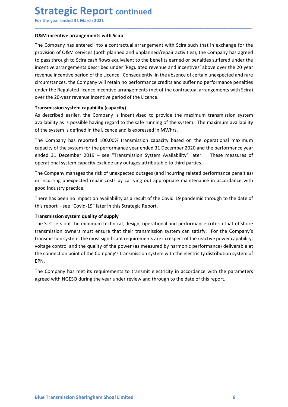**Strategic Report continued**<br>
For the year ended 31 March 2021<br> **O&M incentive arrangements with Scira**<br>
The Company has entered into a contractual arrangement with Scira such that in exchange **Strategic Report continued**<br>For the year ended 31 March 2021<br>**O&M incentive arrangements with Scira**<br>The Company has entered into a contractual arrangement with Scira such that in exchange for the<br>provision of O&M service **Strategic Report continued**<br>For the year ended 31 March 2021<br>O&M incentive arrangements with Scira<br>The Company has entered into a contractual arrangement with Scira such that in exchange for the<br>provision of O&M services **Strategic Report continued**<br>For the year ended 31 March 2021<br>**O&M incentive arrangements with Scira**<br>The Company has entered into a contractual arrangement with Scira such that in exchange for the<br>provision of O&M service **Strategic Report continued**<br>For the year ended 31 March 2021<br>D&M incentive arrangements with Scira<br>The Company has entered into a contractual arrangement with Scira such that in exchange for the<br>provision of O&M services **Strategic Report continued**<br>For the year ended 31 March 2021<br>O&M incentive arrangements with Scira<br>The Company has entered into a contractual arrangement with Scira such that in exchange for the<br>provision of O&M services **Strategic Report continued**<br>
For the year ended 31 March 2021<br> **O&M incentive arrangements with Scira**<br>
The Company has entered into a contractual arrangement with Scira such that in exchange for the<br>
provision of O&M ser **Strategic Report continued**<br>For the year ended 31 March 2021<br>The Company has entered into a contractual arrangement with Scira such that in exchange for the<br>provision of O&M services (both planned and unplanned/repair act **Strategic Report continued**<br>
For the year ended 31 March 2021<br> **ORM incentive arrangements with Scira**<br>
The Company has entered into a contractual arrangement with Scira such that in exchange for the<br>
provision of ORM ser **Strategic Report continued**<br>For the year ended 31 March 2021<br>**O&M incentive arrangements with Scira**<br>The Company has entered into a contractual arrangement with Scira such that in exchange for the<br>provision of O&M service **Strategic Report continued**<br>For the year ended 31 March 2021<br>**O&M incentive arrangements with Scira**<br>The Company has entered into a contractual arrangement with Scira such that in exchange for the<br>provision of O&M service **Strategic Report continued**<br>For the year ended 31 March 2021<br>**ORM incentive arrangements with Scira**<br>The Company has entered into a contractual arrangement with Scira such that in exchange for the<br>provision of O&M service **Strategic Report continued**<br>
For the year ended 31 March 2021<br> **O&M incentive arrangements with Scira**<br>
The Company has entered into a contractual arrangement with Scira such that in exchange for the<br>
provision of O&M ser **Strategic Report continued**<br>For the year ended 31 March 2021<br>The Company has entered into a contractual arrangement with Scira such that in exchange for the<br>provision of 0&M services (both planed and unplanned/repair acti **Strategic Report continued**<br>For the year ended 31 March 2021<br>**O&M incentive arrangements with Scira**<br>The Company has entered into a contractual arrangement with Scira such that in exchange for the<br>provision of O&M service For the year ended 31 March 2021<br>
O&M incentive arrangements with Scira<br>
The Company has entered into a contractual arrangement with Scira such that in exchange for the<br>
provision of O&M services (both planned an unplanned **ORM incentive arrangements with Scira**<br>The Company has entered into a contractual arrangement with Scira such that in exchange for the<br>provision of ORM services (both planned and unplanned/repair activities), the Company **O&M incentive arrangements with Scira**<br>The Company has entered into a contractual arrangement with Scira such that in exchange for the<br>ThroWision of O&M services (both planned and unplanned/repair activities), the Company The Company has entered into a contractual arrangement with Scira such that in exchange for the company has agreed<br>to pass through to Scira cash filows equivalent to the benefits carred or penalties suffered under the<br>ince provision of O&M services (both planned and unplanned/repair activities), the Company has agreed<br>to pass through to Scira cash flows equivalent to the benefits carned or penalties suffered under the<br>incentive arrangements to pass through to Scrat can't lower equivalent to the benefits earned or penatties surrected under the company increasing the company will retain no performance credits and suffer no performance penalties surrectione and Incentive arrangements described under 'Regulated revenue and incentives' above over<br>terculous increasive period of the Licence. Consequently, in the absence of certain unexperient<br>increasing increasing the company will re

\_\_\_\_\_\_\_\_\_\_\_\_\_\_\_\_\_\_\_\_\_\_\_\_\_\_\_\_\_\_\_\_\_\_\_\_\_\_\_\_\_\_\_\_\_\_\_\_\_\_\_\_\_\_\_\_\_\_\_\_\_\_\_\_\_\_\_\_\_\_\_\_\_\_\_\_\_\_\_\_\_\_\_\_\_\_\_\_\_\_

circumstances, the Company will retain no performance credits and suffer no performance genalties<br>under the Regulated licence incentive arrangements (net of the contractual arrangements with Scira)<br>over the 20-year revenue under the Regulated licence incentive arrangements (net of the contractual arrangements with Scira)<br>over the 20-year revenue incentive arrangements (net of the contractual arrangements with Scira)<br>over the 20-year revenue

Transmission system cuelace incentive period of the Licence.<br>
Transmission system capability (capacity)<br>
As described earlier, the Company is incentivised to provide the maximum transmission system<br>
Availability as is poss **Transmission system capability (capacity)**<br>As described earlier, the Company is incentivised to provide the maximum transmission system<br>of the system is defined in the Licence and is expressed in MWhrs.<br>The Company has is As described earlier, the Company is incentivised to provide the maximum transmission system<br>availability as is possible having regard to the safe running of the system. The maximum availability<br>of the system is defined in availability as is possible having regard to the safe running of the system. The maximum availability<br>of the system is defined in the Licence and is expressed in MWhrs.<br>The Company has reported 100.00% transmission capacit of the system is defined in the Licence and is expressed in MWhrs.<br>The Company has reported 100.00% transmission capacity based on the operational maximum<br>capacity of the system for the performance year ended 31 December 2 The Company has reported 100.00% transmission capacity based on the operational maximum<br>capacity of the system for the performance year ended 31 December 2020 and the performance year<br>ended 31 December 2019 – see "Transmis EPN. ended 31 December 2019 – see "Transmission System Availability" later. These measures of operational system capacity exclude any outages attributable to third parties.<br>The Company manages the risk of unexpected outages (an operational system capacity exclude any outages attributable to third parties.<br>The Company manages the risk of unexpected outages (and incurring related performance penalties)<br>or incurring unexpected repair costs by carryi

agreed with NGESO during the year under review and through to the date of this report.<br> $\label{eq:2.1}$  Blue Transmission Sheringham Shoal Limited 8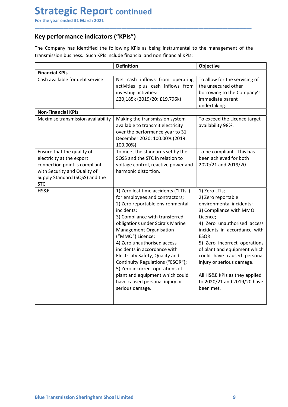# Strategic Report continued<br>
For the year ended 31 March 2021<br>
Key performance indicators ("KPIs")<br>
The Company has identified the following KPIs as being instrumental to the management

**Strategic Report continued**<br>
For the year ended 31 March 2021<br> **Key performance indicators ("KPIs")**<br>
The Company has identified the following KPIs as being instrumental to the management of the<br>
transmission business. Su Strategic Report continued<br>
For the year ended 31 March 2021<br>
Key performance indicators ("KPIs")<br>
The Company has identified the following KPIs as being instrumental to the management of<br>
transmission business. Such KPIs

| The Company has identified the following KPIs as being instrumental to the management of the<br>transmission business. Such KPIs include financial and non-financial KPIs:<br><b>Definition</b><br>Objective<br>Net cash inflows from operating<br>To allow for the servicing of<br>activities plus cash inflows from<br>the unsecured other<br>investing activities:<br>borrowing to the Company's<br>£20,185k (2019/20: £19,796k)<br>immediate parent<br>undertaking.<br>Making the transmission system<br>To exceed the Licence target<br>available to transmit electricity<br>availability 98%.<br>over the performance year to 31<br>December 2020: 100.00% (2019:<br>100.00%)<br>To be compliant. This has<br>To meet the standards set by the<br>been achieved for both<br>electricity at the export<br>SQSS and the STC in relation to<br>2020/21 and 2019/20.<br>voltage control, reactive power and<br>harmonic distortion.<br>HS&E<br>1) Zero lost time accidents ("LTIs")<br>1) Zero LTIs;<br>for employees and contractors;<br>2) Zero reportable<br>2) Zero reportable environmental<br>environmental incidents;<br>incidents;<br>3) Compliance with MMO<br>3) Compliance with transferred<br>Licence;<br>obligations under Scira's Marine<br>4) Zero unauthorised access<br>Management Organisation<br>incidents in accordance with<br>("MMO") Licence;<br>ESQR.<br>4) Zero unauthorised access<br>5) Zero incorrect operations<br>incidents in accordance with<br>of plant and equipment which<br>could have caused personal<br>Electricity Safety, Quality and<br>Continuity Regulations ("ESQR");<br>injury or serious damage.<br>5) Zero incorrect operations of<br>All HS&E KPIs as they applied<br>plant and equipment which could | Key performance indicators ("KPIs")                                                                           |  |
|---------------------------------------------------------------------------------------------------------------------------------------------------------------------------------------------------------------------------------------------------------------------------------------------------------------------------------------------------------------------------------------------------------------------------------------------------------------------------------------------------------------------------------------------------------------------------------------------------------------------------------------------------------------------------------------------------------------------------------------------------------------------------------------------------------------------------------------------------------------------------------------------------------------------------------------------------------------------------------------------------------------------------------------------------------------------------------------------------------------------------------------------------------------------------------------------------------------------------------------------------------------------------------------------------------------------------------------------------------------------------------------------------------------------------------------------------------------------------------------------------------------------------------------------------------------------------------------------------------------------------------------------------------------------------------------------------------------------------------------------------------|---------------------------------------------------------------------------------------------------------------|--|
|                                                                                                                                                                                                                                                                                                                                                                                                                                                                                                                                                                                                                                                                                                                                                                                                                                                                                                                                                                                                                                                                                                                                                                                                                                                                                                                                                                                                                                                                                                                                                                                                                                                                                                                                                         |                                                                                                               |  |
|                                                                                                                                                                                                                                                                                                                                                                                                                                                                                                                                                                                                                                                                                                                                                                                                                                                                                                                                                                                                                                                                                                                                                                                                                                                                                                                                                                                                                                                                                                                                                                                                                                                                                                                                                         |                                                                                                               |  |
|                                                                                                                                                                                                                                                                                                                                                                                                                                                                                                                                                                                                                                                                                                                                                                                                                                                                                                                                                                                                                                                                                                                                                                                                                                                                                                                                                                                                                                                                                                                                                                                                                                                                                                                                                         | <b>Financial KPIs</b><br>Cash available for debt service                                                      |  |
|                                                                                                                                                                                                                                                                                                                                                                                                                                                                                                                                                                                                                                                                                                                                                                                                                                                                                                                                                                                                                                                                                                                                                                                                                                                                                                                                                                                                                                                                                                                                                                                                                                                                                                                                                         | <b>Non-Financial KPIs</b>                                                                                     |  |
|                                                                                                                                                                                                                                                                                                                                                                                                                                                                                                                                                                                                                                                                                                                                                                                                                                                                                                                                                                                                                                                                                                                                                                                                                                                                                                                                                                                                                                                                                                                                                                                                                                                                                                                                                         | Maximise transmission availability<br>Ensure that the quality of                                              |  |
|                                                                                                                                                                                                                                                                                                                                                                                                                                                                                                                                                                                                                                                                                                                                                                                                                                                                                                                                                                                                                                                                                                                                                                                                                                                                                                                                                                                                                                                                                                                                                                                                                                                                                                                                                         | connection point is compliant<br>with Security and Quality of<br>Supply Standard (SQSS) and the<br><b>STC</b> |  |
| have caused personal injury or<br>to 2020/21 and 2019/20 have<br>serious damage.<br>been met.                                                                                                                                                                                                                                                                                                                                                                                                                                                                                                                                                                                                                                                                                                                                                                                                                                                                                                                                                                                                                                                                                                                                                                                                                                                                                                                                                                                                                                                                                                                                                                                                                                                           |                                                                                                               |  |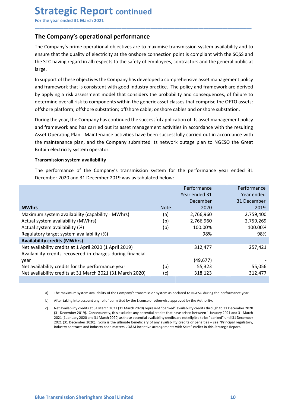# **Strategic Report continued**<br>
For the year ended 31 March 2021<br>
The Company's operational performance<br>
The Company's prime operational objectives are to maximise transmission system availability

**Strategic Report continued**<br>For the year ended 31 March 2021<br>The Company's operational performance<br>The Company's prime operational objectives are to maximise transmission system availability and to<br>ensure that the quality **Strategic Report continued**<br>For the year ended 31 March 2021<br>The Company's operational performance<br>The Company's prime operational objectives are to maximise transmission system availability and to<br>ensure that the quality **Strategic Report continued**<br>For the year ended 31 March 2021<br>The Company's operational performance<br>The Company's prime operational objectives are to maximise transmission system availability and to<br>ensure that the quality **Strategic Report continued**<br>For the year ended 31 March 2021<br>The Company's operational performance<br>The Company's prime operational objectives are to maximise transmission system availability and to<br>ensure that the quality **Strategic Report continued**<br>For the year ended 31 March 2021<br>The Company's operational performance<br>The Company's prime operational objectives are to maximise transmission system availability and to<br>ensure that the quality large.

\_\_\_\_\_\_\_\_\_\_\_\_\_\_\_\_\_\_\_\_\_\_\_\_\_\_\_\_\_\_\_\_\_\_\_\_\_\_\_\_\_\_\_\_\_\_\_\_\_\_\_\_\_\_\_\_\_\_\_\_\_\_\_\_\_\_\_\_\_\_\_\_\_\_\_\_\_\_\_\_\_\_\_\_\_\_\_\_\_\_

**Strategic Report continued**<br>
For the year ended 31 March 2021<br> **The Company's operational performance**<br>
The Company's prime operational objectives are to maximise transmission system availability and to<br>
the STC having re **Strategic Report continued**<br>The **Company's operational performance**<br>The **Company's operational objectives** are to maximise transmission system availability and to<br>ensure that the quality of electricity at the onshore conn **Strategic Report continued**<br>For the year ended 31 March 2021<br>The Company's operational objectives are to maximise transmission system availability and to<br>The Company's prime operational objectives are to maximise transmis **Strategic Report continued**<br>The **Company's operational performance**<br>The **Company's prime operational objectives** are to maximise transmission system availability and to<br>ensure that the quality of electricity at the onshor **Strategic Report continued**<br>The **Company's operational performance**<br>The **Company's prime operational objectives** are to maximise transmission system availability and to<br>ensure that the quality of electricity at the onshor **Strategic Report continued**<br>For the year ended 31 March 2021<br>The **Company's operational performance**<br>The **Company's prime operational objectives** are to maximise transmission system availability and to<br>ensure that the qua **Strategic Report continued**<br>For the year ended 31 March 2021<br>The Company's operational performance<br>The Company's prime operational objectives are to maximise transmission system availability and to<br>ensure that the quality **Example 18 and 18 and 18 and 18 and 18 and 18 and 18 and 18 and 18 and 18 and 18 and 18 and 18 and 18 and 18 and 18 and 18 and 18 and 18 and 18 and 18 and 18 and 18 and 18 and 18 and 18 and 18 and 18 and 18 and 18 and 18** Fine Company's operational performance<br>The Company's prime operational objectives are to maximise transmission system availability and to<br>ensure that the quality of electricity at the onshore connection point is compliant The **Company's operational performance**<br>The **Company's poerational objectives** are to maximise transmission system availability and<br>ensure that the quality of electricity at the onshore connection point is compliant with t The Company's previewer performation to maximise transmission system availability ather Company's prime operational objectives are to maximise transmission system availability ensure that the quality of electricity at the ensure that the quality of electricity at the onshore connection point is complant with the SQSS and<br>the STC having regard in all respects to the safety of employees, contractors and the general public at<br>large.<br>In support the STC having regard in all respects to the safety of employees, contractors and the general public at large.<br>
large.<br>
In support of these objectives the Company has developed a comprehensive asset management policy<br>
and

| In support of these objectives the Company has developed a comprehensive asset management policy<br>and framework that is consistent with good industry practice. The policy and framework are derived<br>by applying a risk assessment model that considers the probability and consequences, of failure to<br>determine overall risk to components within the generic asset classes that comprise the OFTO assets:<br>offshore platform; offshore substation; offshore cable; onshore cables and onshore substation.<br>During the year, the Company has continued the successful application of its asset management policy<br>and framework and has carried out its asset management activities in accordance with the resulting<br>Asset Operating Plan. Maintenance activities have been successfully carried out in accordance with<br>the maintenance plan, and the Company submitted its network outage plan to NGESO the Great<br>Britain electricity system operator.<br><b>Transmission system availability</b><br>The performance of the Company's transmission system for the performance year ended 31<br>December 2020 and 31 December 2019 was as tabulated below:<br>Performance<br>Performance<br>Year ended 31<br>Year ended<br>December<br>31 December<br><b>MWhrs</b><br>2020<br>2019<br><b>Note</b><br>Maximum system availability (capability - MWhrs)<br>2,766,960<br>(a)<br>2,759,400 |
|-----------------------------------------------------------------------------------------------------------------------------------------------------------------------------------------------------------------------------------------------------------------------------------------------------------------------------------------------------------------------------------------------------------------------------------------------------------------------------------------------------------------------------------------------------------------------------------------------------------------------------------------------------------------------------------------------------------------------------------------------------------------------------------------------------------------------------------------------------------------------------------------------------------------------------------------------------------------------------------------------------------------------------------------------------------------------------------------------------------------------------------------------------------------------------------------------------------------------------------------------------------------------------------------------------------------------------------------------------------------------------------------------------------------|
|                                                                                                                                                                                                                                                                                                                                                                                                                                                                                                                                                                                                                                                                                                                                                                                                                                                                                                                                                                                                                                                                                                                                                                                                                                                                                                                                                                                                                 |
|                                                                                                                                                                                                                                                                                                                                                                                                                                                                                                                                                                                                                                                                                                                                                                                                                                                                                                                                                                                                                                                                                                                                                                                                                                                                                                                                                                                                                 |
|                                                                                                                                                                                                                                                                                                                                                                                                                                                                                                                                                                                                                                                                                                                                                                                                                                                                                                                                                                                                                                                                                                                                                                                                                                                                                                                                                                                                                 |
|                                                                                                                                                                                                                                                                                                                                                                                                                                                                                                                                                                                                                                                                                                                                                                                                                                                                                                                                                                                                                                                                                                                                                                                                                                                                                                                                                                                                                 |
|                                                                                                                                                                                                                                                                                                                                                                                                                                                                                                                                                                                                                                                                                                                                                                                                                                                                                                                                                                                                                                                                                                                                                                                                                                                                                                                                                                                                                 |
|                                                                                                                                                                                                                                                                                                                                                                                                                                                                                                                                                                                                                                                                                                                                                                                                                                                                                                                                                                                                                                                                                                                                                                                                                                                                                                                                                                                                                 |
|                                                                                                                                                                                                                                                                                                                                                                                                                                                                                                                                                                                                                                                                                                                                                                                                                                                                                                                                                                                                                                                                                                                                                                                                                                                                                                                                                                                                                 |
| Actual system availability (MWhrs)<br>(b)<br>2,766,960<br>2,759,269                                                                                                                                                                                                                                                                                                                                                                                                                                                                                                                                                                                                                                                                                                                                                                                                                                                                                                                                                                                                                                                                                                                                                                                                                                                                                                                                             |
| Actual system availability (%)<br>(b)<br>100.00%<br>100.00%                                                                                                                                                                                                                                                                                                                                                                                                                                                                                                                                                                                                                                                                                                                                                                                                                                                                                                                                                                                                                                                                                                                                                                                                                                                                                                                                                     |
| Regulatory target system availability (%)<br>98%<br>98%                                                                                                                                                                                                                                                                                                                                                                                                                                                                                                                                                                                                                                                                                                                                                                                                                                                                                                                                                                                                                                                                                                                                                                                                                                                                                                                                                         |
| <b>Availability credits (MWhrs)</b>                                                                                                                                                                                                                                                                                                                                                                                                                                                                                                                                                                                                                                                                                                                                                                                                                                                                                                                                                                                                                                                                                                                                                                                                                                                                                                                                                                             |
| Net availability credits at 1 April 2020 (1 April 2019)<br>312,477<br>257,421<br>Availability credits recovered in charges during financial                                                                                                                                                                                                                                                                                                                                                                                                                                                                                                                                                                                                                                                                                                                                                                                                                                                                                                                                                                                                                                                                                                                                                                                                                                                                     |
| (49, 677)<br>year                                                                                                                                                                                                                                                                                                                                                                                                                                                                                                                                                                                                                                                                                                                                                                                                                                                                                                                                                                                                                                                                                                                                                                                                                                                                                                                                                                                               |
| Net availability credits for the performance year<br>(b)<br>55,323<br>55,056                                                                                                                                                                                                                                                                                                                                                                                                                                                                                                                                                                                                                                                                                                                                                                                                                                                                                                                                                                                                                                                                                                                                                                                                                                                                                                                                    |
| Net availability credits at 31 March 2021 (31 March 2020)<br>(c)<br>318,123<br>312,477                                                                                                                                                                                                                                                                                                                                                                                                                                                                                                                                                                                                                                                                                                                                                                                                                                                                                                                                                                                                                                                                                                                                                                                                                                                                                                                          |
|                                                                                                                                                                                                                                                                                                                                                                                                                                                                                                                                                                                                                                                                                                                                                                                                                                                                                                                                                                                                                                                                                                                                                                                                                                                                                                                                                                                                                 |
| The maximum system availability of the Company's transmission system as declared to NGESO during the performance year.<br>a)                                                                                                                                                                                                                                                                                                                                                                                                                                                                                                                                                                                                                                                                                                                                                                                                                                                                                                                                                                                                                                                                                                                                                                                                                                                                                    |
| After taking into account any relief permitted by the Licence or otherwise approved by the Authority.<br>b)                                                                                                                                                                                                                                                                                                                                                                                                                                                                                                                                                                                                                                                                                                                                                                                                                                                                                                                                                                                                                                                                                                                                                                                                                                                                                                     |
| Net availability credits at 31 March 2021 (31 March 2020) represent "banked" availability credits through to 31 December 2020<br>c)<br>(31 December 2019). Consequently, this excludes any potential credits that have arisen between 1 January 2021 and 31 March<br>2021 (1 January 2020 and 31 March 2020) as these potential availability credits are not eligible to be "banked" until 31 December<br>2021 (31 December 2020). Scira is the ultimate beneficiary of any availability credits or penalties - see "Principal regulatory,<br>industry contracts and industry code matters - O&M incentive arrangements with Scira" earlier in this Strategic Report.                                                                                                                                                                                                                                                                                                                                                                                                                                                                                                                                                                                                                                                                                                                                           |
|                                                                                                                                                                                                                                                                                                                                                                                                                                                                                                                                                                                                                                                                                                                                                                                                                                                                                                                                                                                                                                                                                                                                                                                                                                                                                                                                                                                                                 |

The maximum system availability of the Company's transmission system as declared to NGESO during the performance year.<br>
b) After taking into account any relief permitted by the Licence or otherwise approved by the Authorit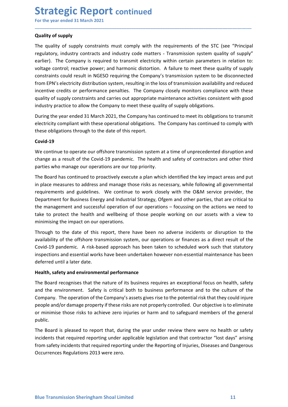# **Strategic Report continued**<br>
For the year ended 31 March 2021<br>
Quality of supply<br>
The quality of supply constraints must comply with the requirements of the STC (see "Pi

**Strategic Report continued**<br>For the year ended 31 March 2021<br>Quality of supply<br>The quality of supply constraints must comply with the requirements of the STC (see "Principa<br>regulatory, industry contracts and industry code **Strategic Report continued**<br>For the year ended 31 March 2021<br>Quality of supply<br>The quality of supply constraints must comply with the requirements of the ST<br>regulatory, industry contracts and industry code matters - Trans **Strategic Report continued**<br>For the year ended 31 March 2021<br>Quality of supply<br>The quality of supply constraints must comply with the requirements of the STC (see "Principal<br>regulatory, industry contracts and industry cod **Strategic Report continued**<br>For the year ended 31 March 2021<br>Quality of supply<br>The quality of supply constraints must comply with the requirements of the STC (see "Principal<br>regulatory, industry contracts and industry cod **Strategic Report continued**<br>For the year ended 31 March 2021<br>Quality of supply<br>The quality of supply constraints must comply with the requirements of the STC (see "Principal<br>regulatory, industry contracts and industry cod **Strategic Report continued**<br>
For the year ended 31 March 2021<br>
Quality of supply<br>
The quality of supply contraints must comply with the requirements of the STC (see "Principal<br>
regulatory, industry contracts and industry **Strategic Report continued**<br>For the year ended 31 March 2021<br>Quality of supply<br>The quality of supply constraints must comply with the requirements of the STC (see "Principal<br>regulatory, industry contracts and industry cod **Strategic Report continued**<br>
For the year ended 31 March 2021<br> **Quality of supply**<br>
The quality of supply constraints must comply with the requirements of the STC (see "Principal<br>
regulatory, industry contracts and indust **Strategic Report continued**<br>
For the year ended 31 March 2021<br>
Quality of supply<br>
The quality of supply<br>
The quality of supply<br>
The quality of supply<br>
The quality of supply<br>
Constraints control; reactive power; and hardst **Strategic Report continued**<br>For the year ended 31 March 2021<br>Quality of supply<br>The quality of supply<br>regulatory, industry contracts and industry code matters - Transmission system quality of supply<br>rearlier). The Company **Strategic Report continued**<br>For the year ended 31 March 2021<br>Quality of supply<br>The quality of supply<br>The quality of supply<br>regulatory, industry contracts and industry code matters - Transmission system quality of supply<br>" **Strategic Report continued**<br>
For the year ended 31 March 2021<br>
Quality of supply<br>
The quality of supply<br>
The quality of supply<br>
The quality of supply<br>
The quality of supply<br>
Ire Company is requirent to transmit electricit **Strategic Report** continued<br>
For the year ended 31 March 2021<br>
Quality of supply<br>
The quality of supply<br>
The quality of supply<br>
regulatory, industry contariats and industry code matters - Transmission system quality of su **STITATEGUS IC REPOTT CONTINUED**<br>
Tor the year ended 31 March 2021<br>
Quality of supply<br>
The quality of supply<br>
The quality of supply<br>
The quality of supply<br>
The quality of supply constraints must comply with the requirement **Quality of supply**<br>The quality of supply constraints must comply with the requirements of the STC (see "Principal<br>regulatory, industry contracts and industry code matters - Transmission system quality of supply<br>evaluatory The quality of supply constraints must comply with the requirements of the STC (see "Principal<br>regulatory, industry contracts and industry code matters - Transmission system quality of supply"<br>voltage control; reactive pow The quality or supply constrants must comply with the requirements of the SIC (see "Principal<br>regulatory, industry contrasts and industry code matters - Transmission system quality of supply"<br>earlier). The Company is requi earlier). The Company is required to transmit electricity within certain parameters in relation to:<br>voltage control; reactive power; and harmonic distortion. A failure to meet these quality of supply<br>constraints could resu

\_\_\_\_\_\_\_\_\_\_\_\_\_\_\_\_\_\_\_\_\_\_\_\_\_\_\_\_\_\_\_\_\_\_\_\_\_\_\_\_\_\_\_\_\_\_\_\_\_\_\_\_\_\_\_\_\_\_\_\_\_\_\_\_\_\_\_\_\_\_\_\_\_\_\_\_\_\_\_\_\_\_\_\_\_\_\_\_\_\_

## Covid-19

voltage control; reactive power; and harmonic distortion. A failure to meet these quality of supply<br>constraints could result in NGESO requiring the Company's transmission system to be disconnected<br>incentries exercitive dis constraints could result in NGESO requiring the Company's transmission system to be disconnected<br>from EPN's electricity distribution system, resulting in the loss of transmission availability and reduced<br>from EPN's electri from EPN's electricity distribution system, resulting in the loss of transmission availability and reduced<br>incentive credits or performance penalties. The Company closely monitors compliance with these<br>quality of supply co incentive credits or performance penalties. The Company closely monitors compliance with these<br>quality of supply constraints and carries out appropriate maintenance activities consistent with good<br>industry practice to allo quality of supply constraints and carries out appropriate maintenance activities consistent with good<br>industry practice to allow the Company to meet these quality of supply obligations.<br>During the year ended 31 March 2021, industry practice to allow the Company to meet these quality of supply obligations.<br>
During the year ended 31 March 2021, the Company has continued to meet its obligations to transmit<br>
electricity compliant with these oper During the year ended 31 March 2021, the Company has continued to meet its obligations to transmit<br>electricity compliant with these operational obligations. The Company has continued to comply with<br>these obligations throug electricity compliant with these operational obligations. The Company has continued to comply with<br>these obligations through to the date of this report.<br>**Covid-19**<br>We continue to operate our offshore transmission system at these obligations through to the date of this report.<br> **Covid-19**<br>
We continue to operate our offshore transmission system at a time of unprecedented disruption and<br>
phange as a result of the Covid-19 pandemic. The health **Covid-19**<br>We continue to operate our offshore transmission system at a time of unprecedented disruption and<br>change as a result of the Covid-19 pandemic. The health and safety of contractors and other third<br>parties who man Covid-19<br>We continue to operate our offshore transmission system at a time of unprecedented disruptic<br>hearing as a result of the Covid-19 pandemic. The health and safety of contractors and othe<br>parties who manage our opera We continue to operate our offshore transmission system at a time of unprecedented disruption and<br>change as a result of the Covid-19 pandemic. The health and safety of contractors and other third<br>parties who manage our ope mattes who manage our operations are our top priority.<br>The Board has continued to proactively execute a plan which identified the key impact areas and put<br>in place measures to address and manage those risks as necessary, w The Board has continued to proactively execute a plan which identified the key impact areas and put<br>in place measures to address and manage those risks as necessary, while following all governmental<br>requirements and guidel The Board has continued to proactively execute a plain which dientified the key impact areas and put<br>In place measures to address and manage those risks as necessary, while following all governmental<br>requirements and guide

The Board recognises that the nature of its business requires an exceptional focus on health, safety<br>and the environment. Safety is critical both to business performance and to the culture of the<br>Company. The operation of m place measures to address and manage those rasks are necessary, while following all governmental<br>requirements and guidelines. We continue to work closely with the O&M service provider, the<br>Department for Business Energy requirements and guidelines. We continue to work closely with the O&M service provider, the paragement and successful operation of our operations - focussing on the actions we need to take to protect the health and wellbei public. take to protect the health and wellbeing of those people working on our assets with a view to minimising the impact on our operations.<br>Through ito the date of this report, there have been no adverse incidents or disruption infilming the impact on our operations.<br>
Through to the date of this report, there have been no adverse incidents or disruption to the<br>
availability of the offshore transmission system, our operations or finances as a dire Through to the date of this report, there have been no adverse incidents or disruption to the availability of the offshore transmission system, our operations or finances as a direct result of the Covid-19 pandemic. A risk Through to the date of this repent, there have been no adverse incidents or disruption to the<br>availability of the offshore transmission system, our operations or finances as a direct result of the<br>Covid-19 pandemic. A risk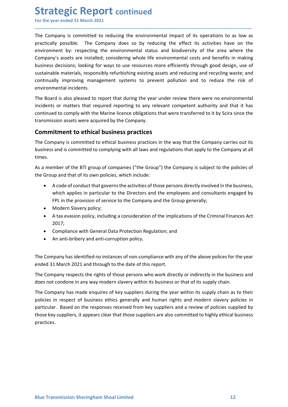**Strategic Report continued**<br>
For the year ended 31 March 2021<br>
The Company is committed to reducing the environmental impact of its operations to as<br>
practically possible. The Company does so by reducing the effect its ac **Strategic Report continued**<br>For the year ended 31 March 2021<br>The Company is committed to reducing the environmental impact of its operations to as low as<br>practically possible. The Company does so by reducing the effect it **Strategic Report continued**<br>For the year ended 31 March 2021<br>The Company is committed to reducing the environmental impact of its operations to as low as<br>practically possible. The Company does so by reducing the effect it **Strategic Report continued**<br>For the year ended 31 March 2021<br>The Company is committed to reducing the environmental impact of its operations to as low as<br>practically possible. The Company does so by reducing the effect it **Strategic Report continued**<br>For the year ended 31 March 2021<br>The Company is committed to reducing the environmental impact of its operations to as low as<br>practically possible. The Company does so by reducing the effect it **Strategic Report continued**<br>For the year ended 31 March 2021<br>The Company is committed to reducing the environmental impact of its operations to as low as<br>practically possible. The Company does so by reducing the effect it **Strategic Report continued**<br>For the year ended 31 March 2021<br>The Company is committed to reducing the environmental impact of its operations to as low as<br>practically possible. The Company does so by reducing the effect it **Strategic Report continued**<br>For the year ended 31 March 2021<br>The Company is committed to reducing the environmental impact of its operations to as low as<br>practically possible. The Company does oo by reducing the effect it **Strategic Report continued**<br>For the year ended 31 March 2021<br>The Company is committed to reducing the environmental impact of its operations to as low as<br>practically possible. The Company does so by reducing the effect it **Strategic Report continued**<br>For the year ended 31 March 2021<br>The Company is committed to reducing the environmental impact of its operations t<br>practically possible. The Company does so by reducing the effect its activitie **Strategic Report continued**<br>For the year ended 31 March 2021<br>The Company is committed to reducing the environmental impact of its operations to as low as<br>practically possible. The Company does so by reducing the effect it **Strategic Report continued**<br>The Company is committed to reducing the environmental impact of its operations to as low as<br>practically possible. The Company does so by reducing the effect its activities have on the<br>environm **Strategic Report continued**<br>The Company is committed to reducing the environmental impact of its operations to as low as<br>practically possible. The Company does so by reducing the effect its activities have on the<br>environm **Strategic Report continued**<br>For the year ended 31 March 2021<br>The Company is committed to reducing the environmental impact of its operations to as low as<br>practically possible. The Company does so by reducing the effect is **SUT ALCENT REPUTI CONTINUED**<br>The Company is committed to reducing the environmental impact of its operations to as low as<br>practically possible. The Company does so by reducing the effect its activities have on the<br>priviro For the year ended 3 a matriz 2021<br>The Company is committed to reducing the environmental impact of its occivities have on the<br>provircically possible. The Company does so by reducing the effect its activities have on the<br>e The Company is committed to reducing the environmental impact of its operations to as low as<br>practically possible. The Company does so by reducing the effect its activities have on the<br>environment by: respecting the enviro environment by: respecting the environmental status and biodiversity of the area where the Company's assets are installed; considering whole life environmental costs and benefits in making<br>bustiness decisions; looking for Company's assets are installed; considering whole life environmental costs and benefits in making<br>business decisions; looking for ways to use resources more efficiently through good design, use of<br>sustisanible materials, r

\_\_\_\_\_\_\_\_\_\_\_\_\_\_\_\_\_\_\_\_\_\_\_\_\_\_\_\_\_\_\_\_\_\_\_\_\_\_\_\_\_\_\_\_\_\_\_\_\_\_\_\_\_\_\_\_\_\_\_\_\_\_\_\_\_\_\_\_\_\_\_\_\_\_\_\_\_\_\_\_\_\_\_\_\_\_\_\_\_\_

idecisions; looking for ways to use resources more efficiently through good design, use of<br>ble materials, responsibly refurbishing existing assets and reducing and recycling waste; and<br>bliy improving management systems to ble materials, responsibly refurbishing existing assets and reducing and recycling waste; and<br>illy improving management systems to prevent pollution and to reduce the risk of<br>mental incidents.<br>The material or parties that ally improving management systems to prevent pollution and to reduce the risk of<br>mental incidents.<br>The province and the proof that during the year under review there were no environmental<br>sor matters that required reportin mental incidents.<br>
and is also pleased to report that during the year under review there were no environmental incidents.<br>
So ro matters that required reporting to any relevant competent authority and that it<br>
and the otom rd is also pleased to report that during the year under review there were no environmental<br>so ro matters that required reporting to any relevant competent authority and that it has<br>side do comply with the Marine licence ob

times. The Company is committed to ethical business practices in the way that the Company carries out its<br>business and is committed to complying with all laws and regulations that apply to the Company at all<br>times.<br>The amember of

- ed to comply with the Marine licence obligations that were transferred to it by Scira since the<br>sion assets were acquired by the Company.<br> **itment to ethical business practices**<br>
paay is committed to ethical business pract ision assets were acquired by the Company.<br> **itment to ethical business practices**<br>
pany is committed to ethical business practices<br>
in and is committed to complying with all laws and regulations that apply to the Company Free Comparison communities of entired to employ is substrates in the way that the Compary is subject to the policies of<br>the Group and that of its own policies, which include:<br>As a member of the BTI group of companies ("th
	-
	- 2017;
	-
	-

Incellency respects the rigns of those persons annotons and does not condone in any way modern slavery within its business or that of its supply chain.<br>The Company has made enquires of key suppliers during the year within times.<br>
As a member of the ETI group of companies ("the Group") the Company is subject to the policies of<br>
the Group and that of its own policies, which include:<br>
• Acode of conduct that governs the activities of those per As a member of the BTI group of companies ("the Group") the Company is subject to the policies of<br>
the Group and that of its own policies, which include:<br>
• A code of conduct that governs the activities of those persons di the Group and that of its own policies, which include:<br>
• A code of conduct that governs the activities of those persons directly involved in the business,<br>
which applies in particular to the Directors and the employees an • A code of conduct that governs the activities of those persons directly involved in the business,<br>which applies in particular to the Directors and the employees and consultants engaged by<br>FPL in the provision of service • Motion and the responses the constrained and the employees and consultants engaged by<br>
which applies in particular to the Directors and the employees and consultants engaged by<br>
FPL in the provision of service to the Com munta appears in particular to the brieftots and the employees ant consultants engaged by<br>Fig. in the provision of service to the Company and the Group generally;<br>A data vasion policy, including a consideration of the impl practices.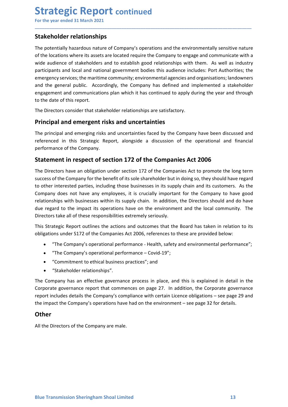# Strategic Report continued<br>
For the year ended 31 March 2021<br>
Stakeholder relationships<br>
The potentially hazardous nature of Company's operations and the environmentally sensitive

**Strategic Report continued**<br>For the year ended 31 March 2021<br>**Stakeholder relationships**<br>The potentially hazardous nature of Company's operations and the environmentally sensitive nature<br>of the locations where its assets **Strategic Report continued**<br>For the year ended 31 March 2021<br>**Stakeholder relationships**<br>The potentially hazardous nature of Company's operations and the environmentally sens<br>of the locations where its assets are located **Strategic Report continued**<br>For the year ended 31 March 2021<br>**Stakeholder relationships**<br>The potentially hazardous nature of Company's operations and the environmentally sensitive nature<br>of the locations where its assets **Strategic Report continued**<br>For the year ended 31 March 2021<br>**Stakeholder relationships**<br>The potentially hazardous nature of Company's operations and the environmentally sensitive nature<br>of the locations where its assets **Strategic Report continued**<br>For the year ended 31 March 2021<br>**Stakeholder relationships**<br>The potentially hazardous nature of Company's operations and the environmentally sensitive nature<br>of the locations where its assets **Strategic Report continued**<br>
For the year ended 31 March 2021<br> **Stakeholder relationships**<br>
The potentially hazardous nature of Company's operations and the environmentally sensitive nature<br>
of the locations where its ass **Strategic Report continued**<br>For the year ended 31 March 2021<br>The potentially hazardous nature of Company's operations and the environmentally sensitive nature<br>of the locations where its assets are located require the Comp **Strategic Report continued**<br>For the year ended 31 March 2021<br>The potentially hazardous nature of Company's operations and the environmentally sensitive nature<br>of the locations where its assets are located require the Comp **Strategic Report continued**<br>For the year ended 31 March 2021<br>The potentially hazardous nature of Company's operations and the environmentally sensitive nature<br>of the locations where its assets are located require the Comp **Strategic Report continued**<br>For the year ended 31 March 2021<br>**Stakeholder relationships**<br>The potentially hazardous nature of Company's operations and the environmentally sensitive<br>of the locations where its assets are loc **Strategic Report continued**<br>For the year ended 31 March 2021<br>Stakeholder relationships<br>The potentially hazardous nature of Company's operations and the environmentally sensitive nature<br>of the locations where its assets ar **Strategic Report continued**<br>For the year ended 31 March 2021<br>Stakeholder relationships<br>The potentially hazardous nature of company's operations and the environmentally sensitive nature<br>of the locations where its assets ar **Stakeholder relationships**<br>The potentially hazardous nature of Company's operations and the environmentally sensitive nature<br>of the locations where its assets are located require the Company to engage and communicate with For the year ended 31 March 2021<br>
Stakeholder relationships<br>
The potentially hazardous nature of Company's operations and the environmentally sensitive nature<br>
of the locations where its assets are located require the Comp **Stakeholder relationships**<br> **Stakeholder relationships**<br>
The potentially hazardous nature of Company's operations and the environmentally sensitive<br>
or the locations where its assets are located require the Company to eng **The potentially hazardous matrice-**<br>The potentially hazardous nature of Company's operations and the environmentally sensitive nature<br>of the locations where its assets are located require the Company to engage and communi of the locations where its assets are located require the Company to engage and communicate with a wide audience of stakeholders and to establish good relationships with them. As well as industry wive audience of stakehold

\_\_\_\_\_\_\_\_\_\_\_\_\_\_\_\_\_\_\_\_\_\_\_\_\_\_\_\_\_\_\_\_\_\_\_\_\_\_\_\_\_\_\_\_\_\_\_\_\_\_\_\_\_\_\_\_\_\_\_\_\_\_\_\_\_\_\_\_\_\_\_\_\_\_\_\_\_\_\_\_\_\_\_\_\_\_\_\_\_\_

so, we consider the company form the company for the Companies of the Company of the Company success the mattem community; environmental agences of stateholders and to cal and national government bodies this audience inclu me content of the company for the benefit of its substanting when annimative and its substanting the company stand or enterpret enterpret enterpret enterpret enterpret enterpret enterpret enterpret enterpret enterpret ente Entergency services; the martime community; environmental agencies and organisations; landowners<br>and the general public. Accordingly, the Company has defined and implemented a stakeholder<br>engagement and communications plan and the general public. Accordingly, the Company has defined and implemented a stakeholder<br>engagement and communications plan which it has continued to apply during the year and through<br>to the date of this report.<br>The Dire and englane the impact of the benefit of the impact of the solution of the search of the impact of the impact consider that stakeholder relationships are satisfactory.<br>The Directors consider that stakeholder relationships From Brack the matterial of the contracted products are stated to the date of this report.<br>
The Directors consider that stakeholder relationships are satisfactory.<br> **Principal and emergent risks and uncertainties**<br>
The pri The Directors consider that stakeholder relationships are satisfactory.<br> **Principal and emergent risks and uncertainties**<br>
The principal and emerging risks and uncertainties faced by the Company have been discussed and<br>
re **Principal and emergent risks and uncertainties**<br> **Principal and emergent risks and uncertainties**<br>
The principal and emerging risks and uncertainties faced by the Company have been discussed and<br>
referenced in this Strate and antiering risks and uncertainties<br>
recipled and emerging risks and uncertainties faced by the Company have been discussed and<br>
recel in this Strategic Report, alongside a discussion of the operational and financial<br>
an oripal and emerging risks and uncertainties faced by the Company have been discussed and<br>the company.<br>The Company and this Strategic Report, alongside a discussion of the operational and financial<br>anance of the Company,<br>**N** ied in this strategic Report, alongiside a discussion of the operational and financial<br>ance of the Company.<br> **nent in respect of section 172 of the Companies Act 2006**<br>
rectors have an obligation under section 172 of the C ment in respect of section 172 of the Companies Act 2006<br>
relationships are an obligation under section 172 of the Companies Act to promote the long<br>
of the Company for the benefit of its sole shareholder but in doing so, Statement in respect or section 172 or the Companies Act 2006<br>The Directors have an obligation under section 172 of the Companies Act to promote the long term<br>success of the Company for the benefit of its sole sthareholder The Directors have an obligation under section 172 of the Companies Act to promote the long term<br>success of the Company for the benefit of its sole shareholder but in doing so, they should have regard<br>to other interested p success of the Company for the benefit of its sole shareholder but in doing so, they should have regard<br>to other interested partics, including those businesses in its supply chain and its customers. As the<br>Company does not to other interested parties, including those businesses in its supply chain and its customers. As the Company does not have any employees, it is crucially important for the Company to have depresent to the company to have

- 
- 
- 
- 

The Company has an effective governance process in place, and this is explained in detail in the<br>Corporate governance report that commences on page 27. In addition, the Corporate governance<br>report includes details the Comp due regard to the impact its operations have on the environment and the local community. The Directors take all of these responsibilities extremely seriously.<br>This Strategic Report outlines the actions and outcomes that th

## **Other**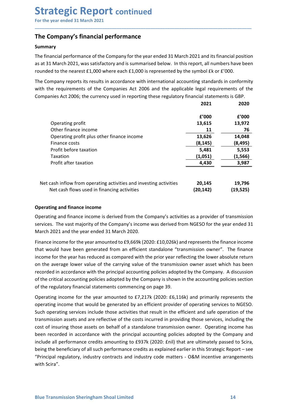## Summary

**Strategic Report continued**<br>For the year ended 31 March 2021<br>The Company's financial performance<br>Summary<br>The financial performance of the Company for the year ended 31 March 2021 and its financial position<br>as at 31 March **Strategic Report continued**<br>For the year ended 31 March 2021<br>The Company's financial performance<br>Summary<br>The financial performance of the Company for the year ended 31 March 2021 and its financial position<br>as at 31 March **Strategic Report continued**<br>For the year ended 31 March 2021<br>The Company's financial performance<br>The financial performance of the Company for the year ended 31 March 2021 and its financial position<br>as at 31 March 2021, wa **Strategic Report continued**<br>
For the year ended 31 March 2021<br> **The Company's financial performance**<br> **Summary**<br>
The financial performance of the Company for the year ended 31 March 2021 and its financial position<br>
as at **Strategic Report continued**<br>
For the year ended 31 March 2021<br> **The Company's financial performance**<br> **Summary**<br>
The financial performance of the Company for the year ended 31 March 2021 and its financial position<br>
are at

| The Company's financial performance                                                                                                                                                                                                                                                                                                                                                                                                                                                                                                                                                                                                                                                                                                                                                                                                                                                                                              |                                                                          |                                                                           |
|----------------------------------------------------------------------------------------------------------------------------------------------------------------------------------------------------------------------------------------------------------------------------------------------------------------------------------------------------------------------------------------------------------------------------------------------------------------------------------------------------------------------------------------------------------------------------------------------------------------------------------------------------------------------------------------------------------------------------------------------------------------------------------------------------------------------------------------------------------------------------------------------------------------------------------|--------------------------------------------------------------------------|---------------------------------------------------------------------------|
| <b>Summary</b>                                                                                                                                                                                                                                                                                                                                                                                                                                                                                                                                                                                                                                                                                                                                                                                                                                                                                                                   |                                                                          |                                                                           |
| The financial performance of the Company for the year ended 31 March 2021 and its financial position<br>as at 31 March 2021, was satisfactory and is summarised below. In this report, all numbers have been<br>rounded to the nearest $£1,000$ where each $£1,000$ is represented by the symbol $£k$ or $£'000$ .                                                                                                                                                                                                                                                                                                                                                                                                                                                                                                                                                                                                               |                                                                          |                                                                           |
| The Company reports its results in accordance with international accounting standards in conformity<br>with the requirements of the Companies Act 2006 and the applicable legal requirements of the<br>Companies Act 2006; the currency used in reporting these regulatory financial statements is GBP.                                                                                                                                                                                                                                                                                                                                                                                                                                                                                                                                                                                                                          | 2021                                                                     | 2020                                                                      |
| Operating profit<br>Other finance income<br>Operating profit plus other finance income<br>Finance costs<br>Profit before taxation<br>Taxation<br>Profit after taxation                                                                                                                                                                                                                                                                                                                                                                                                                                                                                                                                                                                                                                                                                                                                                           | £'000<br>13,615<br>11<br>13,626<br>(8, 145)<br>5,481<br>(1,051)<br>4,430 | £'000<br>13,972<br>76<br>14,048<br>(8, 495)<br>5,553<br>(1, 566)<br>3,987 |
| Net cash inflow from operating activities and investing activities<br>Net cash flows used in financing activities                                                                                                                                                                                                                                                                                                                                                                                                                                                                                                                                                                                                                                                                                                                                                                                                                | 20.145<br>(20, 142)                                                      | 19.796<br>(19, 525)                                                       |
| <b>Operating and finance income</b><br>Operating and finance income is derived from the Company's activities as a provider of transmission<br>services. The vast majority of the Company's income was derived from NGESO for the year ended 31<br>March 2021 and the year ended 31 March 2020.<br>Finance income for the year amounted to £9,669k (2020: £10,026k) and represents the finance income<br>that would have been generated from an efficient standalone "transmission owner". The finance<br>income for the year has reduced as compared with the prior year reflecting the lower absolute return<br>on the average lower value of the carrying value of the transmission owner asset which has been<br>recorded in accordance with the principal accounting policies adopted by the Company. A discussion<br>of the critical accounting policies adopted by the Company is shown in the accounting policies section |                                                                          |                                                                           |

**Entrare costs**<br> **Profit after taxation**<br> **Confit after taxation**<br> **Confit after taxation**<br> **Profit after taxation**<br> **Profit after taxation**<br> **Profit after taxation**<br> **Profit after taxation**<br> **Profit after taxation**<br> **Pro** From tends in accordance that the principal accounting activities and investing activities  $\frac{(1,051)}{4,430}$   $\frac{(1,566)}{4,830}$ <br>
Profit after taxation  $\frac{(1,051)}{4,830}$   $\frac{(1,566)}{4,830}$ <br>
Operating and finance income i **Example 12**<br> **Example 12**<br>
Net cash inflow from operating activities and investing activities<br>
(20,145 19,796<br>
Net cash flows used in financing activities<br>
(20,142) 19,525)<br> **Operating and finance income** is derived from **Example 12.1** Met cash inflow from operating activities and investing activities **20,145** 19,796<br>
Net cash flows used in financing activities **20,145** (20,142) 19,525)<br> **Operating and finance income**<br>
Comparing and financ Net cash inflow from operating activities and investing activities (20,145 19,796<br>
Net cash flows used in financing activities (20,142) (19,525) (19,525)<br>
Operating and finance income<br>
Operating and finance income<br>
Operat Net cash filmow from operating activities and investing activities as a provider of transmission<br>Operating and finance income<br>
Operating and finance income<br>
Operating and finance income<br>
Services. The vast ranjority of the

of the critical accounting policies adopted by the Company is shown in the accounting policies section<br>of the regulatory financial statements commencing on page 39.<br>Operating income for the year amounted to £7,217k (2020: The custar nows used in intrancing eccivities (2012). (2012). The Operating and finance income is derived from the Company's activities as a provider of transmission services. The vast majority of the Company's income was **Operating and finance income**<br>Operating and finance income is derived from the Company's activities as a provider of transmission<br>services. The vast majority of the Company's income was derived from NGESO for the year end Operating and finance income<br>
coperating and finance income is derived from the Company's activities as a provider of transmission<br>
Derevires. The vast ranjority of the Company's income was derived from NGESO for the year Operating and finance income is derived from the Company's activities as a provider of transmission services. The wast majority of the Company's income was derived from NGESO for the year ended 31 March 2020.<br>
Finance inco services. The vast majority of the Company's income was derived from NGESO for the year ended 31 March 2021 and the year ended 31 March 2020.<br>Einance income for the year amounted to £9,669k (2020: £10,026k) and represents March 2021 and the year ended 31 March 2020.<br>Finance income for the year amounted to £9,669k (2020:£10,026k) and represents the finance income<br>that would have been generated from an efficient standalone "transmission owner Finance income for the year amounted to £9,669k (2020: £10,026k) and represents the finance income<br>that would have been generated from an efficient standalone "transmission owner". The finance<br>income for the year has reduc with Scira".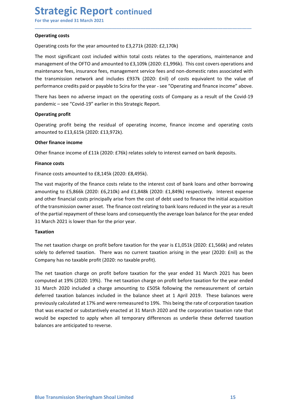**Strategic Report continued**<br>For the year ended 31 March 2021<br> **Operating costs**<br>
Operating costs for the year amounted to £3,271k (2020: £2,170k)<br>
The most significant cost included within total costs relates to the opera **Strategic Report continued**<br>For the year ended 31 March 2021<br>Operating costs<br>Operating costs for the year amounted to £3,271k (2020: £2,170k)<br>The most significant cost included within total costs relates to the operations **Strategic Report continued**<br>For the year ended 31 March 2021<br>Operating costs<br>Operating costs for the year amounted to £3,271k (2020: £2,170k)<br>The most significant cost included within total costs relates to the operations **Strategic Report continued**<br>For the year ended 31 March 2021<br>Operating costs<br>Operating costs for the year amounted to £3,271k (2020: £2,170k)<br>The most significant cost included within total costs relates to the operations **Strategic Report continued**<br>For the year ended 31 March 2021<br>Operating costs<br>The most significant cost included within total costs relates to the operations, maintenance and<br>management of the OFTO and amounted to £3,109k **Strategic Report continued**<br>For the year ended 31 March 2021<br>Operating costs<br>To perating costs for the year amounted to £3,271k (2020: £2,170k)<br>The most significant cost included within total costs relates to the operatio **Strategic Report continued**<br>
For the year ended 31 March 2021<br>
Operating costs<br>
Operating costs<br>
The most significant cost included within total costs relates to the operations, maintenance and<br>
management of the OFTO and **Strategic Report continued**<br>
For the year ended 31 March 2021<br> **Operating costs**<br>
Operating costs for the year amounted to £3,271k (2020: £2,170k)<br>
The most significant cost included within total costs relates to the oper **Strategic Report continued**<br>
For the year ended 31 March 2021<br> **Operating costs**<br>
Operating costs<br>
Operating costs for the year amounted to £3,271k (2020: £2,170k)<br>
The most significant cost included within total costs re **Strategic Report continued**<br>For the year ended 31 March 2021<br>Operating costs<br>Operating costs for the year amounted to £3,271k (2020: £2,170k)<br>The most significant cost included within total costs relates to the operations **Strategic Report continued**<br>For the year ended 31 March 2021<br>Operating costs<br>To enart significant cost included within total costs relates to the operations, maintenance and<br>The most significant cost included within total **BUT ALLEGT NE POTT CONTINUED**<br>For the year ended 31 March 2021<br>Operating costs<br>Operating costs for the year amounted to £3,271k (2020: £2,170k)<br>The most significant cost included within total costs relates to the operatio Operating costs<br>
Operating costs for the year amounted to £3,271k (2020: £2,170k)<br>
The most significant cost included within total costs relates to the operations, main<br>
management of the OFTO and amounted to £3,109k (2020 Operating costs<br>
Operating costs for the year amounted to £3,271k (2020: £2,170k)<br>
The most significant cost included within total costs relates to the operations, maintenance and<br>
maintenance free, insurance frees, manage Operating costs for the year amounted to £3,271k (2020: £2,170k)<br>The most significant cost included within total costs relates to the operations<br>management of the OFTO and amounted to £3,109k (2020: £1,996k). This cost con The most significant cost included within total costs relates to the operations, maintenance amanagement of the OFTO and amounted to £3,109k (2020: £1,996k). This cost covers operations amaintenance eige, marangement servi

\_\_\_\_\_\_\_\_\_\_\_\_\_\_\_\_\_\_\_\_\_\_\_\_\_\_\_\_\_\_\_\_\_\_\_\_\_\_\_\_\_\_\_\_\_\_\_\_\_\_\_\_\_\_\_\_\_\_\_\_\_\_\_\_\_\_\_\_\_\_\_\_\_\_\_\_\_\_\_\_\_\_\_\_\_\_\_\_\_\_

management of the OFTO and amounted to E3,109k (2020: £1,996k). This cost covers operations and<br>maintenance fees, insurance fees, management service fees and non-domestic rates associated with<br>the transmission network and maintenance fees, insurance fees, anagement service fees and non-domestic rates associated with<br>the transmission network and includes £937k (2020: £11i) of costs equivalent to the value of<br>performance credits paid or payab the transmission network and includes £937k (2020: £nii) of costs equivalent to the value of<br>performance credits paid or payable to Scira for the year - see "Operating and finance income" above.<br>There has been no adverse i performance credits paid or payable to Scira for the year - see "Operating and finance income" above.<br>There has been no adverse impact on the operating costs of Company as a result of the Covid-19<br>pandemic – see "Covid-19" There has been no adverse impact on the operating costs of Company as a result of the Covid-19<br>pandemic – see "Covid-19" earlier in this Strategic Report.<br>Operating profit<br>amounted to f13,615k (2020: f13,972k).<br>amounted to pandemic – see "Covid-19" earlier in this Strategic Report.<br>
Operating profit<br>
Operating profit<br>
Operating profit<br>
Operating profit<br>
Operating costs<br>
amounted to £13,615k (2020: £13,972k).<br>
Other finance income<br>
Other fina Operating profit being the residual of operating income, finance income and operating costs<br>amounted to £13,615k (2020: £13,972k).<br>
Other finance income<br>
Other finance income<br>
Other finance costs amounted to £8,145k (2020: amounted to £13,615k (2020: £13,972k).<br>
Other finance income<br>
Other finance income of £11k (2020: £76k) relates solely to interest earned on bank deposits.<br>
Finance costs<br>
Finance costs amounted to £8,145k (2020: £8,495k). Other finance income<br>
Other finance income of £11k (2020: £76k) relates solely to interest earned on bank deposits.<br>
Finance costs<br>
Finance costs<br>
Finance costs<br>
Finance costs<br>
amounting to £5,866k (2020: £8,495k).<br>
The va Other finance income of £11k (2020: £76k) relates solely to interest earned on bank deposits.<br>Finance costs<br>The wast majounted to £8,145k (2020: £8,495k).<br>The wast majounty of the finance costs relate to the interest cost

## Taxation

computed at 19% (2020: 19%). The net taxation charge on profit before taxation for the year ended<br>31 March 2020 included a charge amounting to £505k following the remeasurement of certain<br>deferred taxation balances include Finance costs<br>
Finance costs amounted to £8,145k (2020: £8,495k).<br>
The vast majority of the finance costs relate to the interest cost of bank loans and other borrowing<br>
are and other financial costs principally arise from Finance costs amounted to £8,145k (2020: £8,495k).<br>The vast majority of the finance costs relate to the interest cost of bank loans and other borrowing<br>amounting to £5,866k (2020: £6,210k) and £1,848k (2020: £1,849k) resp rinance costs amounted to Eo, 443N (2020). Eo,432N).<br>The wast majority of the finance costs relate to the interest cost of bank loans and other borrowing<br>The wast majority of the finance costs relate to the interest cost o The wast majority of the finance costs relate to the interest cost of bank loans and other borrowing<br>amounting to E5,866k (2020: E6,210k) and £1,848k (2020: £1,849k) respectively. Interest expense<br>and other financial costs amounting to £5,866k (2020: £6,210k) and £1,848k (2020: £1,849k) respectively. Interest expense<br>and other financial costs principally arise from the cost of debt used to finance the initial acquisition<br>of the transmission and other financial costs principally arise from the cost of debt used to finance the initial acquisition of the transmission over asset. The finance cost relating to bank loans reduced in the year as a result of the parti of the transmission owner asset. The finance cost relating to bank loans reduced in the year as a result of the partial repayment of these loans and consequently the average loan balance for the year ended of the partial r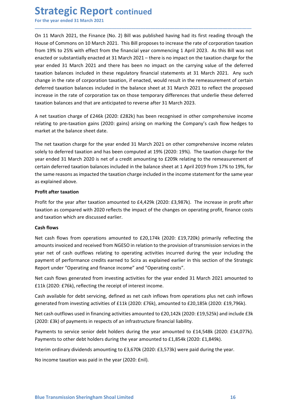Strategic Report continued<br>
For the year ended 31 March 2021<br>
On 11 March 2021, the Finance (No. 2) Bill was published having had its first reading throu<br>
House of Commons on 10 March 2021. This Bill proposes to increase t **Strategic Report continued**<br>For the year ended 31 March 2021<br>On 11 March 2021, the Finance (No. 2) Bill was published having had its first reading through the<br>House of Commons on 10 March 2021. This Bill proposes to incre **Strategic Report continued**<br>For the year ended 31 March 2021<br>On 11 March 2021, the Finance (No. 2) Bill was published having had its first reading through the<br>House of Commons on 10 March 2021. This Bill proposes to incre **Strategic Report continued**<br>For the year ended 31 March 2021<br>On 11 March 2021, the Finance (No. 2) Bill was published having had its first reading through the<br>House of Commons on 10 March 2021. This Bill proposes to incre **Strategic Report continued**<br>For the year ended 31 March 2021<br>On 11 March 2021, the Finance (No. 2) Bill was published having had its first reading through the<br>House of Commons on 10 March 2021. This Bill proposes to incre **Strategic Report continued**<br>For the year ended 31 March 2021<br>On 11 March 2021, the Finance (No. 2) Bill was published having had its first reading through the<br>House of Commons on 10 March 2021. This Bill proposes to incre **Strategic Report continued**<br>For the year ended 31 March 2021<br>On 11 March 2021, the Finance (No. 2) Bill was published having had its first reading through the<br>House of Commons on 10 March 2021. This Bill proposes to incre **Strategic Report continued**<br>For the year ended 31 March 2021<br>On 11 March 2021, the Finance (No. 2) Bill was published having had its first reading through the<br>House of Commons on 10 March 2021. This Bill proposes to incre **Strategic Report continued**<br>For the year ended 31 March 2021<br>On 11 March 2021, the Finance (No. 2) Bill was published having had its first reading through the<br>House of Commons on 10 March 2021. This Bill proposes to incr **Strategic Report continued**<br>For the year ended 31 March 2021<br>On 11 March 2021, the Finance (No. 2) Bill was published having had its first reading through the<br>House of Commons on 10 March 2021. This Bill proposes to incr **Strategic Report continued**<br>For the year ended 31 March 2021<br>On 11 March 2021, the Finance (No. 2) Bill was published having had its first reading through the<br>House of Commons on 10 March 2021. This Bill proposes to incre **Strategic Report continued**<br>For the year ended 31 March 2021<br>On 11 March 2021, the Finance (No. 2) Bill was published having had its first reading through the<br>House of Commons on 10 March 2021. This Bill proposes to incre **Strategic Report continued**<br>
On 11 March 2021, the Finance (No. 2) Bill was published having had its first reading through the<br>
House of Commons on 10 March 2021. This Bill proposes to increase the rate of corporation tax **Strategic Report continued**<br>For the year ended 31 March 2021<br>On 11 March 2021, the Finance (No. 2) Bill was published having had its first reading through the<br>House of Commons on 10 March 2021. This Bill proposes to incr **STITATE SIC REPOTT CONTIMED**<br>For the year ended 31 March 2021<br>On 11 March 2021, the Finance (No. 2) Bill was published having had its first reading through the<br>House of Commons on 10 March 2021. This Bill proposes to incr On 11 March 2021, the Finance (No. 2) Bill was published having had its first reading through the<br>House of Commons on 10 March 2021. This Bill proposes to increase the rate of corporation taxation<br>from 19% to 25% with effe On 11 March 2021, the Finance (No. 2) Bill was published having had its first reading through the<br>House of Commons on 10 March 2021. This Bill proposes to increase the rate of corporation taxation<br>from 19% to 25% with effe House of Commons on 10 March 2021. This Bill proposes to increase the rate of corporation taxation<br>from 19% to 25% with effect from the financial year commencing 1 April 2023. As this Bill was not<br>from 19% to 25% with effe from 19% to 25% with effect from the financial year commencing 1 April 2023. As this Bill was notencated or substantially enacted at 31 March 2021 – there is no impact on the taxation charge for the deferred team of 31 Ma enacted or substantially enacted at 31 March 2021 – there is no impact on the taxation charge for the vear ended 31 March 2021 and there has been no impact on the carrying value of the deferred traxation balances included year ended 31 March 2021 and there has been no impact on the carrying value o<br>taxation balances included in these regulatory financial statements at 31 March 20<br>change in the rate of corporation taxation, if enacted, would

\_\_\_\_\_\_\_\_\_\_\_\_\_\_\_\_\_\_\_\_\_\_\_\_\_\_\_\_\_\_\_\_\_\_\_\_\_\_\_\_\_\_\_\_\_\_\_\_\_\_\_\_\_\_\_\_\_\_\_\_\_\_\_\_\_\_\_\_\_\_\_\_\_\_\_\_\_\_\_\_\_\_\_\_\_\_\_\_\_\_

taxation balances included in these regulatory financial statements at 31 March 2<br>change in the rate of corporation taxation, if enacted, would result in the remeasure<br>deferred taxation balances included in the balance she change in the rate of computation amounted to E4,429k (2020: £3,987k). The increase in profit after taxation balances included in the balance sheet at 31 March 2021 to reflect the proposed increase in the rate of corporati Dincrete tractation and the state of the changes and the change state and the interest the impact compared tractation balances and that are anticipated to reverse after 31 March 2023.<br>A net taxation change of £246k (2020: inclease in the rate or coporations as on those celliptial y universe. But underline these deterried<br>taxation balances and that are anticipated to reverse after 31 March 2023.<br>A net taxation charge of £246k (2020: £282k) h A net taxation charge of £246k (2020: £282k) has been recognised in other c<br>relating to pre-taxation gains (2020: £282k) has been recognised in other c<br>relating to pre-taxation gains (2020: gains) arising on marking the C N net taxtation to rarea to taxe of course. These been recognised in outer comprehensive income<br>Trelating to pre-taxation gains (2020: gains) arising on marking the Company's cash flow hedges to<br>market at the balance sheet retating to yie-taxation and received from MGESO in relation to the provision of transmitted at the balance sheet date.<br>The net taxation charge for the year ended 31 March 2021 on other comprehensive income relates<br>solely manket at the brainter sincet bate.<br>
The net taxation charge for the year ended 31 March 2021 on other comprehensive income relates<br>
solely to deferred taxation and has been computed at 19% (2020: 19%). The taxation charge The net taxation charge for the year ended 31 March 2021 on other comprehensive income relates<br>solely to deferred taxation and has been computed at 19% (2020: 19%). The taxation charge for the<br>year ended 31 March 2020 is n solely to deferred taxation and has been computed at 19% (2020: 19%). The taxation charge for the<br>year ended 31 March 2020 is net of a credit amounting to £209k relating to the remeasurement of<br>ecertain deferred taxation b

year ended 31 March 2020 is net of a credit amounting to £209k relating to the remeasurement of<br>ecrtain deferred taxtion balances included in the balance sheet at 1 April 2019 from 17% to 19%, for<br>the same reasons as impac certain deferred taxation balances included in the balance sheet at 1 April 2019 from 17% to 19%, for<br>the same reasons as impacted the taxation charge included in the income statement for the same year<br>as explained above.<br> Ine reasons assumpacted the datation change included in the income statement for the same year<br>as explained above.<br>**Profit after taxation**<br> **Profit after taxation**<br> **Profit after taxation**<br> **Profit after taxation**<br> **Profit** es explained advoe.<br>Profit after taxation<br>Profit after taxation amounted to £4,429k (2020: £3,987k). The increase in profit after<br>Travition as compared with 2020 reflects the impact of the changes on operating profit, fina **Profit for the year after taxation amounted to £4,429k (2020: £3,987k).** The increase in profit after that taxation as compared with 2020 reflects the impact of the changes on operating profit, finance costs<br>and taxation Profit for the year after taxation amounted to £4,429k (2020: £3,987k). The increase in profit after taxation as compared with 2020 reflects the impact of the changes on operating profit, finance costs taxation which are d assauon as compared wint 2020 renetcs or empect or the changes of operating pront, mance costs<br>and taxation which are discussed earlier.<br>**Cash flows**<br>**Cash flows**<br>**Cash flows**<br>**Reference set of debt of the SESO in relation** chash flows<br>
Resh flows from operations amounted to £20,174k (2020: £19,720k) primarily reflecting the<br>
Net cash flows from operations amounted to £20,174k (2020: £19,720k) primarily reflecting the<br>
pear net of cash outflo Least nows<br>
Net cash flows from operations amounted to £20,174k (2020: £19,720k) primarily reflecting the<br>
Neramonts invoiced and received from NGESO in relation to the provision of transmission services in the<br>
gear net o Net casn in two in underations almounted to the year (2020, 112), 2000. 112), 2000, 112, 2000, 112, 2000, 112, 200, 112, 200, 112, 200, 112, 200, 112, 20, 11.<br>The year net of cash outflows relating to operating activities

Net cash flows generated from investing activities for the year ended 31 March 2021 amounted to<br>E11k (2020: E76k), reflecting the receipt of interest income.<br>Cash available for debt servicing, defined as net cash inflows f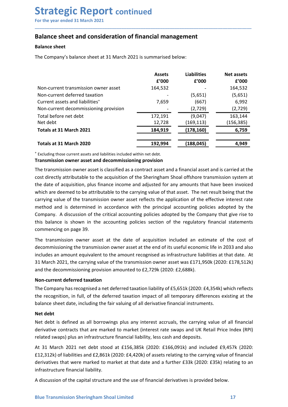## Strategic Report continued<br>
For the year ended 31 March 2021<br>
Balance sheet and consideration of financial management<br>
Balance sheet Strategic Report continued<br>
For the year ended 31 March 2021<br>
Balance sheet and consideration of financial management<br>
Balance sheet<br>
The Company's belance sheet at 21 March 2021 is summaried below. **Strategic Report continued**<br>
For the year ended 31 March 2021<br> **Balance sheet and consideration of financial management**<br> **Balance sheet**<br>
The Company's balance sheet at 31 March 2021 is summarised below:<br>
<br> **Balance shee**

| <b>Strategic Report continued</b>                                                                          |         |                    |            |
|------------------------------------------------------------------------------------------------------------|---------|--------------------|------------|
| For the year ended 31 March 2021                                                                           |         |                    |            |
|                                                                                                            |         |                    |            |
| <b>Balance sheet and consideration of financial management</b>                                             |         |                    |            |
| <b>Balance sheet</b>                                                                                       |         |                    |            |
|                                                                                                            |         |                    |            |
| The Company's balance sheet at 31 March 2021 is summarised below:                                          |         |                    |            |
|                                                                                                            | Assets  | <b>Liabilities</b> | Net assets |
|                                                                                                            | £'000   | f'000              | f'000      |
| Non-current transmission owner asset                                                                       | 164,532 |                    | 164,532    |
| Non-current deferred taxation                                                                              |         | (5,651)            | (5,651)    |
| Current assets and liabilities <sup>+</sup>                                                                | 7,659   | (667)              | 6,992      |
| Non-current decommissioning provision                                                                      |         | (2,729)            | (2,729)    |
| Total before net debt                                                                                      | 172,191 | (9,047)            | 163,144    |
| Net debt                                                                                                   | 12,728  | (169, 113)         | (156, 385) |
| Totals at 31 March 2021                                                                                    | 184,919 | (178, 160)         | 6,759      |
| Totals at 31 March 2020                                                                                    | 192,994 | (188, 045)         | 4,949      |
| * Excluding those current assets and liabilities included within net debt.                                 |         |                    |            |
| Transmission owner asset and decommissioning provision                                                     |         |                    |            |
| The transmission owner asset is classified as a contract asset and a financial asset and is carried at the |         |                    |            |
| cost directly attributable to the acquisition of the Sheringham Shoal offshore transmission system at      |         |                    |            |
| the date of acquisition, plus finance income and adjusted for any amounts that have been invoiced          |         |                    |            |
| which are deemed to be attributable to the carrying value of that asset. The net result being that the     |         |                    |            |
| carrying value of the transmission owner asset reflects the application of the effective interest rate     |         |                    |            |
| method and is determined in accordance with the principal accounting policies adopted by the               |         |                    |            |
| Company. A discussion of the critical accounting policies adopted by the Company that give rise to         |         |                    |            |
| this balance is shown in the accounting policies section of the regulatory financial statements            |         |                    |            |
|                                                                                                            |         |                    |            |
| commencing on page 39.                                                                                     |         |                    |            |

Non-current transmission owner asset 164,532 (5651) 164,532 (166,532 (166,531)<br>
Current assets and liabilities" 7,659 (667) (5,651) (5,651)<br>
Non-current decommissioning provision (2,729) (2,729) (2,729)<br>
Totals before net Non-current deferred travelation of the critical accounting policies and a stylence is added to the critical before net debt and the critical accounting provision of the critical accounting provision of the critical accou Current assets and liabilities<sup>-</sup><br>Non-current decommissioning provision<br>Total before net debt<br>Net debt<br>Totals at 31 March 2021<br>Totals at 31 March 2021<br>Totals at 31 March 2021<br>Totals at 31 March 2021<br>Totals at 31 March 202 Non-current decommissioning provision<br>
Total before net debt<br>
The debt<br>
Net debt<br>
The debt<br>
Totals at 31 March 2020<br>
Totals at 31 March 2020<br>
Totals at 31 March 2020<br>
Totals at 31 March 2020<br>
Totals at 31 March 2020<br>
Tota Net debt<br>
Totals at 31 March 2021<br>
Totals at 31 March 2020<br>
Totals at 31 March 2020<br>
Totals at 31 March 2020<br>
Totals at 31 March 2020<br>
Totals at 31 March 2020<br>
Totals at 31 March 2020<br>
Totals at 31 March 2020<br>
Totals at 3 Totals at 31 March 2021<br>
Totals at 31 March 2020<br>
Textuding those current assets and liabilities included within net debt.<br>
Transmission owner asset and decommissioning provision<br>
The transmission owner asset and decommis Totals at 31 March 2020<br> **192,994**<br> **192,994**<br> **192,000 C**<br> **192,000 C**<br> **192,000 C**<br> **192,000 C**<br> **192,000**<br> **192,000**<br> **194,000**<br> **194,000**<br> **194,000**<br> **194,000**<br> **194,000**<br> **194,000**<br> **194,000**<br> **194,000**<br> **194,000**<br> **Totals at 31 March 2020**<br> **<sup>1</sup> Excluding those current assets and liabilities included within net debt.<br>
<b>The Erransmission owner asset is classified as a contract asset and a financial asset and is carried at the cost d** <sup>e</sup> Excluding those current assets and liabilities included within net debt.<br>**Transmission owner asset and decommissioning provision**<br>The transmission swore assets in data as a contract asset and a financial asset and is c **Transmission owner asset and decommissioning provision**<br>The transmission owner asset is classified as a contract asset and a financial asset and is carried to<br>cost directly attributable to the acquisition of the Sheringea The transmission owner asset is classified as a contract asset and a financial asset and is carried at the the diverty atributable to the acquisition of the Sheringham Shoal offshore transmission system at the date of acqu cost directly attributable to the acquisition of the Sheringham Shoal offshore transmission system at<br>the date of acquisition, plus finance income and adjusted for any amounts that have been involced<br>which are deemed to be the date of acquisition, plus finance income and adjusted for any amounts that have been invoiced<br>which are deemed to be attributable to the carrying value of that asset. The net result being that the<br>warring value of the which are deemed to be attributable to the carrying value of that asset. The rearrying value of the transmission ower asset reflects the application of the transmission of the transmission of the critical accounting polici

Extrimate of the compared in accordance with the principal accounting policies adopted by the Company. A discussion of the critical accounting policies adopted by the Company that give rise to Company. A discussion of the method unrar is occurring in accordinate with the pinneparal ecconometric contracts contracts that are marked or the regulatory financial statements<br>company. A discussion of the critical accounting policies aecored by the Company, a cuscusouro are the the the company policies section of the regulatory financial statements<br>
commencing on page 39.<br>
The transmission owner asset at the date of acquisition included an estimate of the cost of<br>
de commencing on page 39.<br>The transmission owner asset at the date of acquisition included an estimate of the cost of<br>decommissioning the transmission owner asset at the end of its useful economic life in 2033 and also<br>includ The transmission owner asset at the date of acquisition included an estimate of the cost of<br>decommissioning the transmission owner asset at the end of its useful economic life in 2033 and also<br>includes an amount equivalent The commission owner assect at the eact or requirestore and entired to relative commissioning the transmission owere asset at the end of its useful economic life in 2033 and also includes an amount equivalent to the amount

Non-current deferred taxation<br>The Company has recognised a net deferred taxation liability of £5,651k (2020: £4,354k) which reflects<br>the recognition, in full, of the deferred taxation impact of all temporary differences ex Examination and the unanimation tends of the amount recognised as infrastructure liabilities at that date<br>and mount equivalent to the amount recognised as infrastructure liabilities at that date<br>31 March 2021, the carrying 31 March 2021, the carrying value of the transmission owner asset was £171,950k (2020: £178,512k)<br>and the decommissioning provision amounted to £2,729k (2020: £2,688k).<br>Non-current deferred ataxtion<br>The Company has recogni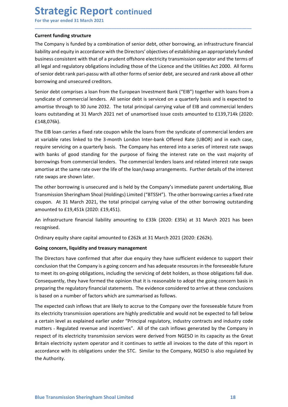Strategic Report continued<br>
For the year ended 31 March 2021<br>
Current funding structure<br>
The Company is funded by a combination of senior debt, other borrowing, an infrastructure fi **Strategic Report continued**<br>For the year ended 31 March 2021<br>Current funding structure<br>The Company is funded by a combination of senior debt, other borrowing, an infrastructure financia<br>liability and equity in accordance **Strategic Report continued**<br>For the year ended 31 March 2021<br>Current funding structure<br>The Company is funded by a combination of senior debt, other borrowing, an infrastructu<br>liability and equity in accordance with the Di **Strategic Report continued**<br>For the year ended 31 March 2021<br>Current funding structure<br>The Company is funded by a combination of senior debt, other borrowing, an infrastructure financial<br>liability and equity in accordance **Strategic Report continued**<br>For the year ended 31 March 2021<br>Current funding structure<br>The Company is funded by a combination of senior debt, other borrowing, an infrastructure financial<br>liability and equity in accordance **Strategic Report continued**<br>For the year ended 31 March 2021<br>Current funding structure<br>The Company is funded by a combination of senior debt, other borrowing, an infrastructure financial<br>liability and equity in accordance **Strategic Report continued**<br>
For the year ended 31 March 2021<br> **Current funding structure**<br>
The Company is funded by a combination of senior debt, other borrowing, an infrastructure financial<br>
ilability and equity in acco **Strategic Report continued**<br>For the year ended 31 March 2021<br>The Company is funded by a combination of senior debt, other borrowing, an infrastructure financial<br>ilability and equity in accordance with the Directors' objec **Strategic Report continued**<br>For the year ended 31 March 2021<br>The Company is funded by a combination of senior debt, other borrowing, an infrastructure financial<br>ilability and equity in accordance with the Directors' objec **Strategic Report continued**<br>
For the year ended 31 March 2021<br>
Current funding structure<br>
The Company is funded by a combination of senior debt, other borrowing, an infrastructure financial<br>
Ilability and equity in accord **Strategic Report continued**<br>For the year ended 31 March 2021<br>Current funding structure<br>The Company is funded by a combination of senior debt, other borrowing, an infrastructure financial<br>liability and equity in accordance **Strategic Report continued**<br>
For the year ended 31 March 2021<br>
Current funding structure<br>
The Company is funded by a combination of senior debt, other borrowing, an infrastructure financial<br>
Hability and equivy in accorda **Strategic Report continued**<br>
For the year ended 31 March 2021<br> **Current funding structure**<br>
The Company is funded by a combination of senior debt, other borrowing, an infrastructure financial<br>
Ilability and equity in acco **COLOM COLOM COLOM COLOM COLOM COLOM COLOM COLOM COLOM COLOM COLOM COLOM COLOM COLOM COLOM COLOM COLOM COLOM COLOM COLOM COLOM COLOM COLOM COLOM COLOM COLOM COLOM COLOM COLOM COLOM COLOM COLOM COLOM COLOM COLOM COLOM COLOM** 

\_\_\_\_\_\_\_\_\_\_\_\_\_\_\_\_\_\_\_\_\_\_\_\_\_\_\_\_\_\_\_\_\_\_\_\_\_\_\_\_\_\_\_\_\_\_\_\_\_\_\_\_\_\_\_\_\_\_\_\_\_\_\_\_\_\_\_\_\_\_\_\_\_\_\_\_\_\_\_\_\_\_\_\_\_\_\_\_\_\_

£148,076k).

For the year ended 31 March 2021<br> **Current funding structure**<br>
The Company is funded by a combination of senior debt, other borrowing, an infrastructure financial<br>
ilability and equity in accordance with the Directors' obj **Current funding structure**<br>The Company is funded by a combination of senior debt, other borrowing, an infrastructure financial<br>liability and equity in accordance with the Directors' objectives of establishing an appropria Current funding structure<br>The Company is funded by a combination of senior debt, other borrowing, an infrastructure financial<br>The limitivity and equity in accordance with the Directors' objectives of establishing an approp The Company is funded by a combination of senior debt, other borrowing, an infrastructure financial liability and equity in accordance with the Directors' objectives of sestablishing an appropriately funded business consis liability and equity in accordance with the Directors' objectives of establishing an appropriately funded<br>business consistent with that of a prudent offshore electricity transmission operator and the terms of<br>samic of sell business consistent with that of a prudent offshore electricity transmission operator and the ter<br>all legal and regulatory obligations including those of the Licence and the Utilities Act 2000. All of<br>senior debt rank pari all legal and regulatory obligations including those of the Lucence and the Utilities Act 2000. All forms<br>of senior debt crank pari-passu with all other forms of senior debt, are secured and rank above all other<br>borrowing of senior debt rank pari-passu with all other forms of senior debt, are secured and rank above all other<br>Senior debt comprises a loan from the European Investment Bank ("EIB") together with loans from a<br>Syndicate of commer borrowing and unsecured creditors.<br>
Sepidicate of commercial lenders. All senior debt is serviced on a quarterly basis and is expected to<br>
amortise through to 30 June 2032. The total principal carrying value of EIB and com Senior debt comprises a loan from the European Investment Bank ("EIB") together v<br>syndicate of commercial lenders. All senior debt is serviced on a quarterly basis ar<br>amortise through to 30 June 2032. The total principal c syndicate of commercial lenders. All senior debt is serviced on a quarterly basis and is expected to<br>amortise through to 30 June 2032. The total principal carrying value of EIB and commercial lenders<br>loans outstanding at 3 **E148,076k).**<br>The EIB loan carries a fixed rate coupon while the loans from the syndicate of commercial lenders are<br>at variable rates linked to the 3-month London Inter-bank Offered Rate (LIBOR) and in each case,<br>equive s The EIB loan carries a fixed rate coupon while the loans from the syndicate of commercial lenders are<br>at variable rates linked to the 3-month London Inter-bank Offered Rate (LIBOR) and in each case,<br>require servicing on a at variable rates linked to the 3-month London Inter-bank Offered Rate (LIBOR) and in each case,<br>require servicing on a quarterly basis. The Company has entered into a series of interest rate swaps<br>with banks of good stand

recognised.

require servicing on a quarterly basis. The Company has entered into a series of interest rate swaps<br>with banks of good standing for the purpose of fixing the interest rate on the vast majority of<br>borrowings from commercia with banks of good standing for the purpose of fixing the interest rate on the vast majority of<br>borowings from commercial lenders. The commercial lenders loans and related interest rate swaps<br>amortise at the same rate over borrowings from commercial lenders. The commercial lenders loans and related interest rate swaps<br>anontise at the same rate over the life of the loan/swap arrangements. Further details of the interest<br>rate swaps are shown l amortise at the same rate over the life of the loan/swap arrangements. Further details of the interest<br>Trate swaps are shown later.<br>Transmission Sheringham Shoal (Holdings) Limited ("8T5SH"). The other borrowing carries a rate swaps are shown later.<br>The other borrowing is unsecured and is held by the Company's immediate parent undertaking, Blue<br>Transmission Sheringham Shoal (Holdings) Limited ("BTSSH"). The other borrowing carries a fixed r The other borrowing is unsecured and is held by the Company's immediate parent undertaking, Blue<br>Transmission Sheringham Shoal (Holdings) Limited ("BTSSH"). The other borrowing carries a fixed rate<br>coupon. At 31 March 2021

Consequently, they have formed the opinion that it is reasonable to adopt the going concern basis in preparing the regulatory financial statements. The evidence considered to arrive at these conclusions is based on a numbe Transmission Sheringham Shoal (Holdings) Limited ("BTSSH"). The other borrowing carries a fixed rate coupon. At 31 March 2021, the total principal carrying value of the other borrowing outstanding amounted to £19.451k (202 coupon. At 31 March 2021, the total principal carrying value of the other borrowing outstanding<br>amounted to £19,451k (2020: £19,451).<br>An infrastructure financial liability amountted to £33k (2020: £35k) at 31 March 2021 ha amounted to £19.451k (2020: £19.451).<br>An infrastructure financial liability amountting to £33k (2020: £35k) at 31 March 2021 has been<br>recognised.<br>Ordinary equity share capital amounted to £262k at 31 March 2021 (2020: £262 An infrastructure financial liability amounting to £33k (2020: £35k) at 31 March 2021 has been recognised.<br>Ordinary equity share capital amounted to £262k at 31 March 2021 (2020: £262k).<br>**Going concern, liquidity and treas** recognised.<br>
Ordinary equity share capital amounted to £262k at 31 March 2021 (2020: £262k).<br> **Soing concern, liquidity and treasury management**<br>
The Directors have confirmed that after due enquiry they have sufficient evi Cordinary equity share capital amounted to £262k at 31 March 2021 (2020: £262k).<br>
Going concern, liquidity and treasury management<br>
The Directors have confirmed that after due enquiry they have sufficient evidence to suppo Ordinary equity share capital amounted to £262k at 31 March 2021 (2020: £2<br>
Going concern, liquidity and treasury management<br>
The Directors have confirmed that after due enquiry they have sufficient ev<br>
conclusion that the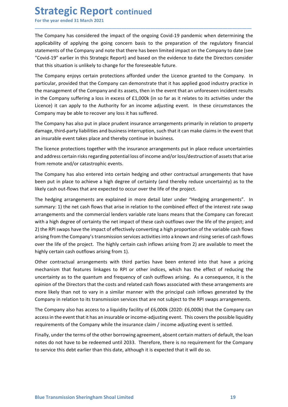**Strategic Report continued**<br>
For the year ended 31 March 2021<br>
The Company has considered the impact of the ongoing Covid-19 pandemic when determin<br>
applicability of applying the going concern basis to the preparation of **Strategic Report continued**<br>For the year ended 31 March 2021<br>The Company has considered the impact of the ongoing Covid-19 pandemic when determining the<br>applicability of applying the going concern basis to the preparation **Strategic Report continued**<br>For the year ended 31 March 2021<br>The Company has considered the impact of the ongoing Covid-19 pandemic when determining the<br>applicability of applying the going concern basis to the preparation **Strategic Report continued**<br>For the year ended 31 March 2021<br>The Company has considered the impact of the ongoing Covid-19 pandemic when determining the<br>applicability of applying the going concern basis to the preparation **Strategic Report continued**<br>For the year ended 31 March 2021<br>The Company has considered the impact of the ongoing Covid-19 pandemic when determining the<br>applicability of applying the going concern basis to the preparation **Strategic Report continued**<br>For the year ended 31 March 2021<br>The Company has considered the impact of the ongoing Covid-19 pandemic when determining the<br>applicability of applying the going concern basis to the preparation **Strategic Report continued**<br>For the year ended 31 March 2021<br>The Company has considered the impact of the ongoing Covid-19 pandemic when determining the<br>applicability of applying the going concern basis to the preparation

\_\_\_\_\_\_\_\_\_\_\_\_\_\_\_\_\_\_\_\_\_\_\_\_\_\_\_\_\_\_\_\_\_\_\_\_\_\_\_\_\_\_\_\_\_\_\_\_\_\_\_\_\_\_\_\_\_\_\_\_\_\_\_\_\_\_\_\_\_\_\_\_\_\_\_\_\_\_\_\_\_\_\_\_\_\_\_\_\_\_

**Strategic Report continued**<br>For the year ended 31 March 2021<br>The Company has considered the impact of the ongoing Covid-19 pandemic when determining the<br>applicability of applying the going concern basis to the preparation **Strategic Report continued**<br>For the year ended 31 March 2021<br>The Company has considered the impact of the ongoing Covid-19 pandemic when determining the<br>applicability of applying the going concern basis to the preparation **Strategic Report continued**<br>For the year ended 31 March 2021<br>The Company has considered the impact of the ongoing Covid-19 pandemic when determining the<br>applicability of applying the going concern basis to the preparation **Strategic Report continued**<br>For the year ended 31 March 2021<br>The Company has considered the impact of the ongoing Covid-19 pandemic when determining the<br>applicability of applying the going concern basis to the preparation **Strategic Report continued**<br>The Company has considered the impact of the ongoing Covid-19 pandemic when determining the<br>applicability of applying the going concern basis to the preparation of the regulatory financial<br>stat **Strategic Report continued**<br>
For the year ended 31 March 2021<br>
The Company has considered the impact of the ongoing Covid-19 pandemic when determining the<br>
applicability of applying the going concern basis to the preparat **Strategic Report continued**<br>For the year ended 31 March 2021<br>The Company has considered the impact of the ongoing Covid-19 pandemic when determining the<br>applicability of a pplying the going concern basis to the preparatio **STIT CHE CONT COLUTE COLUTE COLUTE COLUTE COLUTE COLUTE COLUTE THE COMPAGN CONT THE COMPANY SURVENT THE COMPANY SURVENT THE COMPANY SURVENT THE COMPANY SURVENT THE COMPANY OF A CONDITING THE COMPANY OF THE COMPANY OF THE** For the year ended 31 March 2021<br>The Company has considered the impact of the ongoing Covid-19 pandemic when determining the<br>applicability of applying the going concern basis to the preparation of the regulatory financial<br> The Company has considered the impact of the ongoing Covid-19 pandemic when determining the applicability of applying the going concern basis to the preparation of the regulatory financial statements of the Company and not The Company has aconsidered the impact of the ongoing Covid-19 pandemic when determining the applicability of applying the going concern basis to the peparation of the regulatory financial statements of the Company and not applicability of applying the going concern basis to the preparation of the regulatory inancial<br>statements of the Compary and note that there has been limited impact on the Compary to date (see<br>"Covid-19" earlier in this S "Covid-19" earlier in this Strategic Report) and based on the evidence to date the Directors consider<br>that this situation is unlikely to change for the foreseeable future.<br>The Company enjoys erertain protections afforded u that this situation is unlikely to change for the foreseeable future.<br>The Company enjoys certain protections afforded under the Licence granted to the Company. In<br>particular, provided that the Company can demonstrate that The Company enjoys certain protections afforded under the Licence granted to the Company. In particular, provided that the Company can demonstrate that it has applied good industry practice in the management of the Company

particular, provided that the Company can demonstrate that it has applied good industry practice in<br>the management of the Company and its assets, then in the event that an unforeseen incident results<br>the he company sufferi in the management of the Company and its assets, then in the event that an unforeseen incident results<br>in the Company suffering a loss in excess of £1,000k (in so far as it relates to its activities under the<br>licence) it c in the Company suffering a loss in excess of £1,000k (in so far as it relates to its activities under the licence) it can apply to the Authority for an income adjusting event. In these circumstances the Company may be able Licence) it can apply to the Authority for an income adjusting event. In these circumstances the Company may be able to recover any loss it has suffered.<br>The Company has also put in place prudent insurance arrangements pri Company may be able to recover any loss it has suffered.<br>The Company may be able to recover any loss it has suffered.<br>The Company has also put in place prudent insurance arrangements primarily in relation to property<br>damag The Company has also put in place prudent insurance arrangements primarily in relation to property damage, third-party liabilities and business interruption, such that it can make claims in the event that an insurable even The Company has also put in place prudent insurance arrangements primarily in relation to property<br>
damage, third-party liabilities and business interruption, such that it can make claims in the event that<br>
an insurable ev damage, third-party luablites and business interpruption, such that it can make claims in the event that<br>an insurable event takes place and thereby continue in business.<br>The licence protections together with the insurance The licence protections together with the insurance arrangements put in place reduce uncertainties<br>and address certain risks regarding potential loss of income and/or loss/destruction of assets that arise<br>from remote and/o The licente protections together with the insurance arrangements put in piace reduce uncertainties<br>and address certain risks regarding potential loss of income and/or loss/destruction of assets that arise<br>from remote and/o and address certain risks regarding potentialloss of income and/or loss/destruction of assets that arise<br>from remote and/or catastrophic events.<br>The Company has also entered into certain hedging and other contractual arran If the Company has also entered into certain hedging and other contractual arrangements that have<br>The Company has also entered into certain hedging and other contractual arrangements that have<br>been put in place to scheive The Company has also entered into certain hedging and other contractual arrangements that have<br>bleen put in place to achieve a high degree of certainty (and threety reduce uncertainty) as to the<br>likely cash out-flows that been put in place to achieve a high degree of certainty (and thereby reduce uncertainty) as to the likely cash out-flows that are expected to occur over the life of the project.<br>The hedging arrangements are explained in mo Ilkely cash out-flows that are expected to occur over the life of the project.<br>The hedging arrangements are explained in more edtail later under direlaying arrangements". In<br>summary: 1) the net cash flows that arise in rel The hedging arrangements are explained in more detail later under "Hedging arrangements". In the mean in that it has the invasta that it in relation to the combined effect of the interest rate wap<br>arrangements and the com summary: 1) the net cash flows that arise in relation to the combined effect of the interest rate swap<br>arrangements and the commercial lenders variable rate loans means that the Company can forecast<br>with a high degree of c

uncertainty as to the quantum and frequency of cash outflows arising. As a consequence, it is the opinon of the Directors that the costs and related cash flows associated with these arrangements are opinon of the Directors arrangements and the commercal lenders variable rate loans means that the Company can torecast the and the company stransmission services activities into a known and rising series of cash flows arising from the Company's t with a high degree of certainty the net impact of these cash outtlows over the life of the project; and<br>2) the RPI swaps have the limpact of effectively converting a high proportion of the variable cash flows<br>arising from 2) the RPI swaps have the impact of effectively converting a high proportion of the variable cash llows arising from 2) are available to meet the life of the project. The highly certain cash inflows arising from 2) are ava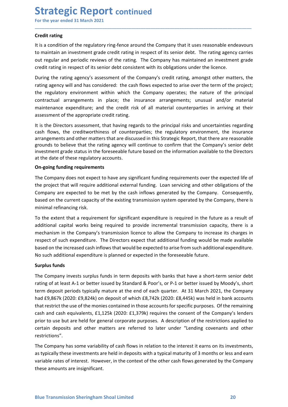Strategic Report continued<br>
For the year ended 31 March 2021<br>
Credit rating<br>
It is a condition of the regulatory ring-fence around the Company that it uses reasonable ende **Strategic Report continued**<br>For the year ended 31 March 2021<br>Credit rating<br>It is a condition of the regulatory ring-fence around the Company that it uses reasonable endeavours<br>to maintain an investment grade credit rating **Strategic Report continued**<br>For the year ended 31 March 2021<br>Credit rating<br>It is a condition of the regulatory ring-fence around the Company that it uses res<br>to maintain an investment grade credit rating in respect of its **Strategic Report continued**<br>For the year ended 31 March 2021<br>Credit rating<br>It is a condition of the regulatory ring-fence around the Company that it uses reasonable endeavours<br>to maintain an investment grade credit rating **Strategic Report continued**<br>For the year ended 31 March 2021<br>Credit rating<br>It is a condition of the regulatory ring-fence around the Company that it uses reasonable endeavours<br>to maintain an investment grade credit rating **Strategic Report continued**<br>For the year ended 31 March 2021<br>Credit rating<br>It is a condition of the regulatory ring-fence around the Company that it uses reasonable endeavours<br>to maintain an investment grade credit rating

\_\_\_\_\_\_\_\_\_\_\_\_\_\_\_\_\_\_\_\_\_\_\_\_\_\_\_\_\_\_\_\_\_\_\_\_\_\_\_\_\_\_\_\_\_\_\_\_\_\_\_\_\_\_\_\_\_\_\_\_\_\_\_\_\_\_\_\_\_\_\_\_\_\_\_\_\_\_\_\_\_\_\_\_\_\_\_\_\_\_

**Strategic Report continued**<br>
For the year ended 31 March 2021<br> **Credit rating**<br>
tto raniotion of the regulatory ring-fence around the Company that it uses reasonable endeavours<br>
to maintain an investment grade credit rati **Strategic Report continued**<br>
For the year ended 31 March 2021<br> **Credit rating**<br>
tto tamination of the regulatory ring-fence around the Company that it uses reasonable endeavours<br>
to to maintain an investment grade credit **Strategic Report continued**<br>For the year ended 31 March 2021<br>Credit rating<br>It is a condition of the regulatory ring-fence around the Company that it uses reasonable endeavours<br>to maintain an investment grade credit rating **Strategic Report continued**<br>For the year ended 31 March 2021<br>Credit rating<br>It is a condition of the regulatory ring-fence around the Company that it uses reasonable endeavours<br>to maintain an investment grade credit rating **Strategic Report continued**<br>For the year ended 31 March 2021<br>Credit rating<br>the is a condition of the regulatory ring-fence around the Company that it uses reasonable endeavours<br>to maintain an investment grade credit ratin **Strategic Report continued**<br>
For the year ended 31 March 2021<br>
Credit rating<br>
this a condition of the regulatory ring-fence around the Company that it uses reasonable endeavours<br>
to maintain an investment grade credit rat **Strategic Report continued**<br>
For the year ended 31 March 2021<br> **Credit rating**<br>
Credit rating<br>
It is a condition of the regulatory ring-fence around the Company that it uses reasonable endeavours<br>
to maintain an investmen **Strategic Report continued**<br>For the year ended 31 March 2021<br>It is a condition of the regulatory ring-fence around the Company that it uses reasonable endeavours<br>It is a condition of the regulatory ring-fence around the C **CATE CATE CONT CONTINUE CONTINUE CONTINUE CONTINUE CONTINUE CONTINUE CONTINUE CONTINUE (THE COMPARY THE COMPARY THE COMPARY THE CONTINUES ON THE CONTINUES ON THE CONTINUES ON THE CONTINUES ON THE CONTINUES ON THE CONTINUE** For the year ended 31 March 2021<br> **Credit rating**<br> **Credit rating**<br> **Credit rating**<br> **Credit rating**<br> **Credit rating**<br> **Condition of the regulatory ring-fence around the Company hat it uses reasonable endeavours<br>
to mainta Credit rating**<br>it is a condition of the regulatory ring-fence around the Company that it uses reasonable endeavours<br>to maintain an investment grade credit rating in respect of its senior debt. The rating agency carries<br>ou **Credit rating**<br>
Credit rating an investment grade credit rating in respect of its senior debt. The rating agency carries<br>
to maintain an investment grade credit rating in respect of its senior debt. The rating agency carr Let it is a condition of the regulatory ring-fence around the Company that it uses reasonable endeavours<br>
It is a condition of the regulatory ring-fence around the Company has maintained an investment grade<br>
to maintain an The solution of the regularion and the Compary than the Compary that it uses reason becomes to maintain an investment grade credit rating in respect of its senior debt. The rating agen out regular and periodic reviews of t out regular and periodic reviews of the rating. The Company has maintained an investment grade<br>credit rating in respect of its senior debt consistent with its obligations under the licence.<br>During the rating agency will an credit rating in respect of its senior debt consistent with its obligations under the licence.<br>
During the rating agency's assessment of the Company's credit rating, amongst other matters, the<br>
rating agency will and has c During the rating agency's assessment of the Company's credit rating, amongst other matters, the rating agency will and has considered: the cash flows expected to arise over the term of the project; the regulatory environm based on the rating agency will and bas considered: the cabil flow expected to arise over the term of the project;<br>the regulatory environment within which the Company operates; the nature of the principal<br>contractual arana

rating egency win an instrument the Company sepected to a meer over the entim of the regulatory environment within which the Company operates; the nature of the p<br>contractual arrangements in place; the insurance arrangemen

contractual arrangements in place; the insurance arrangements; unusual and/or material resinemance expenditure; and the credit raisk of all material counterparties in arriving at their assessment of the appropriate credit maintenance expenditure; and the credit risk of all material counterparties in arriving at their<br>tis the Directors assessment, that having regards to the principal risks and uncertainties regarding<br>this the Directors asses assessment of the appropriate credit rating.<br>It is the Directors assessment, that having regards to the principal risks and uncertainties regarding<br>cash flows, the creditworthiness of counterparties; the regulatory environ It is the Directors assessment, that having regards to the principal risks and uncertainties regarding<br>cash flows, the creditworthiness of counterparties; the regulatory environment, the insurance<br>grounds to believe that t It's the bructions assessment, untaining regares to one phincipar laiss and uncertainties regarding the standare reactions and other material parameter arises of counterparties; the regulatory environment, the insturate ar Experiments and other matters that are discussed in this Strategic Report, that there are reasonable grounds to believe that are discussed in this Strategic Report, that there are reasonable to the liverstrent grade status grounds to believe that the rating agency will contlinue to contirm that the Conservant grades status in the foreseable future based on the information availa<br>at the date of these regulatory accounts.<br>**On-going funding req** at the date of these regulatory accounts.<br>
On-going funding requirements<br>
The Company does not expect to bave any significant funding requirements over the expected life of<br>
the project that will require additional externa

Ine Company Inversis surpuls tunnas In term deposits with banks that have a short-cerm senote and<br>rating of at least A-1 or better issued by Standard & Poor's, or P-1 or better issued by Moody's, short<br>term deposit periods **On-going funding requirements**<br>The Company does not expect to have any significant funding, conservering and other obligations of the<br>the project that will require additional external funding. Loon servicing and other obl The Company does not expect to have any significant funding requirements over the expected life of<br>the project that will require additional external funding. Loan servicing and other obligations of the<br>Company are expected The Company does not expect to have any signinctant funding requirements over the expected life of<br>the project that will require additional external funding. Loan servicing and other obligations of the<br>Company are expected the project that will require additional external tiunding. Loan servicing and other obilgations of the company, consequently, based on the current capacity of the existing transmission system operated by the Company, ther Company are expected to be met by the cash inflows generated by the Company. Consequently,<br>
Dosed on the current capacity of the existing transmission system operated by the Company, there is<br>
minimal refinancing risk.<br>
To based on the current capacity of the existing transmission system operated by the Company, there is<br>To the setent that a requirement for significant expenditure is required in the future as a result of<br>additional capital w minimal reftinancing risk.<br>To the extent that a requirement for significant expenditure is required in the future as a result of<br>additional capital works being required to provide incremental transmission capacity, there i restrictions". additional capital works being required to provide incremental transmission capacity, there is a<br>mechanism in the Company's transmission lience to allow the Company to increase its charges in<br>respect of such expenditure. T mechanism in the Company's transmission licence to allow the Company to increase its charges in the company is messed to athe increased cash inflows that would be expected to arise from such additional expenditure. No such respect of such expenditure. The Directors expect that additional truding would be made available<br>these don the increased cash inflows that would be expected in the foreseeable future.<br>No such additional expenditure is pla based on the increased cash inflows that would be expected to arise from such additional experts are involved by the such additional expenditure is planned or expected in the foreseeable future.<br> **Surplus funds**<br>
The Compa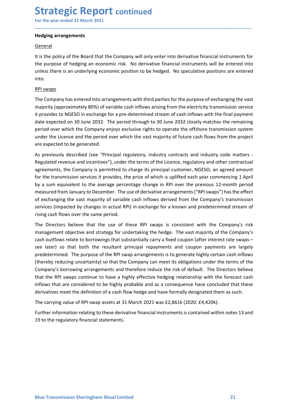## Strategic Report continued<br>
For the year ended 31 March 2021<br>
Hedging arrangements<br>
General Strategic Report continued<br>
For the year ended 31 March 2021<br>
Hedging arrangements<br>
General<br>
It is the policy of the Board that the Company will only enter into derivative financial instruments for

## **General**

**Strategic Report continued**<br>For the year ended 31 March 2021<br>Hedging arrangements<br>General<br>It is the policy of the Board that the Company will only enter into derivative finance<br>the purpose of hedging an economic risk. No **Strategic Report continued**<br>
For the year ended 31 March 2021<br> **Hedging arrangements**<br>
<u>General</u><br>
It is the policy of the Board that the Company will only enter into derivative financial instruments for<br>
the purpose of he **Strategic Report continued**<br>For the year ended 31 March 2021<br>Hedging arrangements<br>(General<br>It is the policy of the Board that the Company will only enter into derivative financial instruments for<br>the purpose of hedging an **Strategic Report continued**<br>For the year ended 31 March 2021<br>Hedging arrangements<br>It is the policy of the Board that the Company will only enter into derivative financial instruments for<br>the purpose of hedging an economic into.

\_\_\_\_\_\_\_\_\_\_\_\_\_\_\_\_\_\_\_\_\_\_\_\_\_\_\_\_\_\_\_\_\_\_\_\_\_\_\_\_\_\_\_\_\_\_\_\_\_\_\_\_\_\_\_\_\_\_\_\_\_\_\_\_\_\_\_\_\_\_\_\_\_\_\_\_\_\_\_\_\_\_\_\_\_\_\_\_\_\_

**Strategic Report continued**<br>For the year ended 31 March 2021<br>Hedging arrangements<br>General<br>It is the policy of the Board that the Company will only enter into derivative f<br>the purpose of hedging an economic risk. No deriva **Strategic Report continued**<br>For the year ended 31 March 2021<br>Hedging arrangements<br>General<br>It is the policy of the Board that the Company will only enter into derivative financial instruments for<br>the purpose of hedging an **Strategic Report continued**<br>For the year ended 31 March 2021<br>Hedging arrangements<br>tis the policy of the Board that the Company will only enter into derivative financial instruments for<br>the purpose of hedging an economic r **Strategic Report continued**<br>For the year ended 31 March 2021<br>Hedging arrangements<br>It is the policy of the Board that the Company will only enter into derivative financial instruments for<br>the purpose of hedging an economic **Strategic Report continued**<br>For the year ended 31 March 2021<br>He**dging arrangements**<br>General<br>Hesting policy of the Board that the Company will only enter into derivative financial instruments for<br>the purpose of hedging an **Strategic Report continued**<br>For the year ended 31 March 2021<br>**Hedging arrangements**<br>Ceneral<br>It is the policy of the Board that the Company will only enter into derivative financial instruments for<br>the purpose of hedging a For the year ended 31 March 2021<br> **Hedging arrangements**<br> **General**<br> **Utis the policy of the Board that the Company will only enter into derivative financial instruments for<br>
the purpose of hedging an economic risk. No der Hedging arrangements**<br> **General**<br> **Referred.**<br> **Referred.**<br> **Referred.**<br> **Referred.**<br> **Referred.**<br> **Referred.**<br> **Referred.**<br> **Referred.**<br> **Referred.**<br> **Referred.**<br> **Referred.**<br> **Referred.**<br> **Referred.**<br> **Referred.**<br> **Refe** Hedging arrangements<br>
General<br>
Est the policy of the Board that the Company will only enter into derivative financial instruments for<br>
the puricy of the Board that the Company risk. No derivative financial instruments will General<br>
Regulared revenues of hedging an economic risk. No derivative financial instruments for<br>
the purpose of hedging an economic risk. No derivative financial instruments will be entered into<br>
unless there is an underl

it is the policy of the Board that the Company will only enter into derivative financial instruments for<br>the purpose of hedging an economic risk. No derivative financial instruments will be entered into<br>unless there is an It is the policy of the board that the Company will only enter into derivative financial instruments or<br>the purpose of hedging an economic risk. No derivative financial instruments will be entered into<br>unless there is an u the purpose or hedging an economic risk. No derivative financial instruments will be entered into<br>the auriss there is an underlying economic position to be hedged. No speculative positions are entered<br>into.<br>The Company has unless there is an underlying economic position to be hedged. No speculative positions are entered<br>into.<br>
Into.<br>
Into Company has entered into arrangements with third parties for the purpose of exchanging the vast<br>
majorit into.<br>The Company has entered into arrangements with third parties for the purpose of exchanging the vast<br>The Company has entered into arrangements with third parties for the purpose of exchanging the vast<br>majority (approx RPI swaps<br>The Company has entered into arrangements with third parties for the purpose of exchanging the vast<br>migority (approximately 80%) of variable cash inflows arising from the electricity transmission service<br>it provi The Company has entered into arrangements with third parties for the purpose of exchanging the vast<br>majority (approximately 80%) of variable cash inflows arising from the electricity transmission service<br>it provides to NGE majority (approximately 80%) of variable cash inflows arising from the electricity transmission service<br>the rovides to NGESO in exchange for a pre-determined stream of cash inflows with the final payment<br>date expected on 3 it provides to NGESO in exchange for a pre-determined stream of cash inflows with the final payment<br>date expected on 30 June 2032. The period through to 30 June 2032 closely matches the remaining<br>period over which the Comp date expected on 30 June 2032. The period through to 30 June 2032 closely matches the remaining<br>period over which the Company enjoys exclusive rights to operate the offshore transmission system<br>under the Licence and the pe period over which the Company enjoys exclusive rights to operate the offshore transmission system<br>under the Licence and the period over which the vast majority of future cash flows from the project<br>are expected to be gener

that the RPI swaps continue to have a highly effective hedging relationship with the forecast cash inflows that are considered to be highly probable and as a consequence have concluded that these derivatives meet the defin under the Licence and the period over which the vast majority of future cash flows from the project<br>are expected to be generated.<br>The greviously described (see "Principal regulatory, industry contracts and industry code ma are expected to be generated.<br>
As previously described (see "Principal regulatory, industry contracts and industry code matters-<br>
Regulated revenue and incertives"), under the terms of the Licence, regulatory and other con As previously described (see "Principal regulatory, industry contracts and industry code matters-<br>Regulated revenue and incentives"), under the terms of the Licence, regulatory and other contractual<br>agreements, the Company As perototal (see Fineling Tregulator), matary continue to the effective regulatory and dure contractual<br>agreements, the Company is permitted to charge its principal customer, NGESO, an agreed amount<br>agreements, the Compan inguature enter and micrations in the time time term in the conclust of particular control and the transmission services it provides, the price of which is uplifted each year commencing 1 April<br>for the transmission service egetments, ree company is permineed to that the definite cash flow hedge and them assumed that the regulated controlling a case of definition are regulated to the average percentage change in RPI over the previous 12-month by a sum equivalent to the average percentage change in RPI over the previous 12-month period<br>measured from January to December. The use of derivative arrangements ("RPI swaps") has the effect<br>of exchanging the vast majori measured from lanuary to December. The use of derivative arrangements ("RPI swaps") has the effect transmission services (impacted by changes in actual RPI) in exchange for a known and predetermined stream of rising cash f of exchanging the vast majority of variable cash inflows derived from the Company's transmission<br>services (impacted by changes in actual RPI) in exchange for a known and predetermined stream of<br>rising cash flows over the s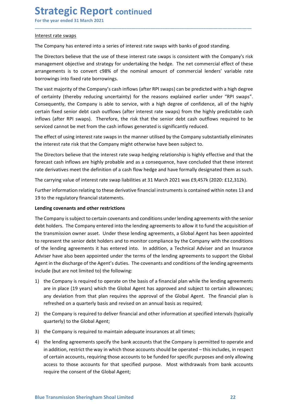## **Strategic Report continued**<br>
For the year ended 31 March 2021<br>
Interest rate swaps<br>
The Company has entered into a series of interest rate swaps with banks of good standing. **Strategic Report continued**<br>
For the year ended 31 March 2021<br>
Interest rate swaps<br>
The Company has entered into a series of interest rate swaps with banks of good standing.<br>
The Directors helieve that the use of these in

**Strategic Report continued**<br>For the year ended 31 March 2021<br>Interest rate swaps<br>The Company has entered into a series of interest rate swaps with banks of good stand<br>The Directors believe that the use of these interest r **Strategic Report continued**<br>For the year ended 31 March 2021<br>Interest rate swaps<br>The Company has entered into a series of interest rate swaps with banks of good standing.<br>The Directors believe that the use of these intere **Strategic Report continued**<br>For the year ended 31 March 2021<br>Interest rate swaps<br>The Company has entered into a series of interest rate swaps with banks of good standing.<br>The Directors believe that the use of these intere **Strategic Report continued**<br>For the year ended 31 March 2021<br>Interest rate swaps<br>The Company has entered into a series of interest rate swaps with banks of good standing.<br>The Directors believe that the use of these intere **Strategic Report continued**<br>
For the year ended 31 March 2021<br>
Interest rate swaps<br>
The Company has entered into a series of interest rate swaps with banks of good standing.<br>
The Directors believe that the use of these in

\_\_\_\_\_\_\_\_\_\_\_\_\_\_\_\_\_\_\_\_\_\_\_\_\_\_\_\_\_\_\_\_\_\_\_\_\_\_\_\_\_\_\_\_\_\_\_\_\_\_\_\_\_\_\_\_\_\_\_\_\_\_\_\_\_\_\_\_\_\_\_\_\_\_\_\_\_\_\_\_\_\_\_\_\_\_\_\_\_\_

**Strategic Report continued**<br>For the year ended 31 March 2021<br>Interest rate swaps<br>The Company has entered into a series of interest rate swaps with banks of good standing.<br>The Directors believe that the use of these intere **Strategic Report continued**<br>
For the year ended 31 March 2021<br>
Interest rate swaps<br>
The Company has entered into a series of interest rate swaps with banks of good standing.<br>
The Directors believe that the use of these in **Strategic Report continued**<br>For the year ended 31 March 2021<br>Interest rate swaps<br>The Company has entered into a series of interest rate swaps with banks of good standing.<br>The Directors believe that the use of these intere **Strategic Report continued**<br>
Interest rate swaps<br>
The Company has entered into a series of interest rate swaps with banks of good standing.<br>
The Directors believe that the use of these interest rate swaps is consistent wi **Strategic Report continued**<br>
For the year ended 31 March 2021<br>
Interest rate swaps<br>
The Company has entered into a series of interest rate swaps with banks of good standing.<br>
The Directors believe that the use of these in **Strategic Report continued**<br>
Interest rate swaps<br>
The Company has entered into a series of interest rate swaps with banks of good standing.<br>
The Directors believe that the use of these interest rate swaps is consistent wi **Strategic Report continued**<br>
For the year ended 31 March 2021<br>
Interest rate swaps<br>
The Company has entered into a series of interest rate swaps with banks of good standing.<br>
The Directors believe that the use of these in For the year ended 31 March 2021<br>Interest rate swaps<br>The Company has entered into a series of interest rate swaps with banks of good standing.<br>The Directors believe that the use of these interest rate swaps is consistent w Interest rate swaps<br>The Company has entered into a series of interest rate swaps with banks of good standing.<br>The Directors believe that the use of these interest rate swaps is consistent with the Company's risk<br>management Interest rate swaps<br>The Company has entered into a series of interest rate swaps with banks of good standing.<br>The Directors believe that the use of these interest rate swaps is consistent with the Company's risk<br>pranagemen The Company has entered into a series of interest rate swaps with banks of good standing.<br>The Directors believe that the use of these interest rate swaps is consistent with the Company's risk<br>management objective and strat The Directors believe that the use of these interest rate swaps is consistent with the Company's risk management objective and strategy for undertaking the hedge. The net commercial effect of these arrangements is to conve management objective and strategy for undertaking the hedge. The net commercial effect of these<br>arrangements is to convert c98% of the nominal amount of commercial lenders' variable rate<br>borrowings into fixed rate borrowin arrangements is to convert c98% of the nominal amount of commercial lenders' variable rate<br>borrowings into fixed atte borrowings.<br>The wast majority of the Company's cashinflows (after RPI swaps) can be predicted with a hig borrowings into fixed rate borrowings.<br>
The vast majority of the Company's cash inflows (after RPI swaps) can be predicted with a high degree<br>
Of certainty (thereby reducing uncertainty) for the reasons explained earlier u The vast majority of the Company's cash inflows (after RPI swaps) can be predicted with a high degree<br>of certainty (thereby reducing uncertainty) for the reasons explained earlier under "RPI swaps".<br>Consequently, the Compa

or Lerainty (treetry leatures) to the restorme and conditions are the unit of the lending agreement with the company is subject to service, with a high degree of confidence, all of the highly predictable cash outflows (aft Consequently, the Company is able to conserve, which are intered into the lending agreements and other the lending agreements of the lending agreements of the lending agreements of the lending agreement of the lending agre Letter intervalsmind the transmission of the intervalsminate using the properties and the matter with the matter<br>Unflows (after RPI swaps). Therefore, the risk that the senior debt cash outflows required to be<br>serviced can minows streat Fir Swaps). Therefore, the list that the senior detic cash other destinated is significantly reduced.<br>The effect of using interest rate swaps in the manner utilised by the Company substantially eliminates<br>the serviced cannot be internomi the cash innows generated is signimizantly leduced.<br>The effect of using interest rate swaps in the manner utilized by the Company substantially eliminates<br>The Directors believe that the interes The effect of using interest rate swaps in the manner utilised by the Company substantially eliminates<br>the interest rate risk that the Company might otherwise have been subject to.<br>The Directors believe that the interest r the interest rate risk that the Company might otherwise have been subject to.<br>The Directors believe that the interest rate swap hedging relationship is highly effective and that the<br>forecast cash inflows are highly probabl The Directors believe that the interest rate swap hedging relationship is highly effective and that the forecast cash inflows are highly probable and as a consequence, have concluded that these interest rate derivatives me forecast cash inflows are highly probable and as a consequence, have concluded that these interest<br>
rate derivatives meet the definition of a cash flow hedge and have formally designated them as such.<br>
The carrying value o derivatives meet the definition of a cash flow hedge and have formally designated them as such.<br>carrying value of interest rate swap liabilities at 31 March 2021 was £9,457k (2020: £12,312k).<br>Her information relating to th carrying value of interest rate swap liabilities at 31 March 2021 was £9,457k (2020: £12,312k).<br>
her information relating to these derivative financial instruments is contained within notes 13 and<br>
of the regulatory financ ther information relating to these derivative financial instruments is contained within notes 13 and<br>othe regulatory financial statements.<br> **ding covenants and other restrictions**<br> **Company** is subject to certain covenants 19 to the regulatory financial statements.<br>
Lending covenants and other restrictions<br>
The Company is subject to certain covenants and conditions under lending agreements with the senior<br>
debt holders. The Company entered i **Example 10**<br> **Example 10**<br> **Example 10**<br> **Example 10**<br> **Example 10**<br> **Example 10**<br> **Example 10**<br> **Example 10**<br> **Example 10**<br> **Example 10**<br> **Example 10**<br> **Example 10**<br> **Example 10**<br> **Example 10**<br> **Example 10**<br> **Example 10** The Company is subject to certain covenants and conditions under lending agreements with the senior<br>debt holders. The Company entered into the lending agreements to allow it to fund the acquisition of<br>the transmission owne deth holders. The Company entered into the lending agreements to allow it to fund the acquisition of<br>the transmission owner asset. Under these lending agreements, a Global Agent has been appointed<br>to represent the senior d transmission owner asset. Under these lending agreements, a Global Agent has been appointed<br>present the senior debt holders and to monitor compliance by the Company with the conditions<br>he lending agreements it has entered epresent the senior debt holders and to monitor compliance by the Company with the conditions<br>be lending agreements it has entered into. In addition, a Technical Adviser and an Insurance<br>ise have also been appointed under

- 
- 
- 
- 1) the Company is required to operate on the basis of a financial plan while the lending agreements<br>are in place (19 years) which the Global Agent has approved and subject to certain allowances;<br>any deviation from that pla From the ending agreements it has entered into. In addition, a Technical Adviser and an Insurance<br>iser have also been appointed under the terms of the lending agreements to support the Global<br>tie that in the discharge of t See The compary is required to mether the terms of the lending agreements to support the Global<br>the company is required under the terms of the lending agreements to support the Global<br>the company is required to operate on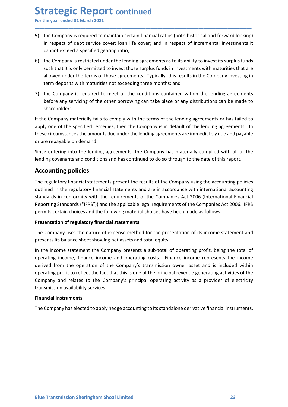Strategic Report continued<br>
For the year ended 31 March 2021<br>
5) the Company is required to maintain certain financial ratios (both historical and forward lo<br>
in respect of debt service cover; loan life cover; and in respe Strategic Report continued<br>For the year ended 31 March 2021<br>5) the Company is required to maintain certain financial ratios (both historical and forward looking)<br>in respect of debt service cover; loan life cover; and in re **Strategic Report continued**<br>
For the year ended 31 March 2021<br>
5) the Company is required to maintain certain financial ratios (both historical and forward looking)<br>
in respect of debt service cover; loan life cover; and

\_\_\_\_\_\_\_\_\_\_\_\_\_\_\_\_\_\_\_\_\_\_\_\_\_\_\_\_\_\_\_\_\_\_\_\_\_\_\_\_\_\_\_\_\_\_\_\_\_\_\_\_\_\_\_\_\_\_\_\_\_\_\_\_\_\_\_\_\_\_\_\_\_\_\_\_\_\_\_\_\_\_\_\_\_\_\_\_\_\_

- **Trategic Report continued**<br>the year ended 31 March 2021<br>the Company is required to maintain certain financial ratios (both historical and forward looking)<br>in respect of debt service cover; loan life cover; and in respect **COLO SECT ACT CONTIGE COLO SECUTE:**<br>The Company is required to maintain certain financial ratios (both historical and forward looking)<br>in respect of debt service cover; loan life cover; and in respect of incremental inves **Strategic Report continued**<br>For the year ended 31 March 2021<br>5) the Company is required to maintain certain financial ratios (both historical and forward looking)<br>in respect of debt service cover; loan life cover; and in **Such that it is only and the year ended 31 March 2021**<br>the Company is required to maintain certain financial ratios (both historical and forward looking)<br>in respect of debt service cover; loan life cover; and in respect o **Trategic Report continued**<br>the year ended 31 March 2021<br>the Company is required to maintain certain financial ratios (both historical and forward looking)<br>in respect of debt service cover; loan life cover; and in respect **Trance of the Schoof Constrained**<br>the year ended 31 March 2021<br>the Company is required to maintain certain financial ratios (both historical and forward looking)<br>in respect of debt service cover; loan life cover; and in r **Strategic Report continued**<br>For the year ended 31 March 2021<br>5) the Company is required to maintain certain financial ratios (both historical and forward looking)<br>in respect of debt service cover; loan life cover; and in **Example 1:**<br> **Example 1:**<br> **Example 1:**<br> **Example 1:**<br> **Example 1:**<br> **Example 1:**<br> **Example 1:**<br> **Example 1:**<br> **Example 1:**<br> **Example 1:**<br> **Example 1:**<br> **Example 1:**<br> **Example 1:**<br> **Example 1:**<br> **Example 1:**<br> **Example 1:**
- shareholders.

**Strategic Report continued**<br>
In the year ended 31 March 2021<br>
In the Company is required to maintain certain financial ratios (both historical and forward looking)<br>
in respect of debt service cover; loan life cover; and i **Strategic Report continued**<br>For the year ended 31 March 2021<br>3) the Company is required to maintain certain financial ratios (both historical and forward looking)<br>in respect of debt service cover; loan life cover; and in **Solutionary** is required to maintain certain financial ratios (both historical and forward looking)<br>
in respect of deta sevire cover; loan life cover; and in respect of incremental investments it<br>
cannot exceed a specifie For the year ended 31 March 2021<br>
5) the Company is required to maintain certain financial ratios (both historical and forward<br>
in respect of debt service cover; loan life cover; and in respect of incremental invest<br>
canno 5) the Company is required to maintain certain financial ratios (both historical and forward looking) in respect of debt service cover; loan life cover; and in respect of incremental investments it cannote exceed a specifi in respect of debt service cover; loan life cover; and in respect of incremental investments it<br>cannot exceed a specified gearing ratio;<br>6) the Company is restricted under the lending agreements as to its ability to invest

cannot exceed a specified gearing ratio;<br>
6) the Company is restricted under the lending agreements as to its ability to invest its such that it is only permitted to invest those surplus funds in investments with matural<br> by the company is restricted under the lending agreements as to its abutly to invest its stripus tuch that it is only permitted to invest those surplus funds in investments with maturities that are allowed under the terms such that its only permitted to invest those surplus than is in lwestments with maturities that are<br>allowed under the rems of those agreements. Typically, this results in the Company investing in<br>term deposits with maturit allowed under the terms of those agreements. I ypically, this results in the Company investing in<br>
The Company is required to metall the conditions contained within the lending agreements<br>
before any servicing of the other rem reposits with maturities not exceeding three months; and<br>
The Company is required to meet all the conditions contained within the lending agreements<br>
before any servicing of the other borrowing can take place or any di 7) the Company is required to meet all the conditions contained within the lending agreements before any gievricing of the other borrowing can take place or any distributions can be made to shareholders.<br>If the Company mat before any servicing of the other borrowing can take place or any distributions can be made to<br>
shareholders.<br>
If the Company materially fails to comply with the terms of the lending agreements or has failed to<br>
apply one If the Company materially fails to comply with the terms of the lending agreements or has failed to<br>apply one of the specified remedies, then the Company is in default of the lending agreements. In<br>these circumstances the It the Compay mareleania Tais to comply with the terms of the lending agreements or has tailed to the selections and has continued the ending agreements. In these circumstances the amounts due under the lending agreements

Company and relates to the Company's principal operating activity as a provider of electricity<br>transmission availability services.<br>Financial Instruments<br>The Company has elected to apply hedge accounting to its standalone d these circumstances the amounts due under the lending agreements are immediately due and payable<br>or are repayable on demand.<br>Since entering into the lending agreements, the Company has materially complied with all of the<br>e or are repayable on demand.<br>Since entering into the lending agreements, the Company has materially complied with all of the<br>lending covenants and conditions and has continued to do so through to the date of this report.<br>**A** Since entering into the lending agreements, the Company has materially complied with all of the lending covenants and conditions and has continued to do so through to the date of this report.<br>**Accounting policies**<br>The regu since entering into the lending agreements, the Company has materially complied with all of the lending covenants and conditions and has continued to do so through to the date of this report.<br> **Accounting policies**<br>
The re relating covenants and conditions and nas continued to do so through to the date of this report.<br>The regulatory financial statements present the results of the Company using the accounting policies<br>outlined in the regulato **Accounting policies**<br>The regulatory financial statements present the results of the Company using the accounting polic<br>outlined in the regulatory financial statements and are in accordance with international account<br>stand The regulatory financial statements present the results of the Company using the a<br>outlined in the regulatory financial statements and are in accordance with interna<br>standards in conformity with the requirements of the Com outlined in the regulatory financial statements and are in accordance with international accounting standards in conformity with the requirements of the Companies Act 2006. (Irenational Financial istandards ("Irens") an dt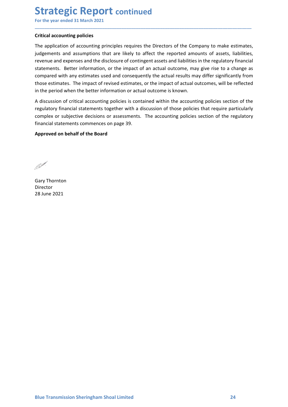# **Strategic Report continued**<br>
For the year ended 31 March 2021<br>
Critical accounting policies<br>
The application of accounting principles requires the Directors of the Company to make esti

**Strategic Report continued**<br>For the year ended 31 March 2021<br>Critical accounting policies<br>The application of accounting principles requires the Directors of the Company to make estimates,<br>judgements and assumptions that a **Strategic Report continued**<br>For the year ended 31 March 2021<br>Critical accounting policies<br>The application of accounting principles requires the Directors of the Company to make es<br>judgements and assumptions that are likel **Strategic Report continued**<br>For the year ended 31 March 2021<br>Tritical accounting policies<br>The application of accounting principles requires the Directors of the Company to make estimates,<br>judgements and assumptions that a **Strategic Report continued**<br>For the year ended 31 March 2021<br>The application of accounting principles requires the Directors of the Company to make estimates,<br>judgements and assumptions that are likely to affect the repor **Strategic Report continued**<br>For the year ended 31 March 2021<br>The application of accounting principles requires the Directors of the Company to make estimates,<br>judgements and assumptions that are likely to affect the repor **Strategic Report continued**<br>For the year ended 31 March 2021<br>The application of accounting principles requires the Directors of the Company to make estimates,<br>judgements and assumptions that are likely to affect the repor **Strategic Report continued**<br>For the year ended 31 March 2021<br>The application of accounting principles requires the Directors of the Company to make estimates,<br>judgements and assumptions that are likely to affect the repor **Strategic Report continued**<br>For the year ended 31 March 2021<br>**Critical accounting policies**<br>The application of accounting principles requires the Directors of the Company to make estimates,<br>judgements and assumptions that **Strategic Report continued**<br>For the year ended 31 March 2021<br>Critical accounting policies<br>The application of accounting principles requires the Directors of the Company to make estimates,<br>judgements and assumptions that a **Strategic Report continued**<br>For the year ended 31 March 2021<br>Critical accounting policies<br>The application of accounting principles requires the Directors of the Company to make estimates,<br>judgements and assumptions that a **Strategic Report continued**<br>For the year ended 31 March 2021<br>Tritical accounting policies<br>The application of accounting principles requires the Directors of the Company to make estimates,<br>indegements and assumptions that **Strategic Report continued**<br>For the year ended 31 March 2021<br>Critical accounting policies<br>The application of accounting principles requires the Directors of the Company to make estimates,<br>indegrements and assumptions that **Strategic Report continued**<br>For the year ended 31 March 2021<br>Tritical accounting policies<br>The application of accounting principles requires the Directors of the Company to make estimates,<br>indegrements and assumptions that **Brunchland State Interval of the Board of the Continued For the year ended 31 March 2021**<br> **Critical accounting policies**<br>
The application of accounting principles requires the Directors of the Company to make estimates,<br> revenue and expenses and the disclosure of contingent assets and liabilities in t<br>statements. Better information, or the impact of an actual outcome, may gi<br>compared with any estimates used and consequently the actual outc

\_\_\_\_\_\_\_\_\_\_\_\_\_\_\_\_\_\_\_\_\_\_\_\_\_\_\_\_\_\_\_\_\_\_\_\_\_\_\_\_\_\_\_\_\_\_\_\_\_\_\_\_\_\_\_\_\_\_\_\_\_\_\_\_\_\_\_\_\_\_\_\_\_\_\_\_\_\_\_\_\_\_\_\_\_\_\_\_\_\_

compared with any estimates used and consequently the actual results may different those estimates. The impact of revised estimates, or the impact of actual outcom<br>in the period when the better information or actual outcom

Director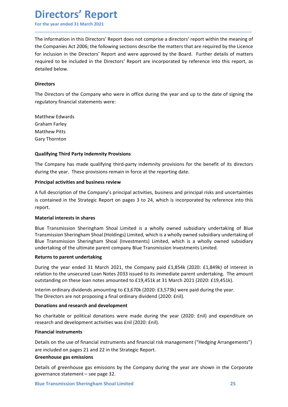## Directors' Report

**Directors' Report**<br>For the year ended 31 March 2021<br>The information in this Directors' Report does not comprise a directors' report within the meaning of<br>the Companies Act 2006; the following sections describe the matters **Directors' Report**<br>The information in this Directors' Report does not comprise a directors' report within the meaning of<br>the Companies Act 2006; the following sections describe the matters that are required by the Licence **Directors' Report**<br>For the year ended 31 March 2021<br>The information in this Directors' Report does not comprise a directors' report within the meaning of<br>the Companies Act 2006; the following sections describe the matters **Directors' Report**<br>For the year ended 31 March 2021<br>The information in this Directors' Report does not comprise a directors' report within the meaning of<br>the Companies Act 2006; the following sections describe the matters **Directors' Report**<br>For the year ended 31 March 2021<br>The information in this Directors' Report does not comprise a directors' report within the meaning of<br>the Companies Act 2006; the following sections describe the matters **Directors' Report**<br>For the year ended 31 March 2021<br>The information in this Directors' Report does not comprise a directors' report wit<br>the Companies Act 2006; the following sections describe the matters that are requ<br>for **Directors' Report**<br>
For the year ended 31 March 2021<br>
The information in this Directors' Report does not comprise a directors' report within the meaning of<br>
the Companise Act 2006; the following sections describe the matt **Directors' Report**<br>For the year ended 31 March 2021<br>The information in this Directors' Report does not comprise a directors' report within the meaning of<br>the Companies Act 2006; the following sections describe the matters **Directors' Report**<br>For the year ended 31 March 2021<br>The information in this Directors' Report does not comprise a directors' report with<br>the Companies Act 2006; the following sections describe the matters that are require **Directors' Report**<br>For the year ended 31 March 2021<br>The information in this Directors' Report does not comprise a directors' report wit<br>the Companies Act 2006; the following sections describe the matters that are requ<br>req **Directors' Report**<br>For the year ended 31 March 2021<br>The information in this Directors' Report does not comprise a directors' report with<br>the Companies Act 2006; the following sections describe the matters that are requi<br>f For the year ended 31 March 2021<br>
The information in this Directors' Report does not comprise a directors' report<br>
the Companies Act 2006; the following sections describe the matters that are r<br>
for inclusion in the Direct The information in this Directors' Report does not comprise a directors' report within the meaning of<br>the Companies Act 2006; the following sections describe the matters that are required by the Licence<br>for inclusion in th the Companies Act 2006; the following sections describe the matters that are required by the Licence<br>required to be included in the Directors' Report are incorporated by reference into this report, as<br>perquired to be inclu for inclusion in the Directors' Report and were approved by the Board. Further details of matters<br>required to be included in the Directors' Report are incorporated by reference into this report, as<br>detailed below.<br>Director

\_\_\_\_\_\_\_\_\_\_\_\_\_\_\_\_\_\_\_\_\_\_\_\_\_\_\_\_\_\_\_\_\_\_\_\_\_\_\_\_\_\_\_\_\_\_\_\_\_\_\_\_\_\_\_\_\_\_\_\_\_\_\_\_\_\_\_\_\_\_\_\_\_\_\_\_\_\_\_\_\_\_\_\_\_\_\_\_\_\_

## **Directors**

required to be included in the Directors' Report are incorporated by reterence into this report, as<br>detailed below.<br>The Directors<br>The Directors of the Company who were in office during the year and up to the date of signin Directors<br>
The Directors of the Company who were in office during the year and up to the date of signing the<br>
regulatory financial statements were:<br>
Matthew Edwards<br>
Matthew Edwards<br>
Matthew Pitts<br>
Gary Thornton<br>
Qualifyin Directors<br>The Directors of the Company who were in office during the year and up to the date of signing the<br>regulatory financial statements were:<br>Matthew Edwards<br>Craham Farley<br>during the Year. These provisions remain force report.

regulatory financial statements were:<br>
Matthew Edwards<br>
Graham Farley<br>
Matthew Pitts<br>
Gary Thornton<br>
Qualifying Third Party Indemnity Provisions<br>
The Company has made qualifying third-party indemnity provisions for the ben Matthew Edwards<br>
Graham Farley<br>
Gary Thornton<br>
Gary Thornton<br>
The Company has made qualifying third-party indemnity provisions for the benefit of its directors<br>
during the year. These provisions remain in force at the repo Matthew Edwards<br>
Gray Thornton<br>
Gary Thornton<br>
Qualifying Third Party Indemnity Provisions<br>
The Company has made qualifying third-party indemnity provisions for the benefit of its directors<br>
during the year. These provisio Graham Farley<br>
Matthew Pitts<br>
Gary Thornton<br>
Qualifying Third Party Indemnity Provisions<br>
The Company has made qualifying third-party indemnity provisions for the benefit of its directors<br>
during the year. These provisions Matthew Pitts<br>
Gary Thornton<br> **Qualifying Third Party Indemnity Provisions**<br>
The Company has made qualifying third-party indemnity provisions for the benefit of its directors<br>
during the year. These provisions remain in fo Gary Thornton<br>
Qualifying Third Party Indemnity Provisions<br>
The Company has made qualifying third-party indemnity provisions for the benefit of its<br>
during the year. These provisions remain in force at the reporting date.<br> **Qualifying Third Party Indemnity Provisions**<br>The Company has made qualifying third-party indemnity provisions for the benefit of its directors<br>during the year. These provisions remain in force at the reporting date.<br>**Prin** Qualifying Third Party Indemnity Provisions<br>The Company has made qualifying third-party indemnity provisions for the benefit of its directors<br>during the year. These provisions remain in force at the reporting date.<br>
Princi The Company has made qualifying third-party indemnity provisions for the benefit of its directors<br>during the year. These provisions remain in force at the reporting date.<br> **Principal activities and business review**<br>
A full during the year. These provisions remain in force at the reporting date.<br> **Principal activities and business review**<br>
A full description of the Company's principal activities, business and principal risks and uncertainties **Principal activities and business review**<br>
A full description of the Company's principal activities, business and principal risks and uncertainties<br>
is contained in the Strategic Report on pages 3 to 24, which is incorpor A full description of the Company's principal activities, business and principal risks and uncertainties<br>is contained in the Strategic Report on pages 3 to 24, which is incorporated by reference into this<br>report.<br>**Material** Is contained in the Strategic Report on pages 3 to 24, which is incorporated by reference into this<br>report.<br>Material interests in shares<br>Blue Transmission Sheringham Shoal Limited is a wholly owned subsidiary undertaking o resources are the studenges in place 3 to 24, which is incorporated by received and the crassmission Sheringham Shoal Limited is a wholly owned subsidiary undertaking of Blue<br>Transmission Sheringham Shoal (Holdings) Limite Material interests in shares<br>
Blue Transmission Sheringham Shoal Limited is a wholly owned subsidiary un<br>
Transmission Sheringham Shoal (Holdings) Limited, which is a wholly owned subsidi<br>
Blue Transmission Sheringham Shoa Blue Transmission Sheringham Shoal Limited is a wholly owned subsidiary undertaking of Blue<br>Transmission Sheringham Shoal (Holdings) Limited, which is a wholly owned subsidiary undertaking of<br>Blue Transmission Sheringham S Blue Transmission Sheringham an solution to a time the s a wholly owned substailary understaking of<br>Transmission Sheringham Shoal (Holdings) Limited, which is a wholly owned subsidiary understaking of<br>Blue Transmission She

During the year ended 31 March 2021, the Company paid £1,854k (2020: £1,849k) of interest in relation to the unsecured Loan Notes 2033 issued to tis limmediate parent undertaking. The amount contatanding on these loan note Transmission Sheringham Shoal (Investment), Limited, which is a wholly owned<br>Blue Transmission Sheringham Shoal (Investments) Limited, which is a wholly owned<br>undertaking of the ultimate parent company Blue Transmission In undertaking of the ultimate parent company Blue Transmission Investments Limited.<br>
Returns to parent undertaking<br>
During the year ended 31 March 2021, the Company paid £1,854k (2020: £1,849k) of interest in<br>
During the yea Returns to parent undertaking<br>
During the year ended 31 March 2021, the Company paid £1,854k (2020: £1,849k) of interest in<br>
relation to the unsecured Loan Notes 2033 issued to its immediate parent undertaking. The amount<br>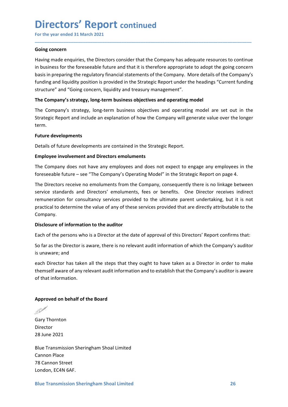## Directors' Report continued

Directors' Report continued<br>
For the year ended 31 March 2021<br>
Going concern<br>
Having made enquiries, the Directors consider that the Company has adequate resources to continue<br>
in business for the foreseeable future and th **Directors' Report continued**<br>For the year ended 31 March 2021<br>Going concern<br>Having made enquiries, the Directors consider that the Company has adequate rin business for the foreseeable future and that it is therefore appr **Directors' Report continued**<br>For the year ended 31 March 2021<br>Going concern<br>Having made enquiries, the Directors consider that the Company has adequate resources to continue<br>in business for the foreseeable future and that **Directors' Report continued**<br>For the year ended 31 March 2021<br>Going concern<br>Having made enquiries, the Directors consider that the Company has adequate resources to continue<br>in business for the foreseeable future and that **Directors' Report continued**<br>For the year ended 31 March 2021<br>Having made enquiries, the Directors consider that the Company has adequate resources to continue<br>in business for the foreseeable future and that it is therefo **Directors' Report continued**<br>For the year ended 31 March 2021<br>**Going concern**<br>Having made enquiries, the Directors consider that the Company has adequate resources to continue<br>in business for the foreseeable future and th **Directors' Report continued**<br>For the year ended 31 March 2021<br>Going **concern**<br>Having made enquiries, the Directors consider that the Company has adequate resources to continue<br>in business for the foreseeable future and th **Directors' Report continued**<br>For the year ended 31 March 2021<br>Going concern<br>Having made enquiries, the Directors consider that the Company has adequate resources to continue<br>in business for the foreseeable future and that **Directors' Report continued**<br>For the year ended 31 March 2021<br>Having made enquiries, the Directors consider that the Company has adequate resources to continue<br>in business for the foreseeable future and that it is therefo **Directors' Report continued**<br>For the year ended 31 March 2021<br>Having made enquiries, the Directors consider that the Company has adequate resources to continue<br>in business for the foreseeable future and that it is therefo **Directors' Report continued**<br>For the year ended 31 March 2021<br>Going concern<br>Having made enquiries, the Directors consider that the Company has adequate ro<br>in business for the foreseeable future and that it is therefore ap **COLOTS TREPOTT CONTINUED**<br>
For the year ended 31 March 2021<br>
Having made enquiries, the Directors consider that the Company has adequate resources to continue<br>
In business for the foreseeable future and that it is therefo For the year entered as maturizoned<br>
Having made enquiries, the Directors consider that the Company has adequate resources to continue<br>
In business for the foreseable future and that it is therefore appropriate to adopt th **Going concern**<br>Having made enquiries, the Directors consider that the Company has adequate resources to continue<br>In business for the foreseeable future and that it is therefore appropriate to adopt the going concern<br>In bu Having made enquiries, the Directors consider that the Company has adequate resources to continue<br>in business for the foreseeable future and that it is therefore appropriate to adopt the going concern<br>basis in preparing th

\_\_\_\_\_\_\_\_\_\_\_\_\_\_\_\_\_\_\_\_\_\_\_\_\_\_\_\_\_\_\_\_\_\_\_\_\_\_\_\_\_\_\_\_\_\_\_\_\_\_\_\_\_\_\_\_\_\_\_\_\_\_\_\_\_\_\_\_\_\_\_\_\_\_\_\_\_\_\_\_\_\_\_\_\_\_\_\_\_\_

term.

in business for the foreseeable future and that it is therefore appropriate to adopt the going concern<br>basis in preparing the regulatory financial statements of the Company. More details of the Company's<br>funding and liquid basis in preparing the regulatory financial statements of the Company. More details of the Company's<br>
structure" and "Going concern, liquidity and treastragic Report under the headings "Current funding<br>
structure" and "Goi funding and liquidity position is provided in the Strategic Report under the headings "Current funding<br>structure" and "Going concern, liquidity and treasury management".<br>The Company's strategy, long-term business objective structure" and "Going concern, liquidity and treasury management".<br>The Company's strategy, long-term business objectives and operating model<br>The Company's strategy, long-term business objectives and operating model are set Company. The Company's strategy, long-term business objectives and operating model are set out in the Strategic Report and include an explanation of how the Company will generate value over the longer term.<br> **Future developments**<br> Strategic Report and include an explanation of how the Company will generate value over the longer<br>
Future developments<br>
Details of future developments are contained in the Strategic Report.<br> **Employee involvement and Dire** ferm.<br>
Details of future developments are contained in the Strategic Report.<br>
Employee involvement and Directors emoluments<br>
The Company does not expect to engage any employees in the<br>
Torceseable future – see "The Company Future developments<br>Details of future developments are contained in the Strategic Report.<br>Employee involvement and Directors emoluments<br>The Company does not have any employees and does not expect to engage any er<br>foreseeab Details of future developments are contained in the Strategic Report.<br> **Employee involvement and Directors emoluments**<br>
The Company does not have any employees and does not expect to engage any employees in the<br>
Orreseeabl **Employee involvement and Directors emoluments**<br>The Company does not have any employees and does not expect to engage any employees in the<br>foreseeable future – see "The Company's Operating Model" in the Strategic Report on Employee involvement and Directors embulments<br>The Company does not have any employees and does not expect to engage ar<br>foreseeable future – see "The Company's Operating Model" in the Strategic Repo<br>The Directors receive no The Directors receive no emoluments from the Company, consequently there is no linkage betweer<br>service standards and Directors' emoluments, fees or benefits. One Director receives indirect<br>remuneration for consultancy serv

each Director has taken all the steps that they ought to have taken as a Director in order to make<br>themself aware of any relevant audit information and to establish that the Company's auditor is aware<br>of that information.<br> remuneration for consultancy services provided to the ultimate parent und<br>practical to determine the value of any of these services provided that are dire<br>Company.<br>Disclosure of information to the auditor<br>Each of the perso Company.<br>
Disclosure of information to the auditor<br>
Each of the persons who is a Director at the date of approval of this Directors' Rep<br>
So far as the Director is aware, there is no relevant audit information of which the **Each of the persons who is a Director at the date of approval of this Directors' Report confirms that:**<br>Bach of the persons who is a Director at the date of approval of this Directors' Report confirms that:<br>So far as the Each of the persons who is a Director at the date of approval of this Directors' Rep<br>So far as the Director is aware, there is no relevant audit information of which the<br>is unaware; and<br>each Director has taken all the step So far as the Director is aware, there is no relevant audit information of which the Co<br>is unaware; and<br>each Director has taken all the steps that they ought to have taken as a Director in<br>themself aware of any relevant au is unaware; and<br>each Director has taken all the steps that they ought to have taken as a Director in o<br>themself aware of any relevant audit information and to establish that the Company's au<br>of that information.<br>Approved o

Director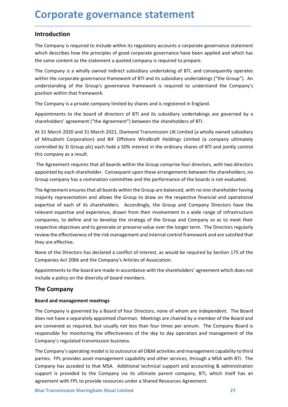## Introduction

**Corporate governance statement<br>
Introduction**<br>
The Company is required to include within its regulatory accounts a corporate governance statement<br>
which describes how the principles of and expected accreases how here appl **Corporate governance statement**<br> **Introduction**<br>
The Company is required to include within its regulatory accounts a corporate governance statement<br>
which describes how the principles of good corporate governance have bee

**Corporate governance statement**<br>Introduction<br>The Company is required to include within its regulatory accounts a corporate governance statement<br>which describes how the principles of good corporate governance have been app **Corporate governance statement**<br> **Introduction**<br>
The Company is required to include within its regulatory accounts a corporate governance statement<br>
which describes how the principles of good corporate governance have bee **Corporate governance statement**<br>The Company is required to include within its regulatory accounts a corporate governance statement<br>which describes how the principles of good corporate governance have been applied and whic **Corporate governance statement**<br>The Company is required to include within its regulatory accounts a corporate governance statement<br>which describes how the principles of good corporate governance have been applied and whic **Corporate governance statement**<br>The Company is required to include within its regulatory accounts a corporate governance statement<br>which describes how the principles of good corporate governance have been applied and whic **Corporate governance statement**<br>The Company is required to include within its regulatory accounts a corporate governance stat<br>Which describes how the principles of good corporate governance have been applied and wt<br>the sa **Corporate governance statement**<br>The Company is required to include within its regulatory accounts a corporate governance statement<br>which describes how the principles of good corporate governance have been applied and whic **Corporate governance statement**<br>The Company is required to include within its regulatory accounts a corporate governance statement<br>which describes how the principles of good corporate governance have been applied and whic **Corporate governance statement**<br>The Company is required to include within its regulatory accounts a corporate governance statement<br>which describes how the principles of good corporate governance have been applied and whic **Corporate governance statement**<br>The Company is required to include within its regulatory accounts a corporate governance statement<br>The Company is required to include within its regulatory accounts a corporate governance s **Introduction**<br>The Company is required to include within its regulatory accounts a corporate governance statement<br>which describes how the principles of good corporate governance have been applied and which has<br>the same con **Introduction**<br>The Company is required to include within its regulatory accounts a corporate governance statement<br>which describes how the principles of good corporate governance have been applied and which has<br>the same con **Introduction**<br>The Company is required to include within its regulatory accounts a corporate governance of<br>which describes how the principles of good corporate governance have been applied and v<br>the same content as the sta The Company is required to include within its regulatory accounts a corporate governance statement<br>which describes how the principles of good corporate governance have been applied and which has<br>the same content as the sta which describes how the principles of good corporate governance have been applied and which has<br>the same content as the statement a quoted company is required to prepare.<br>The Company is a wholly ownerd indirect subsidiary

The Company is required to prepare.<br>The Company is a wholly owned indirect subsidiary undertaking of BTI, and consequently operates<br>within the corporate governance framework of BTI and its subsidiary undertakings ("the Gro The Company is a wholly owned indirect subsidiary undertaking of BTI, and consequently operates<br>within the corporate governance framework of BTI and its subsidiary undertakings ("the Group"). An<br>understanding of the Group' within the corporate governance framework of BTI and its subsidiary undertakings ("the Group"). An understanding of the Group") goostrion within that framework.<br>
The Company is a private company limited by shares and is re understanding of the Group's governance framework is required to understand the Company's<br>The Company is a private company limited by shares and is registered in England.<br>The Company is a private company limited by shares position within that framework.<br>The Company is a private company limited by shares and is registered in England.<br>Appointments to the board of directors of BTI and its subsidiary undertakings are governed by a<br>shareholders' The Company is a private company limited by shares and is registered in England.<br>Appointments to the board of directors of BTI and its subsidiary undertakings are governed by a<br>shareholders' agreement ("the Agreement") bet Appointments to the board of directors of BTI and its subsidiary undertakings are governed by a<br>shareholders' agreement ("the Agreement") between the shareholders of BTI.<br>At 31 March 2020 and 31 March 2021, Diamond Transmi Appointments to the board of directors of BTI and its subsidiary underlakings are governed by a<br>shareholders' agreement ("the Agreement") between the shareholders of BTI.<br>At 31 March 2020 and 31 March 2021, Diamond Transmi shareholders' agreement ("the Agreement") between the shareholders of BTI.<br>At 31 March 2020 and 31 March 2021, Diamond Transmission UK Limited (a wholl<br>of Mitsubishi Corporation) and BIF Offshore Windkraft Holdings Limited At 31 March 2020 and 31 March 2021, Diamond Transmission UK Limited (a wholly owned subsidiary<br>of Mitsubishi Corporation) and BIF Offshore Windkraft Holdings Limited (a company ultimately<br>controlled by 3i Group plc) each h of Mitsubishi Corporation) and BIP Offshore WindKraft Holdings Limited (a company ultimately<br>controlled by 3i Group plc) each hold a 50% interest in the ordinary shares of BTI and jointly control<br>this company as a result.<br> this company as a result.<br>The Agreement requires that all boards within the Group comprise four directors, with two directors<br>appointed by each shareholder. Consequent upon these arangements between the shareholders, no<br>Gr The Agreement requires that all boards within the Group comprise four directors, with two directors<br>appointed by each shareholder. Consequent upon these arrangements between the shareholders, no<br>Group company has a nominat appointed by each shareholder. Consequent upon these arrangements betwee<br>Group company has a nomination committee and the performance of the boar<br>The Agreement ensures that all boards within the Group are balanced, with no Group company nas a nomination committee and the performance of the boards is not evaluated.<br>The Agreement ensures that all boards within the Group are balanced, with no one shareholder having<br>majority representation and a Ine Agreement ensures that all onders winnt ine Group are balanced, wint no one snarenolder naving<br>majority representation and allows the Group to draw on the respective financial and operational<br>expertise of each of its s majority representation and allows the Group to draw on the respecture intancal and operational<br>expertise of each of its shareholders. Accordingly, the Group and Company Directors have the<br>relevant expertise and experience expertise of each or its snareholoers. Accordingly, the Group and Company UnetCors have the<br>relevant expertise and experience, drawn from their involvement in a wide range of infrastructure<br>companies, to define and to deve

Appointments to the board are made in accordance with the shareholders' agreement which does not<br>include a policy on the diversity of board members.<br> **The Company**<br> **Board and management meetings**<br> **Board and management me** relevant expertise and experience, drawn from their involvement in a wide range of infrastructure<br>companies, to define and to develop the strategy of the Group and Company so as to meet their<br>respective objectives and to g companies, to derive and to develop the strategy of the Group and Company so as to meet the respective objectives and to generate renever value over the longer term. The Directors regularly review the effectiveness of the review the effectiveness of the risk management and internal control framework and are satisfied that<br>they are effective.<br>None of the Directors has declared a conflict of interest, as would be required by Section 175 of th they are effective.<br>
None of the Directors has declared a conflict of interest, as would be required by Section 175 of the<br>
Companies Act 2006 and the Company's Articles of Association.<br>
Appointments to the board are made None of the Directors has declared a conflict of interest, as would be required by Section 175 of the Companies Act 2006 and the Company's Articles of Association.<br>Appointments to the board are made in accordance with the None of the Directors ins a ceclare a contrict of interest, as would be required by section 1/5 of the Companies Act 2006 and the Company's Articles of Association.<br>Appointments to the board are made in accordance with the Companies Act 2006 and the Company's Articles of Association.<br>
Appointments to the board are made in accordance with the shareholders' agreement which does not<br>
include a policy on the diversity of board members.<br>
The Comp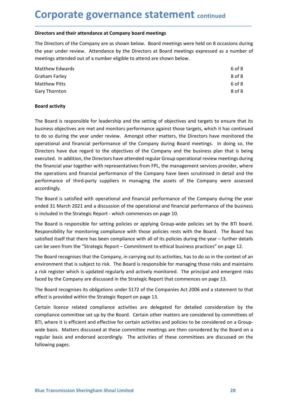**Corporate governance statement continued**<br>Directors and their attendance at Company board meetings<br>The Directors of the Company are as shown below. Board meetings were held on 8 occasions during<br>the vear under review. Att **Corporate governance statement** continued<br>Directors and their attendance at Company board meetings<br>The Directors of the Company are as shown below. Board meetings were held on 8 occasions during<br>the year under review. Att **Corporate governance statement** continued<br>
Directors and their attendance at Company board meetings<br>
The Directors of the Company are as shown below. Board meetings were held on 8 occasions during<br>
the year under review.

| <b>Corporate governance statement continued</b>                                                      |        |
|------------------------------------------------------------------------------------------------------|--------|
|                                                                                                      |        |
| Directors and their attendance at Company board meetings                                             |        |
| The Directors of the Company are as shown below. Board meetings were held on 8 occasions during      |        |
| the year under review. Attendance by the Directors at Board meetings expressed as a number of        |        |
| meetings attended out of a number eligible to attend are shown below.                                |        |
| <b>Matthew Edwards</b>                                                                               | 6 of 8 |
| <b>Graham Farley</b>                                                                                 | 8 of 8 |
| <b>Matthew Pitts</b>                                                                                 | 6 of 8 |
| Gary Thornton                                                                                        | 8 of 8 |
| <b>Board activity</b>                                                                                |        |
| The Board is responsible for leadership and the setting of objectives and targets to ensure that its |        |
| business objectives are met and monitors performance against those targets, which it has continued   |        |
|                                                                                                      |        |
| to do so during the year under review. Amongst other matters, the Directors have monitored the       |        |

**Corporate governance statement** continued<br>Directors and their attendance at company board meetings<br>The Directors of the Company are as shown below. Board meetings expressed as a number of<br>the eyen under review. Attendance **Corporate governance statement** continued<br>
Directors and their attendance at Company board meetings<br>
The Directors of the Company are as shown below. Board meetings were held on 8 occasions during<br>
the year under review. **COT POOT ATTE SOMETHATICE STATEMENTS** continued<br>
Directors and their attendance at Company board meetings<br>
The Directors of the Company are as shown below. Board meetings were held on 8 occasions during<br>
the year under re **Directors and their attendance at Company board meetings**<br>
The Directors of the Company are as shown below. Board meetings were held on 8 occasions during<br>
the year under review. Attendance by the Directors at Board meeti Directors and their attendance at Company board meetings<br>
The Directors of the Company are as shown below. Board meetings were held on 8 occasions during<br>
the year under review. Attendance by the Directors at Board meeting The Directors of the Company are as shown below. Board meetings were held on 8 occasions during<br>the year under review. Attendance by the Directors at Board meetings expressed as a number of<br>meetings attended out of a numbe The Directorial of the Company and the associal proference in the Company with the Byear under review. Attendance by the Directors at Board meetings expressed as a number of meetings attended out of a number eligible to at the pear unite version of the company of the company and the Company of the United Scribts Graham Farley<br>
Scribts Graham Farley<br>
Scribts Gary Thornton<br>
Scribts Gary Thornton<br>
Scribts Gary Thornton<br>
Scribts Gary Thornton<br>
S metalling such the Company and the setting of the Company of the Company of the Company of the Company Theories of the Saray Thornton<br>
Board activity<br>
The Board is responsible for leadership and the setting of objectives a accordingly. Unatmin armet<br>
Matthew Pitts<br>
66 8<br>
Board activity<br>
16 Board activity<br>
16 Board activity<br>
16 Board activity<br>
16 Board activity<br>
16 Board activity<br>
16 Board activity<br>
16 Board activity<br>
16 Board activity<br>
16 Board activity<br> meature ritter<br>
Gary Thornton<br>
Board activity<br>
The Board is responsible for leadership and the setting of objectives and targets to ensure that its<br>
business objectives are met and monitors performance against those target **Board activity**<br> **Included in the Soard is responsible for leadership and the setting of objectives and targets to ensure that its<br>
business objectives are met and monitors performance against those targets, which it has Board activity**<br>The Board is responsible for leadership and the setting of objectives and targets to ensure that its<br>business objectives are met and monitors performance against those targets, which it has continued<br>to do The Board is responsible for leadership and the setting of objectives and targets to ensure that its<br>business objectives are met and monitors performance against those targets, which it has continued<br>to do so during the ye The Board is responsible for leadership and the setting of objectives and targets to ensure that its bussiness objectives are met and monitors performance against those targets, which it has continued to do so during the y business objectives are met and monitors performance against those targets, which it has continued<br>to do so during the year under review. Amongst other matters, the Directors have monitored the<br>operational and financial pe to ao so during the year under rerew. Amongst other matters, the Directors have montored the Directors have due regard to the objectives of the Company during Board metrings. In doing so, the Directors have due regard to t operational and financial performance of the Company during Board mettings. In doing so, the Dietctors have due regard to the bigeitives of the Company and the business plan that is being executed. In addition, the Directo Directors have due regard to the objectives of the Company and the business plan that is being<br>executed. In addition, the Directors have attended regular Group operational review meetings during<br>the financial year together executed. In addition, the Directors have attended regular Group operational review meetings during<br>the financial year together with representatives from FPL, the management services provider, where<br>the operations and fina

the operations and financial performance of the Company have been scrutinised in detail and the<br>performance of third-party suppliers in managing the assets of the Company were assessed<br>accordingly.<br>The Board is satisfied w

a risk register which is updated regularly and actively monitored. The principal and emergent risks<br>faced by the Company are discussed in the Strategic Report that commences on page 13.<br>The Board recognises its obligations performance of third-party suppliers in managing the assets of the Company were assessed<br>accordingly.<br>The Board is satisfied with operational and financial performance of the Company during the year<br>ended 31 March 2021 and accordingly.<br>The Board is satisfied with operational and financial performance of the Company during the year<br>ended 31 March 2021 and a discussion of the operational and financial performance of the business<br>is included in The Board is satisfied with operational and financial performance of the Company during the year<br>ended 31 March 2021 and a discussion of the operational and financial performance of the business<br>is included in the Strategi ended 31 March 2021 and a discussion of the operational and financial performance of the business<br>is included in the Strategic Report - which commences on page 10.<br>The Board is responsible for setting policies or applying is included in the Strategic Report - which commences on page 10.<br>The Board is responsible for setting policies or applying Group-wide policies set by the BTI board.<br>Responsibility for monitoring compliance with those poli The Board is responsible for setting policies or applying Group-wide polices set by the BTI board.<br>Responsibility for monitoring compliance with those policies rests with the Board. The Board has<br>satisfied itself that ther The Board is responsible for setting policies or applying Group-wide policies set<br>Responsibility for monitoring compliance with those policies rests with the Boar<br>statisfied itself that there has been compliance with all o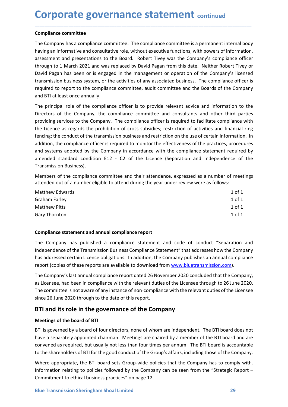**Corporate governance statement continued<br>
Compliance committee**<br>
The Company has a compliance committee. The compliance committee is a permanent internal body<br>
having an informative and consultative role, without executiv **Corporate governance statement continue**<br>
Compliance committee<br>
The Company has a compliance committee. The compliance committee is a permaner<br>
having an informative and consultative role, without executive functions, wit **Corporate governance statement** continued<br>
The Company has a compliance committee. The compliance committee is a permanent internal body<br>
having an informative and consultative role, without executive functions, with powe **Corporate governance statement** continued<br>The Company has a compliance committee. The compliance committee is a permanent internal body<br>having an informative and consultative role, without executive functions, with powers **Corporate governance statement** continued<br>The Company has a compliance committee. The compliance committee is a permanent internal body<br>having an informative and consultative role, without executive functions, with powers **Corporate governance statement** continued<br>The Company has a compliance committee. The compliance committee is a permanent internal body<br>having an informative and consultative role, without executive functions, with powers **Corporate governance statement** continued<br>The Company has a compliance committee. The compliance committee is a permanent internal body<br>having an informative and consultative role, without executive functions, with powers **Corporate governance statement** continued<br>The Company has a compliance committee. The compliance committee is a permanent internal body<br>having an informative and consultative role, without executive functions, with powers **Corporate governance statement** continued<br>The Company has a compliance committee. The compliance committee is a permanent internal body<br>having an informative and consultative role, without executive functions, with powers **Corporate governance statement continued**<br> **Compliance committee**<br>
The Company has a compliance committee. The compliance committee is a permanent interna<br>
having an informative and consultative role, without executive fu **Corporate governance statement** continued<br>The Compainne committee<br>The Compains a compliance committee. The compliance committee is a permanent internal body<br>having an informative and consultative role, without executive f **Corporate governance statement** continued<br>The Company has a compliance committee. The compliance committee is a permanent internal body<br>having an informative and consultative role, without reservity functions, with powers **Corporate governance statement** continued<br>The Company has a compliance committee. The compliance committee is a permanent internal body<br>The Company has a compliance committee. The Compliance committee is a permanent inter

\_\_\_\_\_\_\_\_\_\_\_\_\_\_\_\_\_\_\_\_\_\_\_\_\_\_\_\_\_\_\_\_\_\_\_\_\_\_\_\_\_\_\_\_\_\_\_\_\_\_\_\_\_\_\_\_\_\_\_\_\_\_\_\_\_\_\_\_\_\_\_\_\_\_\_\_\_\_\_\_\_\_\_\_\_\_\_\_\_\_

**Corporate governance statement** continued<br>
Tompliance committee<br>
The Company has a compliance committee. The compliance committee is a permanent internal body<br>
having an informative and consultative role, without executiv **COT POUT ALCE BOVETTIATILE SLATETTETTIC** continued<br>Tompliance committee<br>The Company has a compliance committee. The compliance committee is a permanent internal body<br>having an informative and consultative role, without ex **Compliance committee**<br>The Company has a compliance committee. The compliance committee is a permanent internal body<br>having an informative and consultative role, without executive functions, with powers of information,<br>ass **Compliance committee**<br>The Company has a compliance committee. The compliance committee is a permanent internal body<br>having an informative and consultative role, without executive functions, with powers of information,<br>ass The Company has a compliance committee. The compliance committee is a permanent internal body<br>having an informative and consultative role, without executive functions, with powers of information,<br>assessment and presentatio Incornanty was a compunione. The compinance of the comparative and pheometric is a permunal chand pheometric informative and presentations to the Board. Robert Tivey was the Company's complement and presentations to the Bo assessment and presentations to the Board. Robert Tivey was the Company's compliance officer<br>through to 1 March 2021 and was replaced by Dovid Pagan from this date. Neither Robert Tivey or<br>David Pagan has been or is engage through to 1 March 2021 and was replaced by David Pagan from this date. Neither Robert Tivey or<br>David Pagan has been or is engaged in the management or operation of the Company's licensed<br>ratms: Sissim, or the activities o David Pagan has been or is engaged in the management or operation of the Company's licensed<br>transmission business system, or the activities of any associated business. The compliance officer is<br>required to report to the co transmission business system, or the activities of any associated business. The compliance officer is<br>required to report to the compliance committee, audit committee and the Boards of the Company<br>and BT at least once annua required to report to the compliance committee, audit committee and the Boards of the Company<br>
and BTI at least once annually.<br>
The principal role of the compaliance officer is to provide relevant advice and information to and BTI at least once annually.<br>The principal role of the complilance officer is to provide relevant advice and information to the<br>Directors of the Company, the compliance committee and consultants and other third parties<br> Directors of the Company, the compliance committee and consultants and other third parties<br>providing services to the Company. The compliance officer is required to facilitiete compliance with<br>the Licence as regards the pro provinting services to the Company. The compliance onter is required to aculture compliance with the licence as regards the prohibition of cross subsidies; restriction of activities and financial ring<br>fencing; the conduct Ine Lettie as regards the promution of closs solutions, restriction on activities and information. In<br>
deficing, the conduct of the transmission business and restriction on the use of certain information. In<br>
addition, the ienting, in control to inclusion that an analysis and restriction on the execution matternation of the practices, procedures<br>and systems adopted by the Company in accordance with the empliance statement required by<br>amended

| addition, the compilance onicer is required to monitor the enectiveness or the practices, procedures<br>and systems adopted by the Company in accordance with the compliance statement required by<br>amended standard condition E12 - C2 of the Licence (Separation and Independence of the<br>Transmission Business).                                                                   |            |  |  |  |  |
|-------------------------------------------------------------------------------------------------------------------------------------------------------------------------------------------------------------------------------------------------------------------------------------------------------------------------------------------------------------------------------------------|------------|--|--|--|--|
| Members of the compliance committee and their attendance, expressed as a number of meetings<br>attended out of a number eligible to attend during the year under review were as follows:                                                                                                                                                                                                  |            |  |  |  |  |
| Matthew Edwards                                                                                                                                                                                                                                                                                                                                                                           | $1$ of $1$ |  |  |  |  |
| <b>Graham Farley</b>                                                                                                                                                                                                                                                                                                                                                                      | $1$ of $1$ |  |  |  |  |
| <b>Matthew Pitts</b>                                                                                                                                                                                                                                                                                                                                                                      | $1$ of $1$ |  |  |  |  |
| $1$ of $1$<br>Gary Thornton                                                                                                                                                                                                                                                                                                                                                               |            |  |  |  |  |
| Compliance statement and annual compliance report                                                                                                                                                                                                                                                                                                                                         |            |  |  |  |  |
| The Company has published a compliance statement and code of conduct "Separation and<br>Independence of the Transmission Business Compliance Statement" that addresses how the Company<br>has addressed certain Licence obligations. In addition, the Company publishes an annual compliance<br>report (copies of these reports are available to download from www.bluetransmission.com). |            |  |  |  |  |
| The Company's last annual compliance report dated 26 November 2020 concluded that the Company,<br>as Licensee, had been in compliance with the relevant duties of the Licensee through to 26 June 2020.<br>The committee is not aware of any instance of non-compliance with the relevant duties of the Licensee<br>since 26 June 2020 through to the date of this report.                |            |  |  |  |  |
| BTI and its role in the governance of the Company                                                                                                                                                                                                                                                                                                                                         |            |  |  |  |  |
| Meetings of the board of BTI                                                                                                                                                                                                                                                                                                                                                              |            |  |  |  |  |
| BTI is governed by a board of four directors, none of whom are independent. The BTI board does not                                                                                                                                                                                                                                                                                        |            |  |  |  |  |
| have a separately appointed chairman. Meetings are chaired by a member of the BTI board and are                                                                                                                                                                                                                                                                                           |            |  |  |  |  |
| convened as required, but usually not less than four times ner annum. The RTI hoard is accountable                                                                                                                                                                                                                                                                                        |            |  |  |  |  |

Gramar hartey<br>
1 of 1<br>
Matthew Pitts<br>
1 of 1<br>
Compliance statement and annual compliance report<br>
The Company has published a compliance statement and code of conduct "Separation ar<br>
Independence of the Transmission Busines

The Company's last annual compliance report dated 26 November 2020 concluded that the Company,<br>as Licensee, had been in compliance with the relevant duties of the Licensee through to 26 June 2020.<br>The committee is not awar meant and annual compliance report<br>
The Company has published a compliance report<br>
The Company has published a compliance statement and code of conduct "Separation and<br>
the company has addressed certain Licence obligations **Compliance statement and annual compliance report**<br>The Company has published a compliance statement and code of conduct "Separation and<br>Independence of the Transmission Business Compliance Statement" that addresses how th **Compliance statement and annual compliance report**<br>The Company has published a compliance statement" that addresses how the Company<br>Independence of the Transmission Business Compliance Statement" that addresses how the Co **Compliance statement and annual compliance report**<br>The Company has published a compliance statement and code of conduct "Separation and<br>Independence of the Transmission Business Compliance Statement" that addresses how th The Company has published a compliance statement and code of conduct "Separation and<br>independence of the Transmission Business Compliance Statement" that addresses how the Company<br>has addressed certain Licence obligations. Independence of the Transmission Business Compliance Statement" that addresses how the Company<br>The Company's last annual compliance in a diddition, the Company publishes an annual compliance<br>The Company's last annual compl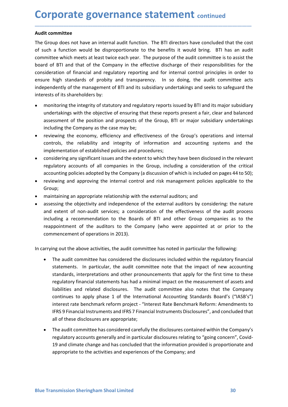**Corporate governance statement continued**<br>Audit committee<br>The Group does not have an internal audit function. The BTI directors have concluded that the cost<br>of such a function would be disproportionate to the benefits it **Corporate governance statement con-**<br>Audit committee<br>The Group does not have an internal audit function. The BTI directors have co<br>of such a function would be disproportionate to the benefits it would brin<br>committee which **Corporate governance statement continued**<br> **Audit committee**<br>
The Group does not have an internal audit function. The BTI directors have concluded that the cost<br>
of such a function would be disproportionate to the benefit **Corporate governance statement** continued<br>The Group does not have an internal audit function. The BTI directors have concluded that the cost<br>of such a function would be disproportionate to the benefits it would bring. BTI **Corporate governance statement** continued<br>The Group does not have an internal audit function. The BTI directors have concluded that the cost<br>of such a function would be disproportionate to the benefits it would bring. BTI **Corporate governance statement** continued<br>The Group does not have an internal audit function. The BTI directors have concluded that the cost<br>of such a function would be disproportionate to the benefits it would bring. BTI **Corporate governance statement** continued<br>
Audit committee<br>
The Group does not have an internal audit function. The BTI directors have concluded that the cost<br>
of such a function would be disproportionate to the benefits **Corporate governance statement continued**<br> **Audit committee**<br>
The Group does not have an internal audit function. The BTI directors have concluded that the cost<br>
of such a function would be disproportionate to the benefit **Corporate governance statement** continued<br>The Group does not have an internal audit function. The BTI directors have concluded that the cost<br>of such a function would be disproportionate to the benefits it would bring. BTI **Corporate governance statement** continued<br> **Audit committee**<br>
The Group does not have an internal audit function. The BTI directors have concluded that the cost<br>
of such a function would be disproportionate to the benefit **DIPOOTATE GOVET MATIGE STATEMENT** continued<br>
The intention would be disproportionate to the benefits it would bring. BTI<br>
uch a function would be disproportionate to the benefits it would bring. BTI has an audit<br>
unitiee **Drive of ensuring the and and thus the objective of ensuring the CO and Acceler Correlation (The OFT) and a function would be disproportionate to the benefits it would bring. BTI has an audit untite which meets at least t DIFORT CE SOVET THATIGE STATEMENT** continued<br>at committee<br>forcup does not have an internal audit function. The BTI directors have concluded that the cost<br>cuch a function would be disproportionate to the benefits it would **DIFIDENT SOVET TRANCE STATEMENT** continued<br>
it committee<br>
Group does not have an internal audit function. The BTI directors have concluded that the cost<br>
uch a function would be disproportionate to the benefits it would b **EXECTE INTERT CONSTRANCE STEAL CONTRANCE STEAL CONTRANCE CONTRANCE CONTRANCE CONTRANCE CONTRANCE CONTRANCE CONTRANCE CONTRANCE CONTRANCE CONTRANCE AND A sinual diversion and a sinual diversion of a function would be dispr** it committee<br>Group does not have an internal audit function. The BTI directors have concluded that the cost<br>cuch a function would be disproportionate to the benefits it would bring. BTI has an audit<br>mittee which meets at l it committee<br>
Group does not have an internal audit function. The BTI directors have concluded that the cost<br>
cuch a function would be disproportionate to the benefits it would bring. BTI has an audit<br>
unitiee which meets Group does not have an internal audit function. The BTI directors have concluded that the cost<br>uch a function would be disproportionate to the benefits it would bring. BTI has an audit<br>imitee which meets at least twice eac uch a function would be disproportionate to the benefits it would bring. BTI has an audit<br>mittee which meets at least twice each year. The purpose of the audit committee is to assist the<br>dof BTI and that of the Crompany in accounting the metallation of financial and equivalent and the external and the company in the effective discharge of the audit committee is to assist the do d BTI and that of the Company in the effective discharge of thei rd of BTI and that of the Company in the effective discharge of their responsibilities for the dideration of financial and regulatory reporting and for internal control principles in order to independently of the managemen

\_\_\_\_\_\_\_\_\_\_\_\_\_\_\_\_\_\_\_\_\_\_\_\_\_\_\_\_\_\_\_\_\_\_\_\_\_\_\_\_\_\_\_\_\_\_\_\_\_\_\_\_\_\_\_\_\_\_\_\_\_\_\_\_\_\_\_\_\_\_\_\_\_\_\_\_\_\_\_\_\_\_\_\_\_\_\_\_\_\_

- 
- 
- 
- Group;
- 
- ure high standards of probity and transparency. In so doing, the audit committee acts<br>pendently of the management of BTI and its subsidiary undertakings and seeks to safeguard the<br>rests of its shareholders by:<br>mometrizing pendently of the management of BTI and its subsidiary undertakings and seeks to safeguard the<br>rests of its shareholders by:<br>monotroring the integrity of statutory and regulatory reports issued by BTI and its major subsidia rests of its shareholders by:<br>
monitoring the integrity of statutory and regulatory reports issued by BTI and its major subsidiary<br>
undertakings with the objective of ensuring that these reports present a fair, clear and b monitoring the integrity of statutory and regulatory reports issued by BTI and its major subsidiary<br>undertakings with the objective of ensuring that these reports present a fair, clear and balanced<br>assessment of the positi monitoring the integrity or statutory and regulatory reports is sued by Bi land tos maples undertakings with the objective of ensuring that these reports present a fair, clear and balanced<br>assessment of the position and pr undertakings with the objective or ensuing that these reports present a fair, clear and balanced<br>assessment of the position and prospects of the Group, BTI or major subsidiary undertakings<br>including the Company as the case In currying out the elaborative activities, the audit committee has noted in particular statements of the megulatory final incredible policies and procedures;<br>
• reviewing the reliability and integrity of information and a

- standards, interpretations and other pronouncements that apply for the first time to these<br>regulatory financial statements has had a minimal impact on the measurement of assets and<br>liabilities and related disclosures. The Irols, the reliability and integrity of information and accounting systems and the<br>
elementation of established policies and procedures;<br>
didering any significant issues and the extent to which they have been disclosed in iementation of established policies and procedures;<br>isdering any significant issues and the extent to which they have been disclosed in the relevant<br>alatory accounts of all companies in the Group, including a consideration sidering any significant issues and the extent to which they have been disclosed in the relevant<br>alatory accounts of all companies in the Group, including a consideration of the critical<br>ounting policies adopted by the Com ilatory accounts of all companies in the Group, including a consideration of the critical<br>untring policies adopted by the Company (a discussion of which is included on pages 44 to 50);<br>ewing and approving the internal cont I is increased to the Company (a discussion of which is included on pages 44 to 50); ewing and approving the internal control and risk management policies applicable to the company (a discussion of which is included on pa wwing and approving the internation and risk management policies applicable to the upp;<br>using and approving the internal control and risk management policies applicable to the<br>sing the objectivity and independence of the e intrianting an approving the therest reform the benchmark reform provided parameters of the external and the external and interest restains the observed extern of the external and interest and the external and the extern e From an appropriate relationship with the external auditors; and<br>sting the objectivity and independence of the external auditors by considering: the nature<br>extent of non-audit revices; a consideration of the effectiveness Examing in exploritual contentions and intertion contentions by considering; the nature<br>extent of non-audit services; a consideration of the effectiveness of the audit process<br>ding a recommendation to the Boards of BTI and extent of non-audit services; a consideration of the effectiveness of the audit process<br>uding a recommendation to the Boards of BTI and other Group companies as to the<br>popintment of the auditors to the Company (who were ap ding a recommendation to the Boards of BTI and other Group companies as to the popintment of the auditors to the Company (who were appointed at or prior to the mencement of operations in 2013).<br>
Ing out the above activitie pointment of the auditors to the Company (who were appointed at or prior to the mencement of operations in 2013).<br>
Ing out the above activities, the audit committee has noted in particular the following:<br>
The audit committ mencement of operations in 2013).<br>
Ing out the above activities, the audit committee has noted in particular the following:<br>
The audit committee has considered the disclosures included within the regulatory financial<br>
stat
	-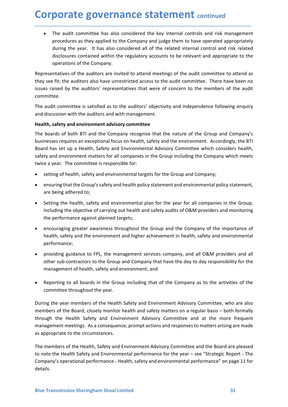**Corporate governance statement continued**<br>• The audit committee has also considered the key internal controls and risk management<br>procedures as they applied to the Company and judge them to have operated appropriately<br>dur porate governance statement continued<br>The audit committee has also considered the key internal controls and risk management<br>procedures as they applied to the Company and judge them to have operated appropriately<br>during the porate governance statement continued<br>The audit committee has also considered the key internal controls and risk management<br>procedures as they applied to the Company and judge them to have operated appropriately<br>during the **porate governance statement** continued<br>The audit committee has also considered the key internal controls and risk management<br>procedures as they applied to the Company and judge them to have operated appropriately<br>during t **porate governance statement** continued<br>The audit committee has also considered the key internal controls and risk management<br>procedures as they applied to the Company and judge them to have operated appropriately<br>during t **porate governance statement continued**<br>The audit committee has also considered the key internal controls and risk manageme<br>procedures as they applied to the Company and judge them to have operated appropriate<br>during the y **Corporate governance statement** continued<br>
• The audit committee has also considered the key internal controls and risk management<br>
procedures as they applied to the Company and judge them to have operated appropriately<br> **Corporate governance statement** continued<br>
• The audit committee has also considered the key internal controls and risk management<br>
procedures as they applied to the Company and judge them to have operated appropriately<br> **Corporate governance statement** continued<br>
• The audit committee has also considered the key internal controls and risk management<br>
procedures as they applied to the Company and judge them to have operated appropriately<br> **Corporate governance statement** continued<br>
• The audit committee has also considered the key internal controls and risk management<br>
procedures as they applied to the Company and judge them to have operated appropriately<br> **Corporate governance statement** continued<br>
• The audit committee has also considered the key internal controls and risk management<br>
procedures as they applied to the Company and judge them to have operated appropriately<br> **Corporate governance statement** continued<br>
• The audit committee has also considered the key internal controls and risk management<br>
procedures as they applied to the Company and judge them to have operated appropriately<br>

\_\_\_\_\_\_\_\_\_\_\_\_\_\_\_\_\_\_\_\_\_\_\_\_\_\_\_\_\_\_\_\_\_\_\_\_\_\_\_\_\_\_\_\_\_\_\_\_\_\_\_\_\_\_\_\_\_\_\_\_\_\_\_\_\_\_\_\_\_\_\_\_\_\_\_\_\_\_\_\_\_\_\_\_\_\_\_\_\_\_

committee.

**COPY COT ALTE SOVET TRANCE STATEMENT** continued<br>
• The audit committee has also considered the key internal controls and risk management<br>
procedures as they applied to the Company and judge them to have operated appropria The audit committee has also considered the key internal controls and risk management<br>procedures as they applied to the Company and judge them to have operated appropriately<br>during the year. It has also considered all of t • The audit committee has also considered the key internal controls and risk management<br>procedures as they applied to the Company and judge them to have operated appropriately<br>during the year. It has also considered all of Free taster contributed to the Company and judge them to have operated appropriately<br>procedures as they applied to the Company and judge them to have operated appropriately<br>during the year. It has also considered all of th procedure of sometime of the compary and protect of the related internal control and risk related<br>diring the year. It has also considered all of the related internal control and risk related<br>disclosures contained within th disclosures contained within the regulatory accounts to be relevant and appropriate to the<br>operations of the company.<br>Setting to a denotions are invited to attend meetings of the audit committee to attend as<br>see fit; the a operations or the company.<br>
seensitives of the auditions are invited to attend meetings of the audit committee. There have been no<br>
seense this the auditors' are neurestricted access to the audit committee. There have been resentatives of the auditors are invited to attend meetings of the audit committee to atter<br>see fit; the auditors also have unrestricted access to the audit committee. There have been<br>servated by the auditors' representati Set in, the auditors are interesting of the and columninties. There have been into the set in the members of the audit ormittee.<br>Set raised by the auditors' representatives that were of concern to the members of the audit<br> is raised by the adultors representatives sthat were of concern to the internets of the adult<br>addit committee is satisfied as to the auditors' objectivity and independence following enquiry<br>discussion with the auditors and mutee.<br>
ematter committee is satisfied as to the auditors' objectivity and independence following enquiry<br>
discussion with the auditors and with management.<br>
th, safety and environment advisory committee<br>
boards of both BT abut Communitere is sacistated on the authors objectively and intepertince following enquiry<br>discussion with the auditors and with management.<br>
Ith, safety and environment advisory committee<br>
boards of both BTI and the Com uscussion wut the authors and with management.<br>
thttp, safety and environment advisory committee<br>
boards of both BTI and the Company recognise that the nature of the Group and Company's<br>
nesses requires an exceptional focu boards of both BTI and the Company recognise that the nature of the Group and Company<br>enesses requires an exceptional focus on health, safety and the unvironment. Accordingly, the BTI<br>of has set up a Health, Safety and Env neses requires an exceptional focus on health, safety and the environment. Accordingly, the BTI<br>th das set up a Health, Safety and Environmental Advisory Committee which considers health,<br>ty and environment matters for all

- 
- 
- rd has set up a Health, safety and Environmential Advisory Committee which considers health, and environment matters for all compositions in the Group including the Company which meets e a year. The committee is responsibl e a year. The committee is responsible for:<br>
setting of health, safety and environmental targets for the Group and Company;<br>
ensuring that the Group's safety and health policy statement and environmental policy statement,<br>
- performance;
- 
- 

management or nealith, salety and environment; and<br>
• Reporting to all boards in the Group including that of the Company as to the activities of the<br>
committee throughout the year.<br>
During the year members of the Health Sa setting of health, safety and environmental targets for the Group and Company;<br>ensuring that the Group's safety and health policy statement and environmental policy statement,<br>are being adhered to;<br>Setting the health, safe • ensuring that the Group's safety and health policy statement and environmental policy statement,<br>
• Setting the health, safety and environmental plan for the year for all companies in the Group,<br>
including the belpettive are being adhered to:<br>
• Setting the health, safety and environmental plan for the year for all companies in the Group,<br>
including the objective of carrying out health and safety audits of O&M providers and monitoring<br>
the • Setting the health, safety and environmental plan for the year for all companies in the Group,<br>
including the objective of carrying out health and safety audits of O&M providers and monitoring<br>
the performance against including the bleat to carrying out health and safety audits of O&M providers and monitoring<br>the performance against planned targets;<br>
• encouraging greater awareness throughout the Group and the Company of the importance incouraging credit of the Hendith Safety and Environment Advisory Committee and the Berformance against planned targets;<br>
• encouraging greater awareness throughout the Group and the Company of the importanelith, safety an • encouraging greater awareness throughout the Group and the Company of the importance of<br>health, safety and the environment and higher achievement in health, safety and environmental<br>enformance;<br>• providing guidance to F health, safety and the environment and higher achievement in health, safety and environmental<br>
performance;<br>
• providing guidance to FPL, the management services company, and all O&M providers and all<br>
other sub-contractor performance;<br>
• providing guidance to FPL, the management services company, and all O&M providers and all<br>
other sub-contractors to the Group and Company that have the day to day responsibility for the<br>
management of healt

details.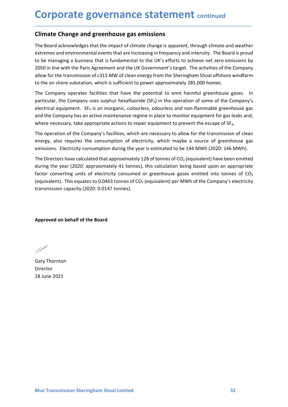# **Corporate governance statement continued<br>
Climate Change and greenhouse gas emissions**<br>
The Board acknowledges that the impact of climate change is apparent, through climate and weather<br>
actrographs on the second on the s

**Corporate governance statement** continued<br>
Climate Change and greenhouse gas emissions<br>
The Board acknowledges that the impact of climate change is apparent, through climate and weather<br>
extremes and environmental events **Corporate governance statement** continued<br>
Climate Change and greenhouse gas emissions<br>
The Board acknowledges that the impact of climate change is apparent, through climate and weather<br>
extremes and environmental events **Corporate governance statement** continued<br>
The Board acknowledges that the impact of climate change is apparent, through climate and weather<br>
extremes and environmental events that are increasing in frequency and intensit **Corporate governance statement** continued<br>
The Board acknowledges that the impact of climate change is apparent, through climate and weather<br>
extremes and environmental events that are increasing in frequency and intensit **Corporate governance statement** continued<br> **Climate Change and greenhouse gas emissions**<br>
The Board acknowledges that the impact of climate change is apparent, through climate and weather<br>
extremes and environmental event **Corporate governance statement** continued<br>The Board acknowledges that the impact of climate change is apparent, through climate and weather<br>extremes and environmental events that are increasing in frequency and intensity. **Corporate governance statement** continued<br>
Climate Change and greenhouse gas emissions<br>
The Board acknowledges that the impact of climate change is apparent, through climate and weather<br>
extremes and environmental events **Corporate governance statement** continued<br>
Climate Change and greenhouse gas emissions<br>
The Board acknowledges that the impact of climate change is apparent, through climate and weather<br>
extremes and environmental events **Corporate governance statement** continued<br> **Climate Change and greenhouse gas emissions**<br>
The Board acknowledges that the impact of climate change is apparent, through climate and weather<br>
extremes and environmental event **Corporate governance statement** continued<br> **Climate Change and greenhouse gas emissions**<br>
The Board acknowledges that the impact of climate change is apparent, through climate and weather<br>
extremes and environmental event **Corporate governance statement** continued<br> **Climate Change and greenhouse gas emissions**<br>
The Board acknowledges that the impact of climate change is apparent, through climate and weather<br>
extremes and environmental event **COPPOTATE gOVET MANCE STATEM EMT** continued<br>The Board acknowledges that the impact of climate change is apparent, through climate and weather<br>textremes and environmental events that are increasing in frequency and intensi **Climate Change and greenhouse gas emissions**<br>The Board acknowledges that the impact of climate change is apparent, through climate and weather<br>extremes and environmental events that are increasing in frequency and intensi **Climate Change and greenhouse gas emissions**<br>The Board acknowledges that the impact of climate change is apparent, through climate and weather<br>extremes and environmental events that are increasing in frequency and intensi The Board acknowledges that the impact of climate change is apparent, through climate and weather<br>extremes and environmental events that are increasing in frequency and intensity. The Board is proud<br>to be managing a busine The Board acknowledges that the impact of climiate change is apparent, through climate and weather the soard is proud<br>to be managing a business that is fundamental to the UK's efforts to achieve net zero emissions by<br>2050

\_\_\_\_\_\_\_\_\_\_\_\_\_\_\_\_\_\_\_\_\_\_\_\_\_\_\_\_\_\_\_\_\_\_\_\_\_\_\_\_\_\_\_\_\_\_\_\_\_\_\_\_\_\_\_\_\_\_\_\_\_\_\_\_\_\_\_\_\_\_\_\_\_\_\_\_\_\_\_\_\_\_\_\_\_\_\_\_\_\_

externes and environmental events that are increasing in frequency and intensity. The Board is provided to be managing a business that is fundamental to the UK's efforts to achieve net zero emissions by 2050 in line with t to be managing a business that is fundamental to the UK's efforts to achieve net zero emissions by a 2050 in line with the Paris Agreement and the UK Government's target. The activities of the Company allow for the transmi 2050 in line with the Paras Agreement and the US Governments target. The activities of the Company<br>allow for the transmission of c315 MW of clean energy from the Sheringham Shoal offshore windfarm<br>to the on shore substati

particular, the Company uses sulphur hexafluoride (SF<sub>6</sub>) in the operation of some of the Company's<br>electrical equipment. SF<sub>6</sub> is an inorganic, colourless, odourless and non-flammable greenhouse gas<br>and the Company has an energy, also requires the consumption of electricity, which maybe a sour-<br>emissions. Electricity consumption during the year is estimated to be 144 MW<br>The Directors have calculated that approximately 128 of tonnes of CO<sub>2</sub> The Directors have calculated that approximately 128 of tonnes of CO<sub>2</sub> (equivalent)<br>during the year (2020: approximately 41 tonnes), this calculation being based u<br>factor converting units of electricity consumed or greenh

Director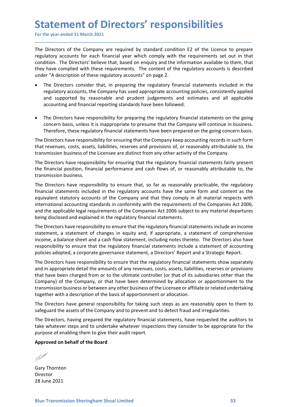Statement of Directors' responsibilities<br>
For the year ended 31 March 2021<br>
The Directors of the Company are required by standard condition E2 of the Licence to prepare<br>
regulatory accounts for each financial year which co **Statement of Directors' responsibilities**<br>For the year ended 31 March 2021<br>The Directors of the Company are required by standard condition E2 of the Licence to prepare<br>regulatory accounts for each financial year which com **Statement of Directors' responsibilities**<br>For the year ended 31 March 2021<br>The Directors of the Company are required by standard condition E2 of the Licence to prepare<br>regulatory accounts for each financial year which com **Statement of Directors' responsibilities**<br>For the year ended 31 March 2021<br>The Directors of the Company are required by standard condition E2 of the Licence to prepare<br>regulatory accounts for each financial year which co **Statement of Directors' responsibilities**<br>For the year ended 31 March 2021<br>The Directors of the Company are required by standard condition E2 of the Licence to prepare<br>regulatory accounts for each financial year which co **Statement of Directors' responsibilities**<br>
For the year ended 31 March 2021<br>
The Directors of the Company are required by standard condition E2 of the Licence to prepare<br>
regulatory accounts for each financial year which **Statement of Directors' responsibilities**<br>For the year ended 31 March 2021<br>The Directors of the Company are required by standard condition E2 of the Licence to prepare<br>regulatory accounts for each financial year which com **The Directors' responsibilities**<br>Directors of the Company are required by standard condition E2 of the Licence to prepare<br>Directors of the Company are required by standard condition E2 of the Licence to prepare<br>Diatory ac **Example 18 The Company are required by standard condition** E2 of the Licence to prepare Directors of the Company are required by standard condition E2 of the Licence to prepare actions. The Directors' believe that, based **Example 18 And Sumple and Sumple and Sumple and Sumple and Sumple and Sumple and Sumple and Sumple and Sumple and Directors of the Company are required by standard condition E2 of the Licence to prepare latatory accounts Example 18 The Compary of Compary and School School School School School School School School School School School School School School School School School School School School School School School School School School S The COVERT THE COVERT CONDIST CONDIST (THE COVERT THE REFERENT THE REFERENT CONDUCTS OF THE DEFERENT CONDIT CONDITION THE Directors for each financial year which comply with the requirements set out in that dition. The Di COMPROM CONTROM CONTS TO ADMOM CONTS TO ADMOM CONTROM CONTROM CONTROM CONTROM CONTROM DETO TO THE Directors' believe that, based on enquiry and the information available to them, that allaton; accounts for each financial Example 18 The COVIC TREST CONTS**<br>
Interestors of the Company are required by standard condition E2 of the Licence to prepare<br>
Directors of the Company are required by standard condition E2 of the Licence to prepare<br>
lato **Statement of Directors' responsibilities**<br>
The Directors of the Company are required by standard condition E2 of the Licence to prepare<br>
regulatory accounts for each financial year which comply with the requirements set o **CHEMENT CONS TESPOTISIDITITES**<br>The Directors of the Company are required by standard condition E2 of the Licence to prepare<br>regulatory accounts for each financial year which comply with the requirements set out in that<br>co For the year ended 31 March 2021<br>
The Directors of the Company are required by standard condition E2 of the Licence to prepare<br>
regulatory accounts for each financial year which comply with the requirements set out in that The Directors of the Company are required by standard condition E2 of the Licence to prepare<br>
regulatory accounts for each financial year which comply with the requirements set out in that<br>
condition. The Directors' believ The Directors of the Company are required by standard condition: E2 of the Liecnes to prepare<br>treguitatory accounts for each financial year which comply with the requirements set out in that<br>condition. The Directors' belie

\_\_\_\_\_\_\_\_\_\_\_\_\_\_\_\_\_\_\_\_\_\_\_\_\_\_\_\_\_\_\_\_\_\_\_\_\_\_\_\_\_\_\_\_\_\_\_\_\_\_\_\_\_\_\_\_\_\_\_\_\_\_\_\_\_\_\_\_\_\_\_\_\_\_\_\_\_\_\_\_\_\_\_\_\_\_\_\_\_\_

- 
- 

regulatory accounts for each financial year which comply with the requirements sondition. The Directors' believe that, based on enquiry and the information available<br>they have complied with these requirements. The content Exponsive The Directors have responsibility for ensuring what mindimetricable to ensure the product and the regulatory accounts is described under "A description of these regulatory accounts" on page 2.<br>
• The Directors co Financial statements included in the regulatory financial statements included in the regulatory of exerge the regulatory financial statements included in the regulatory accounts; the Company has used appropriate accounting extransive in the Company and the Company and the Company and the Company and type of the Company that in equilatory financial statements included in the regulatory accounts, the Company has used appropriate accounting pol • The Directors consider that, in peparing the regulatory financial statements included in the Company has used appropriate accounting policies, consistently applied<br>and supported by reasonable and prudent judgements and e regulatory accounts, the Company has used a ppropriate accounting policies, consistently applied<br>and supported by reasonable and prudent judgements and estimates and all applicable<br>accounting and financial reporting standa and supported by reasonable and prudent judgements and estimates and all applicable<br>
accounting and financial reporting standards have been followed.<br>
The Directors have responsibility for preparing the regulatory financia **•** The Directors have responsibility for preparing the regulatory financial statements on the going<br>
The Directors have responsibility for preparing the regulatory financial statements on the going<br>
concern basis, unless • The Directors have responsibility for preparing the regulatory financial statements on the going<br>concern basis, unless it is inappropriate to presume that the Company will continue in business.<br>The Directors have respons Final contents in the explosion of the parameter is the expansion of the parameter and a content basis. Therefore, these regulatory financial statements have been prepared on the going concern basis. Therefore, these regul Concern usass it is mappy united to unsure that the company win continue in the simple of the regulatory financial statements have been prepared on the going concern basis.<br>The Directors have responsibility for ensuring th interiorie, these regulatory infinited statement is rake been prepared on the gong concurs.<br>The Directors have responsibility for ensuring that the Company keep accoouting records for ome<br>that revenues, costs, assets, liab

The Directors have responsibility of ensuring untact the Company weep accoluning records in to the transmission business of the Licensee are distinct from any other activity of the Company.<br>
The Directors have responsibili Into the Directors have responsibility for ensuring in an eventual of the company.<br>
In an eventual position, financial performance and cash flows of, or reasonably attributable to, the<br>
framomision business.<br>
The Directors transmission to united methods and the charged from or to the charged and the state and the state and the state and the state and the state and the financial statements fairly present the financial position, financial perf The Directors have responsibility for ensuring that the regulatory financial statements fairly present<br>the financial position, financial performance and cash flows of, or reasonably attributable to, the<br>transmission busine the financial position, financial performance and cash flows of, or reasonably attributable to, the Transmission business.<br>The Directors have responsibility to ensure that, so far as reasonably practicable, the regulatory<br> transmission business.<br>The Directors have responsibility to ensure that, so far as reasonably practicable, the regulatory<br>financial statements included in the regulatory accounts have the same form and content as the<br>equiv The Directors have responsibility to ensure that, so far as reasonably practicable, the regulatory commissions have the same form and content as the equivalent statutory accounts of the Company and that they comply in all financial statements included in the regulatory accounts have the same form and content as the squivalent statutory accounts of the Company and that they comply in all material respects with international accounting standa equence is activaly activalis on the Compary and using the requirements of the Companies Act 2006, and the applicable legal requirements of the Companies Act 2006, being disclosed and explained in the requirements of the C mentational accounting standards in turning with the requirements of the Companies Art 2006 subject to any material departures<br>being disclosed and explained in the regulatory financial statements. Our or more of the compan and the approace regar equivalent to the comparison of the constructions under the approximate the purpose of enable of enable of enable of enable of the purpose of the purpose of the purpose income, a statement of changes The Directors have responsibility to ensure that the regulatory financial statements include an incomestatement, a statement of changes in equity and, if appropriate, a statement of comprehensive income, a balance sheet an responsibility to ensure that the regulatory infinition statements intuous a step specifies adopted, a corporate governance statement, a Directors' Report and a The Directors have responsibility to ensure that the regulato The Directors have responsibility to ensure that the regulatory financial statemet and in appropriate detail the amounts of any revenues, costs, assets, liabilities, rest in that have been charged from or to the ultimate c

Company) of the Company, or that have been determined by allocation or apportionment to the transmission business or between any other business of the Licensee or affiliate or related undertaking together with a descriptio

Director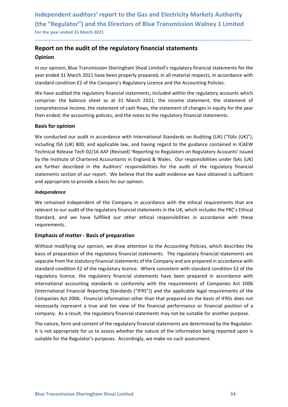## Independent auditors' report to the Gas and Electricity Markets Authority<br>(the "Regulator") and the Directors of Blue Transmission Walney 1 Limited<br>For the year ended 31 March 2021<br>Report on the audit of the regulatory fin Independent auditors' report to the Gas and Electricity Markets Authority<br>(the "Regulator") and the Directors of Blue Transmission Walney 1 Limited<br>For the year ended 31 March 2021<br>Report on the audit of the regulatory fin Independent auditors' report to the Gas and Electricity Markets Authority<br>
(the "Regulator") and the Directors of Blue Transmission Walney 1 Limited<br>
For the year ended 31 March 2021<br> **Report on the audit of the regulatory** Independent auditors' report to the Gas and Electricity Markets Authority<br>
(the "Regulator") and the Directors of Blue Transmission Walney 1 Limited<br>
For the year ended 31 March 2021<br> **Report on the audit of the regulatory** Independent auditors' report to the Gas and Electricity Markets Authority<br>
(the "Regulator") and the Directors of Blue Transmission Walney 1 Limited<br>
For the year ended 31 March 2021<br> **Report on the audit of the regulatory** Independent auditors' report to the Gas and Electricity Markets Authority<br>
(the "Regulator") and the Directors of Blue Transmission Walney 1 Limited<br>
For the year ended 31 March 2021<br> **Report on the audit of the regulatory**

## Opinion

\_\_\_\_\_\_\_\_\_\_\_\_\_\_\_\_\_\_\_\_\_\_\_\_\_\_\_\_\_\_\_\_\_\_\_\_\_\_\_\_\_\_\_\_\_\_\_\_\_\_\_\_\_\_\_\_\_\_\_\_\_\_\_\_\_\_\_\_\_\_\_\_\_\_\_\_\_\_\_\_\_\_\_\_\_\_\_\_\_\_

Independent auditors' report to the Gas and Electricity Markets Authority<br>
(the "Regulator") and the Directors of Blue Transmission Walney 1 Limited<br>
For the year ended 31 March 2021<br> **Report on the audit of the regulatory** Independent auditors' report to the Gas and Electricity Markets Authority<br>
(the "Regulator") and the Directors of Blue Transmission Walney 1 Limited<br>
For the year ended 31 March 2021<br> **Report on the audit of the regulatory** Independent auditors' report to the Gas and Electricity Markets Authority<br>
(the "Regulator") and the Directors of Blue Transmission Walney 1 Limited<br>
For the year ended 31 March 2021<br> **Report on the audit of the regulatory** Independent auditors' report to the Gas and Electricity Markets Authority<br>
(the "Regulator") and the Directors of Blue Transmission Walney 1 Limited<br>
For the year ended 31 March 2021<br> **Report on the audit of the regulatory** Independent auditors' report to the Gas and Electricity Markets Authority<br>
(the "Regulator") and the Directors of Blue Transmission Walney 1 Limited<br>
For the year ended 31 March 2021<br> **Report on the audit of the regulatory** 

Independent auditors' report to the Gas and Electricity Markets<br>
(the "Regulator") and the Directors of Blue Transmission Walney<br>
For the year ended 31 March 2021<br> **Report on the audit of the regulatory financial statement** If the "Regulator") and the Directors of Blue Transmission Walney 1 Limited<br>
f(the "Regulator") and the Directors of Blue Transmission Walney 1 Limited<br>
For the year ended 31 March 2021<br> **Report on the audit of the regulat** (the "Regulator") and the Directors of Blue Transmission Walney 1 Limited<br>For the vear ended 31 March 2021<br>**Report on the audit of the regulatory financial statements**<br>**Opinion**<br>In our opinion, Blue Transmission Sheringham For the year ended 31 March 2021<br> **Report on the audit of the regulatory financial statements**<br>
Opinion<br>
In our opinion, Blue Transmission Sheringham Shoal Limited's regulatory financial statements for the<br>
year ended 31 M **Report on the audit of the regulatory financial statements**<br> **Opinion**<br>
In our opinion, Blue Transmission Sheringham Shoal Limited's regulatory financial statements for the<br>
year ended 31 March 2021 have been properly pre **Report on the audit of the regulatory financial statements**<br> **Opinion**<br>
In our opinion, Blue Transmission Sheringham Shoal Limited's regulatory financial statements for the<br>
Ine over ended 31 March 2021 have been properly **Opinion**<br>
In our opinion, Blue Transmission Sheringham Shoal Limited's regulatory financial statements for the<br>
tyear ended 31 March 2021 have been properly prepared, in all material respects, in accordance with<br>
standard In our opinion, Blue Transmission Sheringham Shoal Limited's regulatory financial statements for the<br>year ended 31 March 2021 have been properly prepared, in all material respects, in accordance with<br>standard condition E2 standard condition E2 of the Company's Regulatory Licence and the Accounting Policies.<br>We have audited the regulatory financial statements, included within the regulatory accounts which<br>comprise: the balance sheet as at 31 We have audited the regulatory financial statements, included within the regulatory accounts which<br>comprise: the balance sheet as at 31 March 2021; the income statement, the statement of<br>comprehensive income, the statement comprise: the balance sheet as at 31 March 2021; the income statement, the statement of comprehensive income, the statement of cash flows, the statement of changes in equity for the year<br>then ended; the accounting policies then ended; the accounting policies; and the notes to the regulatory financial statements.<br>**Basis for opinion**<br>We conducted our audit in accordance with International Standards on Auditing (UK) ("ISAs (UK)"),<br>including ISA **Basis for opinion**<br>We conducted our audit in accordance with International Standards on Auditing (UK) ("ISAs (UK)"),<br>including ISA (UK) 800, and applicable law, and having regard to the guidance contained in ICAEW<br>Technic We conducted our audit in accordance with International Standards on Auditing (UK) ("ISAs (UK)"),<br>including ISA (UK) 800, and applicable law, and having regard to the guidance contained in ICAEW<br>Technical Release Tech 02/1

## Independence

requirements.

regulatory licence, the regulatory financial statements have been prepared in accordance with<br>international accounting standards in conformity with the requirements of Companies Act 2006<br>(International Financial Reporting including ISA (UK) 800, and applicable law, and having regard to the guidance contained in ICAEW<br>Technical Release Tech 02/16 AAF (Revised) 'Reporting to Regulators on Regulatory Accounts' issued<br>by the Institute of Charte Technical Release Tech 02/16 AAF (Revised) 'Reporting to Regulators on Regulatory Accounts' issued<br>by the Institute of Chartered Accountants in England & Wales. Our responsibilities under ISAs (UK)<br>are further described in by the Institute of Chartered Accountants in England & Wales. Our responsibilities under ISAs (UK)<br>are further described in the Auditors' responsibilities for the audit of the regulatory financial<br>statements section of our are further described in the Auditors' responsibilities for the audit of the regulatory financial statements section of our report. We believe that the audit evidence we have obtained is sufficient and appropriate to provi statements section of our report. We believe that the audit evidence we have obtained is sufficient<br>and appropriate to provide a basis for our opinion.<br>We remained independent of the Company in accordance with the ethical and appropriate to provide a basis for our opinion.<br>
Independence<br>
We remained independent of the company in accordance with the ethical requirements that are<br>
relevant to our audit of the regulatory financial statements i **Independence**<br>We remained independent of the Company in accordance with the ethical requirements that are<br>relevant to our audit of the regulatory financial statements in the UK, which includes the FRC's Ethical<br>Standard, **We remained independent of the Company in accordance with the thical requirements that are Welveranito our audit of the regulatory financial statements in the UK, which includes the FRC's Ethical Standard, and we have ful** We remainted innegendent or the Company in a accoroance with the etincal requirements that are<br>trelevant to our audit of the regulatory financial statements in the UK, which includes the FRC's Ethical<br>Standard, and we have relevant to our autor the regulatory innancial statements in the UK, which includes the FRC s Etnical Standard, and we have fulfilled our other ethical responsibilities in accordance with these requirements.<br> **Emphasis of** standard, and we have fulfilled our other ethical responsibilities in accordance with these<br>requirements.<br>**Emphasis of matter - Basis of preparation**<br>Without modifying our opinion, we draw attention to the Accounting Polic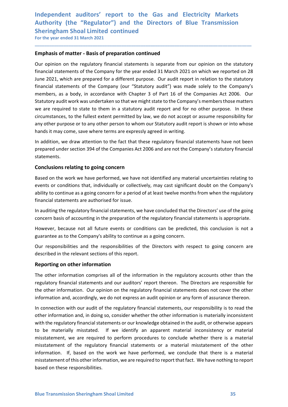## Independent auditors' report to the Gas and Electricity Markets<br>Authority (the "Regulator") and the Directors of Blue Transmission<br>Sheringham Shoal Limited continued<br>For the year ended 31 March 2021 Independent auditors' report to the Gas and Electricity Markets<br>Authority (the "Regulator") and the Directors of Blue Transmission<br>Sheringham Shoal Limited continued<br>For the year ended 31 March 2021<br>Emphasis of matter - Ba Independent auditors' report to the Gas and Electricity Markets<br>Authority (the "Regulator") and the Directors of Blue Transmission<br>Sheringham Shoal Limited continued<br>For the year ended 31 March 2021<br>**Emphasis of matter - B** Independent auditors' report to the Gas and Electricity Markets<br>
Authority (the "Regulator") and the Directors of Blue Transmission<br>
Sheringham Shoal Limited continued<br>
For the year ended 31 March 2021<br> **Emphasis of matter**

Independent auditors' report to the Gas and Electricity Markets<br>Authority (the "Regulator") and the Directors of Blue Transmission<br>Sheringham Shoal Limited continued<br>For the year ended 31 March 2021<br>**Emphasis of matter - B** Independent auditors' report to the Gas and Electricity Markets<br>Authority (the "Regulator") and the Directors of Blue Transmission<br>Sheringham Shoal Limited continued<br>For the year ended 31 March 2021<br>**Emphasis of matter - B** Independent auditors' report to the Gas and Electricity Markets<br>Authority (the "Regulator") and the Directors of Blue Transmission<br>Sheringham Shoal Limited continued<br>For the year ended 31 March 2021<br>**Emphasis of matter - B** Independent auditors' report to the Gas and Electricity Markets<br>Authority (the "Regulator") and the Directors of Blue Transmission<br>Sheringham Shoal Limited continued<br>For the year ended 31 March 2021<br>**Emphasis of matter - B** Independent auditors' report to the Gas and Electricity Markets<br>Authority (the "Regulator") and the Directors of Blue Transmission<br>Sheringham Shoal Limited continued<br>For the year ended 31 March 2021<br>**Emphasis of matter - B** Independent auditors' report to the Gas and Electricity Markets<br>Authority (the "Regulator") and the Directors of Blue Transmission<br>Sheringham Shoal Limited continued<br>For the year ended 31 March 2021<br>**Emphasis of matter - B** Independent auditors' report to the Gas and Electricity Markets<br>Statuhority (the "Regulator") and the Directors of Blue Transmission<br>Sheringhams Tool Limited continued<br>Emphasis of matter - Basis of preparation continued<br>Qu Independent auditors' report to the Gas and Electricity Markets<br>Authority (the "Regulator") and the Directors of Blue Transmission<br>Sheringham Shoal Limited continued<br>For the year ended 31 March 2021<br>**Emphasis of matter - B** Independent auditors' report to the Gas and Electricity Markets<br>Authority (the "Regulator") and the Directors of Blue Transmission<br>Sheringham Shoal Limited continued<br>For the year ended 31 March 2021<br>Emphasis of matter - Ba Independent auditors' report to the Gas and Electricity Markets<br>Authority (the "Regulator") and the Directors of Blue Transmission<br>Sheringham Shoal Limited continued<br>For the year ended 31 March 2021<br>**Emphasis of matter - B** Independent auditors' report to the Gas and Electricity Markets<br>Authority (the "Regulator") and the Directors of Blue Transmission<br>Sheringham Shoal Limited continued<br>for the year ended 31 March 2021<br>**Emphasis of matter - B** Authority (the "Regulator") and the Directors of Blue Transmission<br>Sheringham Shoal Limited continued<br>For the year ended 31 March 2021<br>**Emphasis of matter - Basis of preparation continued**<br>Qur opinion on the regulatory fin Sheringham Shoal Limited continued<br>
Emphasis of matter - Basis of preparation continued<br>
Curvey opinion on the regulatory financial statements is separate from our opinion on the statutory<br>
financial statements of the Comp **Emphasis of matter - Basis of preparation continued**<br>Our opinion on the regulatory financial statements is separate from our opinion on the statutory<br>financial statements of the Company for the year ended 31 March 2021 on Our opinion on the regulatory financial statements is separate from our opinion on the statutory<br>financial statements of the Company for the year ended 31 March 2021 on which we reported on 28<br>thancial statements of the Co Our opinion on the regulatory infancial statements is separate from our opinion on the statutory<br>financial statements of the Company for the year ended 31 March 2021 on which we reported on 28<br>June 2021, which are prepared minarial statements or the Company for the Year endeed is 1 watch 2021 on which we reported on Za<br>Unne 2021, which are prepared for a different purpose. Our audit report in relation to the statutory<br>financial statements of unite prepared onder section and metric purpose. Un'auth report in reastation to the statutory<br>financial statements of the Company (our "Statutory audit") was made solely to the Company's<br>members, as a body, in accordance members, as a body, in accordance with Chapter 3 of Part 16 of the Companies Act 2006. Our<br>Statutory audit work was undertaken so that we might state to the Company's members those matters<br>vec are required to state to them Statutory audit work was undertaken so that we might state to the Company's members those matters<br>we are required to state to them in a statutory audit report and for no other purpose. In these<br>circumstances, to the fulles

\_\_\_\_\_\_\_\_\_\_\_\_\_\_\_\_\_\_\_\_\_\_\_\_\_\_\_\_\_\_\_\_\_\_\_\_\_\_\_\_\_\_\_\_\_\_\_\_\_\_\_\_\_\_\_\_\_\_\_\_\_\_\_\_\_\_\_\_\_\_\_\_\_\_\_\_\_\_\_\_\_\_\_\_\_\_\_\_\_\_

statements.

we are required to state to them in a statutory audit report and for no other purpose. In these circumstances, to the fullest extent permitted by law, we do not accept or assume responsibility for circumstances, to the ful circumstances, to the fullest extent permitted by law, we do not accept or assume responsibility for<br>any other purpose or to any other person to whom our Statutory audit report is shown or into whose<br>hands it may come, sav and the responsibilities and the responsibilities and the responsible concernsive and the responsive properties are expressly agreed in writing.<br>In addition, we draw attention to the fact that these regulatory financial st many temperation of the fact that these regulatory financial statements have not been<br>in addition, we draw attention to the fact that these regulatory financial statements have not been<br>prepared under section 394 of the Co

In centraling and the relation and our auditors' report thereon. The Directors are responsible the companies act 2006 and are not the Company's statutory finds that energy the companies Act 2006 and are not the Company's s statements.<br> **Conclusions relating to going concern**<br>
Based on the work we have performed, we have not identified any material uncertainties relating to<br>
Based on the work we have performed, we have not identified any mate **Conclusions relating to going concern**<br>Based on the work we have performed, we have not identified any material uncertainties relating to<br>events or conditions that, individually or collectively, may cast significant doubt Example of the work we have not identified any material uncertainties relating to Based on the work we have performed, we have not identified any material uncertainties relating to events or conditions that, individually o

The other information comprises all of the information in the regulatory accounts other than the regulatory financial statements and our auditors' report thereon. The Directors are responsible for the other information. Ou Based on the work we have performed, we have not identified any material uncertainties relating to<br>events or conditions that, individually or collectively, may cast significant doubt on the Company's<br>ability to continue as Events of the conductor with our audit of the regulatory from your our and to the company of the regulatory financial statements are authorised for issue.<br>In auditing the regulatory financial statements, we have concluded binancial statements are authorised for issue.<br>
In auditing the regulatory financial statements, we have concluded that the Directors' use of the going<br>
concern basis of accounting in the preparation of the regulatory fina when the regulatory financial statements, we have concluded that the Directors' use of the going<br>In auditing the regulatory financial statements, we have concluded that the Directors' is appropriate.<br>However, because not a In auditing the regulatory financial statements, we have concluded that the Directors' use of the going<br>concern basis of accounting in the preparation of the regulatory financial statements is appropriate.<br>However, because concern basis of accounting in the preparation of the regulatory financial statements is appropriate.<br>However, because not all future events or conditions can be predicted, this conclusion is not a<br>guarantee as to the Comp However, because not all future events or conditions can be predicted, this conclusion is not a<br>guarantee as to the Company's ability to continue as a going concern.<br>Our responsibilities and the responsibilities of the Dir guarantee as to the Company's ability to continue as a going concern.<br>Our responsibilities and the responsibilities of the Directors with respect to going concern are<br>described in the relevant sections of this report.<br>**Rep** The other information of this other information, we are required to report that fact. We have reflexent the proof of the information of the regulatory financial statements and our auditors' report thereon. The Directors ar Our responsibilities and the responsibilities of the Directors with respect to going and described in the relevant sections of this report.<br> **Reporting on other information**<br>
The other information comprises all of the info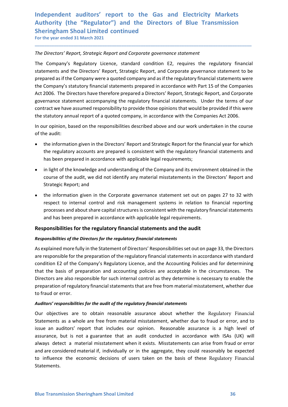## Independent auditors' report to the Gas and Electricity Markets<br>Authority (the "Regulator") and the Directors of Blue Transmission<br>Sheringham Shoal Limited continued<br>For the year ended 31 March 2021 Independent auditors' report to the Gas and Electricity Markets<br>Authority (the "Regulator") and the Directors of Blue Transmission<br>Sheringham Shoal Limited continued<br>For the year ended 31 March 2021<br>The Directors' Report, Independent auditors' report to the Gas and Electricity Markets<br>Authority (the "Regulator") and the Directors of Blue Transmission<br>Sheringham Shoal Limited continued<br>For the year ended 31 March 2021<br>The Directors' Report, Independent auditors' report to the Gas and Electricity Markets<br>
Authority (the "Regulator") and the Directors of Blue Transmission<br>
Sheringham Shoal Limited continued<br>
For the year ended 31 March 2021<br>
The Directors' Repo

Independent auditors' report to the Gas and Electricity Markets<br>Authority (the "Regulator") and the Directors of Blue Transmission<br>Sheringham Shoal Limited continued<br>For the year ended 31 March 2021<br>The Directors' Report, Independent auditors' report to the Gas and Electricity Markets<br>Authority (the "Regulator") and the Directors of Blue Transmission<br>Sheringham Shoal Limited continued<br>For the year ended 31 March 2021<br>The Directors' Report, Independent auditors' report to the Gas and Electricity Markets<br>Authority (the "Regulator") and the Directors of Blue Transmission<br>Sheringham Shoal Limited continued<br>For the year ended 31 March 2021<br>The Directors' Report, Independent auditors' report to the Gas and Electricity Markets<br>Authority (the "Regulator") and the Directors of Blue Transmission<br>Sheringham Shoal Limited continued<br>The Directors' Report, Strategic Report and Corporate go Independent auditors' report to the Gas and Electricity Markets<br>Authority (the "Regulator") and the Directors of Blue Transmission<br>Sheringham Shoal Limited continued<br>The Directors' Report, Strategic Report and Corporate go Independent auditors' report to the Gas and Electricity Markets<br>Authority (the "Regulator") and the Directors of Blue Transmission<br>Sheringham Shoal Limited continued<br>For the year ended 31 March 2021<br>The Directors' Report, Independent auditors' report to the Gas and Electricity Markets<br>Suthority (the "Regulator") and the Directors of Blue Transmission<br>Sheringham Shoal Limited continued<br>The Directors' Report, Strategic Report and Corporate go Independent auditors' report to the Gas and Electricity Markets<br>Authority (the "Regulator") and the Directors of Blue Transmission<br>Sheringham Shoal Limited continued<br>For the year ended 31 March 2021<br>The Directors' Report, Independent auditors' report to the Gas and Electricity Markets<br>Authority (the "Regulator") and the Directors of Blue Transmission<br>Sheringham Shoal Limited continued<br>For the year ended 31 March 2021<br>The Directors' Report, Independent auditors' report to the Gas and Electricity Markets<br>Authority (the "Regulator") and the Directors of Blue Transmission<br>Sheringham Shoal Limited continued<br>For the vear ended 31 March 2021<br>The Directors' Report, Independent auditors' report to the Gas and Electricity<br>
Authority (the "Regulator") and the Directors of Blue Tr<br>
Sheringham Shoal Limited continued<br>
For the year ended 31 March 2021<br>
The Directors' Report, Strategic Repo Trumpter (the Regulator 7 and the Directors of bilue irransmission<br>Trigham Shoal Limited continued<br>the year ended 31 March 2021<br>Directors' Report, Strategic Report and Corporate governance statement<br>company's Regulatory Li Fingham Shoal Limited continued<br>
Directors' Report, Strategic Report and Corporate governance statement<br>
Company's Regulatory Lieence, standard condition E2, requires the regulatory financial<br>
Company's Regulatory Lieence, ne year enoed at March 2021<br>
Directors' Report, Strotegic Report and Corporate governance statement<br>
Company's Regulatory Licence, standard condition E2, requires the regulatory financial<br>
company's steputory (henotic Repo Directors' Report, Strategic Report and Corporate governance statement<br>
Company's Regulatory Licence, standard condition E2, requires the regulatory financial<br>
ements and the Directors' Report, Strategic Report, and Corpor Company's Regulatory Licence, standard condition E2, requires the regulatory financial<br>ements and the Directors' Report, Strategic Report, and Corporate governance statement to be<br>orared as if the Company were a quoted com Company's Regulatory Licence, standard condition Ez, requires the regulatory firm<br>
ements and the Directors' Report, Strategic Report, and Corporate governance statement<br>
Company's statutory financial statements prepared i ared as if the Company were a quoted company and as if the regulatory financial statements were<br>Company's statutory financial statements prepared in accordance with Part 15 of the Companies<br>2006. The Directors have therefo Company's statutory financial statements prepared in accordance with Part 15 of the Companies<br>2006. The Directors have therefore prepared a Directors' Report, Strategic Report, and Corporate<br>remanne estatement accompanying 2006. The Directors have therefore prepared a Directors' Report, Strategic Report, and Corporate<br>
remance statement accompanying the regulatory financial statements. Under the terms of our<br>
ratat we have assumed responsibi

\_\_\_\_\_\_\_\_\_\_\_\_\_\_\_\_\_\_\_\_\_\_\_\_\_\_\_\_\_\_\_\_\_\_\_\_\_\_\_\_\_\_\_\_\_\_\_\_\_\_\_\_\_\_\_\_\_\_\_\_\_\_\_\_\_\_\_\_\_\_\_\_\_\_\_\_\_\_\_\_\_\_\_\_\_\_\_\_\_\_

- 
- 
- ernance statement accompanying the regulatory financial statements. Under the terms of our raract we have assumed responsibility to provide those opinions that would be provided if this were astatutory annual report of a q

### Responsibilities for the regulatory financial statements and the audit

### Responsibilities of the Directors for the regulatory financial statements

As explained more fully in the Statement of Directors' Responsibilities set out on page 33, the Directors are responsible for the preparation of the regulatory financial statements in accordance with standard condition E2 of the Company's Regulatory Licence, and the Accounting Policies and for determining that the basis of preparation and accounting policies are acceptable in the circumstances. The Directors are also responsible for such internal control as they determine is necessary to enable the preparation of regulatory financial statements that are free from material misstatement, whether due to fraud or error.

### Auditors' responsibilities for the audit of the regulatory financial statements

ence the proposition of experiments containing points of everywhere the constrained to the preparation of regulatory financial statements that are free from material misstatement, whether due to fraud or error.<br>Auditors' r Our objectives are to obtain reasonable assurance about whether the Regulatory Financial Statements as a whole are free from material misstatement, whether due to fraud or error, and to issue an auditors' report that includes our opinion. Reasonable assurance is a high level of assurance, but is not a guarantee that an audit conducted in accordance with ISAs (UK) will always detect a material misstatement when it exists. Misstatements can arise from fraud or error and are considered material if, individually or in the aggregate, they could reasonably be expected to influence the economic decisions of users taken on the basis of these Regulatory Financial Statements.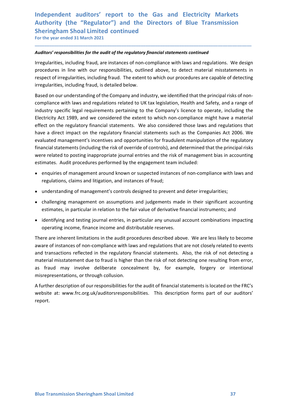## Independent auditors' report to the Gas and Electricity Markets<br>Authority (the "Regulator") and the Directors of Blue Transmission<br>Sheringham Shoal Limited continued<br>For the year ended 31 March 2021 Independent auditors' report to the Gas and Electricity Markets<br>Authority (the "Regulator") and the Directors of Blue Transmission<br>Sheringham Shoal Limited continued<br>For the year ended 31 March 2021<br>Auditors' responsibilit Independent auditors' report to the Gas and Electricity Markets<br>Authority (the "Regulator") and the Directors of Blue Transmission<br>Sheringham Shoal Limited continued<br>For the year ended 31 March 2021<br>Auditors' responsibilit Independent auditors' report to the Gas and Electricity Markets<br>Authority (the "Regulator") and the Directors of Blue Transmission<br>Sheringham Shoal Limited continued<br>For the year ended 31 March 2021<br>Auditors' responsibilit

Independent auditors' report to the Gas and Electricity Markets<br>Authority (the "Regulator") and the Directors of Blue Transmission<br>Sheringham Shoal Limited continued<br>For the year ended 31 March 2021<br>Auditors' responsibilit Independent auditors' report to the Gas and Electricity Markets<br>Authority (the "Regulator") and the Directors of Blue Transmission<br>Sheringham Shoal Limited continued<br>For the year ended 31 March 2021<br>Auditors' responsibilit Independent auditors' report to the Gas and Electricity Markets<br>Authority (the "Regulator") and the Directors of Blue Transmission<br>Sheringham Shoal Limited continued<br>For the year ended 31 March 2021<br>Auditors' responsibilit Independent auditors' report to the Gas and Electricity Markets<br>Authority (the "Regulator") and the Directors of Blue Transmission<br>Sheringham Shoal Limited continued<br>For the year ended 31 March 2021<br>Auditors' responsibilit

\_\_\_\_\_\_\_\_\_\_\_\_\_\_\_\_\_\_\_\_\_\_\_\_\_\_\_\_\_\_\_\_\_\_\_\_\_\_\_\_\_\_\_\_\_\_\_\_\_\_\_\_\_\_\_\_\_\_\_\_\_\_\_\_\_\_\_\_\_\_\_\_\_\_\_\_\_\_\_\_\_\_\_\_\_\_\_\_\_\_

Independent auditors' report to the Gas and Electricity Markets<br>Authority (the "Regulator") and the Directors of Blue Transmission<br>Sheringham Shoal Limited continued<br>For the year ended 31 March 2021<br>Auditors' responsibilit Independent auditors' report to the Gas and Electricity Markets<br>Authority (the "Regulator") and the Directors of Blue Transmission<br>Sheringham Shoal Limited continued<br>For the year ended 31 March 2021<br>Auditors' responsibilit Independent auditors' report to the Gas and Electricity Markets<br>Sheringham Shoal Limited continued<br>Sheringham Shoal Limited continued<br>For the year ended 31 March 2021<br>Auditors' responsibilities for the audit of the regulat Independent auditors' report to the Gas and Electricity Markets<br>Authority (the "Regulator") and the Directors of Blue Transmission<br>Sheringham Shoal Limited continued<br>For the year ended 31 March 2021<br>Auditors' responsibilit Independent auditors' report to the Gas and Electricity Markets<br>Authority (the "Regulator") and the Directors of Blue Transmission<br>Sheringham Shoal Limited continued<br>For the year ended 31 March 2021<br>Auditors' responsibilit Independent auditors' report to the Gas and Electricity Markets<br>Authority (the "Regulator") and the Directors of Blue Transmission<br>Sheringham Shoal Limited continued<br>For the year ended 31 March 2021<br>Auditors' responsibilit Independent auditors' report to the Gas and Electricity Markets<br>Suthroirty (the "Regulatior") and the Directors of Blue Transmission<br>Sheringham Shoal Limited continued<br>For the year ended 31 March 2021<br>Auditors' responsibil Authority (the "Regulator") and the Directors of Blue Transmission<br>Sheringham Shoal Limited continued<br>For the year ended 31 March 2021<br>Auditors' responsibilities for the audit of the regulatory financial statements continu Sheringham Shoal Limited continued<br>
For the year ended 31 March 2021<br>
Auditors' responsibilities for the audit of the regulatory financial statements continued<br>
Irregularities, including fraud, are instances of non-complia For the year ended 31 March 2021<br>**Auditors' responsibilities for the audit of the regulatory financial statements continued**<br>Irregularities, including fraud, are instances of non-compliance with laws and regulations. We de Auditors' responsibilities for the audit of the regulatory financial statements continued<br>Irregularities, including fraud, are instances of non-compliance with laws and regulations. We design<br>procedures in line with our re entions' responsibilities for the audit of the regulatory financial statements continued<br>gularities, including fraud, are instances of non-compliance with laws and regulations. We design<br>exceluse in line with our responsib regularities, including fraud, are instances of non-compliance with laws and regulations. We design<br>cecutures in line with our responsibilities, couling fraud; houtiline showe, to detect material misstatements in<br>pect of i receures in line with our responsibities, solutioned above, to detect material misstatements in epect of irregularities, including fraud, is detailed below.<br>
Figure and on our understanding of the Company and industry, we igularities, including fraud, is detailed below.<br>
eed on our understanding of the Company and industry, we identified that the principal risks of non-<br>
philance with laws and regulations related to UK tax legislation, Heal eed on our understanding of the Company and industry, we identified that the principal risks of non-<br>ppliance with laws and regulations related to UK tax legislation, Health and Safety, and a range of<br>ustry specific legal mpliance with laws and regulations related to UK tax legislation, Health and Safety, and a range of<br>ustry specific legal requirements pertaining to the Company's licence to operate, including the<br>ustrictly Act 1989, and we ustry specific legal requirements pertaining to the Company's licence to operate, including the<br>criticly Act 1989, and we considered the extent to which non-compliance might have a material<br>ect on the regulatory financial Electricity Act 1989, and we considered the extent to which non-compliance might have a material<br>effect on the regulatory financial statements such as the Companies Act 2006. We<br>evaluated management's incentives and opport

- 
- 
- 
- 

effect on the regulatory financial statements. We also considered those laws and regulations that<br>have a direct impact on the regulatory financial statements such as the Companies Act 2006. We<br>evaluated management's incent have a direct impact on the regulatory financial statements such as the Companies Act 2006. We<br>
evaluated management's incentures and opportunities for fraudulent manipulation of the regulatory<br>
financial statements (inclu evaluated management's incentives and opportunities for fraudulent manipulation of the regulatory<br>financial statements (including the risk of override of controls), and determined that the principal risks<br>were related to p financial statements (including the risk of override of controls), and determined that the principal risks<br>were related to posting inappropriate journal entrities and the risk of management bias in accounting<br>estimates. Au were related to posting inappropriate journal entries and the risk of management bias in accounting<br>estimates. Audit procedures performed by the engagement team included:<br>
• enquifies of management around known or suspecte Examples of management around known or suspectuative canonicals.<br>
A further or equilations, claims and litigation, and instances of fraud;<br>
A funderstanding of management's controls designed to prevent and deter irregulari e enquiries of management around known or suspected instances of non-compliance with laws and<br>regulations, claims and litigation, and instances of fraud;<br>understring the management is controls designed to prevent and deter

misrepresentations, or through collusion.<br>A further description of our responsibilities for the audit of financial statements is located on the FRC's<br>website at: www.frc.org.uk/auditorsresponsibilities. This description fo report.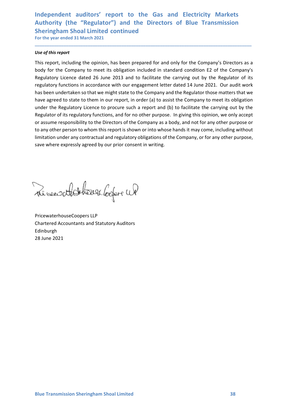## Independent auditors' report to the Gas and Electricity Markets<br>Authority (the "Regulator") and the Directors of Blue Transmission<br>Sheringham Shoal Limited continued<br>For the year ended 31 March 2021 Independent auditors' report to the Gas and Electricity Markets<br>Authority (the "Regulator") and the Directors of Blue Transmission<br>Sheringham Shoal Limited continued<br>For the year ended 31 March 2021<br>Ise of this report Independent auditors' report to the Gas and Electricity Markets<br>Authority (the "Regulator") and the Directors of Blue Transmission<br>Sheringham Shoal Limited continued<br>For the year ended 31 March 2021<br>Duse of this report<br>Thi Independent auditors' report to the Gas and Electricity Markets<br>Authority (the "Regulator") and the Directors of Blue Transmission<br>Sheringham Shoal Limited continued<br>For the year ended 31 March 2021<br>Duse of this report<br>Thi

\_\_\_\_\_\_\_\_\_\_\_\_\_\_\_\_\_\_\_\_\_\_\_\_\_\_\_\_\_\_\_\_\_\_\_\_\_\_\_\_\_\_\_\_\_\_\_\_\_\_\_\_\_\_\_\_\_\_\_\_\_\_\_\_\_\_\_\_\_\_\_\_\_\_\_\_\_\_\_\_\_\_\_\_\_\_\_\_\_\_

Independent auditors' report to the Gas and Electricity<br>
Authority (the "Regulator") and the Directors of Blue Trans<br>
Sheringham Shoal Limited continued<br>
For the year ended 31 March 2021<br>
<br>
Use of this report<br>
This report, Independent auditors' report to the Gas and Electricity Markets<br>Authority (the "Regulator") and the Directors of Blue Transmission<br>Sheringham Shoal Limited continued<br>For the year ended 31 March 2021<br>Is equition and and the Independent auditors' report to the Gas and Electricity Markets<br>Authority (the "Regulator") and the Directors of Blue Transmission<br>Sheringham Shoal Limited continued<br>To the year ended 31 March 2021<br>Use of this report,<br>incl Independent auditors' report to the Gas and Electricity Markets<br>Authority (the "Regulator") and the Directors of Blue Transmission<br>Sheringham Shoal Limited continued<br>To the year ended 31 March 2021<br>Use of this report<br>This Independent auditors' report to the Gas and Electricity Markets<br>Authority (the "Regulator") and the Directors of Blue Transmission<br>Sheringham Shoal Limited continued<br>For the year ended 31 March 2021<br>This report, including Independent auditors' report to the Gas and Electricity Markets<br>Authority (the "Regulator") and the Directors of Blue Transmission<br>Sheringham Shoal Limited continued<br>of the year ended 31 March 2021<br>We of this report<br>This r Independent auditors' report to the Gas and Electricity Markets<br>Suthority (the "Regulator") and the Directors of Blue Transmission<br>Sortingham Shoal Limited continued<br>Tor the year ended 31 March 2021<br>This report, including Independent auditors' report to the Gas and Electricity Markets<br>Authority (the "Regulator") and the Directors of Blue Transmission<br>Sheringham Shoal Limited continued<br>For the year ended 31 March 2021<br>Use of this report.<br>Thi Independent auditors' report to the Gas and Electricity Markets<br>Authority (the "Regulator") and the Directors of Blue Transmission<br>Sheringham Shoal Limited continued<br>For the year ended 31 March 2021<br>We of this report<br>This Independent auditors' report to the Gas and Electricity Markets<br>Authority (the "Regulator") and the Directors of Blue Transmission<br>Sheringham Shoal Limited continued<br>For the year ended 31 March 2021<br>Use of this report<br>This Independent auditors' report to the Gas and Electricity Markets<br>Authority (the "Regulator") and the Directors of Blue Transmission<br>Sheringham Shoal Limited continued<br>for the year ended 31 March 2021<br>We of this report<br>this musculprimate cunction of the Company of the Company of the Company of the Company of the parameteristy (the "Regulator") and the Directors of Blue Transmission Sheringham Shoal Limited continued<br>For the year ended 31 Marc Authority (the <sup>n</sup> regulator) and the method of and only for the Company, or for any other parameters where expressly agreed by our prior consent in writing.<br>Sheringham Shoal Limitied continued<br>This report, including the The approaches to them in our report, in order (a) to assist the Company to meet its obligation of the regulatory Licence to procure such a report and (b) to facilitate the carrying out by the Regulatory Licence to procure under the Regulatory licence to procure such a report and (b) to facilitate the carrying out by the Regulator of its regulatory functions, and for no other purpose. In giving this opinion, we only accept a Regulator of its Framework and Statistics of the Company as a body, and not for a<br>or assume responsibility to the Directors of the Company as a body, and not for a<br>to any other person to whom this report is shown or into whose hands it may

Edinburgh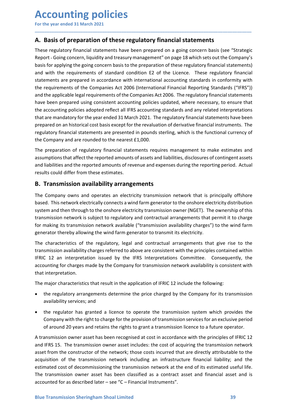# **Accounting policies**<br>
For the year ended 31 March 2021<br> **A. Basis of preparation of these regulatory financial statements**<br>
These regulatory financial statements have been prepared on a going concern basis (see "Strategi

**Accounting policies**<br>
For the year ended 31 March 2021<br> **A. Basis of preparation of these regulatory financial statements<br>
These regulatory financial statements have been prepared on a going concern basis (see "Strategic<br>** Accounting policies<br>For the year ended 31 March 2021<br>A. Basis of preparation of these regulatory financial statements<br>These regulatory financial statements have been prepared on a going concern basis (see "Strategic<br>Report **Accounting policies**<br>
For the year ended 31 March 2021<br> **A. Basis of preparation of these regulatory financial statements**<br>
These regulatory financial statements have been prepared on a going concern basis (see "Strategic **Accounting policies**<br>For the year ended 31 March 2021<br>**A. Basis of preparation of these regulatory financial statements**<br>These regulatory financial statements have been prepared on a going concern basis (see "Strategic<br>Re For the year ended 31 March 2021<br>
For the year ended 31 March 2021<br> **A. Basis of preparation of these regulatory financial statements**<br>
These regulatory financial statements have been prepared on a going concern basis (see **Accounting policies**<br>For the year ended 31 March 2021<br>**A. Basis of preparation of these regulatory financial statements**<br>These regulatory financial statements have been prepared on a going concern basis (see "Strategic<br>Re For the year ended 31 March 2021<br>
For the year ended 31 March 2021<br> **A. Basis of preparation of these regulatory financial statements**<br>
These regulatory financial statements have been prepared on a going concern basis (see For the year ended 31 March 2021<br> **A. Basis of preparation of these regulatory financial statements**<br>
These regulatory financial statements have been prepared on a going concern basis (see "Strategic<br>
Report - Going concer For the year ended 31 March 2021<br> **A. Basis of preparation of these regulatory financial statements**<br>
These regulatory financial statements have been prepared on a going concern basis (see "Strategic<br>
Report - Going concer **Accounting policies**<br>For the year ended 31 March 2021<br>**A. Basis of preparation of these regulatory financial statements**<br>These regulatory financial statements have been prepared on a going concern basis (see "Strategic<br>Re **Accounting policies**<br>For the year ended 31 March 2021<br>**A. Basis of preparation of these regulatory financial statements**<br>These regulatory financial statements have been prepared on a going concern basis (see "Strategic<br>Re **Accounting policies**<br>
For the year ended 31 March 2021<br> **A. Basis of preparation of these regulatory financial statements**<br>
These regulatory financial statements have been prepared on a going concern basis (see "Strategic **Accounting policies**<br>For the year ended 31 March 2021<br>A. **Basis of preparation of these regulatory financial statements**<br>These regulatory financial statements have been prepared on a going concern basis (see "Strategic<br>Re **ACCOUNTIME POLICIES**<br>For the year ended 31 March 2021<br>**A. Basis of preparation of these regulatory financial statements**<br>These regulatory financial statements have been prepared on a going concern basis (see "Strategic<br>Re For the year ended 31 March 2021<br> **A. Basis of preparation of these regulatory financial statements**<br>
These regulatory financial statements have been prepared on a going concern basis (see "Strategic<br>
Report - Going concer **A. Basis of preparation of these regulatory financial statements**<br>These regulatory financial statements have been prepared on a going concern basis (see "Strategic<br>Report - Going concern, liquidity and treasury management **A. Basis of preparation of these regulatory financial statements**<br>These regulatory financial statements have been prepared on a going concern basis (see "Strategic<br>Report - Going concern, liquidity and treasury management These regulatory financial statements have been prepared on a going concern basis (see "Strategic<br>Report-Going concern, liquidity and treasury management" on page 18 which sets out the Company's<br>basis for applying the goin rese v<sub>igt</sub>uratory immated sustements have sever prepared or a going content was lyes. Althought Report-Going concern, liquidity and treasury management" on page 18 which sets out the Company's basis for applying the going basis for applying the going concern basis to the preparation of these regulatory financial statements)<br>and with the requirements of standard condition E2 of the Licence. These regulatory financial<br>statements are prepared not an embedded and accordinate with international accounting standards in conformity with<br>the requirements of the Companies Act 2006 (International Financial Reporting Standards in conformity with<br>the requirements of the solution to experience in the Companies Act 2006 (International Einancial Reporting Standards ("IFRS"))<br>and the applicable legal requirements of the Companies Act 2006. The regulatory financial statements<br>and the applicabl For the comparison of the complete and the onshore and the application and the applicable legal requirements of the Companies Act 2006. The regulatory financial statements<br>that electricity for prepared using consistent acc the accounting point of the year ended and Marcus in the space of the reduction in the contring policies adopted reflect all IFRS accounting policies updated, where necessary, to ensure that the accounting policies adopted

\_\_\_\_\_\_\_\_\_\_\_\_\_\_\_\_\_\_\_\_\_\_\_\_\_\_\_\_\_\_\_\_\_\_\_\_\_\_\_\_\_\_\_\_\_\_\_\_\_\_\_\_\_\_\_\_\_\_\_\_\_\_\_\_\_\_\_\_\_\_\_\_\_\_\_\_\_\_\_\_\_\_\_\_\_\_\_\_\_\_

For the completion of the standard method and any process that are a completed interpretations that are mandatory for the year ended 31 March 2021. The regulatory financial statements have been the accounting policies adop ent execution, a protocolour control and the membersion and the membersion control and the are mandatory for the pear ended 31 March 2021. The regulatory financial instruments have been prepared on an historical cost basis prepared on an historical cost basis except for the revaluation of derivative financial instruments. The regulatory financial statements are presented in pounds sterling, which is the functional currency of the Company and regulatory financial statements are presented in pounds sterling, which is the functional currency of<br>the Company and are rounded to the nearest £1,000.<br>The preparation of regulatory financial statements requires managemen The Company and are rounded to the nearest £1,000.<br>The preparation of regulatory financial statements requires management to make estimates and<br>anymptions that affect the reported amounts of assets and liabilities, disclos The preparation of regulatory financial statements requires management to make estimates and<br>assumptions that affect the reported amounts of assets and liabilities, disclosures of contingent assets<br>rand liabilities and the The proportion of regulatory minutes content and the proportions that affect the reported amounts of assets and liabilities, disclosure and liabilities and the reported amounts of assets and liabilities, disclosure and lia and liabilities and the reported amounts of revenue and expenses during the reporting period. Actual<br> **B. Transmission availability arrangements**<br> **The Company owns and operates an electricity transmission network that is** Its could omer from these esumates.<br> **Crangany** owas and operates an electricity transmission network that is principally offshore<br>
Company owas and operates an electricity transmission network that is principally offshore **Transmission availability arrangements**<br>Company owns and operates an electricity transmission network that is principally offshed. This network electrically connects a wind farm generator to the onshore electricity distri Company owns and operates an electricity transmission network that is principally offshore<br>
d. This network electrically connects a wind farm generator to the onshore electricity distribution<br>
simulation in through to the ed. This network electrically connects a wind farm generator to the onshore electricity distribution<br>em and then through to the onshore electricity transmission owner (NGET). The ownership of this<br>smission network is subje

em and then through to the onshore electricity transmission owner (NGET). The ownership of this<br>simission network is subject to regulatory and contractual arrangements that permit it to charge<br>making its transmission netwo

- 
- 

The major characteristics that result in the application of IFRIC 12 include the following:<br>
• the regulatory arrangements determine the price charged by the Company for its transmission<br>
• availability services; and<br>
• th transmission network is subject to regulatory and contractual arrangements that permit it to charge<br>for making its transmission network available ("transmission availability charges") to the wind farm<br>generator thereby all for making its transmission network available ("transmission availability charges") to the wind farm<br>enerator thereby allowing the wind farm generator to transmit its electricity.<br>The characteristics of the regulatory, leg generator thereby allowing the wind farm generator to transmit its electricity.<br>The characteristics of the regulatory, legal and contractual arrangements that give rise to the<br>Transmission availability charges referred to The characteristics of the regulatory, legal and contractual arrangements that give rise to the<br>
transmission availability charges referred to above are consistent with the principles contained within<br>
FIFRIC 12 an interpr transmission availability charges referred to above are consistent with the principles contained within<br>IFRIC 12 an interpretation issued by the IFRS interpretations Committee. Consequently, the<br>accounting for charges made IFRIC 12 an interpretation issued by the IFRS Interpretations Committee. Consequently, the<br>accounting for charges made by the Company for transmission network availability is consistent with<br>that interpretation.<br>The major accounting for charges made by the Company for transmission network availability is consistent with<br>that interpretation.<br>The major characteristics that result in the application of IFRIC 12 include the following:<br>• the reg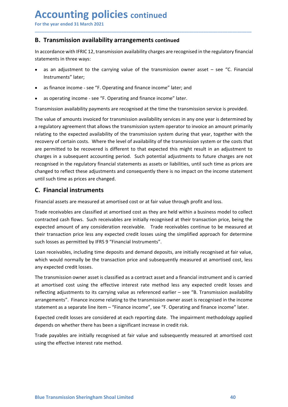# **Accounting policies continued<br>
For the year ended 31 March 2021**<br> **B. Transmission availability arrangements continued**<br>
In accordance with IERIC 12, transmission availability charges are recognised in the regulatory fina

**Accounting policies continued<br>
For the year ended 31 March 2021**<br> **B. Transmission availability arrangements continued**<br>
In accordance with IFRIC 12, transmission availability charges are recognised in the regulatory fina Accounting policies continued<br>
For the year ended 31 March 2021<br>
B. Transmission availability arrangements continued<br>
In accordance with IFRIC 12, transmission availability charges are recognised in the regulatory financia **Accounting policies continued**<br> **IDENT ACCOUNT ACCOUNT ACCOVERTY**<br> **B. Transmission availability arrangements continued**<br>
In accordance with IFRIC 12, transmission availability charges are recognised in the regulatory fin Accounting policies continued<br>
For the year ended 31 March 2021<br> **B. Transmission availability arrangements continued**<br>
In accordance with IFRIC 12, transmission availability charges are recognised in the regulatory f<br>
sta **ECOUNTIME POLICIES continued**<br>
Transmission availability arrangements continued<br>
Transmission availability arrangements continued<br>
ecordance with IFRIC12, transmission availability charges are recognised in the regulatory **ECOUNTING POLICIES continued**<br>
Transmission availability arrangements continued<br>
Ecordance with IFRIC 12, transmission availability charges are recognised in the regulatory financial<br>
ements in three ways:<br>
as an adjustme

\_\_\_\_\_\_\_\_\_\_\_\_\_\_\_\_\_\_\_\_\_\_\_\_\_\_\_\_\_\_\_\_\_\_\_\_\_\_\_\_\_\_\_\_\_\_\_\_\_\_\_\_\_\_\_\_\_\_\_\_\_\_\_\_\_\_\_\_\_\_\_\_\_\_\_\_\_\_\_\_\_\_\_\_\_\_\_\_\_\_

- Instruments" later;
- 
- 

**ECOUNTIME POLICIES** continued<br>
Transmission availability arrangements continued<br>
Transmission availability arrangements continued<br>
Ecordance with IFRIC 12, transmission availability charges are recognised in the regulator **Accounting policies continued**<br>
For the year ended 31 March 2021<br> **B. Transmission availability arrangements continued**<br>
In accordance with IFRIC12, transmission availability charges are recognised in the regulatory finan **Accounting policies** continued<br>
For the vear ended 31 March 2021<br> **B. Transmission availability arrangements continued**<br>
In accordance with IFRIC 12, transmission availability charges are recognised in the regulatory fina **ACCOUNTIME POLICIES** continued<br>
For the year ended 31 March 2021<br> **B. Transmission availability arrangements continued**<br>
In accordance with IFRIC 12, transmission availability charges are recognised in the regulatory fina **ACCOUNTIME DOIICIES continued**<br> **B. Transmission availability arrangements continued**<br>
In accordance with IFRIC 12, transmission availability charges are recognised in the regulatory financial<br>
statements in three ways:<br> For the year ended 31 March 2021<br> **B. Transmission availability arrangements continued**<br>
In accordance with IFRIC 12, transmission availability charges are recognised in the regulatory financial<br>
statements in three ways:<br> **B. Transmission availability arrangements continued**<br>In accordance with IFRIC 12, transmission availability charges are recognised in the regulatory financial<br>statements in three ways:<br>**Alta** are adjustment to the carryin **B. Transmission availability arrangements continued**<br>
In accordance with IFRIC 12, transmission availability charges are recognised in the regulatory financial<br>
statements in three ways:<br>
• as an adjustment to the carryin recognised in the recognised in the regulatory financial statements in three ways:<br>
• as an adjustment to the carrying value of the transmission owner asset – see "C. Financial<br>
Instruments" later;<br>
• as finance income - s In accordance with IFRIC 12, transmission availability charges are recognised in the regulatory financial<br>
statements in three ways:<br>
Instruments" later;<br> **e** as finance income - see "F. Operating and finance income" later statements in three ways:<br>
• as an adjustment to the carrying value of the transmission owner asset – see "C. Financial<br>
Instruments" later;<br>
• as finance income - see "F. Operating and finance income" later; and<br>
• as ope • as an adjustment to the carrying value of the transmission owner asset – see "<br>Instruments" later;<br>• as finance income - see "F. Operating and finance income" later; and<br>• as operating income - see "F. Operating and fina • as finance income - see "F. Operating and finance income" later; and<br>• as operating income - see "F. Operating and finance income" later.<br>
Transmission availability payments are recognised at the time the transmission se • as operating income - see "F. Operating and finance income" later.<br>
Transmission availability payments are recognised at the time the transmission service is provided.<br>
The value of amounts invoiced for transmission avai • as operating income - see "+. Uperating and innance income 'later.<br>
Transmission availability payments are recognised at the time the transmission service is provided.<br>
The value of a mounts invoided for transmission ava Transmission availability payments are recognised at the time the transmission service is provided.<br>The value of amounts invoiced for transmission availability services in any one year is determined by<br>a regulatory agreeme The value of amounts invoiced for transmission availability services in any one year is determined by<br>a regulatory agreement that allows the transmission system operator to invoice an amount primarily<br>relating to the expec Interval constructed and mother transmission system operator to invoice an amount primarily<br>at regulatory agreement that allows the transmission system operator to invoice an amount primarily<br>relating to the expected avail relating to the expected availability of the transmission system during that year, together with the recovered is execused is different to that expected this might result in an adjustment to charges in a subsequent account recovery of certain costs. Where the level of availability of the transmission system or the costs that<br>are permitted to be recovered is different to that expected this might result in an adjustments to<br>charges in a subseq are permitted to be recovered is different to that expected this might result in an adjust<br>oharges in a subsequent accounting period. Such potential adjustments to future charges<br>recognised in the regulatory financial stat

The transmission owner asset is classified as a contract asset and a financial instrument and is carried<br>at a mortised cost using the effective interest rate method less any expected credit losses and<br>reflecting adjustment renges in a subsequent accounting period. Such potential agustments to tulture charges are not<br>recognised in the regulatory financial statements as assets or labilities, until such time as prices are<br>changed to reflect the recognised in the regulatory funnacial statements as assets or liabilities, until such time as prices are<br>changed to reflect these adjustments and consequently there is no impact on the incrome statement<br>until such time as rannege to reflect these agustments and consequently there is no impact on the income statement<br>cuntil such time as prices are changed.<br>**C. Financial instruments**<br>**Financial assets are measured at amortised** cost or at f Until such time as prices are changed.<br> **C. Financial instruments**<br>
Financial assets are measured at amortised cost or at fair value through profit and loss.<br>
Trade receivables are classified at amortised cost as they ar **C. Financial instruments**<br>Financial assets are measured at amortised cost or at fair value through profit and loss.<br>Trade receivables are classified at amortised cost as they are held within a business model to collect<br>co Financial assets are measured at amortised cost or at fair value through profit and loss.<br>Trade receivables are classified at amortised cost as they are held within a business model to collect<br>contracted cash flows. Such r Trade receivables are classified at amortised cost as they are held within a business model to collect contracted cash flows. Such receivables are initially recognised at their transaction price, being the expected amount contracted cash flows. Such receivables are initially recognised at their transaction price, being the expected amount of any consideration receivable. Trade receivables continue to be measured at their transaction price b expected amount of any consideration receivable. Trade receivables continue to be measured at their transaction price less any expected credit losses using the simplified approach for determine such losses as permitted by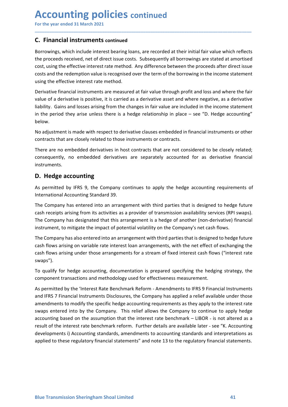# Accounting policies continued<br>
For the year ended 31 March 2021<br>
C. Financial instruments continued<br>
Borrowings, which include interest bearing loans, are recorded at their initial fair value which reflect

**Accounting policies continued<br>
For the year ended 31 March 2021**<br> **C. Financial instruments continued<br>
Borrowings, which include interest bearing loans, are recorded at their initial fair value which reflects<br>
the proceed Accounting policies continued**<br>For the year ended 31 March 2021<br>**C. Financial instruments continued**<br>Borrowings, which include interest bearing loans, are recorded at their initial fair value whe<br>the proceeds received, ne **Accounting policies continued**<br>For the year ended 31 March 2021<br>**C. Financial instruments continued**<br>Borrowings, which include interest bearing loans, are recorded at their initial fair value which reflects<br>the proceeds r **Accounting policies continued**<br>
For the year ended 31 March 2021<br> **C. Financial instruments continued**<br>
Borrowings, which include interest bearing loans, are recorded at their initial fair value which reflects<br>
the procee For the year ended 31 March 2021<br> **C.** Financial instruments continued<br>
C. Financial instruments continued<br>
Borrowings, which include interest bearing loans, are recorded at their initial fair value which reflects<br>
the pro **ACCOUNTIME POLICIES continued**<br>For the year ended 31 March 2021<br>**C.** Financial instruments continued<br>Borrowings, which include interest bearing loans, are recorded at their initial fair value which reflects<br>the proceeds r **Accounting policies continued**<br>For the year ended 31 March 2021<br>**C.** Financial instruments continued<br>Borrowings, which include interest bearing loans, are recorded at their initial fair value which reflects<br>the proceeds r **Accounting policies continued**<br>
For the year ended 31 March 2021<br> **C. Financial instruments continued**<br>
Borrowings, which include interest bearing loans, are recorded at their initial fair value which reflects<br>
the procee **Accounting policies continued**<br>
For the year ended 31 March 2021<br> **C. Financial instruments continued**<br>
Borrowings, which include interest bearing loans, are recorded at their initial fair value which reflects<br>
the procee **Accounting policies continued**<br>
For the year ended 31 March 2021<br> **C. Financial instruments continued**<br>
Borrowings, which include interest bearing loans, are recorded at their initial fair value which reflects<br>
Borrowings **Accounting policies** continued<br>
For the year ended 31 March 2021<br> **C.** Financial instruments continued<br>
Bororowings, which include interest beraing loans, are recorded at their initial fair value which reflects<br>
the proce For the year ended al March 2021<br> **C. Financial instruments continued**<br> **C. Financial instruments continued**<br>
Borrowings, which include interest bearing loans, are recorded at their initial fair value which reflects<br>
btero For the year ended 31 March 2021<br> **C.** Financial instruments continued<br>
Borrowings, which include interest bearing loans, are recorded at their initial fair value which reflects<br>
the proceeds received, net of direct issue **C. Financial instruments continued**<br>Borrowings, which include interest bearing loans, are recorded at their initial fair value which reflects<br>the proceeds received, net of direct issue costs. Subsequently all borrowings a **C. Financial instruments continued**<br>Borrowings, which include interest bearing loans, are recorded at their initial fair value which reflects<br>the proceeds received, net of direct issue costs. Subsequently all borrowings a

\_\_\_\_\_\_\_\_\_\_\_\_\_\_\_\_\_\_\_\_\_\_\_\_\_\_\_\_\_\_\_\_\_\_\_\_\_\_\_\_\_\_\_\_\_\_\_\_\_\_\_\_\_\_\_\_\_\_\_\_\_\_\_\_\_\_\_\_\_\_\_\_\_\_\_\_\_\_\_\_\_\_\_\_\_\_\_\_\_\_

below. the proceeds received, net of direct issue costs. Subsequently all borrowings are state<br>cost, using the effective interest rate method. Any difference between the proceeds aff<br>costs and the redemption value is recognised o cost, using the entector interest rate method. Any difference between the proceeds after direct issue<br>costs and the redemption value is recognised over the term of the borrowing in the income statement<br>using the effective costs and the recempton value is recognised over the term of the oborrowing in the income statement<br>
suing the effective interest rate method.<br>
Derivative financial instruments are measured at fair value through profit and Derivative financial instruments are measured at fair value through profit and loss and where the fair<br>value of a derivative is positive, it is carried as a derivative asset and where negative, as a derivative<br>liability. G Deviative manicial instruments are measured at rair value through porti and loos and where near the rair<br>value of a derivative is positive, it is carried as a derivative asset and where negative, as a derivative<br>liability.

instruments.

walle or a derivative is positive, it is carried as a derivative asset and where negative, as a derivative clausa arrangement in the period they arise unless there is a hedge relationship in place – see "D. Hedge accountin instruments.<br>In the period they arise unless there is a hedge relationship in place – see "D. Hedge accounting"<br>below.<br>No adjustment is made with respect to derivative clauses embedded in financial instruments or other<br>con below.<br>No adjustment is made with respect to derivative clauses embedded in financial instruments or other<br>contracts that are closely related to those instruments or contracts.<br>There are no embedded derivatives in host con No adjustment is made with respect to derivative clauses embedded in financial instruments or other contracts that are closely related to those instruments or contracts.<br>There are no embedded derivatives in host contracts No agustment is made with respect to derivative clauses embedded in financial instruments or other<br>contracts that are closely related to those instruments or contracts.<br>There are no embedded derivatives in host contracts t There are no empedded derivatives in host contracts that are not considered to be closely related;<br>consequently, no embedded derivatives are separately accounted for as derivative financial<br>instruments.<br>**D. Hedge accountin** 

swaps").

component transactions and methodology used for effectiveness measurement.<br>As permitted by the 'Interest Rate Benchmark Reform - Amendments to IFRS 9 Financial Instruments<br>and IFRS 7 Financial Instruments Disclosures, the consequently, no embedded derivatives are separately accounted for as derivative innancial<br>
D. Hedge accounting<br>
As permitted by IFRS 9, the Company continues to apply the hedge accounting requirements of<br>
International Ac **D. Hedge accounting**<br>As permitted by IFRS 9, the Company continues to apply the hedge accounting requirements of<br>International Accounting Standard 39.<br>The Company has entered into an arrangement with third parties that is **D. Hedge accounting**<br>As permitted by IFRS 9, the Company continues to apply the hedge accounting requirements of<br>International Accounting Standard 39.<br>The Company has dentered into an arrangement with third parties that i As permitted by IFRS 9, the Company continues to apply the hedge accounting requirements of<br>International Accounting Standard 39.<br>The Company has entered into an arrangement with third parties that is designed to hedge fut International Accounting Standard 39.<br>The Company has entered into an arrangement with third parties that is designed to hedge future<br>cash receipts arising from its activities as a provider of transmission availability ser The Company has entered into an arrangement with third parties that is designed to hedge future<br>cash receipts arising from its activities as a provider of transmission availability services (RPI swaps).<br>The Company has des The Company has entered thro an arrangement with third parties that is designed to hedge tuture<br>cash receipts arising from its activities as a provider of transmission availability services (RPI swaps).<br>The Company has des cash receipts ansing from its activuties as a provider of transmission availability services (RPI swaps).<br>The Company has designated that this arrangement is a hedge of another (non-derivative) financial<br>instrument, to mit The Company has designated that this arrangement is a hedge of another (non-derivative) financial instrument, to mitigate the impact of potential volatility on the Company's net cash flows.<br>The Company has also entered int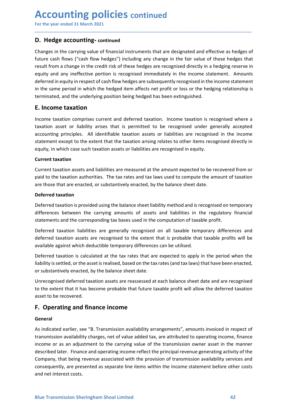# **Accounting policies continued**<br>
For the year ended 31 March 2021<br> **D. Hedge accounting-continued**<br>
Changes in the carrying value of financial instruments that are designated and effective as hedges of

**Accounting policies continued<br>
For the year ended 31 March 2021**<br> **D. Hedge accounting-continued**<br>
Changes in the carrying value of financial instruments that are designated and effective as hedges of<br>
future cash flows ( **Accounting policies continued**<br>
For the year ended 31 March 2021<br> **D. Hedge accounting-continued**<br>
Changes in the carrying value of financial instruments that are designated and effective<br>
future cash flows ("cash flow he **Accounting policies continued**<br>
For the year ended 31 March 2021<br> **D. Hedge accounting-continued**<br>
Changes in the carrying value of financial instruments that are designated and effective as hedges of<br>
future cash flows ( **Accounting policies continued**<br> **D. Hedge accounting-continued**<br> **D. Hedge accounting-continued**<br> **Changes** in the carrying value of financial instruments that are designated and effective as hedges of<br>
future cash flows **Accounting policies continued**<br>For the year ended 31 March 2021<br>D. Hedge accounting-continued<br>Changes in the carrying value of financial instruments that are designated and effective as hedges of<br>future cash flows ("cash **Accounting policies continued**<br>For the year ended 31 March 2021<br>D. Hedge accounting-continued<br>Changes in the carrying value of financial instruments that are designated and effective as hedges of<br>future cash flows ("cash **Accounting policies continued**<br>For the year ended 31 March 2021<br>D. Hedge accounting-continued<br>Changes in the carrying value of financial instruments that are designated and effective as hedges of<br>future cash flows ("cash **Accounting policies continued**<br> **D. Hedge accounting-continued**<br> **D. Hedge accounting-continued**<br> **Changes in the carrying value of financial instruments that are designated and effective as hedges of<br>
truture cash flows Accounting policies continued**<br> **D. Hedge accounting-continued**<br> **D. Hedge accounting-continued**<br> **Changes in the carrying value of financial instruments that are designated and effective as hedges of<br>
future cash flows ( ACCOUNTIME POLICIES continued**<br>
For the year ended 31 March 2021<br> **D. Hedge accounting-continued**<br> **Changes in the carrying value of financial instruments that are designated and effectiv<br>
future cash flows ("cash flow he Accounting policies** continued<br>
D. Hedge accounting-continued<br>
D. Hedge accounting-continued<br>
Changes in the carrying value of financial instruments that are designated and effective as hedges of<br>
future cash flows ("cash **Accounting policies** continued<br> **D.** Hedge accounting-continued<br> **D.** Hedge accounting-continued<br>
Changes in the carrying value of financial instruments that are designated and effective as hedges of<br>
trucure cash flows ( For the year ended 31 March 2021<br> **D. Hedge accounting-continued**<br> **Changes in the carrying value of financial instruments that are designated and effective as hedges of<br>
future cash flows ("cash flow hedges") including an** For the year ended 31 March 2021<br> **D. Hedge accounting-continued**<br> **Changes in the carrying value of financial instruments that are designated and effective as hedges of<br>
future cash flows ("cash flow hedges") including an D. Hedge accounting-continued**<br>
Changes in the carrying value of financial instruments that are designated and effective as hedges of<br>
future cash flows ("cash flow hedges") including any change in the fair value of those **D. Hedge accounting-continued**<br> **Changes in the carrying value of financial instruments that are designated and effuture cash flows ("cash flow hedges") including any change in the fair value of<br>
result from a change in t** Changes in the carrying value of financial instruments that are designated and effective as hedges of<br>truent cash floows ("cash floow hedges") including any change in the fair value of those hedges that<br>treut to man shange future cash flows ("cash flow hedges") including any change in the fair value of those hedges that result from a scharge in the credit risk of these hedges are recognised inferctly in a hedging reserve in equity an any ine result from a change in the credit risk of these hedges are recognised directly in a hedging reserve in<br>equity and any inerfective portion is recognised immediately in the income statement. Amounts<br>deferred in equity in re

\_\_\_\_\_\_\_\_\_\_\_\_\_\_\_\_\_\_\_\_\_\_\_\_\_\_\_\_\_\_\_\_\_\_\_\_\_\_\_\_\_\_\_\_\_\_\_\_\_\_\_\_\_\_\_\_\_\_\_\_\_\_\_\_\_\_\_\_\_\_\_\_\_\_\_\_\_\_\_\_\_\_\_\_\_\_\_\_\_\_

equity and any inerrective portion is recognised immediately in the income state<br>deferred in equity in respect of cash flow hedges are subsequently recognised in the<br>terminated, and the underlying position being hedged has in the same period in which the hedged item affects net profit or loss or the hedging relationship is<br>terminated, and the underlying position being hedged has been extinguished.<br> **E. Income taxation**<br>
Income taxation asset terminated, and the underlying position being hedged has been extinguished.<br> **E. Income taxation**<br>
Income taxation comprises current and deferred taxation. Income taxation is recognised where a<br>
taxation asset or liability **E. Income taxation**<br>Income taxation comprises current and deferred taxation. Income taxation is recognised where a<br>taxation asset or liability arises that is permitted to be recognised under generally accepted<br>accounting **Example 1**<br> **Example 12**<br>
Income taxation asset or liability arises that is permitted to be recognised under generally accepted<br>
accounting principles. All identifiable taxation assets or liabilities are recognised in the Income taxation comprises current and deferred taxation. Income taxation is recognised where a<br>taxation asset or liability arises that is permitted to be recognised under generally accepted<br>eaccounting principles. All iden taxation asset or liablitly arises that is permitted to be recognised under generally accepted<br>accounting principles. All identifiable taxation assets or liablilities are recognised in the income<br>statement except to the ex

actualining principles. A in tue intramal elastation assess or inaulismics are recognised directly in<br>equity, in which case such taxation assets or liabilities are recognised in equity.<br>Current taxation assets and liabilit station the except to the extent that the taxation ansing relates to other items recognised unectry in<br>Expremit taxation assets and liabilities are measured at the amount expected to be recovered from or<br>paid to the taxati equity, in which case such taxation assets on nabilities are recognised in equity.<br>Current taxation assets and liabilities are measured at the amount expected to be recovered from or<br>Current taxation authorities. The tax r Current taxation<br>
current taxation authorities. The tax rates and tax laws used to compute the amount of taxation<br>
are those that are enacted, or substantively enacted, by the balance sheet date.<br>
Deferred taxation authori Current taxation assets and liabilities are measured at the amount expected to be recovered from or<br>paid to the taxation authorities. The tax rates and tax laws used to compute the amount of taxation<br>are those that are ena paid to the taxation authorities. The tax rates and tax laws used to compute the am<br>are those that are enacted, or substantively enacted, by the balance sheet date.<br>Deferred taxation is provided using the balance sheet lia **Deferred taxation**<br> **Deferred taxation**<br> **Deferred taxation**<br> **Deferred taxation**<br> **Deferred taxation** is provided using the balance sheet liability method and is recognised on temporary<br>
differences between the carrying

### General

Unrecognised deferred taxation assets are reassessed at each balance sheet date and are recognised<br>to the extent that it has become probable that future taxable profit will allow the deferred taxation<br>asset to be recovered differences between the carrying amounts of assets and liabilities in the regulatory financial<br>statements and the corresponding tax bases used in the computation of taxable profit.<br>Deferred taxation laabilities are general statements and the corresponding tax bases used in the computation of taxable profit.<br>Deferred taxation aiselisties are generally recognised on all taxable temporary differences and<br>deferred taxation assets are recognised Deferred taxation liabilities are generally recognised on all taxable temporary differences and<br>deferred taxation assets are recognised to the extent that is probable that taxable profits will be<br>available against which de Deterred taxation iasolities are generally recognised on all taxable tendered taxable profits will be available against which deductible temporary differences can be utilised.<br>Deferred taxation is calculated at the tax rat derered transmission assets are recognated to the extent that is probable that a subjective that and the external to the extern that is probable theird taxtation is calculated at the tax rates that are expected to apply in available against winch deductible temporary dimerences can be utilised.<br>Deferred taxation is calculated at the tax rates that are expected to apply in the period when the<br>liability is settled, or the asset is realised, ba Deferred taxation is calculated at the tax rates that are expected to apply in the perioc<br>liability is settled, or the asset is realised, based on the tax rates (and tax laws) that have been<br>or substantively enacted, by th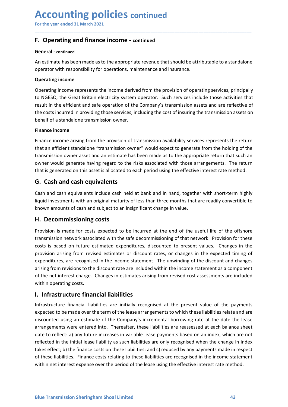## Accounting policies continued<br>
For the year ended 31 March 2021<br>
F. Operating and finance income - continued<br>
General - continued Accounting policies continued<br>
For the year ended 31 March 2021<br>
F. Operating and finance income - continued<br>
General - continued

### General - continued

Accounting policies continued<br>
For the year ended 31 March 2021<br>
F. Operating and finance income - continued<br>
General - continued<br>
An estimate has been made as to the appropriate revenue that should be attributable to a st **ACCOUNTING POLICIES continued**<br>
For the year ended 31 March 2021<br> **F. Operating and finance income - continued**<br>
An estimate has been made as to the appropriate revenue that should be attributable to a standalone<br>
operato

\_\_\_\_\_\_\_\_\_\_\_\_\_\_\_\_\_\_\_\_\_\_\_\_\_\_\_\_\_\_\_\_\_\_\_\_\_\_\_\_\_\_\_\_\_\_\_\_\_\_\_\_\_\_\_\_\_\_\_\_\_\_\_\_\_\_\_\_\_\_\_\_\_\_\_\_\_\_\_\_\_\_\_\_\_\_\_\_\_\_

**ACCOUNTING POLICIES continued**<br>
For the year ended 31 March 2021<br> **F. Operating and finance income - continued**<br>
An estimate has been made as to the appropriate revenue that should be attributable to a standalone<br>
operato **ACCOUNTING POLICIES continued**<br>For the year ended 31 March 2021<br>**F. Operating and finance income - continued**<br>**General - continued**<br>An estimate has been made as to the appropriate revenue that should be attributable<br>opera **Accounting policies continued**<br>
For the year ended 31 March 2021<br> **F. Operating and finance income - continued**<br>
An estimate has been made as to the appropriate revenue that should be attributable to a standalone<br>
operati **ACCOUNTIME POLICIES continued**<br>For the year ended 31 March 2021<br>**F. Operating and finance income - continued**<br>An estimate has been made as to the appropriate revenue that should be attributable to a standalone<br>operator wi **Accounting policies** continued<br>For the year ended 31 March 2021<br>**F. Operating and finance income - continued**<br>An estimate has been made as to the appropriate revenue that should be attributable to a standalone<br>operator wi **ACCOUNTIME POLICIES** continued<br>
For the year ended 31 March 2021<br> **F. Operating and finance income - continued**<br>
An estimate has been made as to the appropriate revenue that should be attributable to a standalone<br>
operati **Accounting policies continued**<br>
For the year ended 31 March 2021<br> **F. Operating and finance income - continued**<br> **General - continued**<br>
An estimate has been made as to the appropriate revenue that should be attributable t **ACCOUNTIME POLICIES continued**<br>For the year ended 31 March 2021<br>**F. Operating and finance income - continued**<br>**General - continued**<br>An estimate has been made as to the appropriate revenue that should be attributa<br>operator

For the year ended 31 March 2021<br> **F. Operating and finance income - continued**<br> **General - continued**<br>
An estimate has been made as to the appropriate revenue that should be attributable to a standalone<br>
operator with res **F. Operating and finance income - continued**<br> **General - continued**<br>
An estimate has been made as to the appropriate revenue that should be attributable to a standalone<br>
operating income<br> **Operating income represents the F. Operating and finance income - continued**<br> **Seneral - continued**<br>
An estimate has been made as to the appropriate revenue that should be attributable to a standalone<br>
operating income<br> **Operating income**<br> **Operating in Constrained Solution** and interactive commisted that should be attributable to a standalone<br>An estimate has been made as to the appropriate revenue that should be attributable to a standalone<br>operator with responsibility General - continued<br>An estimate has been made as to the appropriate revenue that should be attributable to a standalone<br>operating income<br>Coperating income<br>Coperating income<br>conting income represents the income derived from An estimate has been made as to the appropriate revenue that should be attributable to a standa<br>operator with responsibility for operations, maintenance and insurance.<br>Operating income<br>represents the income derived from th **Operating income**<br>
Operating income represents the income derived from the provision of operating services, principally<br>
to NGESO, the Great Britain electricity system operator. Such services include those activities that **Operating income**<br>
Operating income represents the income derived from the provision of operating services, principally<br>
Or NGESO, the Great Britain electricity system operator. Such services include those activities that Operating income represents the income derived from the provision of operating services, principally<br>to NGSO, the Great Birtain electricity system operator. Such services include those activities that<br>tresult in the effici or victors, increar uniminal crectine, y-p-timin spectration and the stressel in the efficient and safe operation of the Company's transmission assets and are reflective of the costs incurred inative protion of the Company

the costs incurred in providing those services, including the cost of insuring the transmission assets on<br>
behalf of a standalone transmission owner.<br> **Finance income**<br> **Finance income arising from the provision of transmi** Ethalf of a standalone transmission owner.<br> **Einance income**<br> **Einance income**<br> **Einance income**<br> **Einance income**<br> **Einance incomeeration**<br> **Cinculated with the safe decommission owner"**<br> **Conformation**<br> **Conformation**<br> Finance income<br>
Finance income arising from the provision of transmission availability services represents the return<br>
that an efficient standiolone "transmission ower" would expect to generate from the holding of the<br>
tra <sup>1</sup><br> **Elinance income arising from the provision of transmission availability services represents the return**<br>
that an efficient standalone "transmission owner" would expect to generate from the holding of the<br>
transmissio Finance income arising from the provision of transmission availability services represents the return<br>that an efficient statedlone "transmission owner" would expect to generate from the holding of the<br>transmission owner as that an efficient standalone "transmission owner" would expect to generate from the holding of the<br>transmission owner axest and an estimate has been made as to the appropriate return that such an<br>owner would generate havin transmission owner asset and an estimate has been made as to the appropriate return that such an<br>that is generated on this asset is allocated to each period using the effective interest rate method.<br> **G.** Cash and cash equ owner would generate having regard to the risks associated with those arrangements.<br>
that is generated on this asset is allocated to each period using the effective interest rate r<br> **G.** Cash and cash equivalents<br>
Cash and G. Cash and cash equivalents<br>Cash and cash equivalents<br>Cash and cash equivalents include cash held at bank and in hand, together with short-term highly<br>liquid investments with an original maturity of less than three months **Cass and cash equivalents** included cash held at bank and in hand, together with short-term highly liquid investments with an original maturity of less than three months that are readily convertible to known amounts of ca Cash and cash equivalents include cash held at bank and in hand, together with short-term highly<br>liquid investments with an original maturity of less than three months that are readily convertible to<br>thown amounts of cash liquid investments with an original maturity of less than three months that are readily convertible to known amounts of cash and subject to an insignificant change in value.<br> **H. Decommissioning costs**<br> **H. Decommission in** 

of the lefterest clarige. Changes in estimates arising from revised cost assessments are included<br> **I.** Infrastructure financial liabilities are initially recognised at the present value of the payments<br>
expected to be mad known amounts of cash and subject to an insignificant change in value.<br> **H. Decommissioning costs**<br>
Provision is made for costs expected to be incurred at the end of the useful life of the offshore<br>
ransmission network ass **H. Decommissioning costs**<br>Provision is made for costs expected to be incurred at the end of the useful life of the offshore<br>transmission network associated with the safe decommissioning of that network. Provision for thes **Experimentation is continuous continuos** conservated to be incurred at the end of the useful life of the offshore Pronusion is made for costs expected with the safe decommissioning of that network. Provision for these cos Provision is made for costs expected to be incurred at the end of the useful life of the diffshace acceles transmission network associated with the safe decommissioning for that network. Provision of these transmission pro transmission network associated with the safe decommissioning of that network. Provision for these<br>costs is based on future estimated expenditures, discounted to present values. Changes in the<br>provision arising from revise costs is based on future estimated expenditures, discounted to present values. Changes in the provision arising from revised estimates or discount rates, or changes in the expended thing of the expenditures, are recognised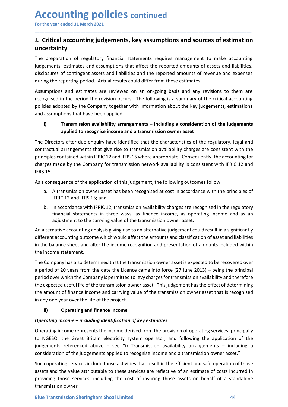## Accounting policies continued<br>
For the year ended 31 March 2021<br>
J. Critical accounting judgements, key assumptions and sources of estimatio<br>
uncertainty **Accounting policies continued<br>
For the year ended 31 March 2021**<br> **J. Critical accounting judgements, key assumptions and sources of estimation<br>
uncertainty<br>
The preparation of regulatory financial statements requires man** uncertainty

\_\_\_\_\_\_\_\_\_\_\_\_\_\_\_\_\_\_\_\_\_\_\_\_\_\_\_\_\_\_\_\_\_\_\_\_\_\_\_\_\_\_\_\_\_\_\_\_\_\_\_\_\_\_\_\_\_\_\_\_\_\_\_\_\_\_\_\_\_\_\_\_\_\_\_\_\_\_\_\_\_\_\_\_\_\_\_\_\_\_

Accounting policies continued<br>
For the year ended 31 March 2021<br>
J. Critical accounting judgements, key assumptions and sources of estimation<br>
uncertainty<br>
The preparation of regulatory financial statements requires manage **Accounting policies continued**<br> **J. Critical accounting judgements, key assumptions and sources of estimation**<br> **J. Critical accounting judgements, key assumptions and sources of estimation**<br>
The preparation of regulatory **Accounting policies continued**<br>For the year ended 31 March 2021<br>J. Critical accounting judgements, key assumptions and sources of estimation<br>uncertainty<br>The preparation of regulatory financial statements requires manageme **Accounting policies continued**<br>For the year ended 31 March 2021<br>**J. Critical accounting judgements, key assumptions and sources of estimation**<br>uncertainty<br>The preparation of regulatory financial statements requires manage **Accounting policies continued**<br>For the year ended 31 March 2021<br>J. Critical accounting judgements, key assumptions and sources of estimation<br>uncertainty<br>The preparation of regulatory financial statements requires manageme **Accounting policies continued**<br>
For the year ended 31 March 2021<br> **J. Critical accounting judgements, key assumptions and sources of estimation**<br>
Incepraation of regulatory financial statements requires management to make **Accounting policies** continued<br>
For the year ended 31 March 2021<br> **J. Critical accounting judgements, key assumptions and sources of estimation**<br>
Incerpration of regulatory financial statements requires management to make **Accounting policies continued**<br> **For the year ended 31 March 2021**<br> **J. Critical accounting judgements, key assumptions and sources of estimation**<br> **Uncertainty**<br>
The preparation of regulatory financial statements require **Accounting policies** continued<br>
For the year ended 31 March 2021<br> **J. Critical accounting judgements, key assumptions and sources of estimation**<br> **Uncertainty**<br>
The preparation of regulatory financial statements requires **CCOUNTIME POLICTES CONTINUED**<br>
The vear ended 31 March 2021<br>
Critical accounting judgements, key assumptions and sources of estimation<br>
certainty<br>
preparation of regulatory financial statements requires management to make

**In time polices continued**<br> **Exercise in March 2021**<br> **Accounting judgements, key assumptions and sources of estimation**<br> **Aty**<br> **Aty**<br> **Accounting judgements, key assumptions and sources of estimation**<br>
ateinon of regula For the year ended 31 March 2021<br>
1. Critical accounting judgements, key assumptions and sources of estimation<br>
uncertainty<br>
The preparation of regulatory financial statements requires management to make accounting<br>
indgem **J. Critical accounting judgements, key assumptions and sources of estimation**<br>
uncertainty<br>
The preparation of regulatory financial statements requires management to make accounting<br>
ijudgements, estimates and assumptions **J. Critical accounting judgements, key assumptions and sources of estimation**<br>The preparation of regulatory financial statements requires management to make accounting<br>judgements, estimates and assumptions that affect the **uncertainty**<br>
The preparation of regulatory financial statements requires management to make accounting<br>
indegements, estimates and assumptions that affect the reported amounts of assets and liabilities,<br>
disributing the **Exerces and Solution** of regulatory financial statements requires management<br>The preparation of regulatory financial statements requires management<br>idgenents, estimates and assumptions that affect the reported amounts of<br> divertions, estimates and assumptions that affect the reported amounts of assets and liabilities,<br>disclosures of contingent assets and liabilities and the reported amounts of revenue and expenses<br>during the reporting perio Insures of contingent assets and liabilities and the reported amounts of revenue and expenses<br>are reporting period. Actual results could differ from these estimates.<br>A reporting period the revision occurs. The following is the reporting period. Actual results could differ from these estimates.<br>
tions and estimates are reviewed on an on-going basis and any revisions to them are<br>
ed in the period the revision occurs. The following is a summary mptions and estimates are reviewed on an on-going basis and any revisions to them are<br>graised in the period the revision occurs. The following is a summary of the critical accounting<br>assumptions that have been applied.<br> **F** Financial statements in three ways: as finance income, as operating the accounting and the period the period the revision occurs. The following is a summary of the critical accounting adopted by the Company together with i ear in the perion the resistant octurs. The following is a summary of the cluster actionning<br>adopted by the Company together with information about the key judgements, estimations<br>amptions that have been applied.<br>**Transmis** and assumptions that have been applied.<br>
i) Transmission availability arrangements – including a consideration of the judgements<br>
applied to recognise income and a transmission owner asset<br>
The Directors after due enquiry different accounting and alternative internation of the judgements<br>applied to recognise income and a transmission owner asset<br>the Directors after due enquiry have identified that the characteristics of the regulatory, lega **The Different accounting and alter the income recognition and and contraction of the judgements<br>The Directors after due enquiry have identified that the characteristics of the regulatory, legal and<br>contractual arrangement The Directors after due enquiry have identified that the characteristics of the regule<br>contractual araragements that give rise to transmission availability charges are contracted araragements that give rise to transmissio** 

- 
- 

The Directors after due enquiry have identified that the characteristics of the regulatory, legal and<br>contractual arrangements that give rise to transmission availability charges are consistent with the<br>principles containe contractual arrangements that guve rise to transmission availability charges are consistent with the principles contained by the Company for transmission network availability is consistent with IFRIC 12 and IFRS 15.<br>
As a principles contained within IFRIC 12 and IFRS 15 where appropriate. Consequently, the accounting for<br>
FRS 15.<br>
As a consequence of the application of this judgement, the following outcomes follow:<br>
a. A transmission owner charges made by the Company for transmission network availability is consistent with IFRIC 12 and<br>HFRS 15.<br>As a consequence of the application of this judgement, the following outcomes follow:<br>a. A transmission owner asset IFRS 15.<br>
as a consequence of the application of this judgement, the following outcomes follow:<br>
a. A transmission owner asset has been recognised at cost in accordance with the principles of<br>
IFRIC 12 and IFRS 15; and<br>
b. As a consequence of the application of this judgement, the following outcomes follow:<br>
a. A transmission owner asset has been recognised at cost in accordance with the principles of<br>
IFRIC 12 and IFRS 15; and<br>
b. In accor a. A transmission owner asset has been recognised at cost in accordance with the principles of<br>
IFRIC 12 and IFRS 15; and<br>
In accordance with the recognised in the regulatory<br>
In accordance with IFRIC 12, transmission ava In an accuration of the may one of the project.<br>
In accordance with IFRIC 12, transmission availability charges are recognised in the regulatory<br>
financial statements in three ways: as finance income, as operating income a financial statements in three ways: as finance income, as operating income and as an adjustment to the carrying value of the transmission owner asset.<br>An alternative accounting analysis giving rise to an alternative judgem adjustment to the carrying value of the transmission owner asset.<br>An alternative accounting analysis giving rise to an alternative judgement could result in a significantly<br>different accounting outcome which would affect t An alternative accounting analysis giving rise to an alternative judgement could result in a significantly<br>different accounting outcome which would affect the amounts and classification of asset and liabilities<br>in the bala different accounting outcome which would affect the amounts and classification of asset and liabilities<br>in the balance sheet and alter the income recognition and presentation of amounts included within<br>the income statement in the balance sheet and alter the income recognition and presentation of amounts included within<br>the incompary has also determined that the transmission owner asset is expected to be recovered over<br>a period of 20 years fr the income statement.<br>The Company has also determined that the transmission owner asset is expected to be recovered over<br>a period of 20 years from the date the Licence came into force (27 June 2013) – being the principal<br>p The Company has also determined that the transmission owner asset is expected to be recovered over<br>period of 20 years from the date the Licence came into force (27 June 2013) – being the principal<br>period over which the Com and particular and the date the licence came into force (27 June 2013) – bein<br>a period of 20 years from the date the Licence came into force (27 June 2013) – bein<br>period over which the Company is permitted to levy charges

period over which the Company is permitted to levy charges for transmission availability and therefore<br>the expected useful life of the transmission owner asset. This judgement has the effect of determining<br>the amount of fi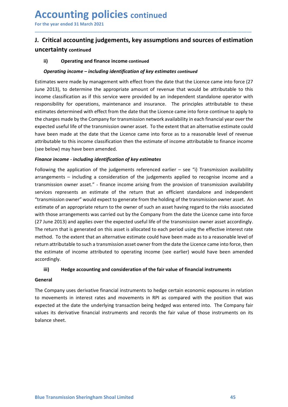## Accounting policies continued<br>
For the year ended 31 March 2021<br>
J. Critical accounting judgements, key assumptions and sources of estimatio<br>
uncertainty continued For the year ended 31 March 2021 Accounting policies continued<br>
For the year ended 31 March 2021<br>
J. Critical accounting judgements, key assumptions and sources of estimation<br>
uncertainty continued<br>
ii) Operating and finance income continued<br>
Operating in uncertainty continued

\_\_\_\_\_\_\_\_\_\_\_\_\_\_\_\_\_\_\_\_\_\_\_\_\_\_\_\_\_\_\_\_\_\_\_\_\_\_\_\_\_\_\_\_\_\_\_\_\_\_\_\_\_\_\_\_\_\_\_\_\_\_\_\_\_\_\_\_\_\_\_\_\_\_\_\_\_\_\_\_\_\_\_\_\_\_\_\_\_\_

**CCOUNTING POLICIES continued**<br>
She were ended 31 March 2021<br>
Critical accounting judgements, key assumptions and sources of estimation<br>
ii) Operating and finance income continued<br>
Operating income – including identificati **CCOUNTIME POLICIES** continued<br>
Critical accounting judgements, key assumptions and sources of estimation<br>
ii) Operating and finance income continued<br>
ii) Operating and finance income continued<br>
Operating income – includin For the year ended 31 March 2021<br> **J. Critical accounting judgements, key assumptions and sources of estimation**<br>
uncertainty continued<br>
ii) Operating and finance income continued<br>
Estimates were made by management with ef **Accounting policies** continued<br>
For the year ended 31 March 2021<br>
J. Critical accounting judgements, key assumptions and sources of estimation<br>
uncertainty continued<br>
ii) Operating and finance income continued<br> *Operating* **Accounting policies** continued<br>
For the year ended 31 March 2021<br> **J. Critical accounting judgements, key assumptions and sources of estimation**<br>
uncertainty continued<br>
(i) Operating and finance income continued<br> *Operati* **Accounting policies continued**<br>
For the year ended 31 March 2021<br> **J. Critical accounting judgements, key assumptions and sources of estimation**<br>
uncertainty continued<br>
(a) operating and finance income continued<br>
generati **Accounting policies** continued<br>
For the year ended 31 March 2021<br> **J. Critical accounting judgements, key assumptions and sources of estimation**<br>
uncertainty continued<br>
(i) Operating and finance income continued<br>
continue **Accounting policies** continued<br>
For the year ended 31 March 2021<br> **I. Critical accounting judgements, key assumptions and sources of estimation**<br>
uncertainty continued<br>
(a) Operating and finance income continued<br>
Comparin **ACCOUNTIME POLICIES** continued<br>
For the year ended 31 March 2021<br>
1. Critical accounting judgements, key assumptions and sources of estimation<br>
ii) Operating income – including identification of key estimates continued<br>
E **ACCOUNTIME POIICIES continued**<br> **J.** Critical accounting judgements, key assumptions and sources of estimation<br>
uncertainty continued<br>
(i) Operating and finance income continued<br>
(operating income – including identificat For the year ended 31 March 2021<br> **J. Critical accounting judgements, key assumptions and sources of estimation**<br> **uncertainty continued**<br> **ii)** Operating and finance income continued<br>
Estimates were made by management wi **J. Critical accounting judgements, key assumptions and sources of estimation uncertainty continued**<br>
ii) Operating and finance income continued<br> **Operating income** – *including identification of key estimates continued*<br> **J. Critical accounting judgements, key assumptions and sources of estimation**<br>
uncertainty continued<br>
(i) Operating and finance income continued<br> *Operating income – including identification of key estimates continued*<br> **uncertainty continued**<br> **Operating income – including identification of key estimates continued**<br> **Estimates were made by management with effect from the date that the Licence came into force (27<br>
Estimates were made by** ii) Operating and finance income continued<br> *Operating income – including identification of key estimates continued*<br>
Estimates were made by management with effect from the date that the Licence came into force (27<br>
June **Operating income – including identification of key estimates continued**<br>Estimates were made by management with effect from the date that the Licence came into force (27<br>June 2013), to determine the appropriate amount of r **Operating income – including identification of key estimates continued<br>Estimates were made by management with effect from the date that the licence came into force (27<br>June 2013), to determine the appropriate amount of r** Estimates were made by management with effect from the date that the Licence came into force (27)<br>income classification as if this service were provided by an independent standable cattibutable to this<br>income classificatio

June 2013), to determine the appropriate amount of revenue that would be attributable to this responsibility for operations, maintemance and insurance. The principles attributable to these estimates determined with effect income classification as if this service were provided by an independent standalone operator with<br>responsibility for operations, maintenance and insurance. The principles attributable to these<br>estimates determined with eff responsibility for operations, maintenance and insurance. The principles attributable to these estimates determined with effect from the date that the Licence canne into force continue to apply to the charges made by the C estimates determined with effect from the date that the Licence came into force continue to apply to<br>the charges made by the Company for transmission network availability in each financial year over the<br>expected useful lif the charges made by the Company for transmission network availability in each financial year over the systected useful life of the transmission owere asset. To the extent that an alternative estimate could thave been made expected useful life of the transmission owner asset. To the extent that an alternative estimate could<br>attributable to this income classification then the estimate of income attributable to finis income<br>statibutable to thi have been made at the date that the Licence came into force as to a reasonable level of revenue<br>stributible to this income classification then the estimate of income attributable to finance income<br>(see below) may have been accordingly. below) may have been amended.<br>
Ince *income* - *including identification of key estimates*<br>
invaright engelication of the judgements referenced earlier – see "i) Transmission availability<br>
ingements – including a considera Following the application of the juagements referenced earlier – see<sup>-1</sup>) Transmission availability<br>arrangements – including a consideration of the judgements applied to recognise income and a<br>transmission owner asset." arrangements – including a consideration of the judgements applied to recognise income and a<br>transmission owner asset." - finance income arising from the provision of transmission availability<br>services represents an estima transmission owner asset." - "Innance income arising from the provision or transmission owner are<br>vervices represents an estimate of the return that an efficient standalone and independent<br>"transmission owner" would expect services represents an estimate of the return that an eltricent standalone and independent<br>"transmission owner" would expect to generate from the holding of the transmission owner asset. An<br>estimate of an appropriate retur "transmission owner" would expect to generate from the holding of the transmission<br>estimate of an appropriate return to the owener of such an asset having regard to<br>with those arrangements was carried out by the Company fr

### General

General<br>The Company uses derivative financial instruments to hedge certain economic exposures in relation<br>to movements in interest rates and movements in RPI as compared with the position that was<br>expected at the date the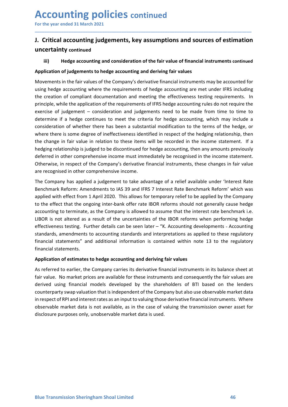## Accounting policies continued<br>
For the year ended 31 March 2021<br>
J. Critical accounting judgements, key assumptions and sources of estimatio<br>
uncertainty continued For the year ended 31 March 2021 Accounting policies continued<br>
For the year ended 31 March 2021<br>
J. Critical accounting judgements, key assumptions and sources of estimation<br>
uncertainty continued<br>
iii) Hedge accounting and consideration of the fair valu uncertainty continued

\_\_\_\_\_\_\_\_\_\_\_\_\_\_\_\_\_\_\_\_\_\_\_\_\_\_\_\_\_\_\_\_\_\_\_\_\_\_\_\_\_\_\_\_\_\_\_\_\_\_\_\_\_\_\_\_\_\_\_\_\_\_\_\_\_\_\_\_\_\_\_\_\_\_\_\_\_\_\_\_\_\_\_\_\_\_\_\_\_\_

**CCOUNTING POLICIES** continued<br>
Server and the year ended 31 March 2021<br>
Critical accounting judgements, key assumptions and sources of estimation<br>
iii) Hedge accounting and consideration of the fair value of financial ins **Accounting policies continued**<br>For the year ended 31 March 2021<br>J. Critical accounting judgements, key assumptions and sources of estimation<br>uncertainty continued<br>ii) Hedge accounting and consideration of the fair value o For the year ended 31 March 2021<br> **J. Critical accounting judgements, key assumptions and sources of estimation**<br>
uncertainty continued<br>
iii) Hedge accounting and consideration of the fair values<br>
Application of judgements For the year ended 31 March 2021<br> **U. Critical accounting judgements, key assumptions and sources of estimation**<br>
uncertainty continued<br>
iii) Hedge accounting and consideration of the fair value of financial instruments co For the year ended 31 March 2021<br> **J. Critical accounting judgements, key assumptions and sources of estimation**<br>
uncertainty continued<br>
iii) Hedge accounting and consideration of the fair value of financial instruments co **Accounting policies** continued<br>
For the year ended 31 March 2021<br> **J. Critical accounting judgements, key assumptions and sources of estimation**<br>
uncertainty continued<br>
iii) Hedge accounting and consideration of the fair **Accounting policies** continued<br>
For the year ended 31 March 2021<br> **J. Critical accounting judgements, key assumptions and sources of estimation**<br>
uncertainty continued<br>
(ii) Hedge accounting and consideration of the fair **Accounting policies** continued<br>
For the year ended 31 March 2021<br> **1. Critical accounting judgements, key assumptions and sources of estimation**<br>
uncertainty continued<br>
iii) Hedge accounting and consideration of the fair **ACCOUNTIME POLICIES** continued<br>
For the year ended 31 March 2021<br>
1. Critical accounting judgements, key assumptions and sources of estimation<br>
iii) Hedge accounting and consideration of the fair value of financial instru **ACCOUNTIME POIICIES continued**<br>
I. Critical accounting judgements, key assumptions and sources of estimation<br>
uncertainty continued<br>
iii) Hedge accounting and consideration of the fair value of financial instruments conti For the year ended 31 March 2021<br>
1. Critical accounting judgements, key assumptions and sources of estimation<br>
uncertainty continued<br>
iii) Hedge accounting and consideration of the fair value of financial instruments cont **J. Critical accounting judgements, key assumptions and sources of estimation**<br>
uncertainty continued<br>
iii) Hedge accounting and consideration of the fair value of financial instruments continued<br>
Application of judgements **J. Critical accounting judgements, key assumptions and sources of estimation uncertainty continued**<br>
iii) Hedge accounting and consideration of the fair value of financial instruments continued<br>
Application of judgements **Example 19 The Company of the Company Servet of the Company and Constrainty continued**<br> **Comparison of Judgements to hedge accounting and deriving fair values**<br> **Comparison of Judgements to hedge accounting and deriving f Examplication**<br> **Examplication of judge accounting and consideration of the fair value of financial instruments continued<br>
Application of judgements to hedge accounting and deriving fair values<br>
Movements in the fair valu** iii) Hedge accounting and consideration of the tair value of tinancial instruments continued<br>Application of judgements to hedge accounting and deriving fair values<br>Movements in the fair values of the Company's derivative f Application of judgements to hedge accounting and deriving fair values<br>Movements in the fair values of the Company's derivative financial instruments may be accounted for<br>using hedge accounting where the requirements of he Movements in the fair values of the Company's derivative financial instruments may be accounted for<br>using hedge accounting where the requirements of hedge accounting are met under IFRS including<br>the creation of compliant d movements on the motomasy of enterromistic state and methanic many be accounting and the reaction of compliant documentation and meeting the effectiveness testing requirements. In principle, while the prediction of the req sime recognised in other comprehensive income and judge accounting similar to the requirements. In principle, while the application of the requirements of IFRS hedge accounting rules do not require the consideration and pr Inter creation to compute not and methallo and methallo and methallo and methallo and the exercise of judgement – consideration and judgements of IFRS hedge accounting rules do not require the exercise of judgement – consi

phency, wine the epplection of the retreation and judgements are do to be made from time to time to determine if a hedge continues to meet the criteria for hedge accounting, which may include a determine if a hedge continu extensive in detection and load methanic mand a proposition and interpretations of the manner of a hedge accounting, which may include a consideration of whether there has been a substantial modification to the terms of th ecommine in a mealge connuclear one to these the center of mealge economing, whinch may incurrely the range in fair values consideration of whether there has been a substantial modification to the terms of the hedge, or wh consumer our wincomer enter inso usera a soussantial innormation to the term<br>where there is some degree of ineffectiveness identified in respect of the hedging<br>the change in fair value in relation to these items will be re the change in fair value in relation to these items will be recorded in the income statement. If a between the diget of be discontinued for hedge accounting, then any amounts previously beferred in other comprehensive inco hedging relationship is judged to be discontinued for hedge accounting, then any amounts previously<br>deferred in other comprehensive income must immediately be recognised in the income statement.<br>Otherwise, in respect of th derered to enere compenents we recognised in the income statement.<br>Otherwise, in respect of the Company's derivative financial instruments, these changes in fair value<br>are recognised in other comprehensive income.<br>The Comp Offerwise, in respect of the Company's derivative thrancial instruments, these changes in fair value<br>Offerwise, in respect of the Company star particle can all interest and Bendmark Reform: Amendments to IAS 39 and IFRS 7 are recognised in other comprehensive income.<br>The Company has applied a judgement to take advantage of a relief available under 'Interest Rate<br>Benchmark Reform: Amendments to lAS 39 and IFRS 7 Interest Rate Benchmark Refor The Company has applied a judgement to take advantage of a relief available under 'Interest Rate<br>Beplied with effect from 1 April 2020. This allows for 7 Interest Rate Benchmark Reform' which was<br>applied with effect from 1 Benchmark Reform: Amendments to IAS 39 and IFRS 7 Interest Rate Benchmark Reform' which was<br>applied with effect from 1 April 2020. This allows for temporary relief to be applied by the Company<br>to the effect that the ongoin applied with effect from 1 April 2020. This allows for temporary relief to be applied by the Company<br>to the effect that the ongoing inter-bank offer rate IBOR reforms should not generally cause hedge<br>accounting to terminat

fair value. No market prices are available for these instruments and consequently the fair values are<br>derived using financial models developed by the shareholders of BTI based on the lenders<br>counterparty swap valuation tha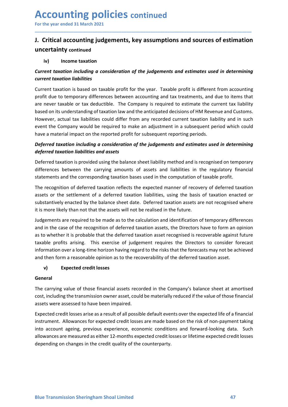### Accounting policies continued<br>
For the year ended 31 March 2021<br>
J. Critical accounting judgements, key assumptions and sources of estimatio<br>
uncertainty continued Accounting policies continued<br>
For the year ended 31 March 2021<br>
J. Critical accounting judgements, key assumptions and sources of estimation<br>
uncertainty continued Accounting policies continued<br>
For the year ended 31 March 2021<br>
J. Critical accounting judgements, key assumptions and sources of estimation<br>
uncertainty continued<br>
iv) Income taxation<br>
Current taxation including a consid uncertainty continued **CCOUNTING POLICIES** continued<br>
the year ended 31 March 2021<br>
Critical accounting judgements, key assumptions and sources of estim<br>
certainty continued<br>
iv) Income taxation<br>
rent taxation including a consideration of the

\_\_\_\_\_\_\_\_\_\_\_\_\_\_\_\_\_\_\_\_\_\_\_\_\_\_\_\_\_\_\_\_\_\_\_\_\_\_\_\_\_\_\_\_\_\_\_\_\_\_\_\_\_\_\_\_\_\_\_\_\_\_\_\_\_\_\_\_\_\_\_\_\_\_\_\_\_\_\_\_\_\_\_\_\_\_\_\_\_\_

**ACCOUNTING POIICIES continued**<br>
For the year ended 31 March 2021<br> **J. Critical accounting judgements, key assumptions and sources of estimation**<br>
uncertainty continued<br>
(iv) Income taxation<br>
Current taxation *including a* **ACCOUNTIME POLICIES continued**<br>
For the year ended 31 March 2021<br> **J. Critical accounting judgements, key assumptions and sources of est**<br>
uncertainty continued<br>
iv) Income taxation<br>
Current taxation *including a consider* **Accounting policies** continued<br>
For the year ended 31 March 2021<br> **J. Critical accounting judgements, key assumptions and sources of estimation**<br>
Income taxation<br>
Current taxation *including a consideration of the judgeme* **Accounting policies** continued<br>For the year ended 31 March 2021<br>**J.** Critical accounting judgements, key assumptions and sources of estimation<br>uncertainty continued<br>iv) Income taxation<br>Current taxation including a conside **Accounting policies** continued<br>
For the year ended 31 March 2021<br> **J. Critical accounting judgements, key assumptions and sources of estimation**<br>
current taxation including a consideration of the judgements and estimates **Accounting policies** continued<br>
For the year ended 31 March 2021<br> **J. Critical accounting judgements, key assumptions and sources of estimation**<br>
uncertainty continued<br>
iv) Income taxation<br>
Current taxation *linciling a c* **Accounting policies** continued<br>
For the year ended 31 March 2021<br> **I. Critical accounting judgements, key assumptions and sources of estimation**<br>
uncertainty continued<br>
iv) Income taxation<br>
Current taxation liabilities<br>
C **ACCOUNTIME POLICIES** continued<br>
For the year ended 31 March 2021<br>
1. Critical accounting judgements, key assumptions and sources of estimation<br>
nuncertainty continued<br>
iv) Income taxation<br>
Current traxation including a co For the year ended 31 March 2021<br> **J.** Critical accounting judgements, key assumptions and sources of estimation<br>
uncertainty continued<br>
iv) Income taxation<br>
Current taxation<br>
current taxation line thinking a consideration For the year ended 31 March 2021<br> **J. Critical accounting judgements, key assumptions and sources of estimation**<br>
Income taxation<br>
iv Income taxation<br>
income taxation<br>
Current taxation liabilities<br>
Current taxation is base **J. Critical accounting judgements, key assumptions and sources of estimation**<br>
uncertainty continued<br>
iv) Income taxation<br>
Current taxation including a consideration of the judgements and estimates used in determining<br>
c **J.** Critical accounting jougements, wey assumptions and sources or estimation in<br>
iv) Income taxation<br>
for the interaction including a consideration of the judgements and estimates used in determining<br>
current taxation l **Uncertainty** continued<br>
iv) Income taxation<br>
Current taxation *including* a consideration of the judgements and estimates used in determining<br>
current taxation is based on taxable profit for the year. Taxable profit is di iv) Income taxation<br>
Current taxation including a consideration of the judgements and estimates used in determining<br>
current taxation liabilities<br>
Current taxation is based on taxable profit for the year. Taxable profit is Current taxation including a consideration of the judgements and estimates used in determining<br>Current taxation is based on taxable profit for the year. Taxable profit is different from accounting<br>profit due to temporary d **Current taxation liabilities**<br>
Current taxation is based on taxable profit for the year. Taxable profit is different from accounting<br>
profit due to temporary differences between accounting and tax treatments, and due to i Current taxation is based on taxable profit for the year. Taxable profit is different from accounting<br>profit due to temporary differences between accounting and tax treatments, and due to items that<br>are never taxable or ta Current traxtion is based on taxable profit for the year. Taxable profit is different from accounting<br>profit due to temporary differences between accounting and tax treatments, and due to items that<br>are never taxable or ta

Free never taxable or tax deductible. The Company is required to estimate the current tax liability<br>based on its understanding of taxation law and the anticipated decisions of HM Revenue and Customs.<br>However, actual tax li based on its understanding of taxation law and the anticipated decisions of HM Revenue and Customs.<br>However, actual tax liabilities could differ from any recorded current taxation liability and in such<br>However, actual tax However, actual tax liabilities could differ from any recorded current taxation liability and in such<br>event the Company would be required to make an adjustment in a subsequent period which could<br>ahave a material impact on event the Company would be required to make an adjustment in a subsequent period which could<br>thave a material impact on the reported profit for subsequent reporting periods.<br>Deferred traxation liabilities and assets<br>foreca have a material impact on the reported profit for subsequent reporting periods.<br> **Deferred taxation including a consideration of the judgements and estimates used in determining deferred taxation is provided using the bala Deferred taxation including a consideration of the judgements and estimates used in determining deferred taxation including a consideration of the judgements and estimates used in determining deferred taxation is provided** Freed taxation is provided using the balance sheet liability method and is recognised on temporary<br>rences between the carrying amounts of assets and liabilities in the regulatory financial<br>ements and the corresponding taxa differences between the carrying amounts of assets and liabilities in the regulatory financial<br>statements and the corresponding taxation bases used in the computation of taxable profit.<br>The recognition of deferred taxation statements and the corresponding taxation bases used in the computation of taxable profit.<br>The recognition of deferred taxation reflects the expected manner of recovery of deferred taxation<br>sastss or the settlement of a de The recognition of deferred taxation reflects the expected manner of recovery of deferred taxation<br>assets or the settlement of a deferred taxation liabilities, using the basis of taxation enacted or<br>substantively enacted b assets or the settlement of a deferred taxation liabilities, using the basis of taxation enacted or<br>substantively enacted by the balance sheet date. Deferred taxation assets are not recognised where<br>it is more likely than substantively enacted by the balance sheet date. Deferred taxation assets are not recognised where<br>it is more likely than not that the assets will not be realized in the future.<br>Indegrements are required to be made as to t it is more likely than not that the assets will not be realised in the future.<br>Udgements are required to be made as to the calculation and identification of temporary differences<br>and in the case of the recognition of defer Judgements are required to be made as to the calculation and identification of temporary differences<br>and in the case of the recognition of deferred taxation assets, the Directors have to form an opinion<br>as to whether it is and in the case of the recognition of deferred taxation assets, the Directors have to form an opinion<br>as to whether it is probable that the deferred taxation asset recognised is recoverable against future<br>as to whether it

### General

General<br>The carrying value of those financial assets recorded in the Company's balance sheet at amortised<br>cost, including the transmission owner asset, could be materially reduced if the value of those financial<br>assets wer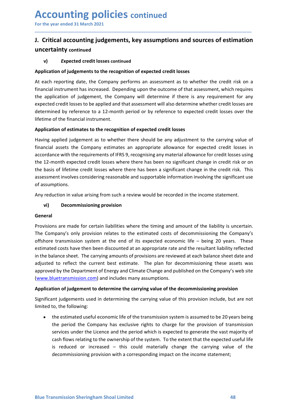## Accounting policies continued<br>
For the year ended 31 March 2021<br>
J. Critical accounting judgements, key assumptions and sources of estimatio<br>
uncertainty continued Accounting policies continued<br>
For the year ended 31 March 2021<br>
J. Critical accounting judgements, key assumptions and sources of estimation<br>
uncertainty continued Accounting policies continued<br>
For the year ended 31 March 2021<br>
J. Critical accounting judgements, key assumptions and sources of estimation<br>
uncertainty continued<br>
v) Expected credit losses continued<br>
Application of judg uncertainty continued

\_\_\_\_\_\_\_\_\_\_\_\_\_\_\_\_\_\_\_\_\_\_\_\_\_\_\_\_\_\_\_\_\_\_\_\_\_\_\_\_\_\_\_\_\_\_\_\_\_\_\_\_\_\_\_\_\_\_\_\_\_\_\_\_\_\_\_\_\_\_\_\_\_\_\_\_\_\_\_\_\_\_\_\_\_\_\_\_\_\_

**CCOUNTING POLICIES** continued<br>
Critical accounting judgements, key assumptions and sources of estimation<br>
Critical accounting judgements, key assumptions and sources of estimation<br>
v) Expected credit losses continued<br>
Ic **Accounting policies continued**<br>For the year ended 31 March 2021<br>J. Critical accounting judgements, key assumptions and sources of estimation<br>uncertainty continued<br> $\alpha$ ) Expected credit losses continued<br>Application of judg For the year ended 31 March 2021<br> **J. Critical accounting judgements, key assumptions and sources of estimation**<br>
uncertainty continued<br>
v) Expected credit losses continued<br>
Application of judgements to the recognition of **Accounting policies continued**<br> **For the year ended 31 March 2021**<br> **J. Critical accounting judgements, key assumptions and sources of estimation**<br> **Application of judgements to the recognition of expected credit losses**<br> For the year ended 31 March 2021<br> **J. Critical accounting judgements, key assumptions and sources of estimation**<br>
uncertainty continued<br>
v) Expected credit losses continued<br>
Application of judgements to the recognition of **Accounting policies continued**<br>
For the year ended 31 March 2021<br> **J. Critical accounting judgements, key assumptions and sources of estimation**<br>
uncertainty continued<br>
v) Expected credit losses continued<br>
Application of **Accounting policies** continued<br> **J.** Critical accounting judgements, key assumptions and sources of estimation<br>
uncertainty continued<br>
v) Expected credit losses continued<br>
deplication of judgements to the recognition of e **Accounting policies** continued<br>For the year ended 31 March 2021<br> **J. Critical accounting judgements, key assumptions and sources of estimat**<br>
uncertainty continued<br>
v) Expected credit losses continued<br>
Application of judg For the year ended 31 March 2021<br> **J. Critical accounting judgements, key assumptions and sources of estimation**<br>
uncertainty continued<br>
v) Expected credit losses continued<br>
Application of judgements to the recognition of For the year ended 31 March 2021<br> **J. Critical accounting judgements, key assumptions and sources of estimation**<br>
uncertainty continued<br>
(v) Expected credit losses continued<br>
(Application of judgements to the recognition o

**I. Critical accounting judgements, key assumptions and sources of estimation uncertainty continued**<br>
v) Expected credit losses continued<br>
Application of judgements to the recognition of expected credit losses<br>
At each rep **J. Critical accounting judgements, key assumptions and sources of estimation**<br> **uncertainty continued**<br> **v)** Expected credit losses continued<br>
Application of judgements to the recognition of expected credit losses<br>
At eac **Expection of proper controllary** constrained and solutions and solutions of estimation incertainty continued<br>
Application of judgements to the recognition of expected credit losses<br>
At A reach reporting date, the Company **UNCERT CONDITY CONTITY CONTITY CONTITY** CONTITUATION CONDITENT THE RECONDITENT THE RECONDITENT ON THE CREDIT CONTINUES THE CREDIT ON THE CREDIT OF A SIGNIFICANT CHANGE A DEPENDANCE THE CREDIT OF A SIGNIFICANT CHANGE A DEP v) Expected credit losses continued<br>Application of judgements to the recognition of expected credit losses<br>At each reporting date, the Company performs an assessment as to whether the credit risk on a<br>financial instrument Application of judgements to the recognition of expected credit losses<br>At each reporting date, the Company performs an assessment as to whether dinancial instrument has increased. Depending upon the outcome of that as<br>thre <sup>1</sup><br>At each reporting date, the Company performs an assessment as to whether the credit risk on a<br>financial instrument has increased. Depending upon the outcome of that assessment, which requires<br>the application of judgeme inclainstrument has increased. Depending upon the outcome of that assessment, which requires<br>application of judgement, the Company will determine if there is any requirement for any<br>application of judgement, the Company wi Expected treations are made for certain liabilities where the timing outer and the resultant liability reflected costs are made by reflerence to a 12-month period or by reflerence to expected credit losses over the lifetim Difference to a 22-mondinal provision of expected credit bases over the Uniference of the financial instrument.<br>Application of estimates to the recognition of expected credit losses having applied judgement as to whether t

### General

Interiume of the Imanician Institution.<br> **Application of estimates to the recognition of expected credit losses**<br>
Having applied judgement as to whether there should be any adjustment to the carrying value of<br>
financial as **Application of estimates to the recognition of expected credit losses**<br>Having applied judgement as to whether there should be any adjustment to the carrying value of<br>financial assets the Company estimates an appropriate a Having applied judgement as to whether there should be any adjustment to the carrying value of<br>financial assets the Company estimates an appropriate allowance for expected credit losses usin<br>accordance with the requirement financial assets the Company estimates an appropriate allowance for expected credit losses in<br>accordance with the requirements of IFRS 9, recognising any material allowance for credit losses using<br>accordance with the requi accordance with the requirements of IFRS 9, recognising any material allowance for credit losses using<br>the 12-month expected credit losses where there has been no significant change in credit risk or on<br>the basis of lifeti (www.bluetransmission.com) and includes many assumptions.<br> **Applicant includes** the conditional system there has been no significant change in credit risk or on<br>
the basis of lifetime credit losses where there has been no the basis of lifetime credit losses where there has been a significant change in the credit risk. This<br>assessment involves considering reasonable and supportable information involving the significant use<br>of assumptions.<br>An Significant involves considering reasonative and supportative innormation involving the significant use<br>
Any reduction in value arising from such a review would be recorded in the income statement.<br> **Comeral**<br>
Provisions a In assumptions.<br>
Any reduction in value arising from such a review would be recorded in the income state<br>
(vi) Decommissioning provision<br>
General<br>
Provisions are made for certain liabilities where the timing and amount of **Decommissioning pronts such a reverw would be recorded in the incomies statement.**<br> **Decommissioning provision** relates to the estimated costs of decommissioning the Company's transmission system at the end of its expecte **Decommissioning provision**<br>
Ins are made for certain liabilities where the timing and amount of the liability is uncertain.<br>
Impany's only provision relates to the estimated costs of decommissioning the Company's<br>
transmi ns are made for certain liabilities where the timing and amount of the liability is uncertain.<br>The paraly's only provision relates to the estimated costs of decommissioning the Company's<br>t transmission system at the end of ns are made for certain liabilities where the timing and amount of the liability is uncertain.<br>
mpany's only provision relates to the estimated costs of decommissioning the Company's<br>
transmission system at the end of its ns are made for certain liabilities where the timing and amount of the liability is uncertain.<br>Impany's only provision relates to the estimated costs of decommissioning the Company's<br>transmission system at the end of its e many's only provision relates to the estimated costs of ececommissioning the Company's only provisions system at the end of its expected economic life – being 20 years. These ded costs have then been discounted at an appro

(www.bluetransmission.com) and includes many assumptions.<br> **Application of judgement to determine the carrying value of the decommissioning provision**<br>
Significant judgements used in determining the carrying value of this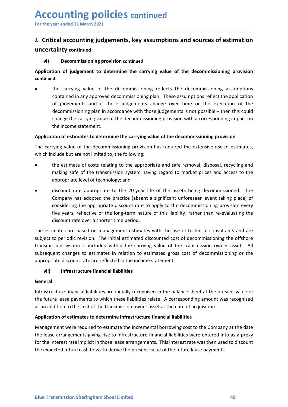### Accounting policies continued<br>
For the year ended 31 March 2021<br>
J. Critical accounting judgements, key assumptions and sources of estimatio<br>
uncertainty continued Accounting policies continued<br>
For the year ended 31 March 2021<br>
J. Critical accounting judgements, key assumptions and sources of estimation<br>
uncertainty continued Accounting policies continued<br>
For the year ended 31 March 2021<br>
J. Critical accounting judgements, key assumptions and sources of estimation<br>
uncertainty continued<br>
vi) Decommissioning provision continued<br>
Application of uncertainty continued **CCOUNTING POLICIES** continued<br>
Separate and  $\frac{1}{2}$  and  $\frac{1}{2}$ <br>
Critical accounting judgements, key assumptions and sources of estimation<br>
certainty continued<br>
vi) Decommissioning provision continued<br>
lication of ju

\_\_\_\_\_\_\_\_\_\_\_\_\_\_\_\_\_\_\_\_\_\_\_\_\_\_\_\_\_\_\_\_\_\_\_\_\_\_\_\_\_\_\_\_\_\_\_\_\_\_\_\_\_\_\_\_\_\_\_\_\_\_\_\_\_\_\_\_\_\_\_\_\_\_\_\_\_\_\_\_\_\_\_\_\_\_\_\_\_\_

### continued

Accounting policies continued<br>
For the year ended 31 March 2021<br>
J. Critical accounting judgements, key assumptions and sources of estimation<br>
uncertainty continued<br>
(vi) Decommissioning provision continued<br>
Application of **OUNTATE POLICIES continued**<br> **Constrained S1 March 2021**<br> **Constrainty continued**<br> **Constrained becommissioning provision continued**<br> **Constrained in of judgement to determine the carrying value of the decommissioning pro COLIT CONTITY CONTITY CONTITY CONTITY CONTITY CONTITY CONTITY CONTITY CONTITY CONTITY CONTITY CONTITY CONTITY CONTITY CONTITY CONTITY CONTITY CONTITY CONTITY CONTITY CONTITY CONTITY CONTINUES DECOMMISSIONING PROVISION CON OUNTIME POLICIES** continued<br>
ical accounting judgements, key assumptions and sources of estimation<br>
ical accounting judgements, key assumptions and sources of estimation<br>
of judgement to determine the carrying value of th **OUNTIME POLICIES continued**<br>
Searended 31 March 2021<br>
Sical accounting judgements, key assumptions and sources of estimation<br>
ainty continued<br>
Decommissioning provision continued<br>
decommissioning provision<br>
the carrying v **Collective Constituted**<br> **Carrying indepenents, key assumptions and sources of estimation**<br> **Carrying value of the decommissioning provision**<br> **Commissioning provision continued**<br> **Commissioning provision continued**<br> **Com OUNTIME POLICIES continued**<br>
Ecal accounting judgements, key assumptions and sources of estin<br>
Ecal accounting judgements, key assumptions and sources of estin<br>
ainty continued<br>
Decommissioning provision continued<br>
the ca **ACCOUTITETTIFY POTICIES CONTINUED**<br> **J.** Critical accounting judgements, key assumptions and sources of estimation<br>
uncertainty continued<br>
(vi) Decommissioning provision continued<br>
(vi) Decommissioning provision continued **J. Critical accounting judgements, key assumptions and sources of estimation**<br>
uncertainty continued<br>  $\omega$ ) Decommissioning provision continued<br>  $\omega$ <br>  $\omega$  dependent to determine the carrying value of the decommissioning **J. Critical accounting judgements, key assumptions and sources of estimation uncertainty continued<br>
vi) Decommissioning provision continued<br>
Application of judgement to determine the carrying value of the decommissioning tainty continued**<br> **Decommissioning provision continued**<br> **Examplement to determine the carrying value of the decommissioning provision<br>
d<br>
the carrying value of the decommissioning reflects the decommissioning assumption Example 12**<br> **Decommissioning provision continued**<br> **Example 10** the decommissioning reflects the decommissioning provision<br> **Example 10** the carrying value of the decommissioning reflects the decommissioning assumptions<br> **Decommissioning provision continued**<br> **Solution** of **judgement to determine the carrying value of the decommissioning provision**<br> **Continued in any approved decommissioning reflects the decommissioning assumptions**<br>
conta down of judgement to determine the carrying value of the decommissioning provision<br>the carrying value of the decommissioning reflects the decommissioning assumptions<br>contained in any approved decommissioning plan. These as d<br>
de<br>
de carrying value of the decommissioning reflects the decommissioning assumptions<br>
contained in any approved decommissioning plan. These assumptions reflect the application<br>
of judgements and if those judgements cha the carrying value of the decommissioning reflects the decommissioning assumptions<br>contained in any approved decommissioning plan. These assumptions reflect the application<br>of pidgements and if those judgements change over contained in any approved decommissioning plan. These assumptions reflect the application<br>of judgements and if those judgements change over time or the execution of the<br>decommissioning plan in accordance with those judgeme

- 
- of judgements and if those judgements change over time or the execution of the<br>decommissioning plan in accordance with those judgements is not possible then this could<br>change te carrying value of the decommissioning prov decommissioning plan in accordance with those judgements is not possible – then this could<br>
change the carrying value of the decommissioning provision with a corresponding impact on<br> **Application of estimates to determine** change the carrying value of the decommissioning provision with a corresponding impact on<br>
Application of estimates to determine the carrying value of the decommissioning provision<br>
The carrying value of the decommissionin the income statement.<br> **Application of estimates to determine the carrying value of the decommissioning provision has required the extensive use of estimates,<br>
which include but are not limited to, the following:<br>
• the es** Application of estimates to determine the carrying value of the decommissioning provision<br>The carrying value of the decommissioning provision has required the extensive use of estimates,<br>which include but are not limited t The carrying value of the decommissioning provision has required the extensive use of estimates,<br>which include but are not limited to, the following:<br>
• the estimate of costs relating to the appropriate and safe removal, d the estimate of the following:<br>
include but are not limited to, the following:<br>
the estimate of costs relating to the appropriate and safe removal, disposal, recycling and<br>
making safe of the transmission system having reg making safe of the transmission system having regard to market prices and access to the<br>
uscount rate appropriate to the 20-year life of the assets being decommissioned. The<br>
company has adopted the practice (absent a sign appropriate level of technology; and<br>
• discount rate appropriate to the 20-year life of the assets being decommissioned. The<br>
Company has adopted the parctice (absent a significant unforeseen event taking place) of<br>
consi • discount rate appropriate to the 20-year life of the assets being decommissioned. The Company has adopted the practice (absent a significant unforeseen event taking place) of considering the appropriate discount rate to

Company has adopted the practice (absent a significant unforeseen event taking place) of<br>
considering the appropriate discount rate to apply to the decommissioning provision every<br>
five years, reflective of the long-term n Univertunce the epotyphere a usour late to eleptromate the incrementation provision every five years, reflective of the long-term nature of this liability, rather than re-evaluating the discount rate over a shorter time pe The estimate of the longituring method. The user of the section attention discount rate over a shorter time period.<br>The estimates are based on management estimates with the use of technical consultants and are subject to p used to the simulate over a sinctuar une period.<br>The estimates are based on management estimates with the use of technical consultants and are<br>subject to periodic revision. The initial estimated discounted cost of decommis The estimates are based on management estimates with the use of technical consultants and are subject to periodic revision. The initial estimated discounted cast of decommissioning the offshore transmission system is inclu

### General

General<br>Infrastructure financial liabilities are initially recognised in the balance sheet at the present value of<br>the future lease payments to which these liabilities relate. A corresponding amount was recognised<br>as an ad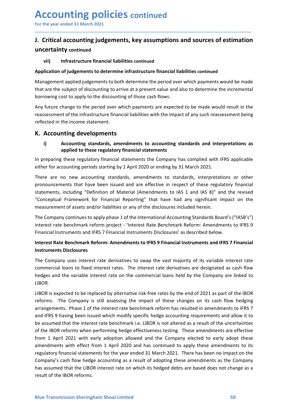## Accounting policies continued<br>
For the year ended 31 March 2021<br>
J. Critical accounting judgements, key assumptions and sources of estimatio<br>
uncertainty continued Accounting policies continued<br>
For the year ended 31 March 2021<br>
J. Critical accounting judgements, key assumptions and sources of estimation<br>
uncertainty continued Accounting policies continued<br>
For the year ended 31 March 2021<br>
J. Critical accounting judgements, key assumptions and sources of estimation<br>
uncertainty continued<br>
vii) Infrastructure financial liabilities continued<br>
App uncertainty continued

\_\_\_\_\_\_\_\_\_\_\_\_\_\_\_\_\_\_\_\_\_\_\_\_\_\_\_\_\_\_\_\_\_\_\_\_\_\_\_\_\_\_\_\_\_\_\_\_\_\_\_\_\_\_\_\_\_\_\_\_\_\_\_\_\_\_\_\_\_\_\_\_\_\_\_\_\_\_\_\_\_\_\_\_\_\_\_\_\_\_

**CCOUNTING POLICIES continued**<br>
Server ended 31 March 2021<br>
Critical accounting judgements, key assumptions and sources of estimation<br>
vii) Infrastructure financial liabilities continued<br>
Ilication of judgements to determi **Accounting policies continued**<br>
For the year ended 31 March 2021<br> **J. Critical accounting judgements, key assumptions and sources of estimation**<br>
uncertainty continued<br>
wil) Infrastructure financial liabilities continued<br> For the year ended 31 March 2021<br> **J. Critical accounting judgements, key assumptions and sources of estimation**<br>
uncertainty continued<br>
wil) Infrastructure financial liabilities continued<br>
Application of judgements to det

**Accounting policies** continued<br>For the year ended 31 March 2021<br>J. Critical accounting judgements, key assumptions and sources of estimation<br>uncertainty continued<br>wil) Infrastructure financial liabilities continued<br>Applic **Accounting policies** continued<br>
For the year ended 31 March 2021<br> **J. Critical accounting judgements, key assumptions and sources of estimation**<br>
uncertainty continued<br>
vii) Infrastructure financial liabilities continued<br> **Accounting policies** continued<br>
For the year ended 31 March 2021<br> **1. Critical accounting judgements, key assumptions and sources of estimation**<br>
uncertainty continued<br>
will Infrastructure financial liabilities continued<br> **Accounting policies** continued<br>
For the year ended 31 March 2021<br> **J. Critical accounting judgements, key assumptions and sources of estimation**<br>
uncertainty continued<br>
vii) Infrastructure financial liabilities continued<br> **Accounting policies** continued<br>
For the year ended 31 March 2021<br>
J. Critical accounting judgements, key assumptions and sources of estimat<br>
uncertainty continued<br>
will infrastructure financial liabilities continued<br>
Appl For the year ended 31 March 2021<br> **J. Critical accounting judgements, key assumptions and sources of estimated in March 2021**<br> **J. Critical accounting judgements, key assumptions and sources of estimated will infrastructur** The year ended 31 March 2021<br>
Critical accounting judgements, key assumptions and sources of estimation<br>
Critical accounting standards to determine infrastructure financial liabilities continued<br>
Vii) Infrastructure financ **accounting judgements, key assumptions and sources of estimation**<br>ty continued<br>Infrastructure financial liabilities continued<br>of judgements to determine infrastructure financial liabilities continued<br>at applied judgements

**J.** Critical accounting judgements, key assumptions and sources of estimation<br>
uncertainty continued<br>  $\mu$ il) Infrastructure financial liabilities continued<br>
Application of judgements to determine infrastructure financia **uncertainty continued**<br> **vii)** Infrastructure financial liabilities continued<br>
Application of judgements to determine infrastructure financial liabilities continued<br>
Management applied judgements to both determine the per vil) Infrastructure financial liabilities continued<br>Application of judgements to determine infrastructure financial liabilities continued<br>Management applied judgements to both determine the period over which payments would **Application of judgements to determine infrastructure financial liabilities continued**<br>
Management applied judgements to both determine the period over which payments would be made<br>
that are the subject of discounting to Application of judgements to determine infrastructure financial liabilities continued<br>
Management applied judgements to both determine the period over which payments would be made<br>
that are the subject of discounting to ar Management applied judgements to both determine the period over which payments would be made<br>that are the subject of discounting to arrive at a present value and also to determine the incremental<br>borrowing cost to apply to that are the subject of discounting to arrive at a present value and also to determine the incremental<br>borrowing cost to apply to the discounting of those cash flows.<br>Any future change to the preiod over which payments are borrowing cost to apply to the discounting of those cash flows.<br>
Any future change to the preirod over which payments are expected to be made would result in the<br>
reassessment of the infrastructure financial liabilities wi Any future change to the period over which payments are expected to be made would result in the<br>
reflected in the income statement.<br> **K.** Accounting developments<br> **K.** Accounting developments<br> **K.** Accounting developments<br> reassessment of the infrastructure financial liabilities with the impact of any such reassessment being<br>reflected in the income statement.<br> **K. Accounting developments**<br> **i)**<br> **Accounting developments**<br> **in preparing these** rellected in the income statement.<br> **Ii Accounting developments**<br> **Ii Accounting** standards, amendments to accounting standards and interpretations as<br>
applied to these regulatory financial statements<br>
In preparing the **K. Accounting developments**<br>
i) Accounting standards, amendments to accounting standards and inte applied to these regulatory financial statements<br>
In preparing these regulatory financial statements the Company has compli i) Accounting standards, amendments to accounting standards and interpretations as applied to these regulatory financial statements<br>In preparing tese regulatory financial statements the Company has complied with IFRS appli **applied to these regulatory financial statements**<br>the preparing these regulatory financial statements the Comparary has complied with IFRS applicable<br>either for accounting periods statring by 1 April 2020 or ending by 31 In preparing these regulatory financial statements the Company has complied with IFRS applicable<br>either for accounting periods starting by 1 April 2020 or ending by 31 March 2021.<br>There are no new accounting standards, ame

LIBOR.

HUBOR.<br>HUBOR. Sexpected to be replaced by alternative risk-free rates by the end of 2021 as part of the IBOR<br>HUBOR is expected to be replaced by alternative risk-free rates by the end of 2021 as part of the IBOR<br>reforms. T There are no new accounting standards, amendments to standards, interpretations or ther<br>pronouncements that have been issued and are effective in respect of these regulatory financial<br>statements, including "Definition of M pronouncements that have been issued and are effective in respect of these regulatory financial<br>statements, including "Definition of Material (Amendments to IAS 1 and IAS 8)" and the revised<br>"Conceptual Framework for Finan istements, including "Definition of Material (Amendments to IAS 1 and IAS 8)" and the revised<br>"Conceptual Framework for Financial Reporting" that have had any significant impact on the<br>"Conceptual Framework for Financial R "Conceptual Framework for Financial Reporting" that have had any significant impact on the<br>measurement of assets and/or liabilities or any of the disclosures included herein.<br>The Company continues to apply phase 1 of the i measurement of assets and/or liabilities or any of the disclosures included herein.<br>The Company continues to apply phase 1 of the International Accounting Standards Board's ("IASB's")<br>interest rate benchmark reform project The Company continues to apply phase 1 of the International Accounting Standards Board's ("IASB's")<br>interest rate benchmark reform project - "Interest Rate Benchmark Reform: Amendments to IFRS 9<br>Financial Instruments and I The Company continues to apply phase 1 of the International Accounting Standards Board's ("IASB's")<br>Interest rate benchmark reform project - 'Interest Rate Benchmark Reform: Amendments to IFRS 9<br>Financial Instruments and I Interest rate benchmark reform propet<sup>--</sup> interest kitae Benchmark Reform: Amendments to IFRS 9 Financial Instruments and IFRS 7 Financial Instruments bisclosures' as described below.<br>
Interest Rate Benchmark Reform: Amend Financial Instruments and IFRS 7 Financial Instruments Disclosures' as described below.<br>
Instruments **Rate Benchmark Reform: Amendments to IFRS 9 Financial Instruments and IFRS 7 Financial<br>
Instruments Disclosures<br>
The C** Interest Rate Benchmark Reform: Amendments to IFRS 9 Financial Instruments and IFRS 7 Financial<br>
Instruments Disclosures<br>
The Company uses interest rate derivatives to swap the vast majority of its variable interest rate<br> Instruments Disclosures<br>The Company uses interest rate derivatives to swap the vast majority of its variable interest rate<br>commercial loans to fixed interest rates. The interest rate derivatives are designated as cash flow The Company uses interest rate derivatives to swap the vast majority of its variable intecommercial loans to fixed interest rates. The interest rate derivatives are designated as hedges and the variable interest rate on th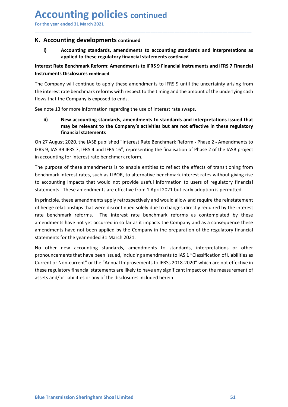# Accounting policies continued<br>
For the year ended 31 March 2021<br>
K. Accounting developments continued<br>
i) Accounting standards, amendments to accounting standards and interpretations a

**Accounting policies continued<br>
For the year ended 31 March 2021**<br> **K. Accounting developments continued**<br> **i)** Accounting standards, amendments to accounting standards and interpretations as<br>
applied to these regulatory f

\_\_\_\_\_\_\_\_\_\_\_\_\_\_\_\_\_\_\_\_\_\_\_\_\_\_\_\_\_\_\_\_\_\_\_\_\_\_\_\_\_\_\_\_\_\_\_\_\_\_\_\_\_\_\_\_\_\_\_\_\_\_\_\_\_\_\_\_\_\_\_\_\_\_\_\_\_\_\_\_\_\_\_\_\_\_\_\_\_\_

## Accounting policies continued<br>
For the year ended 31 March 2021<br>
K. Accounting developments continued<br>
i) Accounting standards, amendments to accounting standards and interpreta<br>
applied to these regulatory financial state **CCOUNTING POLICIES continued**<br>
Accounting developments continued<br>
i) Accounting standards, amendments to accounting standards and interpretations as<br>
applied to these regulatory financial statements continued<br>
rest Rate B **Anting policies continued**<br>
Financial Simarch 2021<br> **Accounting standards, amendments to accounting standards and interpretations as<br>
applied to these regulatory financial statements continued<br>
E Benchmark Reform: Amendme**

For the year ended 31 March 2021<br>
Interest Rate Benchmark Reform: Amendments to accounting standards and interpretations as<br>
applied to these regulatory financial statements continued<br>
Interest Rate Benchmark Reform: Amend **ACCOUNTING POLICIES continued**<br>For the year ended 31 March 2021<br>**K. Accounting developments continued**<br>i) Accounting standards, amendments to accounting standards and inte<br>applied to these regulatory financial statements For the year ended 31 March 2021<br> **K. Accounting developments continued**<br> **i)**<br> **Accounting developments continued**<br> **i)**<br> **Accounting standards, amendments to accounting standards and interpretations as<br>
Interest Rate Ben** For the year ended 31 March 2021<br> **K. Accounting developments** continued<br>
(i) Accounting standards, amendments to accounting standards and interpretations as<br>
applied to these regulatory financial statements continued<br>
Int For the year ended 31 March 2021<br> **K. Accounting developments** continued<br> **K. Accounting developments** continued<br>
(i)<br> **Accounting developments continued**<br>
(i)<br>
applied to these regulatory financial statements continued<br>
I **Accounting policies** continued<br>
For the year ended 31 March 2021<br> **K. Accounting developments continued**<br>
(a) Accounting standards, amendments to accounting standards and interpretations as<br>
applied to these regulatory fi **CCOUNTIME POLICIES** CONTINUED Above are added and interpretations as applied to these regulatory financial statements to accounting standards and interpretations as applied to these regulatory financial statements continu

**ITTING POOTICIES** continued<br>
and 31 March 2021<br>
anting developments continued<br>
Accounting standards, amendments to accounting standards and interpretations as<br>
applied to these regulatory financial statements continued<br>
D **Inting policies continued**<br> **Example 10** and the statements of the statements of the statements of the statements<br> **Accounting standards, amendments to accounting standards and interpretation-<br>
Accounting standards, amend** For the year ended 31 March 2021<br> **K. Accounting developments continued**<br> **i)**<br> **Accounting standards, amendments to accounting standards and interpretations as<br>
applied to these regulatory financial statements continued<br>** 

**IFRS 9, ITCONTIFRS 19, ITT**<br>
19 Accounting standards, amendments to accounting standards and interpretations as<br>
2019 applied to these regulatory financial statements continued<br>
Interest Rate Benchmark Reform: Amendments **K. Accounting developments continued**<br>
i) accounting standards, amendments to accounting standards and interpretations as<br>
applied to these regulatory financial statements continued<br>
Interest Rate Benchmark Reform: Amendm i) Accounting standards, amendments to accounting standards and interpretations as<br>
applied to these regulatory financial statements continued<br>
Instruments Bisclosures continued<br>
Instruments Disclosures continued<br>
The Comp applied to these regulatory financial statements continued<br>Interest Rate Benchmark Reform: Amendments to IFRS 9 Financial Instruments and IFRS 7 Financial<br>Interuments Disclosures continued<br>The Company will continue to appl Interest Rate Benchmark Reform: Amendments to IFRS 9 Financial Instruments and IFRS 7 Financial<br>
The Company will continue to apply these amendments to IFRS 9 until the uncertainty arising from<br>
the interest rate benchmark

Instruments Disclosures continued<br>The Company will continue to apply these amendments to IFRS 9 until the uncertainty arising from<br>the interest rate benchmark reforms with respect to the timing and the amount of the underl The Company will continue to apply these amendments to IFRS 9 until the uncertainty arising from<br>the interest rate benchmark reforms with respect to the timing and the amount of the underlying cash<br>flows that the Company i the interest rate benchmark from swith respect to the timing and the amount of the underlying cash<br>flows that the Company is exposed to ends.<br>See note 13 for more information regarding the use of interest rate swaps.<br>See n Frate 13 for more information regarding the use of interest rate swaps.<br>
See note 13 for more information regarding the use of interest rate swaps.<br> **ii)** New accounting standards, amendments to standards and interpretatio See note 13 for more information regarding the use of interest rate swaps.<br> **ii)** New accounting standards, amendments to standards and interpretations issued that<br>
may be relevant to the Company's activities but are not e see note 13 for more information regarding the use of interest rate swaps.<br> **IN New accounting standards, amendments to standards and interpretations issued that<br>
may be relevant to the Company's activities but are not eff** ii) New accounting standards, amendments to standards and interpretations issued that<br>may be relevant to the Company's activities but are not effective in these regulatory<br>financial statements<br>On 27 August 2020, the IASB p The pure recover the research of head at a more interest and at the most or the mandal statements on 27 August 2020, the IASB published "Interest Rate Benchmark Reform - Phase 2 - Amendments to IFRS 9, IAS 39 IFRS 7, IFRS munitary states that have been issued, including amendments to IFRS 9, uss 39 IFRS 7, IFRS 4 and IFRS 16", representing the finalisation of Phase 2 of the IASB project in accounting for interest rate benchmark reform.<br>The On 27 August 2020, the IASB published "Interest Rate Benchmark Reform - Phase 2 - Amendments to<br>On 27 August 2020, the IASB published "Interest Rate Benchmark Reform - Phase 2 of the IASB project<br>in accounting for interest IFMS 9, IRS 39 IFMS 4 and IFMS 16", representing the thanks atom of Phase 2 of the IASB project<br>In accounting for interest rate benchmark reform.<br>The purpose of these amendments is to enable entities to reflect the effects in accounting tor interest rate benchmark reform.<br>The purpose of these amendments is to enable entities to reflect the effects of transitioning from<br>The purpose of these amendments is to enable entities to reflect the effe

assets and/or liabilities or any of the disclosures included herein.<br>Blue Transmission Sheringham Shoal Limited 51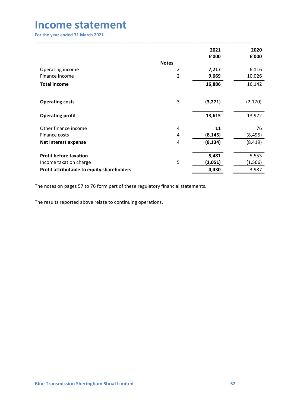| <b>Income statement</b><br>For the year ended 31 March 2021          |                         |                  |                   |
|----------------------------------------------------------------------|-------------------------|------------------|-------------------|
|                                                                      |                         |                  |                   |
|                                                                      |                         |                  |                   |
|                                                                      |                         |                  |                   |
|                                                                      |                         |                  |                   |
|                                                                      |                         |                  |                   |
|                                                                      |                         |                  |                   |
|                                                                      |                         |                  |                   |
|                                                                      |                         |                  |                   |
|                                                                      |                         |                  |                   |
|                                                                      |                         |                  |                   |
|                                                                      |                         |                  |                   |
|                                                                      |                         |                  |                   |
|                                                                      |                         |                  |                   |
|                                                                      |                         | 2021             | 2020              |
|                                                                      |                         | £'000            | £'000             |
|                                                                      | <b>Notes</b>            |                  |                   |
| Operating income                                                     | $\overline{2}$          | 7,217            | 6,116             |
| Finance income                                                       | $\overline{2}$          | 9,669            | 10,026            |
| <b>Total income</b>                                                  |                         | 16,886           | 16,142            |
|                                                                      |                         |                  |                   |
|                                                                      | $\mathsf 3$             |                  |                   |
| <b>Operating costs</b>                                               |                         | (3, 271)         | (2, 170)          |
| <b>Operating profit</b>                                              |                         | 13,615           | 13,972            |
|                                                                      |                         |                  |                   |
| Other finance income                                                 | 4                       | 11               | 76                |
|                                                                      | $\overline{\mathbf{4}}$ | (8, 145)         | (8, 495)          |
|                                                                      |                         |                  |                   |
|                                                                      |                         |                  |                   |
| Finance costs<br>Net interest expense                                | $\overline{\mathbf{4}}$ | (8, 134)         | (8, 419)          |
|                                                                      |                         |                  |                   |
| <b>Profit before taxation</b>                                        |                         | 5,481            | 5,553             |
| Income taxation charge<br>Profit attributable to equity shareholders | 5                       | (1,051)<br>4,430 | (1, 566)<br>3,987 |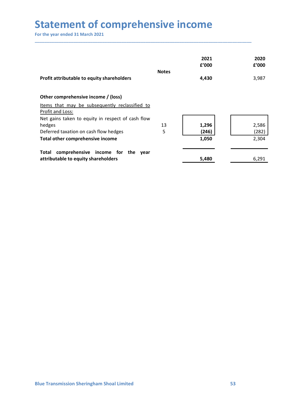| <b>Statement of comprehensive income</b>                                                                  |              |                |                |
|-----------------------------------------------------------------------------------------------------------|--------------|----------------|----------------|
| For the year ended 31 March 2021                                                                          |              |                |                |
|                                                                                                           |              | 2021<br>f'000  | 2020<br>f'000  |
| Profit attributable to equity shareholders                                                                | <b>Notes</b> | 4,430          | 3,987          |
|                                                                                                           |              |                |                |
|                                                                                                           |              |                |                |
| Other comprehensive income / (loss)<br>Items that may be subsequently reclassified to<br>Profit and Loss: |              |                |                |
| Net gains taken to equity in respect of cash flow                                                         |              |                |                |
|                                                                                                           | $13\,$       | 1,296          | 2,586          |
| hedges<br>Deferred taxation on cash flow hedges<br>Total other comprehensive income                       | 5            | (246)<br>1,050 | (282)<br>2,304 |
| Total comprehensive income for the year                                                                   |              |                |                |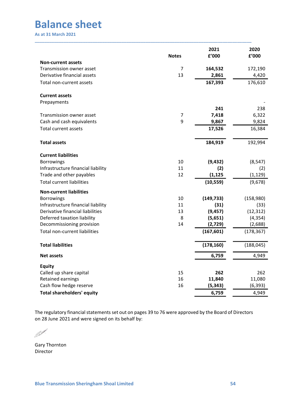|                                                                 |                      | 2021                | 2020                |
|-----------------------------------------------------------------|----------------------|---------------------|---------------------|
|                                                                 | <b>Notes</b>         | f'000               | £'000               |
| <b>Non-current assets</b>                                       |                      |                     |                     |
| Transmission owner asset<br>Derivative financial assets         | $\overline{7}$<br>13 | 164,532<br>2,861    | 172,190<br>4,420    |
| Total non-current assets                                        |                      | 167,393             | 176,610             |
|                                                                 |                      |                     |                     |
| <b>Current assets</b><br>Prepayments                            |                      |                     |                     |
|                                                                 |                      | 241                 | 238                 |
| Transmission owner asset                                        | 7                    | 7,418               | 6,322               |
| Cash and cash equivalents                                       | 9                    | 9,867               | 9,824               |
| Total current assets                                            |                      | 17,526              | 16,384              |
| <b>Total assets</b>                                             |                      | 184,919             | 192,994             |
| <b>Current liabilities</b>                                      |                      |                     |                     |
| Borrowings                                                      | 10                   | (9, 432)            | (8, 547)            |
| Infrastructure financial liability<br>Trade and other payables  | 11<br>12             | (2)<br>(1, 125)     | (2)<br>(1, 129)     |
| <b>Total current liabilities</b>                                |                      | (10, 559)           | (9,678)             |
| <b>Non-current liabilities</b>                                  |                      |                     |                     |
| Borrowings                                                      | 10                   | (149, 733)          | (158,980)           |
| Infrastructure financial liability                              | 11                   | (31)                | (33)                |
| Derivative financial liabilities<br>Deferred taxation liability | 13<br>8              | (9, 457)<br>(5,651) | (12, 312)           |
| Decommissioning provision                                       | 14                   | (2,729)             | (4, 354)<br>(2,688) |
| Total non-current liabilities                                   |                      | (167, 601)          | (178, 367)          |
|                                                                 |                      |                     |                     |
| <b>Total liabilities</b>                                        |                      | (178, 160)          | (188, 045)          |
| Net assets                                                      |                      | 6,759               | 4,949               |
| <b>Equity</b>                                                   |                      |                     |                     |
| Called up share capital<br>Retained earnings                    | 15<br>16             | 262<br>11,840       | 262<br>11,080       |
| Cash flow hedge reserve                                         | 16                   | (5, 343)            | (6, 393)            |
| <b>Total shareholders' equity</b>                               |                      | 6,759               | 4,949               |

Director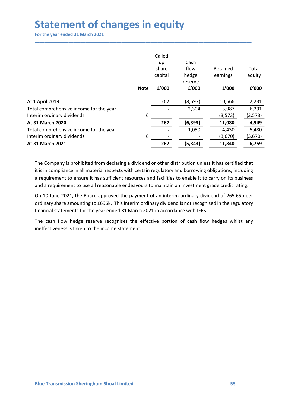| <b>Statement of changes in equity</b>                                 |             |              |                  |                   |                   |
|-----------------------------------------------------------------------|-------------|--------------|------------------|-------------------|-------------------|
| For the year ended 31 March 2021                                      |             |              |                  |                   |                   |
|                                                                       |             |              |                  |                   |                   |
|                                                                       |             |              |                  |                   |                   |
|                                                                       |             | Called<br>up | Cash             |                   |                   |
|                                                                       |             | share        | flow             | Retained          | Total             |
|                                                                       |             | capital      | hedge            | earnings          | equity            |
|                                                                       | <b>Note</b> | £'000        | reserve<br>f'000 | f'000             | £'000             |
|                                                                       |             |              |                  |                   |                   |
| At 1 April 2019                                                       |             | 262          | (8,697)          | 10,666            | 2,231             |
| Total comprehensive income for the year<br>Interim ordinary dividends | 6           |              | 2,304            | 3,987<br>(3, 573) | 6,291<br>(3, 573) |
| At 31 March 2020                                                      |             | 262          | (6, 393)         | 11,080            | 4,949             |
| Total comprehensive income for the year                               |             |              | 1,050            | 4,430             | 5,480             |
| Interim ordinary dividends                                            | 6           |              |                  | (3,670)           | (3,670)           |
| At 31 March 2021                                                      |             | 262          | (5, 343)         | 11,840            | 6,759             |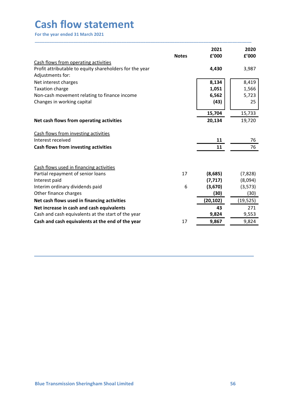| <b>Cash flow statement</b>                                                                             |              |            |                |
|--------------------------------------------------------------------------------------------------------|--------------|------------|----------------|
| For the year ended 31 March 2021                                                                       |              |            |                |
|                                                                                                        |              | 2021       | 2020           |
|                                                                                                        | <b>Notes</b> | £'000      | £'000          |
| Cash flows from operating activities                                                                   |              |            |                |
| Profit attributable to equity shareholders for the year<br>Adjustments for:                            |              | 4,430      | 3,987          |
| Net interest charges                                                                                   |              | 8,134      | 8,419          |
| Taxation charge                                                                                        |              | 1,051      | 1,566          |
| Non-cash movement relating to finance income                                                           |              | 6,562      | 5,723          |
| Changes in working capital                                                                             |              | (43)       | 25             |
|                                                                                                        |              | 15,704     | 15,733         |
| Net cash flows from operating activities                                                               |              | 20,134     | 19,720         |
| Cash flows from investing activities                                                                   |              |            |                |
| Interest received                                                                                      |              | 11         | 76             |
| Cash flows from investing activities                                                                   |              | ${\bf 11}$ | 76             |
|                                                                                                        |              |            |                |
| Cash flows used in financing activities<br>Partial repayment of senior loans                           | 17           | (8,685)    | (7,828)        |
| Interest paid                                                                                          |              | (7, 717)   | (8,094)        |
| Interim ordinary dividends paid                                                                        | 6            | (3,670)    | (3, 573)       |
| Other finance charges                                                                                  |              | (30)       | (30)           |
| Net cash flows used in financing activities                                                            |              | (20, 102)  | (19, 525)      |
| Net increase in cash and cash equivalents                                                              |              | 43         | 271            |
|                                                                                                        |              | 9,824      | 9,553<br>9,824 |
| Cash and cash equivalents at the start of the year<br>Cash and cash equivalents at the end of the year | 17           | 9,867      |                |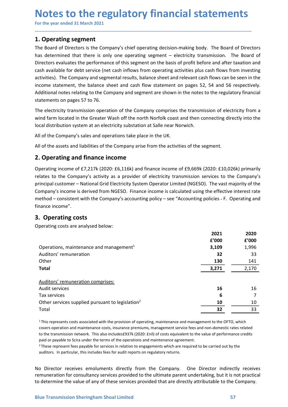# Notes to the regulatory financial statements<br>
For the year ended 31 March 2021<br>
1. Operating segment<br>
The Board of Directors is the Company's chief operating decision-making body. The Board of Directors

**Notes to the regulatory financial statements**<br>
For the year ended 31 March 2021<br> **1. Operating segment**<br>
The Board of Directors is the Company's chief operating decision-making body. The Board of Direc<br>
has determined tha **Notes to the regulatory financial statem**<br>
For the year ended 31 March 2021<br>
1. Operating segment<br>
The Board of Directors is the Company's chief operating decision-making body. The Boar<br>
has determined that there is only **Notes to the regulatory financial statements**<br>For the year ended 31 March 2021<br>1. Operating segment<br>The Board of Directors is the Company's chief operating decision-making body. The Board of Directors<br>has determined that **Notes to the regulatory financial statements**<br>For the year ended 31 March 2021<br>**1. Operating segment**<br>The Board of Directors is the Company's chief operating decision-making body. The Board of Directors<br>has determined tha **Notes to the regulatory financial statements**<br>For the year ended 31 March 2021<br>1. Operating segment<br>The Board of Directors is the Company's chief operating decision-making body. The Board of Directors<br>has determined that For the year ended 31 March 2021<br>For the year ended 31 March 2021<br>**1. Operating segment**<br>The Board of Directors is the Company's chief operating decision-making body. The Board of Directors<br>has determined that there is onl **Notes to the regulatory financial statements**<br>For the year ended 31 March 2021<br>1. Operating segment<br>The Board of Directors is the Company's chief operating decision-making body. The Board of Directors<br>has determined that **Notes to the regulatory financial statements**<br>For the year ended 31 March 2021<br>**1. Operating segment**<br>The Board of Directors is the Company's chief operating decision-making body. The Board of Directors<br>Directors evaluate **Notes to the regulatory financial statements**<br>For the year ended 31 March 2021<br>1. **Operating segment**<br>1. **Operating to Directors** is the Company's chief operating decision-making body. The Board of Directors<br>Directors eva **Notes to the regulatory financial statements**<br>For the year ended 31 March 2021<br>1. Operating segment<br>The Board of Directors is the Company's chief operating decision-making body. The Board of Directors<br>Incorders of Directo **Notes to the regulatory financial statements**<br>For the year ended 31 March 2021<br>1. Operating segment<br>The Board of Directors is the Company's chief operating decision-making body. The Board of Directors<br>basedermined that th **Notes to the regulatory financial statements**<br>For the year ended 31 March 2021<br>1. Operating segment<br>The Board of Directors is the Company's chief operating decision-making body. The Board of Directors<br>has determined that **Notes to the regulatory financial statements**<br>For the year ended 31 March 2021<br>1. Operating segment<br>The Board of Directors is the Company's chief operating decision-making body. The Board of Directors<br>has determined that **INDERTIFY CONSECT ASSES AND AND THE THE COMPATE THE COMPATE THE COMPATE THE COMPATE THE COMPATE THE COMPATE THE COMPATE THE COMPATE THE COMPATE THE COMPATE THE COMPATE THE COMPATE COMPATE THE COMPATE COMPATE THE COMPATE O 1. Operating segment**<br> **1. Operating segment**<br>
The Board of Directors is the Company's chief operating decision-making body. The Board of Directors<br>
has determined that there is only one operating segment – electricity tr **1. Operating segment**<br> **1. Operating segment**<br>
The Board of Directors is the Company's chief operating decision-making body. The Board of Directors<br>
has determined that there is only one operating segment – electricity tr Ine Board of Durectors is the Company's cniele operating decision-making booy. Ine Board of Durectors<br>thas determined that there is only one operating segment – electricity transmission. The Board of<br>Directors evaluates th nas actermined trater is only one operating esgment – electricity transmission. The bosord of Directors evaluates the performance of this segment on the basis of profit before and after taxation and cash available for debt

\_\_\_\_\_\_\_\_\_\_\_\_\_\_\_\_\_\_\_\_\_\_\_\_\_\_\_\_\_\_\_\_\_\_\_\_\_\_\_\_\_\_\_\_\_\_\_\_\_\_\_\_\_\_\_\_\_\_\_\_\_\_\_\_\_\_\_\_\_\_\_\_\_\_\_\_\_\_\_\_\_\_\_\_\_\_\_\_\_\_

Dretation to evaluates the performance of this segment on the basis of pront before an a rater taxation and<br>cash available for debt service (net cash inflows from operating activities plus cash flows from investing<br>activit cash available for denot service (net cash introws from operating activities) but conterelling<br>activities). The Company and segmental results, balance sheet and relevant cash flows can be seen in the<br>income statement, the activities). Ine Company and segmental results, palance sine ter and relevant cash flows can be seen in the company and segment are shown in the notes to the regulatory financial statements on pages 57 to 76.<br>Additional no finance income". statements on pages 57 to 76.<br>
The electricity transmission operation of the Company comprises the transmission of electricity transmission operation of the Company comprises the transmission of electro<br>
wind farm located The electricity transmission operation of the Company comprises the transmission of electricity from<br>
wind farm located in the Greater Wash off the north Norfolk coast and then connecting directly into the<br>
flocal distribu ecting directly into the<br>ecting directly into the<br>20: £10,026k) primarily<br>ices to the Company's<br>the vast majority of the<br>e effective interest rate<br>cies - F. Operating and<br>2021 2020<br>2021 2020<br>2020 1'000 £'000<br>3,109 1,996<br>32 ment.<br>
20: £10,026k) primarily<br>
ices to the Company's<br>
The vast majority of the<br>
e effective interest rate<br>
icies - F. Operating and<br>
2021 2020<br>  $f'000$   $f'000$ <br>
3,109 1,996<br>
32 33<br>
130 141<br>
3,271 2,170

|                                                                                                                                                                                                                                                                                                                                                                                                                                                                                                                                                                                                                                                                                                   | iocal distribution system at an electricity substation at Saile Hear Norwich. |               |
|---------------------------------------------------------------------------------------------------------------------------------------------------------------------------------------------------------------------------------------------------------------------------------------------------------------------------------------------------------------------------------------------------------------------------------------------------------------------------------------------------------------------------------------------------------------------------------------------------------------------------------------------------------------------------------------------------|-------------------------------------------------------------------------------|---------------|
| All of the Company's sales and operations take place in the UK.                                                                                                                                                                                                                                                                                                                                                                                                                                                                                                                                                                                                                                   |                                                                               |               |
| All of the assets and liabilities of the Company arise from the activities of the segment.                                                                                                                                                                                                                                                                                                                                                                                                                                                                                                                                                                                                        |                                                                               |               |
| 2. Operating and finance income                                                                                                                                                                                                                                                                                                                                                                                                                                                                                                                                                                                                                                                                   |                                                                               |               |
| Operating income of £7,217k (2020: £6,116k) and finance income of £9,669k (2020: £10,026k) primarily<br>relates to the Company's activity as a provider of electricity transmission services to the Company's<br>principal customer - National Grid Electricity System Operator Limited (NGESO). The vast majority of the<br>Company's income is derived from NGESO. Finance income is calculated using the effective interest rate<br>method – consistent with the Company's accounting policy – see "Accounting policies - F. Operating and<br>finance income".                                                                                                                                 |                                                                               |               |
| 3. Operating costs                                                                                                                                                                                                                                                                                                                                                                                                                                                                                                                                                                                                                                                                                |                                                                               |               |
| Operating costs are analysed below:                                                                                                                                                                                                                                                                                                                                                                                                                                                                                                                                                                                                                                                               |                                                                               |               |
|                                                                                                                                                                                                                                                                                                                                                                                                                                                                                                                                                                                                                                                                                                   | 2021<br>f'000                                                                 | 2020<br>£'000 |
| Operations, maintenance and management <sup>1</sup>                                                                                                                                                                                                                                                                                                                                                                                                                                                                                                                                                                                                                                               | 3,109                                                                         | 1,996         |
| Auditors' remuneration                                                                                                                                                                                                                                                                                                                                                                                                                                                                                                                                                                                                                                                                            | 32                                                                            | 33            |
| Other                                                                                                                                                                                                                                                                                                                                                                                                                                                                                                                                                                                                                                                                                             | 130                                                                           | 141           |
| <b>Total</b>                                                                                                                                                                                                                                                                                                                                                                                                                                                                                                                                                                                                                                                                                      | 3,271                                                                         | 2,170         |
| Auditors' remuneration comprises:                                                                                                                                                                                                                                                                                                                                                                                                                                                                                                                                                                                                                                                                 |                                                                               |               |
| Audit services                                                                                                                                                                                                                                                                                                                                                                                                                                                                                                                                                                                                                                                                                    | 16                                                                            | 16            |
| Tax services                                                                                                                                                                                                                                                                                                                                                                                                                                                                                                                                                                                                                                                                                      | 6                                                                             | 7             |
| Other services supplied pursuant to legislation <sup>2</sup>                                                                                                                                                                                                                                                                                                                                                                                                                                                                                                                                                                                                                                      | 10                                                                            | 10            |
| Total                                                                                                                                                                                                                                                                                                                                                                                                                                                                                                                                                                                                                                                                                             | 32                                                                            | 33            |
| <sup>1</sup> This represents costs associated with the provision of operating, maintenance and management to the OFTO, which<br>covers operation and maintenance costs, insurance premiums, management service fees and non-domestic rates related<br>to the transmission network. This also includes£937k (2020: £nil) of costs equivalent to the value of performance credits<br>paid or payable to Scira under the terms of the operations and maintenance agreement.<br><sup>2</sup> These represent fees payable for services in relation to engagements which are required to be carried out by the<br>auditors. In particular, this includes fees for audit reports on regulatory returns. |                                                                               |               |
| No Director receives emoluments directly from the Company. One Director indirectly receives<br>remuneration for consultancy services provided to the ultimate parent undertaking, but it is not practical<br>to determine the value of any of these services provided that are directly attributable to the Company.                                                                                                                                                                                                                                                                                                                                                                              |                                                                               |               |
|                                                                                                                                                                                                                                                                                                                                                                                                                                                                                                                                                                                                                                                                                                   |                                                                               |               |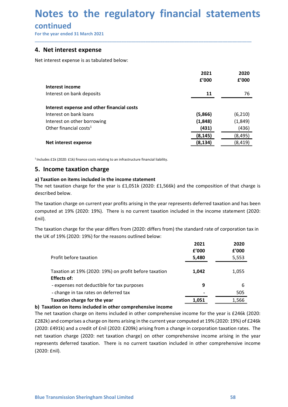## Notes to the regulatory financial statements<br>continued<br>For the year ended 31 March 2021<br>4. Net interest expense **Notes to the regulatory financial statemen**<br>
continued<br>
For the year ended 31 March 2021<br> **4. Net interest expense**<br>
Net interest expense is as tabulated below:

### continued

| Notes to the regulatory financial statements                                                                                                                                       |               |               |
|------------------------------------------------------------------------------------------------------------------------------------------------------------------------------------|---------------|---------------|
|                                                                                                                                                                                    |               |               |
| continued                                                                                                                                                                          |               |               |
| For the year ended 31 March 2021                                                                                                                                                   |               |               |
| 4. Net interest expense                                                                                                                                                            |               |               |
| Net interest expense is as tabulated below:                                                                                                                                        |               |               |
|                                                                                                                                                                                    |               |               |
|                                                                                                                                                                                    | 2021<br>£'000 | 2020<br>f'000 |
| Interest income                                                                                                                                                                    |               |               |
| Interest on bank deposits                                                                                                                                                          | 11            | 76            |
| Interest expense and other financial costs                                                                                                                                         |               |               |
| Interest on bank loans                                                                                                                                                             | (5,866)       | (6, 210)      |
| Interest on other borrowing                                                                                                                                                        | (1,848)       | (1,849)       |
| Other financial costs <sup>1</sup>                                                                                                                                                 | (431)         | (436)         |
|                                                                                                                                                                                    | (8, 145)      | (8, 495)      |
| Net interest expense                                                                                                                                                               | (8, 134)      | (8, 419)      |
| $1$ Includes £1k (2020: £1k) finance costs relating to an infrastructure financial liability.                                                                                      |               |               |
| 5. Income taxation charge                                                                                                                                                          |               |               |
|                                                                                                                                                                                    |               |               |
| a) Taxation on items included in the income statement<br>The net taxation charge for the year is £1,051k (2020: £1,566k) and the composition of that charge is<br>described below. |               |               |
| The taxation charge on current year profits arising in the year represents deferred taxation and has been                                                                          |               |               |
| computed at 19% (2020: 19%). There is no current taxation included in the income statement (2020:<br>£nil).                                                                        |               |               |
| The taxation charge for the year differs from (2020: differs from) the standard rate of corporation tax in<br>the UK of 19% (2020: 19%) for the reasons outlined below:            |               |               |
|                                                                                                                                                                                    | 2021          | 2020          |
|                                                                                                                                                                                    | £'000         | f'000         |
| Profit before taxation                                                                                                                                                             | 5,480         | 5,553         |
| Taxation at 19% (2020: 19%) on profit before taxation                                                                                                                              | 1.042         | 1.055         |

Effects of:<br>
expenses not deductible for tax purposes<br>
change in tax rates on deferred tax<br>
Taxation charge for the year<br>
b) Taxation charge on items included in other comprehensive income<br>
The net taxation charge on item (2020: £nil).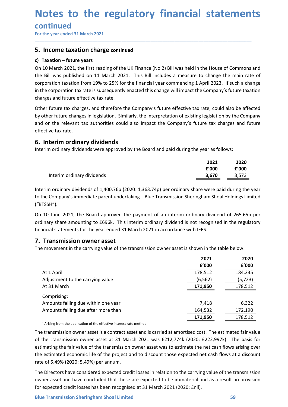## Notes to the regulatory financial statements<br>continued<br>For the year ended 31 March 2021<br>5. Income taxation charge continued **Notes to the regulatory financial statemen**<br>
For the year ended 31 March 2021<br>
For the year ended 31 March 2021<br> **5. Income taxation charge continued**<br> **c) Taxation – future years**<br>
On 10 March 2021, the first reading of

\_\_\_\_\_\_\_\_\_\_\_\_\_\_\_\_\_\_\_\_\_\_\_\_\_\_\_\_\_\_\_\_\_\_\_\_\_\_\_\_\_\_\_\_\_\_\_\_\_\_\_\_\_\_\_\_\_\_\_\_\_\_\_\_\_\_\_\_\_\_\_\_\_\_\_\_\_\_\_\_\_\_\_\_\_\_\_\_\_\_

### **continued**

**Notes to the regulatory financial statemer**<br>
For the year ended 31 March 2021<br> **5. Income taxation charge continued**<br> **c) Taxation – future years**<br>
On 10 March 2021, the first reading of the UK Finance (No.2) Bill was hel **Notes to the regulatory financial statem**<br>
For the year ended 31 March 2021<br> **S.** Income taxation charge continued<br>
c) Taxation – future years<br>
On 10 March 2021, the first reading of the UK Finance (No.2) Bill was held in **Notes to the regulatory financial statements**<br>
For the year ended 31 March 2021<br> **5.** Income taxation charge continued<br>
c) Taxation – future years<br>
On 10 March 2021, the first reading of the UK Finance (No.2) Bill was hel **Notes to the regulatory financial statements**<br>
For the year ended 31 March 2021<br> **5.** Income taxation charge continued<br>
c) Taxation – future years<br>
c) Taxation – future years<br>
c) Taxation – future years<br>
the Bill was publ **Notes to the regulatory financial statements**<br>
For the year ended 31 March 2021<br> **5. Income taxation charge continued**<br> **c)** Taxation – future years<br>
On 10 March 2021, the first reading of the UK Finance (No.2) Bill was h **Notes to the regulatory financial statements**<br> **Continued**<br>
For the year ended 31 March 2021<br> **5. Income taxation charge continued**<br> **corporation - future years**<br> **corporation - future years**<br> **corporation taxation from 1 Notes to the regulatory financial statements**<br>
For the year ended 31 March 2021<br> **5. Income taxation charge continued**<br> **c)** Taxation - future years<br>
On 10 March 2021, the first reading of the UK Finance (No.2) Bill was h **Notes to the regulatory financial statements**<br>
For the year ended 31 March 2021<br> **5. Income taxation charge** continued<br> **c**) Taxation – future years<br>
On 10 March 2021, the first reading of the UK Finance (No.2) Bill was h **Notes to the regulatory financial statements**<br>
For the year ended 31 March 2021<br> **5.** Income taxation charge continued<br> **c**) Taxation – future years<br>
On 10 March 2021, the first reading of the UK Finance (No.2) Bill was h **Notes to the regulatory financial statements**<br>
For the year ended 31 March 2021<br> **5. Income taxation charge continued**<br> **c)** Taxation – future years<br>
On 10 March 2021, the first reading of the UK Finance (No.2) Bill was h **Notes to the regulatory financial stand Continued**<br>For the year ended 31 March 2021<br>**5. Income taxation charge continued**<br>**c)** Taxation – future years<br>On 10 March 2021, the first reading of the UK Finance (No.2) Bill was **EXECUTE 11 THE CONTINUMERT CONTROVER CONTROVER SURFERENT SURFACT SURFACT AND AN ANTION ON TAXIST AND AN ON 10 MARCH 2021, the first reading of the UK Finance (No.2) Bill was held in the House of Common<br>
the Bill was publ Example 12**<br> **Example 12 Income taxation charge continued**<br> **Charge continue vears**<br> **Charge 12 Charge continued**<br> **Charge 12 Charge 12 Charge 12 Charge 12 Charge 12 Charge 12 Charge 12 Commons** and<br> **C** Example the main rate of<br>
Example the main rate of<br>
2023. If such a change<br>
2023. If such a change<br>
2020<br>
2021 2020<br>
2021 2020<br>
2021 2020<br>
2020 2'000 2'000<br>
2'000 2'000<br>
2021 2020<br>
2021 2020<br>
2021 2020<br>
2021 2020<br>
2021 20 e House of Commons and<br>
change the main rate of<br>
ril 2023. If such a change<br>
company's future taxation<br>
te, could also be affected<br>
regislation by the Company<br>
Extra charges and future<br>
ar as follows:<br>
2021 2020<br>
2020<br>
202 Interim ordinary dividends<br>
March 2021, the first reading of the UK Finance (No.2) Bill was held in the House of Commons and<br>
II was published on 11 March 2021. This Bill includes a measure to change the main rate of<br>
atio Univariant CV2L, the intistreating of the Gomany compute interious 2.5 pin was held interious or Commons and<br>the Bill was published on 11 March 2021. This Bill includes a measure to change the main rate of<br>corporation tax

the bill was published on 11 March 2021. Intis bill microlate a measure to change the main rate or<br>corporation taxinate is subsequently enacted this change will impact the Company's future effective taxines<br>in the comporat charges and future effective tax rate.<br>
Other future tax charges, and therefore the Company's future effective tax rate, could also be affected<br>
by other future changes in legislation. Similarly, the interpretation of exis Other future tax charges, and therefore the Company's future effective tax rate, could also be affected<br>by other future changes in legislation. Similarly, the interpretation of existing legislation by the Company<br>and or th their tuture tax cranges, and the refore the company's trutte entective tax rate, could also be anected<br>they other future changes in legislation. Similarly, the interpretation of existing legislation by the Company<br>and or

|       | 2020  |
|-------|-------|
| f'000 | f'000 |
| 3.670 | 3.573 |
|       | 2021  |

| and or the relevant tax authorities could also impact the Company's future tax charges and future<br>effective tax rate.                                                                                                                                                                                                                                                                                                                                                        |                        |                        |
|---------------------------------------------------------------------------------------------------------------------------------------------------------------------------------------------------------------------------------------------------------------------------------------------------------------------------------------------------------------------------------------------------------------------------------------------------------------------------------|------------------------|------------------------|
| 6. Interim ordinary dividends<br>Interim ordinary dividends were approved by the Board and paid during the year as follows:                                                                                                                                                                                                                                                                                                                                                     |                        |                        |
| Interim ordinary dividends                                                                                                                                                                                                                                                                                                                                                                                                                                                      | 2021<br>f'000<br>3,670 | 2020<br>£'000<br>3,573 |
| Interim ordinary dividends of 1,400.76p (2020: 1,363.74p) per ordinary share were paid during the year<br>to the Company's immediate parent undertaking – Blue Transmission Sheringham Shoal Holdings Limited<br>("BTSSH").                                                                                                                                                                                                                                                     |                        |                        |
| On 10 June 2021, the Board approved the payment of an interim ordinary dividend of 265.65p per<br>ordinary share amounting to £696k. This interim ordinary dividend is not recognised in the regulatory<br>financial statements for the year ended 31 March 2021 in accordance with IFRS.                                                                                                                                                                                       |                        |                        |
| 7. Transmission owner asset<br>The movement in the carrying value of the transmission owner asset is shown in the table below:                                                                                                                                                                                                                                                                                                                                                  |                        |                        |
|                                                                                                                                                                                                                                                                                                                                                                                                                                                                                 | 2021<br>£'000          | 2020<br>£'000          |
| At 1 April                                                                                                                                                                                                                                                                                                                                                                                                                                                                      | 178,512                | 184,235                |
| Adjustment to the carrying value <sup>+</sup>                                                                                                                                                                                                                                                                                                                                                                                                                                   | (6, 562)               | (5, 723)               |
| At 31 March                                                                                                                                                                                                                                                                                                                                                                                                                                                                     | 171,950                | 178,512                |
|                                                                                                                                                                                                                                                                                                                                                                                                                                                                                 |                        |                        |
| Comprising:                                                                                                                                                                                                                                                                                                                                                                                                                                                                     |                        |                        |
| Amounts falling due within one year<br>Amounts falling due after more than                                                                                                                                                                                                                                                                                                                                                                                                      | 7,418<br>164,532       | 6,322<br>172,190       |
|                                                                                                                                                                                                                                                                                                                                                                                                                                                                                 | 171,950                | 178,512                |
| * Arising from the application of the effective interest rate method.                                                                                                                                                                                                                                                                                                                                                                                                           |                        |                        |
| The transmission owner asset is a contract asset and is carried at amortised cost. The estimated fair value<br>of the transmission owner asset at 31 March 2021 was £212,774k (2020: £222,997k). The basis for<br>estimating the fair value of the transmission owner asset was to estimate the net cash flows arising over<br>the estimated economic life of the project and to discount those expected net cash flows at a discount<br>rate of 5.49% (2020: 5.49%) per annum. |                        |                        |
| The Directors have considered expected credit losses in relation to the carrying value of the transmission<br>owner asset and have concluded that these are expected to be immaterial and as a result no provision<br>for expected credit losses has been recognised at 31 March 2021 (2020: £nil).                                                                                                                                                                             |                        |                        |
|                                                                                                                                                                                                                                                                                                                                                                                                                                                                                 |                        | 59                     |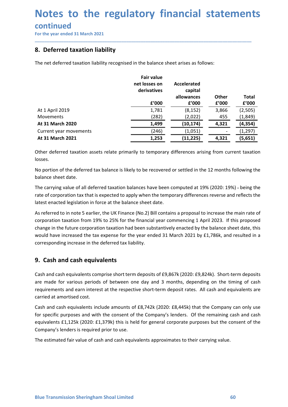### continued

| 8. Deferred taxation liability<br>The net deferred taxation liability recognised in the balance sheet arises as follows:<br><b>Fair value</b><br><b>Accelerated</b><br>net losses on<br>derivatives<br>capital<br>allowances<br>Other<br><b>Total</b><br>£'000<br>£'000<br>£'000<br>f'000<br>At 1 April 2019<br>1,781<br>(2,505)<br>(8, 152)<br>3,866<br>(282)<br>(1,849)<br>Movements<br>(2,022)<br>455<br>At 31 March 2020<br>1,499<br>4,321<br>(10, 174)<br>(4, 354)<br>(246)<br>Current year movements<br>(1,051)<br>(1, 297)<br>At 31 March 2021<br>1,253<br>4,321<br>(11, 225)<br>(5,651)<br>Other deferred taxation assets relate primarily to temporary differences arising from current taxation<br>losses. |  |  |  |
|----------------------------------------------------------------------------------------------------------------------------------------------------------------------------------------------------------------------------------------------------------------------------------------------------------------------------------------------------------------------------------------------------------------------------------------------------------------------------------------------------------------------------------------------------------------------------------------------------------------------------------------------------------------------------------------------------------------------|--|--|--|
|                                                                                                                                                                                                                                                                                                                                                                                                                                                                                                                                                                                                                                                                                                                      |  |  |  |
|                                                                                                                                                                                                                                                                                                                                                                                                                                                                                                                                                                                                                                                                                                                      |  |  |  |
|                                                                                                                                                                                                                                                                                                                                                                                                                                                                                                                                                                                                                                                                                                                      |  |  |  |
|                                                                                                                                                                                                                                                                                                                                                                                                                                                                                                                                                                                                                                                                                                                      |  |  |  |
|                                                                                                                                                                                                                                                                                                                                                                                                                                                                                                                                                                                                                                                                                                                      |  |  |  |
|                                                                                                                                                                                                                                                                                                                                                                                                                                                                                                                                                                                                                                                                                                                      |  |  |  |
|                                                                                                                                                                                                                                                                                                                                                                                                                                                                                                                                                                                                                                                                                                                      |  |  |  |
|                                                                                                                                                                                                                                                                                                                                                                                                                                                                                                                                                                                                                                                                                                                      |  |  |  |
| No portion of the deferred tax balance is likely to be recovered or settled in the 12 months following the<br>balance sheet date.                                                                                                                                                                                                                                                                                                                                                                                                                                                                                                                                                                                    |  |  |  |

At 1 April 2019<br>
At 31 March 2020<br>
At 31 March 2020<br>
Current year movements<br>
At 31 March 2021<br>
Current vear movements<br>
At 31 March 2021<br>
At 31 March 2021<br>
At 31 March 2021<br>
At 31 March 2021<br>
21.233<br>
Other deferred taxatio Movements<br>
At 31 March 2020<br>
At 31 March 2020<br>
Current year movements<br>
At 31 March 2021<br>
At 31 March 2021<br>
Other deferred taxation assets relate primarily to temporary differences arising from current taxation<br>
IOSSES.<br>
O **At 31 March 2020**<br>
Curent year movements<br>
Curent year movements<br>
At 31 March 2021<br>
At 31 March 2021<br>
Curent deferred taxation assets relate primarily to temporary differences arising from current taxation<br>
losses.<br>
No po (a) The deferred taxation assets relate primarily to temporary differences arising from current<br>
bother deferred taxation assets relate primarily to temporary differences arising from current<br>
bosopotion of the deferred ta Cash and cash equivalents comprise short term deposits of £9,867k (2020: £9,824k). The term deposits are more term deposites, the plalance sheet date. The carrying value of all deferred taxation balances have been computed about.<br>
Show portion of the deferred tax balance is likely to be recovered or settled in the 12 months following the<br>
balance sheet date.<br>
The carrying value of all deferred taxtion balances have been computed at 19% (2020 No portion of the deferred tax balance is likely to be recovered or settled in the 12 months following the<br>The carrying value of all deferred taxation balances have been computed at 19% (2020: 19%) - being the<br>The carrying balance sheet date.<br>
The carrying value of all deferred taxation balances have been computed at 19% (2020: 19%)<br>
rate of corporation tax that is expected to apply when the temporary differences reverse and r<br>
latest enacte The carrying value of all deferred taxation balances have been computed at 19% (2020: 19%) - being the<br>rate of corporation tax that is expected to apply when the temporary differences reverse and reflects the<br>latest enacte rate of corporation tax that is expected to apply when the temporary differences reverse and reflects the<br>latest enacted legislation in force at the balance sheet date.<br>
As referred to in notes 5 earlier, the UK Financia ( latest enacted legislation in force at the balance sheet date.<br>As referred to in note 5 earlier, the UK Finance (No.2) Bill contains a proposal to increase the main rate of<br>corporation taxation from 19% to 25% for the fina As referred to in note 5 earlier, the UK Finance (No.2) Bill contains a proposal to increase the main rate of<br>corporation taxation from 19% to 25% for the financial year commencing 1 April 2023. If this proposed<br>change in

Examine Controllary performance connect the respective short-term deposit rates. All cash and equivalents are<br>are made for various periods of between one day and 3 months, depending on the timing of cash<br>requirements and e corporation taxation from 19% to 25% for the financial year commencing 1 April 2023. If this proposed<br>change in the future corporation taxation had been substantively enacted by the balance sheet date, this<br>would have incr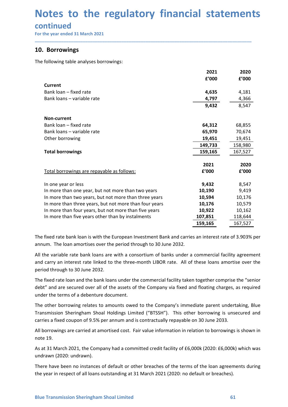## Notes to the regulatory financial statements<br>continued<br>For the year ended 31 March 2021<br>10. Borrowings **Notes to the regulatory financial statemen**<br>
continued<br>
For the year ended 31 March 2021<br> **10. Borrowings**<br>
The following table analyses borrowings:

### continued

| For the year ended 31 March 2021                                                                                                                                                                       |         |         |
|--------------------------------------------------------------------------------------------------------------------------------------------------------------------------------------------------------|---------|---------|
| 10. Borrowings                                                                                                                                                                                         |         |         |
| The following table analyses borrowings:                                                                                                                                                               |         |         |
|                                                                                                                                                                                                        | 2021    | 2020    |
|                                                                                                                                                                                                        | £'000   | f'000   |
| <b>Current</b>                                                                                                                                                                                         |         |         |
| Bank loan - fixed rate                                                                                                                                                                                 | 4,635   | 4,181   |
| Bank loans - variable rate                                                                                                                                                                             | 4,797   | 4,366   |
|                                                                                                                                                                                                        | 9,432   | 8,547   |
| <b>Non-current</b>                                                                                                                                                                                     |         |         |
| Bank loan - fixed rate                                                                                                                                                                                 | 64,312  | 68,855  |
| Bank loans - variable rate                                                                                                                                                                             | 65,970  | 70,674  |
| Other borrowing                                                                                                                                                                                        | 19,451  | 19,451  |
|                                                                                                                                                                                                        | 149,733 | 158,980 |
| <b>Total borrowings</b>                                                                                                                                                                                | 159,165 | 167,527 |
|                                                                                                                                                                                                        | 2021    | 2020    |
| Total borrowings are repayable as follows:                                                                                                                                                             | £'000   | £'000   |
|                                                                                                                                                                                                        |         |         |
| In one year or less                                                                                                                                                                                    | 9,432   | 8,547   |
| In more than one year, but not more than two years                                                                                                                                                     | 10,190  | 9,419   |
| In more than two years, but not more than three years                                                                                                                                                  | 10,594  | 10,176  |
| In more than three years, but not more than four years                                                                                                                                                 | 10,176  | 10,579  |
| In more than four years, but not more than five years                                                                                                                                                  | 10,922  | 10,162  |
| In more than five years other than by instalments                                                                                                                                                      | 107,851 | 118,644 |
|                                                                                                                                                                                                        | 159,165 | 167,527 |
| The fixed rate bank loan is with the European Investment Bank and carries an interest rate of 3.903% per                                                                                               |         |         |
| annum. The loan amortises over the period through to 30 June 2032.                                                                                                                                     |         |         |
|                                                                                                                                                                                                        |         |         |
| All the variable rate bank loans are with a consortium of banks under a commercial facility agreement                                                                                                  |         |         |
| and carry an interest rate linked to the three-month LIBOR rate. All of these loans amortise over the<br>period through to 30 June 2032.                                                               |         |         |
|                                                                                                                                                                                                        |         |         |
| The fixed rate loan and the bank loans under the commercial facility taken together comprise the "senior                                                                                               |         |         |
| debt" and are secured over all of the assets of the Company via fixed and floating charges, as required                                                                                                |         |         |
| under the terms of a debenture document.                                                                                                                                                               |         |         |
| The other borrowing relates to amounts owed to the Company's immediate parent undertaking, Blue                                                                                                        |         |         |
| Transmission Sheringham Shoal Holdings Limited ("BTSSH"). This other borrowing is unsecured and                                                                                                        |         |         |
|                                                                                                                                                                                                        |         |         |
|                                                                                                                                                                                                        |         |         |
|                                                                                                                                                                                                        |         |         |
| carries a fixed coupon of 9.5% per annum and is contractually repayable on 30 June 2033.<br>All borrowings are carried at amortised cost. Fair value information in relation to borrowings is shown in |         |         |
| note 19.<br>As at 31 March 2021, the Company had a committed credit facility of £6,000k (2020: £6,000k) which was                                                                                      |         |         |

The fixed rate loan and the bank loans under the commercial facility taken together comprise the "senior<br>debt" and are secured over all of the assets of the Company via fixed and floating charges, as required<br>under the ter In more than flow years, but not those than flive years<br>
In more than flive years other than by installments<br>
In more than flive years other than by installments<br>
The fixed rate bank loan is with the European Investment B In more than tive years other than by instainents<br>
The fixed rate bank loan is with the European Investment Bank and carries an i<br>
annum. The loan amortises over the period through to 30 June 2032.<br>
All the variable rate b The fixed rate bank loan is with the European Investment Bank and carries an interest rate of 3.903% per annum. The loan amortises over the period through to 30 June 2032.<br>All the variable rate bank loans are with a consor The fixed rate bank loan is with the European Investment Bank and carries an interest rate<br>annum. The loan amortises over the period through to 30 June 2032.<br>All the variable rate bank loans are with a consortium of banks anium. The loan amoticies over the period infought to 30 June 2032.<br>All the variable rate bank loans are with a consortium of banks under a commercial facility agreement<br>and carry an interest rate linked to the three-month All the variable rate bank loans are with a consortium of banks under a commercial facility agreement<br>are carry an interest rate linked to the three-month LIBOR rate. All of these loans amortise over the<br>period through to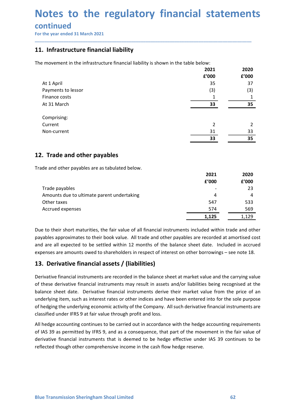## Notes to the regulatory financial statements<br>continued<br>For the year ended 31 March 2021<br>11. Infrastructure financial liability **Notes to the regulatory financial statemen**<br>
For the year ended 31 March 2021<br> **The movement in the infrastructure financial liability**<br>
The movement in the infrastructure financial liability is shown in the table below:<br>

### continued

| 11. Infrastructure financial liability                                              |                |                |
|-------------------------------------------------------------------------------------|----------------|----------------|
| The movement in the infrastructure financial liability is shown in the table below: |                |                |
|                                                                                     | 2021<br>£'000  | 2020<br>£'000  |
| At 1 April                                                                          | 35             | 37             |
| Payments to lessor                                                                  | (3)            | (3)            |
| Finance costs                                                                       | 1              | 1              |
| At 31 March                                                                         | 33             | 35             |
|                                                                                     |                |                |
| Comprising:                                                                         |                |                |
| Current                                                                             | $\overline{2}$ | $\overline{2}$ |
| Non-current                                                                         | 31<br>33       | 33<br>35       |
|                                                                                     |                |                |
| 12. Trade and other payables                                                        |                |                |
| Trade and other payables are as tabulated below.                                    |                |                |
|                                                                                     | 2021           | 2020           |
|                                                                                     | f'000          | f'000          |
| Trade payables                                                                      |                | 23             |
| Amounts due to ultimate parent undertaking                                          | 4              | 4              |
| Other taxes                                                                         | 547            | 533            |
| Accrued expenses                                                                    | 574            | 569            |
|                                                                                     | 1,125          | 1,129          |

| Comprising:                                                                                                |                |       |
|------------------------------------------------------------------------------------------------------------|----------------|-------|
| Current                                                                                                    | $\overline{2}$ | 2     |
| Non-current                                                                                                | 31             | 33    |
|                                                                                                            | 33             | 35    |
| 12. Trade and other payables                                                                               |                |       |
| Trade and other payables are as tabulated below.                                                           |                |       |
|                                                                                                            | 2021           | 2020  |
|                                                                                                            | f'000          | £'000 |
| Trade payables                                                                                             |                | 23    |
| Amounts due to ultimate parent undertaking                                                                 | 4              | 4     |
| Other taxes                                                                                                | 547            | 533   |
| Accrued expenses                                                                                           | 574            | 569   |
|                                                                                                            | 1,125          | 1,129 |
| Due to their short maturities, the fair value of all financial instruments included within trade and other |                |       |
|                                                                                                            |                |       |
| payables approximates to their book value. All trade and other payables are recorded at amortised cost     |                |       |
| and are all expected to be settled within 12 months of the balance sheet date. Included in accrued         |                |       |
| expenses are amounts owed to shareholders in respect of interest on other borrowings - see note 18.        |                |       |
| 13. Derivative financial assets / (liabilities)                                                            |                |       |
| Derivative financial instruments are recorded in the balance sheet at market value and the carrying value  |                |       |
| of these derivative financial instruments may result in assets and/or liabilities being recognised at the  |                |       |
| balance sheet date. Derivative financial instruments derive their market value from the price of an        |                |       |
| underlying item, such as interest rates or other indices and have been entered into for the sole purpose   |                |       |
|                                                                                                            |                |       |
| of hedging the underlying economic activity of the Company. All such derivative financial instruments are  |                |       |
| classified under IFRS 9 at fair value through profit and loss.                                             |                |       |
| All hedge accounting continues to be carried out in accordance with the hedge accounting requirements      |                |       |

Derivative tinancial instruments are recorded in the balance sheet at market value and the carrying value<br>of these derivative financial instruments may result in assets and/or libilities being recognised at the<br>balance she Trade payables<br>
Amounts due to ultimate parent undertaking<br>
Other taxes<br>
Accrued expenses<br>
Accrued expenses<br>
Due to their short maturities, the fair value of all financial instruments included within trade and other<br>
paya Trade payables<br>
of the taxes<br>
of the taxes<br>
of the taxes<br>
of the taxes<br>
of the taxes<br>
of the taxes<br>
of the taxes and the finite value of all financial instruments included within trade and other<br>
and other short maturitie Amounts due to ultimate parent undertaking<br>
Cother taxes<br>
Accrued expenses<br>
Accrued expenses<br>
Accrued expenses<br>
Due to their short maturities, the fair value of all financial instruments included within trade and other<br>
p Example accounting continues to be a straighted out in accordance with the hedge accounting continues of the strength out in according the method expression are all experiments included within trade and other payables app **THE SET AS 39** as permitted by IFRS 9, and as a consequence, that part of the movement in the more provinces to their book value. All trade and other payables are recorded at a mortised cost<br>and are all expected to be se Due to their short maturities, the fair value of all financial instruments included within trade and other payables approximates to their book value. All trade and other payables are recorded at amortised cost<br>and are all Due to their short maturities, the fair value of all financial instruments included within trade and other payables approximates to their book value. All trade and other payables are recorded at amortised cost expenses are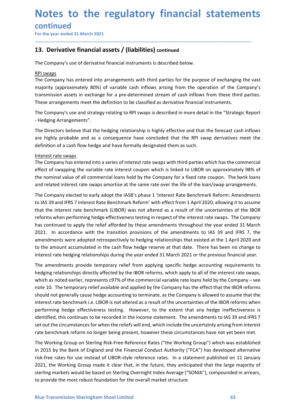## Notes to the regulatory financial statements<br>continued<br>For the year ended 31 March 2021<br>13. Derivative financial assets / (liabilities) continued **Notes to the regulatory financial statemen**<br>
For the year ended 31 March 2021<br> **The Company's use of derivative financial instruments is described below.**<br>
The Company's use of derivative financial instruments is describe **Notes to the regulatory financial statements**<br>
For the year ended 31 March 2021<br>
13. Derivative financial assets / (liabilities) continued<br>
The Company's use of derivative financial instruments is described below.<br>
<u>RPI s</u>

\_\_\_\_\_\_\_\_\_\_\_\_\_\_\_\_\_\_\_\_\_\_\_\_\_\_\_\_\_\_\_\_\_\_\_\_\_\_\_\_\_\_\_\_\_\_\_\_\_\_\_\_\_\_\_\_\_\_\_\_\_\_\_\_\_\_\_\_\_\_\_\_\_\_\_\_\_\_\_\_\_\_\_\_\_\_\_\_\_\_

### continued

**Notes to the regulatory financial statements**<br>
For the year ended 31 March 2021<br> **13.** Derivative financial assets / (liabilities) continued<br>
The Company's use of derivative financial instruments is described below.<br>
<u>RPI</u> **Notes to the regulatory financial<br>
continued**<br>
For the year ended 31 March 2021<br> **13.** Derivative financial assets / (liabilities) continued<br>
The Company's use of derivative financial instruments is described below.<br>
<u>RPI</u> **Notes to the regulatory financial statements**<br>
For the year ended 31 March 2021<br>
The Company's use of derivative financial instruments is described below.<br>
<u>RPI swaps</u><br>
The Company's use of derivative financial instrument **Notes to the regulatory financial statements**<br>For the year ended 31 March 2021<br>Ta. Derivative financial assets / (liabilities) continued<br>The Company's use of derivative financial instruments is described below.<br>RPI swaps<br> **Notes to the regulatory financial statements**<br>
For the year ended 31 March 2021<br> **13. Derivative financial assets / (liabilities)** continued<br>
The Company's use of derivative financial instruments is described below.<br>
<u>RPI</u> **Notes to the regulatory financial statements**<br>
For the year ended 31 March 2021<br> **13. Derivative financial assets / (liabilities)** continued<br>
The Company's use of derivative financial instruments is described below.<br>
<u>RPI</u> **Notes to the regulatory financial statements**<br>
For the year ended 31 March 2021<br> **13. Derivative financial assets / (liabilities)** continued<br>
The Company's use of derivative financial instruments is described below.<br>
<u>RPI</u> **Notes to the regulatory financial statements**<br>
For the year ended 31 March 2021<br> **13. Derivative financial assets / (liabilities)** continued<br>
The Company's use of derivative financial instruments is described below.<br>
RPL **Example 18 Consequence and as a consequence have continent of the RPI swaps and the Company's use of derivative financial assets / (liabilities) continued<br>The Company's use of derivative financial instruments is described CONTINUE CONTINUE (Financial assets / (liabilities) continued**<br> **13. Derivative financial assets / (liabilities) continued**<br>
The Company's use of derivative financial instruments is described below.<br>
<u>RPI swaps</u><br>
The Comp For the year ended simulatization.<br> **13. Derivative financial assets / (liabilities)** continued<br>
The Company's use of derivative financial instruments is described below.<br>
<u>RPI swaps</u><br>
The Company has entered into arrangem **13. Derivative financial assets / (liabilities) continued**<br>The Company's use of derivative financial instruments is described below.<br>The Company has entered into arrangements with third parties for the purpose of exchangi **13. Derivative financial assets / (liabilities) continued**<br>The Company's use of derivative financial instruments is described below.<br>
<u>RPI swaps</u><br>
The Company has entered into arrangements with third parties for the purpo The Company's use of derivative financial instruments is described below.<br>
<u>RPI swaps</u><br>
The Company has entered into arrangements with third parties for the purpose of exchanging the vast<br>
The Company's (approximately 80%)

- Hedging Arrangements".

The Company size of derivative innational instruments is described derivative.<br>The Company has entered into arrangements with third parties for the purpose of exchanging the vast<br>majority (approximately 80%) of variable ca ETHE COMBARY (approximately 80%) of variable cash inflows arising from the operation of the Company's ranjority (approximately 80%) of variable cash inflows arising from the operation of the Company's ranjority (approximat The Company not enterest attack and The Lefter Theory with the present of the interest Rate Benchmark Reform the Company's transmission assets in exchange for a pre-determined stream of cash inflows from these third partie musulary cuprosainments to LAS and IFRS 7 interest can invorsal and in the "struction" of the Company's use and strategy relating to RPI swaps is described in more detail in the "Strategic Report -Hedging Arrangements".<br>Th reforming the company is the company of a first community of the annotation to the interest rate of the company's use and strategy relating to RPI swaps is described in more detail in the "Strategic Report - Hedging Arrang mas continued to act state ended to the languate of science in the forest controller the Company's use and strategy relating to RPI swaps is described in more detail in the "Strategic Report<br>The Directors believe that the The Company's use and strategy relating to RPI swaps is described in more detail in the "Strategic Report<br>
- Hedging Arrangements".<br>
The Directors believe that the hedging relationship is highly effective and that the fore - Hedging Arrangements".<br>The Directors believe that the hedging relationship is highly effective and that the forecast cash inflows<br>are highly probable and as a consequence have concluded that the RPI swap derivatives meet The Directors believe that the hedging relationship is highly effective and that the forecast cash inflows<br>are highly probable and as a consequence have concluded that the RPI swap derivatives meet the<br>definition of a cash are highly probable and as a consequence have concluded that the RPI swap derivatives meet the definition of a cash flow hedge and have formally designated them as such.<br>Interest rate exwaps<br>The Company has entered into a definition of a cash flow hedge and have formally designated them as such.<br>Interest frace wangs<br>The Company has entered into a series of interest rate swaps with third parties which has the commencial<br>effect of swapping th Interest rate swaps<br>The Company has entered into a series of interest rate swaps with third parties which has the commercial<br>The Company has entered into a relate arte interest coupon which is linked to LIBOR on approximat The Company has entered into a series of interest rate swaps with third parties which has the commercial<br>effect of swapping the variable rate interest coupon which is linked to LIBOR on approximately 98% of<br>the onminal val effect of swapping the variable rate interest coupon which is linked to LIBOR on approximately 98% of<br>the nominal value of all commercial loans held by the Company for a fixed rate coupon. The bank losa<br>and related interes

which as noted earlier, represents c97% of the commercial variable rate loans held by the Company – see<br>note 10. The temporary relief available and applied by the Company has the effect that the IBOR reforms<br>should ot gene the nominal value of all commercial loans held by the Company for a fixed rate coupon. The bank loans<br>The Company elected to early adopt the IASB's phase 1 'Interest Rate Benchmark Reform' with effect from 1 April 2020, al and related interest rate swaps amortise at the same rate over the life of the loan/swap arrangements.<br>The Company elected to early adopt the IASB's phase 1 'Interest Rate Benchmark Reform: Amendments<br>to IAS 39 and IFRS 7 The Company elected to early adopt the IASB's phase 1 'Interest Rate Benchmark Reform: Amendments<br>to IAS 39 and IFRS 7 Interest Rate Benchmark Reform' with effect from 1 April 2020, allowing it to assume<br>that the interest ine company reculted us of the interact of the interact and be related with the interactions. The methanism is the continue in the interaction of the interaction of the interaction of the interaction of the interaction of ov Association of Museus heade the circumstance in the interestion and the circum and the reliefs with the interest rate benchmark (LIBOR) was not altered as a result of the uncertainties of the IBOR<br>reforms when performin rate the menters reale to enterrate is enterrated as a result of the interest and it and yet all March reforms when performing hedge effectiveness tisting in respect of the interest rate swaps. The Company<br>has continued to has continued to apply the relief afforded by these amendments throughout the year ended 31 March 2021. In accordance with the transition provisions of the amendments to 148. 39 and IFRS 7, the amendments to the amount acc 2021. In accordance with the transition provisions of the amendments to 1AS 39 and IFRS 7, the<br>amendments were adopted retrospectively to hedging relationships that existed at the 1 April 2020 and<br>to the amount accumulated amendments were adopted retrospectively to hedging relationships that existed at the 1 April 2020 and<br>to the amount accumulated in the cash flow hedge restere at that date. There has been no change to<br>tinterest rate hedgin to the amount accumulated in the cash flow hedge reserve at that date. There has been no change to<br>interest rate hedging relationships during the year ended 31 March 2021 or the previous financial year.<br>The amendments prov interest rate hedging relationships during the year ended 31 March 2021 or the previous financial year.<br>The amendments provide temporary relief from applying specific hedge accounting requirements to<br>hedging relationships The amendments provide temporary relief from applying specific hedge accounting requirements to<br>hedging relationships directly affected by the IBOR reforms, which apply to all of the interest rate swaps,<br>which as noted ear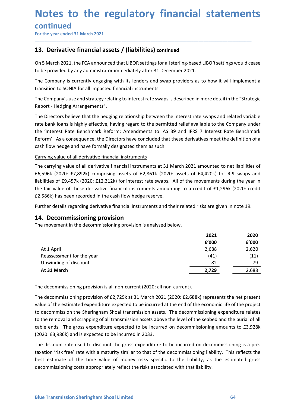### Notes to the regulatory financial statements<br>continued<br>For the year ended 31 March 2021<br>13. Derivative financial assets / (liabilities) continued **Notes to the regulatory financial statemen<br>
Continued<br>
For the year ended 31 March 2021<br>
The year ended 31 March 2021<br>
The Decrivative financial assets / (liabilities) continued<br>
On 5 March 2021, the FCA announced that LI Notes to the regulatory financial statements**<br>
For the year ended 31 March 2021<br>
13. Derivative financial assets / (liabilities) continued<br>
On 5 March 2021, the FCA announced that LIBOR settings for all sterling-based LIB **Notes to the regulatory financial statements**<br>
For the year ended 31 March 2021<br> **13.** Derivative financial assets / (liabilities) continued<br>
On 5 March 2021, the FCA announced that LIBOR settings for all sterling-based L **Notes to the regulatory financial statements**<br>
For the year ended 31 March 2021<br>
The Vear ended 31 March 2021<br> **13. Derivative financial assets / (liabilities)** continued<br>
On 5 March 2021, the FCA announced that LIBOR set **Notes to the regulatory financial statements**<br>
For the year ended 31 March 2021<br>
The Company is March 2021<br> **13. Derivative financial assets / (liabilities)** continued<br>
On 5 March 2021, the FCA announced that LIBOR settin **Notes to the regulatory financial statements**<br>
For the year ended 31 March 2021<br> **13.** Derivative financial assets / (liabilities) continued<br>
On 5 March 2021, the FCA announced that LIBOR settings for all sterling-based L

### **continued**

\_\_\_\_\_\_\_\_\_\_\_\_\_\_\_\_\_\_\_\_\_\_\_\_\_\_\_\_\_\_\_\_\_\_\_\_\_\_\_\_\_\_\_\_\_\_\_\_\_\_\_\_\_\_\_\_\_\_\_\_\_\_\_\_\_\_\_\_\_\_\_\_\_\_\_\_\_\_\_\_\_\_\_\_\_\_\_\_\_\_

Report - Hedging Arrangements".

**Notes to the regulatory financial statements**<br>For the year ended 31 March 2021<br>Ta. Derivative financial assets / (liabilities) continued<br>On 5 March 2021, the FCA announced that LIBOR settings for all sterling-based LIBOR **Notes to the regulatory financial statements**<br>
For the year ended 31 March 2021<br> **13. Derivative financial assets / (liabilities)** continued<br>
On 5 March 2021, the FCA announced that LIBOR settings for all sterling-based L **Notes to the regulatory financial statements**<br>
For the year ended 31 March 2021<br> **13. Derivative financial assets / (liabilities) continued**<br> **13. Derivative financial assets / (liabilities)** continued<br>
On 5 March 2021, t **Notes to the regulatory financial statements**<br>
For the year ended 31 March 2021<br> **13. Derivative financial assets / (liabilities) continued**<br>
On 5 March 2021, the FCA announced that LIBOR settings for all sterling-based L **CONTINUMENT CONTRIGENT CONTRIGENT CONTRIGENT CONTRIGENT CONTRIGENT CONTRIGENT CONTRIGENT CONTRIGENT CONTRIGENT CONTRIGENT CONTRIGENT CONTRIGENT CONTRIGENT CONTRIGENT CONTRIGENT CONTRIGENT CONTRIGENT CONTRIGENT CONTRIGENT CONTINUEGI<br>
Contribute financial assets / (liabilities)** continued<br> **13. Derivative financial assets / (liabilities)** continued<br>
On 5 March 2021, the FCA announced that LIBOR settings for all sterling-based LIBOR settings THE CARRENT THE CARRENT THE CALCULT INTERT THE CALCULATION INTERT THE CONDUCT THE TRIM UNITED AND INTERT THE COMPART THE COMPART ON THE COMPART ON A PHONOLOGIST THE COMPART ON A PHONOLOGIST THE COMPART ON A PHONOLOGIST THE **13. Derivative financial assets / (liabilities)** continued<br>On 5 March 2021, the FCA announced that LIBOR settings for all sterling-based LIBOR settings would cease<br>to be provided by any administrator immediately after 31 2006 March 2021, the FCA announced that LIBOR settings for all sterling-based LIBOR settings would cease<br>
to be provided by any administrator immediately after 31 December 2021.<br>
The Company is currently engaging with its On 5 March 2021, the FCA announced that LIBOR settings for all sterling-based LIBOR settings would cease<br>to be provided by any administrator immediately after 31 December 2021.<br>The Company is currently engaging with its le to be provided by any administrator immediately after 31 December 2021.<br>
The Company is currently engaging with its lenders and swap providers as to how it will implement a<br>
transition to SONIA for all impacted financial i The Company is currently engaging with its lenders and swap providers as to how it will implement a<br>transition to SONIA for all impacted financial instruments.<br>The Company's use and strategy relating to interest rate swaps transition to SONIA for all impacted financial instruments.<br>The Company's use and strategy relating to interest rate swaps is described in more detail in the "Strategic<br>Report - Hedging Arrangements".<br>The Directors believe The Company's use and strategy relating to interest rate swaps is described in more detail in the "Strateg<br>
Report - Hedging Rarangements".<br>
The Directors believe that the hedging relationship between the interest rate swa Report - Hedging Arrangements".<br>
The Directors believe that the hedging relationship between the interest rate swaps and related variable<br>
trate bank loans is highly effective, having regard to the permitted relief availab

| The Directors believe that the hedging relationship between the interest rate swaps and related variable                                                                                                                                                                                                               |               |               |
|------------------------------------------------------------------------------------------------------------------------------------------------------------------------------------------------------------------------------------------------------------------------------------------------------------------------|---------------|---------------|
| rate bank loans is highly effective, having regard to the permitted relief available to the Company under                                                                                                                                                                                                              |               |               |
| the 'Interest Rate Benchmark Reform: Amendments to IAS 39 and IFRS 7 Interest Rate Benchmark                                                                                                                                                                                                                           |               |               |
| Reform'. As a consequence, the Directors have concluded that these derivatives meet the definition of a                                                                                                                                                                                                                |               |               |
| cash flow hedge and have formally designated them as such.                                                                                                                                                                                                                                                             |               |               |
| Carrying value of all derivative financial instruments                                                                                                                                                                                                                                                                 |               |               |
| The carrying value of all derivative financial instruments at 31 March 2021 amounted to net liabilities of                                                                                                                                                                                                             |               |               |
| £6,596k (2020: £7,892k) comprising assets of £2,861k (2020: assets of £4,420k) for RPI swaps and                                                                                                                                                                                                                       |               |               |
| liabilities of £9,457k (2020: £12,312k) for interest rate swaps. All of the movements during the year in                                                                                                                                                                                                               |               |               |
| the fair value of these derivative financial instruments amounting to a credit of £1,296k (2020: credit                                                                                                                                                                                                                |               |               |
| £2,586k) has been recorded in the cash flow hedge reserve.                                                                                                                                                                                                                                                             |               |               |
| Further details regarding derivative financial instruments and their related risks are given in note 19.                                                                                                                                                                                                               |               |               |
| 14. Decommissioning provision<br>The movement in the decommissioning provision is analysed below.                                                                                                                                                                                                                      | 2021<br>£'000 | 2020<br>f'000 |
| At 1 April                                                                                                                                                                                                                                                                                                             | 2,688         | 2,620         |
| Reassessment for the year                                                                                                                                                                                                                                                                                              | (41)          | (11)          |
| Unwinding of discount                                                                                                                                                                                                                                                                                                  | 82            | 79            |
| At 31 March                                                                                                                                                                                                                                                                                                            | 2,729         | 2,688         |
| The decommissioning provision is all non-current (2020: all non-current).                                                                                                                                                                                                                                              |               |               |
| The decommissioning provision of £2,729k at 31 March 2021 (2020: £2,688k) represents the net present<br>value of the estimated expenditure expected to be incurred at the end of the economic life of the project<br>to decommission the Sheringham Shoal transmission assets. The decommissioning expenditure relates |               |               |
| to the removal and scrapping of all transmission assets above the level of the seabed and the burial of all                                                                                                                                                                                                            |               |               |
| cable ends. The gross expenditure expected to be incurred on decommissioning amounts to £3,928k                                                                                                                                                                                                                        |               |               |
|                                                                                                                                                                                                                                                                                                                        |               |               |

The decommissioning provision is all non-current (2020: all non-current).<br>The decommissioning provision of  $E2,729k$  at 31 March 2021 (2020:  $E2,688k$ ) represents the net present<br>value of the estimated expenditure expecte value of these derivative financial instruments amounting to a credit of £1,296k (2020: credit<br>
E2,586k) has been recorded in the cash flow hedge reserve.<br>
Further details regarding derivative financial instruments and th E2,586k) has been recorded in the cash flow hedge reserve.<br>
Further details regarding derivative financial instruments and their related risks are given in note 19.<br> **14. Decommissioning provision** is analysed below.<br>
The Eurither details regarding derivative financial instruments and their related risks are given in note 19.<br>
14. Decommissioning provision<br>
The movement in the decommissioning provision is analysed below.<br>
2021 2020<br>
2020 4 Further details regarding derivative tinancial instruments and their related risks are given in note 19.<br> **14. Decommissioning provision** is analysed below.<br>
The movement in the decommissioning provision is analysed below **14. Decommissioning provision**<br>
The movement in the decommissioning provision is analysed below.<br> **2021**<br> **2021**<br> **2021**<br> **2021**<br> **2021**<br> **2021**<br> **2021**<br> **2021**<br> **2021**<br> **2021**<br> **2021**<br> **2020**<br> **2021**<br> **2020**<br> **2020**<br> **2** The discount rate used to discount the gross expenditure to be incurred on decommissioning is a pre 2021 2020<br> **Example 7.600** 2000<br>
Reassessment for the year<br>
2.688 2.620<br>
141) 111)<br>
At 31 March<br>
At 31 March<br>
The decommissioning provision is all non-current (2020: all non-current).<br>
The decommissioning provision of £2, **Example 12**<br> **Example 12**<br> **Example 12**<br> **Example of discount**<br> **Example of discount**<br> **Example decommissioning provision is all non-current (2020: all non-current).**<br> **Example decommissioning provision of £2,729k at 31** decommissioning costs appropriately reflect the risks associated with that liability.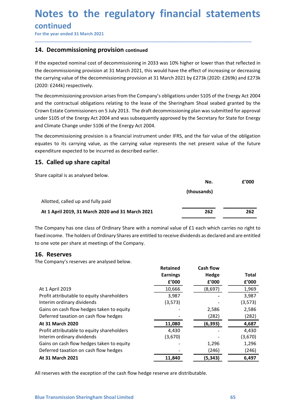## Notes to the regulatory financial statements<br>continued<br>For the year ended 31 March 2021<br>14. Decommissioning provision continued **Notes to the regulatory financial statemen<br>
Continued<br>
For the year ended 31 March 2021<br>
T4. Decommissioning provision continued<br>
If the expected nominal cost of decommissioning in 2033 was 10% higher or lower than that r**

\_\_\_\_\_\_\_\_\_\_\_\_\_\_\_\_\_\_\_\_\_\_\_\_\_\_\_\_\_\_\_\_\_\_\_\_\_\_\_\_\_\_\_\_\_\_\_\_\_\_\_\_\_\_\_\_\_\_\_\_\_\_\_\_\_\_\_\_\_\_\_\_\_\_\_\_\_\_\_\_\_\_\_\_\_\_\_\_\_\_

continued

**Notes to the regulatory financial statement<br>
Continued<br>
For the year ended 31 March 2021<br>
14. Decommissioning provision continued<br>
If the expected nominal cost of decommissioning in 2033 was 10% higher or lower than that Notes to the regulatory financial statements<br>
Continued**<br>
For the year ended 31 March 2021<br> **14.** Decommissioning provision continued<br>
If the expected nominal cost of decommissioning in 2033 was 10% higher or lower than t **Notes to the regulatory financial statements**<br>
For the year ended 31 March 2021<br> **14. Decommissioning provision continued**<br>
If the expected nominal cost of decommissioning in 2033 was 10% higher or lower than that reflect **Notes to the regulatory financial statements**<br>
For the year ended 31 March 2021<br>
14. Decommissioning provision continued<br>
11 The expected nominal cost of decommissioning in 2033 was 10% higher or lower than that reflected (2020: £244k) respectively.

**Notes to the regulatory financial statements**<br>
For the year ended 31 March 2021<br>
The the expected nominal cost of decommissioning in 2033 was 10% higher or lower than that reflected in<br>
14. Decommissioning provision at 31 **Notes to the regulatory financial statements**<br>
For the year ended 31 March 2021<br> **14. Decommissioning provision continued**<br> **14. Decommissioning in 2031**<br> **14. Decommissioning provision at 31 March 2021, this would have t Notes to the regulatory financial statements**<br>
For the year ended 31 March 2021<br> **14. Decommissioning provision continued**<br> **14. Decommissioning provision at 31 March 2021**, this would have the effect of increasing or dec **Notes to the regulatory financial statements**<br>
For the year ended 31 March 2021<br> **14. Decommissioning provision continued**<br> **14. Decommissioning provision at 31 March 2021**, this would have the effect of increasing or dec **Notes to the regulatory financial statements**<br> **Continued**<br>
For the year ended 31 March 2021<br> **14. Decommissioning provision continued**<br>
If the expected nominal cost of decommissioning in 2033 was 10% higher or lower than The decommissioning provision continued<br>The the year ended 31 March 2021<br>14. Decommissioning provision continued<br>If the expected nominal cost of decommissioning in 2033 was 10% higher or lower than that reflected in<br>the de **CONTINUMENT EXECT THE CONTIFY THEOTES TO THEOTES THEOTES THEOTES THEOTES THEOTES THEOTES THEOTES THEOTES THEOTES THEOTES THEOTES THEOTES THEOTES THEOTES THEOTES THEOTES THEOTES THEOTES THEOTES THEOTES THEOTES THEOTES THEO** For the year ended 31 March 2021<br> **14. Decommissioning provision continued**<br> **14. Decommissioning provision continued**<br> **14. Decommissioning in 2033** was 10% higher or lower than that reflected in<br>
the decommissioning prov **14. Decommissioning provision continued**<br> **14. Decommissioning provision continued**<br> **16. Let the decommissioning provision at 31 March 2021, this would have the effect of increasing or decrete<br>
the decommissioning provi** If the expected nominal cost of decommissioning in 2033 was 10% higher or lower than that reflecte<br>the decommissioning provision at 31 March 2021, this would have the effect of increasing or decreas<br>the carrying value of t

| (2020: £244k) respectively.                                                                                                                                                                                                                                                                                                                                                                                                                                                            |                 |                  |              |
|----------------------------------------------------------------------------------------------------------------------------------------------------------------------------------------------------------------------------------------------------------------------------------------------------------------------------------------------------------------------------------------------------------------------------------------------------------------------------------------|-----------------|------------------|--------------|
| The decommissioning provision arises from the Company's obligations under S105 of the Energy Act 2004<br>and the contractual obligations relating to the lease of the Sheringham Shoal seabed granted by the<br>Crown Estate Commissioners on 5 July 2013. The draft decommissioning plan was submitted for approval<br>under S105 of the Energy Act 2004 and was subsequently approved by the Secretary for State for Energy<br>and Climate Change under S106 of the Energy Act 2004. |                 |                  |              |
| The decommissioning provision is a financial instrument under IFRS, and the fair value of the obligation<br>equates to its carrying value, as the carrying value represents the net present value of the future<br>expenditure expected to be incurred as described earlier.                                                                                                                                                                                                           |                 |                  |              |
| 15. Called up share capital                                                                                                                                                                                                                                                                                                                                                                                                                                                            |                 |                  |              |
| Share capital is as analysed below.                                                                                                                                                                                                                                                                                                                                                                                                                                                    |                 |                  |              |
|                                                                                                                                                                                                                                                                                                                                                                                                                                                                                        |                 | No.              | £'000        |
|                                                                                                                                                                                                                                                                                                                                                                                                                                                                                        |                 | (thousands)      |              |
| Allotted, called up and fully paid                                                                                                                                                                                                                                                                                                                                                                                                                                                     |                 |                  |              |
| At 1 April 2019, 31 March 2020 and 31 March 2021                                                                                                                                                                                                                                                                                                                                                                                                                                       |                 | 262              | 262          |
| The Company has one class of Ordinary Share with a nominal value of £1 each which carries no right to<br>fixed income. The holders of Ordinary Shares are entitled to receive dividends as declared and are entitled<br>to one vote per share at meetings of the Company.                                                                                                                                                                                                              |                 |                  |              |
| 16. Reserves                                                                                                                                                                                                                                                                                                                                                                                                                                                                           |                 |                  |              |
| The Company's reserves are analysed below.                                                                                                                                                                                                                                                                                                                                                                                                                                             |                 |                  |              |
|                                                                                                                                                                                                                                                                                                                                                                                                                                                                                        | <b>Retained</b> | <b>Cash flow</b> |              |
|                                                                                                                                                                                                                                                                                                                                                                                                                                                                                        | <b>Earnings</b> | Hedge            | <b>Total</b> |
|                                                                                                                                                                                                                                                                                                                                                                                                                                                                                        | f'000           | f'000            | f'000        |
| At 1 April 2019                                                                                                                                                                                                                                                                                                                                                                                                                                                                        | 10,666          | (8,697)          | 1,969        |
| Profit attributable to equity shareholders                                                                                                                                                                                                                                                                                                                                                                                                                                             | 3,987           |                  | 3,987        |

| expenditure expected to be incurred as described earlier.                                                                                                                                                                                                                 |                 |                  |              |
|---------------------------------------------------------------------------------------------------------------------------------------------------------------------------------------------------------------------------------------------------------------------------|-----------------|------------------|--------------|
| 15. Called up share capital                                                                                                                                                                                                                                               |                 |                  |              |
| Share capital is as analysed below.                                                                                                                                                                                                                                       |                 |                  |              |
|                                                                                                                                                                                                                                                                           |                 | No.              | f'000        |
|                                                                                                                                                                                                                                                                           |                 | (thousands)      |              |
| Allotted, called up and fully paid                                                                                                                                                                                                                                        |                 |                  |              |
| At 1 April 2019, 31 March 2020 and 31 March 2021                                                                                                                                                                                                                          |                 | 262              | 262          |
| The Company has one class of Ordinary Share with a nominal value of £1 each which carries no right to<br>fixed income. The holders of Ordinary Shares are entitled to receive dividends as declared and are entitled<br>to one vote per share at meetings of the Company. |                 |                  |              |
| 16. Reserves<br>The Company's reserves are analysed below.                                                                                                                                                                                                                |                 |                  |              |
|                                                                                                                                                                                                                                                                           | <b>Retained</b> | <b>Cash flow</b> |              |
|                                                                                                                                                                                                                                                                           | <b>Earnings</b> | Hedge            | <b>Total</b> |
|                                                                                                                                                                                                                                                                           | £'000           | £'000            | £'000        |
| At 1 April 2019                                                                                                                                                                                                                                                           | 10,666          | (8,697)          | 1,969        |
| Profit attributable to equity shareholders                                                                                                                                                                                                                                | 3,987           |                  | 3,987        |
| Interim ordinary dividends                                                                                                                                                                                                                                                | (3, 573)        |                  | (3, 573)     |
| Gains on cash flow hedges taken to equity                                                                                                                                                                                                                                 |                 | 2,586            | 2,586        |
| Deferred taxation on cash flow hedges                                                                                                                                                                                                                                     |                 | (282)            | (282)        |
| At 31 March 2020                                                                                                                                                                                                                                                          | 11,080          | (6, 393)         | 4,687        |
| Profit attributable to equity shareholders                                                                                                                                                                                                                                | 4,430           |                  | 4,430        |
| Interim ordinary dividends                                                                                                                                                                                                                                                | (3,670)         |                  | (3,670)      |
| Gains on cash flow hedges taken to equity                                                                                                                                                                                                                                 |                 | 1,296            | 1,296        |
| Deferred taxation on cash flow hedges                                                                                                                                                                                                                                     |                 | (246)            | (246)        |
|                                                                                                                                                                                                                                                                           | 11,840          | (5, 343)         | 6,497        |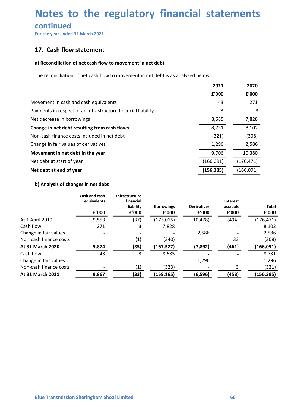## Notes to the regulatory financial statements<br>continued<br>For the year ended 31 March 2021<br>17. Cash flow statement **Notes to the regulatory financial statemen**<br>
For the year ended 31 March 2021<br>
For the year ended 31 March 2021<br> **17.** Cash flow statement<br>
a) Reconciliation of net cash flow to movement in net debt **Notes to the regulatory financial stater**<br>
For the year ended 31 March 2021<br> **17.** Cash flow statement<br>
a) Reconciliation of net cash flow to movement in net debt<br>
The reconciliation of net cash flow to movement in net de

### continued

| Notes to the regulatory financial statements                                      |               |                        |                     |                    |                          |            |                    |  |
|-----------------------------------------------------------------------------------|---------------|------------------------|---------------------|--------------------|--------------------------|------------|--------------------|--|
|                                                                                   |               |                        |                     |                    |                          |            |                    |  |
| continued                                                                         |               |                        |                     |                    |                          |            |                    |  |
| For the year ended 31 March 2021                                                  |               |                        |                     |                    |                          |            |                    |  |
| 17. Cash flow statement                                                           |               |                        |                     |                    |                          |            |                    |  |
| a) Reconciliation of net cash flow to movement in net debt                        |               |                        |                     |                    |                          |            |                    |  |
|                                                                                   |               |                        |                     |                    |                          |            |                    |  |
| The reconciliation of net cash flow to movement in net debt is as analysed below: |               |                        |                     |                    |                          |            |                    |  |
|                                                                                   |               |                        |                     | 2021               |                          | 2020       |                    |  |
|                                                                                   |               |                        |                     |                    | £'000                    | f'000      |                    |  |
| Movement in cash and cash equivalents                                             |               |                        |                     | 43                 |                          | 271        |                    |  |
| Payments in respect of an infrastructure financial liability                      |               |                        |                     | 3                  |                          | 3          |                    |  |
| Net decrease in borrowings                                                        |               |                        |                     |                    | 8,685                    | 7,828      |                    |  |
| Change in net debt resulting from cash flows                                      |               |                        | 8,731               |                    | 8,102                    |            |                    |  |
| Non-cash finance costs included in net debt                                       |               |                        | (321)               |                    | (308)                    |            |                    |  |
| Change in fair values of derivatives                                              |               |                        |                     |                    | 1,296<br>2,586           |            |                    |  |
| Movement in net debt in the year                                                  |               |                        |                     | 9,706<br>10,380    |                          |            |                    |  |
| Net debt at start of year                                                         |               |                        |                     | (166,091)          |                          | (176, 471) |                    |  |
| Net debt at end of year                                                           |               |                        |                     | (156, 385)         |                          | (166,091)  |                    |  |
| b) Analysis of changes in net debt                                                |               |                        |                     |                    |                          |            |                    |  |
|                                                                                   | Cash and cash | Infrastructure         |                     |                    |                          |            |                    |  |
|                                                                                   | equivalents   | financial<br>liability | <b>Borrowings</b>   | <b>Derivatives</b> | Interest<br>accruals     |            | <b>Total</b>       |  |
|                                                                                   | £'000         | £'000                  | f'000               | £'000              | f'000                    |            | £'000              |  |
| At 1 April 2019                                                                   | 9,553         | (37)                   | (175, 015)          | (10, 478)          | (494)                    |            | (176, 471)         |  |
| Cash flow                                                                         | 271           | 3                      | 7,828               |                    |                          |            | 8,102              |  |
| Change in fair values                                                             |               |                        |                     | 2,586              |                          |            | 2,586              |  |
| Non-cash finance costs                                                            |               | (1)                    | (340)               |                    | 33                       |            | (308)              |  |
| At 31 March 2020<br>Cash flow                                                     | 9,824<br>43   | (35)<br>3              | (167, 527)<br>8,685 | (7, 892)           | (461)                    |            | (166,091)<br>8,731 |  |
|                                                                                   |               |                        |                     |                    | $\overline{\phantom{a}}$ |            |                    |  |

| Payments in respect of an infrastructure financial liability |                                                   |                |                     |                    | 3              | 3                       |  |
|--------------------------------------------------------------|---------------------------------------------------|----------------|---------------------|--------------------|----------------|-------------------------|--|
| Net decrease in borrowings                                   | 8,685                                             |                | 7,828               |                    |                |                         |  |
| Change in net debt resulting from cash flows                 |                                                   |                |                     | 8,731              |                | 8,102                   |  |
| Non-cash finance costs included in net debt                  |                                                   |                |                     | (321)              |                | (308)                   |  |
| Change in fair values of derivatives                         |                                                   |                |                     | 1,296              |                | 2,586                   |  |
| Movement in net debt in the year                             |                                                   |                |                     |                    | 9,706          | 10,380                  |  |
| Net debt at start of year                                    |                                                   |                |                     | (166,091)          |                | (176, 471)              |  |
|                                                              |                                                   |                |                     |                    |                |                         |  |
| Net debt at end of year                                      |                                                   |                |                     | (156, 385)         |                | (166,091)               |  |
| b) Analysis of changes in net debt                           |                                                   |                |                     |                    |                |                         |  |
|                                                              | Cash and cash                                     | Infrastructure |                     |                    |                |                         |  |
|                                                              | equivalents                                       | financial      |                     |                    | Interest       |                         |  |
|                                                              |                                                   | liability      | <b>Borrowings</b>   | <b>Derivatives</b> | accruals       | <b>Total</b>            |  |
| At 1 April 2019                                              | £'000<br>9,553                                    | f'000<br>(37)  | £'000<br>(175, 015) | f'000<br>(10, 478) | £'000<br>(494) | £'000<br>(176, 471)     |  |
| Cash flow                                                    | 271                                               | 3              | 7,828               |                    |                | 8,102                   |  |
| Change in fair values                                        |                                                   |                |                     | 2,586              |                | 2,586                   |  |
| Non-cash finance costs                                       |                                                   | (1)            | (340)               |                    | 33             | (308)                   |  |
| At 31 March 2020                                             | 9,824                                             | (35)           | (167, 527)          | (7, 892)           | (461)          | (166,091)               |  |
| Cash flow                                                    | 43                                                | $\mathbf{3}$   | 8,685               |                    |                | 8,731<br>$\overline{a}$ |  |
| Change in fair values                                        |                                                   |                |                     | 1,296              |                | 1,296                   |  |
| Non-cash finance costs                                       |                                                   | (1)            | (323)               |                    |                | 3<br>(321)              |  |
| At 31 March 2021                                             | 9,867                                             | (33)           | (159, 165)          | (6, 596)           | (458)          | (156, 385)              |  |
|                                                              |                                                   |                |                     |                    |                |                         |  |
|                                                              |                                                   |                |                     |                    |                |                         |  |
|                                                              |                                                   |                |                     |                    |                |                         |  |
|                                                              |                                                   |                |                     |                    |                |                         |  |
|                                                              |                                                   |                |                     |                    |                |                         |  |
|                                                              |                                                   |                |                     |                    |                |                         |  |
|                                                              |                                                   |                |                     |                    |                |                         |  |
|                                                              |                                                   |                |                     |                    |                |                         |  |
|                                                              |                                                   |                |                     |                    |                |                         |  |
|                                                              |                                                   |                |                     |                    |                |                         |  |
|                                                              |                                                   |                |                     |                    |                |                         |  |
|                                                              |                                                   |                |                     |                    |                |                         |  |
|                                                              |                                                   |                |                     |                    |                |                         |  |
|                                                              |                                                   |                |                     |                    |                |                         |  |
|                                                              |                                                   |                |                     |                    |                |                         |  |
|                                                              |                                                   |                |                     |                    | 66             |                         |  |
|                                                              | <b>Blue Transmission Sheringham Shoal Limited</b> |                |                     |                    |                |                         |  |
|                                                              |                                                   |                |                     |                    |                |                         |  |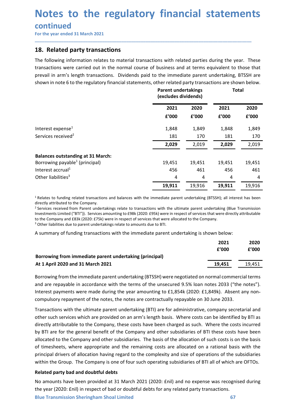### continued

**Notes to the regulatory financial statemer<br>
For the year ended 31 March 2021**<br> **18. Related party transactions**<br>
The following information relates to material transactions with related parties during the year.<br>
transactio **Notes to the regulatory financial statements**<br>
For the year ended 31 March 2021<br> **18. Related party transactions**<br>
The following information relates to material transactions with related parties during the year. These<br>
tr **Notes to the regulatory financial statements**<br>
For the year ended 31 March 2021<br> **18.** Related party transactions<br>
The following information relates to material transactions with related parties during the year. These<br>
tr **Notes to the regulatory financial statements**<br>
For the year ended 31 March 2021<br> **18.** Related party transactions<br>
The following information relates to material transactions with related parties during the year. These<br>
tr

|                                                                                                                                                                                                                                                                                                                                                                                                                                                                                                                                                                                                                                                                 |                                                    |        |        | Notes to the regulatory financial statements |
|-----------------------------------------------------------------------------------------------------------------------------------------------------------------------------------------------------------------------------------------------------------------------------------------------------------------------------------------------------------------------------------------------------------------------------------------------------------------------------------------------------------------------------------------------------------------------------------------------------------------------------------------------------------------|----------------------------------------------------|--------|--------|----------------------------------------------|
| continued<br>For the year ended 31 March 2021                                                                                                                                                                                                                                                                                                                                                                                                                                                                                                                                                                                                                   |                                                    |        |        |                                              |
| 18. Related party transactions                                                                                                                                                                                                                                                                                                                                                                                                                                                                                                                                                                                                                                  |                                                    |        |        |                                              |
| The following information relates to material transactions with related parties during the year. These<br>transactions were carried out in the normal course of business and at terms equivalent to those that<br>prevail in arm's length transactions. Dividends paid to the immediate parent undertaking, BTSSH are<br>shown in note 6 to the regulatory financial statements, other related party transactions are shown below.                                                                                                                                                                                                                              | <b>Parent undertakings</b><br>(excludes dividends) |        |        | <b>Total</b>                                 |
|                                                                                                                                                                                                                                                                                                                                                                                                                                                                                                                                                                                                                                                                 | 2021                                               | 2020   | 2021   | 2020                                         |
|                                                                                                                                                                                                                                                                                                                                                                                                                                                                                                                                                                                                                                                                 | f'000                                              | f'000  | £'000  | £'000                                        |
| Interest expense <sup>1</sup>                                                                                                                                                                                                                                                                                                                                                                                                                                                                                                                                                                                                                                   | 1,848                                              | 1,849  | 1,848  | 1,849                                        |
| Services received <sup>2</sup>                                                                                                                                                                                                                                                                                                                                                                                                                                                                                                                                                                                                                                  | 181                                                | 170    | 181    | 170                                          |
|                                                                                                                                                                                                                                                                                                                                                                                                                                                                                                                                                                                                                                                                 | 2,029                                              | 2,019  | 2,029  | 2,019                                        |
| <b>Balances outstanding at 31 March:</b>                                                                                                                                                                                                                                                                                                                                                                                                                                                                                                                                                                                                                        |                                                    |        |        |                                              |
| Borrowing payable <sup>1</sup> (principal)                                                                                                                                                                                                                                                                                                                                                                                                                                                                                                                                                                                                                      | 19,451                                             | 19,451 | 19,451 | 19,451                                       |
| Interest accrual <sup>1</sup>                                                                                                                                                                                                                                                                                                                                                                                                                                                                                                                                                                                                                                   | 456                                                | 461    | 456    | 461                                          |
| Other liabilities <sup>3</sup>                                                                                                                                                                                                                                                                                                                                                                                                                                                                                                                                                                                                                                  | 4                                                  | 4      | 4      | 4                                            |
|                                                                                                                                                                                                                                                                                                                                                                                                                                                                                                                                                                                                                                                                 | 19,911                                             | 19,916 | 19,911 | 19,916                                       |
| <sup>1</sup> Relates to funding related transactions and balances with the immediate parent undertaking (BTSSH); all interest has been<br>directly attributed to the Company.<br><sup>2</sup> Services received from Parent undertakings relate to transactions with the ultimate parent undertaking (Blue Transmission<br>Investments Limited ("BTI")). Services amounting to £98k (2020: £95k) were in respect of services that were directly attributable<br>to the Company and £83k (2020: £75k) were in respect of services that were allocated to the Company.<br><sup>3</sup> Other liabilities due to parent undertakings relate to amounts due to BTI. |                                                    |        |        |                                              |
| A summary of funding transactions with the immediate parent undertaking is shown below:                                                                                                                                                                                                                                                                                                                                                                                                                                                                                                                                                                         |                                                    |        |        |                                              |
|                                                                                                                                                                                                                                                                                                                                                                                                                                                                                                                                                                                                                                                                 |                                                    |        | 2021   | 2020                                         |
|                                                                                                                                                                                                                                                                                                                                                                                                                                                                                                                                                                                                                                                                 |                                                    |        | £'000  | £'000                                        |
| Borrowing from immediate parent undertaking (principal)                                                                                                                                                                                                                                                                                                                                                                                                                                                                                                                                                                                                         |                                                    |        |        |                                              |
|                                                                                                                                                                                                                                                                                                                                                                                                                                                                                                                                                                                                                                                                 |                                                    |        | 19,451 | 19,451                                       |

| <b>DUITUWING DAYADIC</b> (DITILIPAL)                                                                                                                                                                                                                                                                                                                                                                                                                                                                                                                                                                                                                            | 19,4JI | 19,4J L | 19,491        | 19,4J L       |
|-----------------------------------------------------------------------------------------------------------------------------------------------------------------------------------------------------------------------------------------------------------------------------------------------------------------------------------------------------------------------------------------------------------------------------------------------------------------------------------------------------------------------------------------------------------------------------------------------------------------------------------------------------------------|--------|---------|---------------|---------------|
| Interest accrual <sup>1</sup>                                                                                                                                                                                                                                                                                                                                                                                                                                                                                                                                                                                                                                   | 456    | 461     | 456           | 461           |
| Other liabilities <sup>3</sup>                                                                                                                                                                                                                                                                                                                                                                                                                                                                                                                                                                                                                                  | 4      | 4       | 4             | 4             |
|                                                                                                                                                                                                                                                                                                                                                                                                                                                                                                                                                                                                                                                                 | 19,911 | 19,916  | 19,911        | 19,916        |
| <sup>1</sup> Relates to funding related transactions and balances with the immediate parent undertaking (BTSSH); all interest has been<br>directly attributed to the Company.<br><sup>2</sup> Services received from Parent undertakings relate to transactions with the ultimate parent undertaking (Blue Transmission<br>Investments Limited ("BTI")). Services amounting to £98k (2020: £95k) were in respect of services that were directly attributable<br>to the Company and £83k (2020: £75k) were in respect of services that were allocated to the Company.<br><sup>3</sup> Other liabilities due to parent undertakings relate to amounts due to BTI. |        |         |               |               |
| A summary of funding transactions with the immediate parent undertaking is shown below:                                                                                                                                                                                                                                                                                                                                                                                                                                                                                                                                                                         |        |         |               |               |
|                                                                                                                                                                                                                                                                                                                                                                                                                                                                                                                                                                                                                                                                 |        |         | 2021<br>f'000 | 2020<br>£'000 |
| Borrowing from immediate parent undertaking (principal)                                                                                                                                                                                                                                                                                                                                                                                                                                                                                                                                                                                                         |        |         |               |               |
| At 1 April 2020 and 31 March 2021                                                                                                                                                                                                                                                                                                                                                                                                                                                                                                                                                                                                                               |        |         | 19,451        | 19,451        |
| Borrowing from the immediate parent undertaking (BTSSH) were negotiated on normal commercial terms<br>and are repayable in accordance with the terms of the unsecured 9.5% loan notes 2033 ("the notes").<br>Interest payments were made during the year amounting to £1,854k (2020: £1,849k). Absent any non-<br>compulsory repayment of the notes, the notes are contractually repayable on 30 June 2033.                                                                                                                                                                                                                                                     |        |         |               |               |
| Transactions with the ultimate parent undertaking (BTI) are for administrative, company secretarial and                                                                                                                                                                                                                                                                                                                                                                                                                                                                                                                                                         |        |         |               |               |
| other such services which are provided on an arm's length basis. Where costs can be identified by BTI as                                                                                                                                                                                                                                                                                                                                                                                                                                                                                                                                                        |        |         |               |               |
| directly attributable to the Company, these costs have been charged as such. Where the costs incurred                                                                                                                                                                                                                                                                                                                                                                                                                                                                                                                                                           |        |         |               |               |
| by BTI are for the general benefit of the Company and other subsidiaries of BTI these costs have been                                                                                                                                                                                                                                                                                                                                                                                                                                                                                                                                                           |        |         |               |               |

Borrowing from the immediate parent undertaking (BTSSH) were negotiated on normal commercial terms<br>and are repayable in accordance with the terms of the unsecured 9.5% loan nordes 2033 ("the notes").<br>Interest payments were Prelates to funding related transactions and belances with the immediate parent undertaking (BTS5H); all interest has been<br>directly attributed to the Company.<br>
Services received from Facturing to EBSL (2020: ESH) were in r <sup>2</sup> relates to funding related transactions and balances with the immediate parent undertaking (BTSSH); all interest has been<br><sup>2</sup> fevroics received from Parent undertakings relate to transactions with the ultimate parent u or except with the company<br>
or the Company and EBT"). Services received from Patent undertakings relate to transactions with the ultimate parent undertaking (Blue Transmission Investments Limited (TBT")). Services are outf Investments Limited ("BIT")"). Sevides amounting to 598k (2020: C59k) were in respect of services that were directly attributable<br>
by the Company and EBSk (2020: EFSk) were in respect of services that were allocated to the to the Company and EBSN (2002: E7SN) were invested to services that were allocated to the Company.<br>
A summary of funding transactions with the immediate parent undertaking is shown below:<br>
2021 2020<br>
As ummary of funding t Solution of timesheets, where the intended on a remaining is shown below:<br>
Solution approximation of the intended period of the remaining costs are allowed and the remaining form the inmediate parent undertaking (principa A summary or runding transactions with the immediate parent undertaking is shown below.<br>
2020<br>
2020<br>
2020<br>
2020<br>
2020<br>
2020<br>
2020<br>
2020<br>
2020<br>
2020<br>
2020<br>
2020<br>
2020<br>
2020<br>
2020<br>
2020<br>
2020<br>
2020<br>
2020<br>
2020<br>
2020<br>
2020<br>
2 **Borrowing from immediate parent undertaking (principal)**  $\frac{2021}{2000}$   $\frac{2000}{2000}$ <br>
At 1 April 2020 and 31 March 2021<br>
Borrowing from the immediate parent undertaking (BTSSH) were negotiated on normal commercial te Borrowing from immediate parent undertaking (principal)<br>
At 1 April 2020 and 31 March 2021<br>
Borrowing from the immediate parent undertaking (BTSSH) were negotiated on normal commercial terms<br>
and are repayable in accordanc **At 1 April 2020 and 31 March 2021 19.451 EDOTE 19.451 EDOTE 19.451 EDOTE 19.451 EDOTE 19.451 EDOTE 19.451 EDOTE 19.451 EDOTE 19.451 EDOTE 19.451 EDOTE 19.451 EDOTE 19.451 EDOTE 19.451 EDOTE 19.45** Borrowing from the immediate parent undertaking (BTSSH) were negotiated on normal commercial terms<br>and are repayable in accordance with the terms of the unsecured 9.5% loan notes 2033 ("the notes").<br>Interest payments were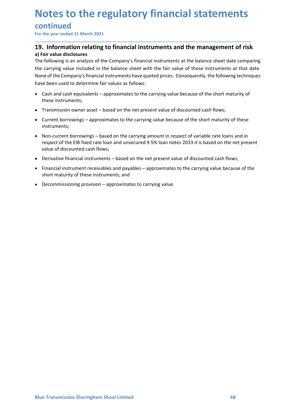### continued

# **Notes to the regulatory financial statements<br>
continued**<br>
For the year ended 31 March 2021<br> **19.** Information relating to financial instruments and the management of risk<br>
a) Fair value disclosures<br>
The following is an an

\_\_\_\_\_\_\_\_\_\_\_\_\_\_\_\_\_\_\_\_\_\_\_\_\_\_\_\_\_\_\_\_\_\_\_\_\_\_\_\_\_\_\_\_\_\_\_\_\_\_\_\_\_\_\_\_\_\_\_\_\_\_\_\_\_\_\_\_\_\_\_\_\_\_\_\_\_\_\_\_\_\_\_\_\_\_\_\_\_\_

**Notes to the regulatory financial statements**<br>
For the year ended 31 March 2021<br>
19. Information relating to financial instruments and the management of risk<br>
a) Fair value disclosures<br>
The following is an analysis of the **Notes to the regulatory financial stater**<br> **continued**<br>
For the year ended 31 March 2021<br> **19.** Information relating to financial instruments and the manager<br>
a) Fair value disclosures<br>
The following is an analysis of the **Notes to the regulatory financial statements**<br>
For the year ended 31 March 2021<br> **19.** Information relating to financial instruments and the management of risk<br>
a) Fair value disclosures<br>
The following is an analysis of t **Notes to the regulatory financial statements**<br>
For the year ended 31 March 2021<br> **19.** Information relating to financial instruments and the management of risk<br>
a) Fair value disclosures<br>
The following is an analysis of t **Notes to the regulatory financial statements**<br>
For the year ended 31 March 2021<br>
19. Information relating to financial instruments and the management of risk<br>
a) Fair value disclosures<br>
The following is an analysis of the **Notes to the regulatory financial statements**<br>
For the year ended 31 March 2021<br> **19.** Information relating to financial instruments and the management of risk<br>
a) Fair value disclosures<br>
The following is an analysis of t **Otes to the regulatory financial statements**<br> **Cash and cash and cash and cash and cash and cash equivalent in the cash equivalent of risk**<br>
Fair value disclosures<br>
Following is an analysis of the Company's financial inst Otes to the regulatory financial statement<br>
the year ended 31 March 2021<br> **Exerce** interval and the management<br> **Exerce** in the management of the company's financial instruments and the management<br>
rain value disclosures<br> otes to the regulatory financial statements<br>
intinued<br>
the year ended 31 March 2021<br> **.** Information relating to financial instruments and the management of risk<br>
fair value disclosures<br>
carrying value included in the bala **Otes to the regulatory financial statements**<br>the year ended 31 March 2021<br>L. **Information relating to financial instruments and the management of risk**<br>rain value discourses<br>filt value becauses<br>following is an analysis of OCCES LUCTE TE CONTROLLY TITIENTENTS STATEMENTS<br>
1. Information relating to financial instruments and the management of risk<br>
1. Information relating to financial instruments and the management of risk<br>
Trainvalue idsoles<br> **ntinued**<br> **complement of the Material Strandard instruments and the management of risk**<br>
rial value disclosures<br>
following is an analysis of the Company's financial instruments at the balance sheet date comparing<br>
carryin **The tractional Standard Cash flows;**<br> **The vear ended 31 March 2021**<br> **Information relating to financial instruments and the management of risk**<br> **Fair value disclosures**<br>
following is an analysis of the Company's financi **Example 1. Information relating to financial instruments and the management of risk** rail value disclosures<br>Following is an analysis of the Company's financial instruments at the balance sheet date comparing<br>carrying va . **INTOTIFITY CONTENT STANCE INTERT AND ASSED THE CONDUCT CONDUCT CONDUCT THE STANCE INTERTATION IS IS THE CONDING IS an analysis of the Company's financial instruments at the balance sheet date comparing relationing is an** riar value disclosures<br>is in value discolustores of the Company's financial instruments at the balance sheet date companing<br>carrying value included in the balance sheet with the fair value of those instruments at that date carrying value included in the balance' sheet with the fair value of those instruments at that date.<br>ee of the Company's financial instruments have quoted prices. Consequently, the following techniques<br>e been used to deter

- 
- 
- instruments;
- 
- 
- 
-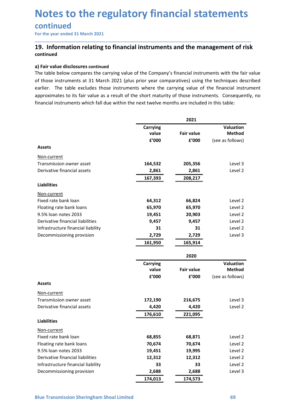### continued

## Notes to the regulatory financial statements<br>
continued<br>
For the year ended 31 March 2021<br> **19.** Information relating to financial instruments and the management of risk<br>
continued<br>a) Fair value disclosures continued **Notes to the regulatory financial statements<br>
For the year ended 31 March 2021**<br>
19. Information relating to financial instruments and the management of risk<br>
continued<br>
a) Fair value disclosures continued<br>
The table belo continued

**Notes to the regulatory financial stater**<br>
For the year ended 31 March 2021<br> **19.** Information relating to financial instruments and the manager<br>
continued<br>
a) Fair value disclosures continued<br>
The table below compares th **Notes to the regulatory financial statements**<br>
For the year ended 31 March 2021<br> **19.** Information relating to financial instruments and the management of risk<br>
continued<br>
a) Fair value disclosures continued<br>
The table be **Notes to the regulatory financial statements**<br>
For the year ended 31 March 2021<br>
19. Information relating to financial instruments and the management of risk<br>
continued<br>
a) Fair value disclosures continued<br>
The table belo **Notes to the regulatory financial statements**<br>
For the year ended 31 March 2021<br> **19.** Information relating to financial instruments and the management of risk<br>
continued<br>
a) Fair value disclosures continued<br>
The table be **Notes to the regulatory financial statements**<br>
For the year ended 31 March 2021<br> **19.** Information relating to financial instruments and the management of risk<br>
continued<br>
a) Fair value disclosures continued<br>
The table be **Notes to the regulatory financial statements**<br>
For the year ended 31 March 2021<br> **19.** Information relating to financial instruments and the management of risk<br>
continued<br>
a) Fair value disclosures continued<br>
The table be

| continued<br>For the year ended 31 March 2021                                                                                                                                                             |          |                   |                  |
|-----------------------------------------------------------------------------------------------------------------------------------------------------------------------------------------------------------|----------|-------------------|------------------|
|                                                                                                                                                                                                           |          |                   |                  |
| 19. Information relating to financial instruments and the management of risk<br>continued                                                                                                                 |          |                   |                  |
| a) Fair value disclosures continued<br>The table below compares the carrying value of the Company's financial instruments with the fair value                                                             |          |                   |                  |
| of those instruments at 31 March 2021 (plus prior year comparatives) using the techniques described                                                                                                       |          |                   |                  |
| earlier. The table excludes those instruments where the carrying value of the financial instrument                                                                                                        |          |                   |                  |
| approximates to its fair value as a result of the short maturity of those instruments. Consequently, no<br>financial instruments which fall due within the next twelve months are included in this table: |          |                   |                  |
|                                                                                                                                                                                                           |          |                   |                  |
|                                                                                                                                                                                                           |          | 2021              |                  |
|                                                                                                                                                                                                           | Carrying |                   | Valuation        |
|                                                                                                                                                                                                           | value    | <b>Fair value</b> | <b>Method</b>    |
|                                                                                                                                                                                                           | £'000    | £'000             | (see as follows) |
| <b>Assets</b>                                                                                                                                                                                             |          |                   |                  |
| Non-current                                                                                                                                                                                               |          |                   |                  |
| Transmission owner asset                                                                                                                                                                                  | 164,532  | 205,356           | Level 3          |
| Derivative financial assets                                                                                                                                                                               | 2,861    | 2,861             | Level 2          |
|                                                                                                                                                                                                           | 167,393  | 208,217           |                  |
| <b>Liabilities</b>                                                                                                                                                                                        |          |                   |                  |
| Non-current                                                                                                                                                                                               |          |                   |                  |
| Fixed rate bank loan                                                                                                                                                                                      | 64,312   | 66,824            | Level 2          |
| Floating rate bank loans                                                                                                                                                                                  | 65,970   | 65,970            | Level 2          |
| 9.5% loan notes 2033                                                                                                                                                                                      | 19,451   | 20,903            | Level 2          |
| Derivative financial liabilities                                                                                                                                                                          | 9,457    | 9,457             | Level 2          |
| Infrastructure financial liability                                                                                                                                                                        | 31       | 31                | Level 2          |
| Decommissioning provision                                                                                                                                                                                 | 2,729    | 2,729             | Level 3          |
|                                                                                                                                                                                                           | 161,950  | 165,914           |                  |
|                                                                                                                                                                                                           |          | 2020              |                  |
|                                                                                                                                                                                                           | Carrying |                   | Valuation        |
|                                                                                                                                                                                                           | value    | <b>Fair value</b> | <b>Method</b>    |
|                                                                                                                                                                                                           | £'000    | £'000             | (see as follows) |
| <b>Assets</b>                                                                                                                                                                                             |          |                   |                  |
| Non-current                                                                                                                                                                                               |          |                   |                  |
| Transmission owner asset                                                                                                                                                                                  | 172,190  | 216,675           | Level 3          |
| Derivative financial assets                                                                                                                                                                               | 4,420    | 4,420             | Level 2          |
|                                                                                                                                                                                                           | 176,610  | 221,095           |                  |
| <b>Liabilities</b>                                                                                                                                                                                        |          |                   |                  |
| Non-current                                                                                                                                                                                               |          |                   |                  |
| Fixed rate bank loan                                                                                                                                                                                      | 68,855   | 68,871            | Level 2          |
| Floating rate bank loans                                                                                                                                                                                  | 70,674   | 70,674            | Level 2          |
| 9.5% loan notes 2033                                                                                                                                                                                      | 19,451   | 19,995            | Level 2          |
| Derivative financial liabilities                                                                                                                                                                          | 12,312   | 12,312            | Level 2          |
| Infrastructure financial liability                                                                                                                                                                        | 33       | 33                | Level 2          |
| Decommissioning provision                                                                                                                                                                                 | 2,688    | 2,688             | Level 3          |
|                                                                                                                                                                                                           | 174,013  | 174,573           |                  |
|                                                                                                                                                                                                           |          |                   |                  |
| <b>Blue Transmission Sheringham Shoal Limited</b>                                                                                                                                                         |          |                   | 69               |
|                                                                                                                                                                                                           |          |                   |                  |
|                                                                                                                                                                                                           |          |                   |                  |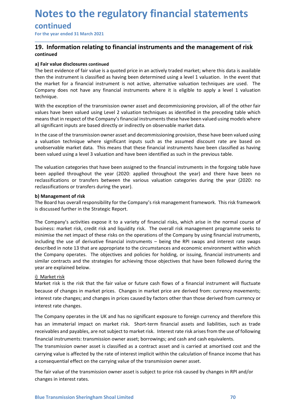### continued

## **Notes to the regulatory financial statements<br>
continued**<br>
For the year ended 31 March 2021<br> **19.** Information relating to financial instruments and the management of risk<br>
continued<br>
a) Fair value disclosures continued<br>
T continued

\_\_\_\_\_\_\_\_\_\_\_\_\_\_\_\_\_\_\_\_\_\_\_\_\_\_\_\_\_\_\_\_\_\_\_\_\_\_\_\_\_\_\_\_\_\_\_\_\_\_\_\_\_\_\_\_\_\_\_\_\_\_\_\_\_\_\_\_\_\_\_\_\_\_\_\_\_\_\_\_\_\_\_\_\_\_\_\_\_\_

**Notes to the regulatory financial statements**<br>
For the year ended 31 March 2021<br>
19. Information relating to financial instruments and the management of risk<br>
continued<br>
a) Fair value disclosures continued<br>
The best evide **Notes to the regulatory financial stater**<br> **continued**<br>
For the year ended 31 March 2021<br> **19.** Information relating to financial instruments and the manager<br>
continued<br>
a) Fair value disclosures continued<br>
The best evide **Notes to the regulatory financial statements**<br>
For the year ended 31 March 2021<br> **19.** Information relating to financial instruments and the management of risk<br>
continued<br>
a) Fair value disclosures continued<br>
The best evi **Notes to the regulatory financial statements**<br>
For the year ended 31 March 2021<br> **19.** Information relating to financial instruments and the management of risk<br>
continued<br>
a) Fair value disclosures continued<br>
then the ins **Notes to the regulatory financial statements**<br>
For the year ended 31 March 2021<br> **19.** Information relating to financial instruments and the management of risk<br>
continued<br>
a) Fair value disclosures continued<br>
The best evi **Notes to the regulatory financial statements**<br>
For the year ended 31 March 2021<br> **19.** Information relating to financial instruments and the management of risk<br>
continued<br>
a) Fair value disclosures continued<br>
The best evi technique. **Notes to the regulatory financial statements**<br>
For the year ended 31 March 2021<br>
19. Information relating to financial instruments and the management of risk<br>
continued<br>
2) Fair value discosures continued<br>
2) Fair value d **Notes to the regulatory financial statements**<br>
For the year ended 31 March 2021<br> **19. Information relating to financial instruments and the management of risk**<br> **continued**<br>
The best evidence of fair value is a quoted pri **Notes to the regulatory financial statements of risk**<br>For the year ended 31 March 2021<br>19. Information relating to financial instruments and the management of risk<br>ontinued<br>The best evidence of fair value is a quoted pric **Notes to the regulatory financial statements**<br>
For the year ended 31 March 2021<br>
To the year ended 31 March 2021<br> **continued**<br> **continued**<br> **continued**<br> **a) Fair value disclosures continued**<br> **a) Fair value disclosures co INDIES LO LITE TEGUIAL COTY IIMANCIAL SLALETTIENTS**<br> **CONTINUES**<br> **19. Information relating to financial instruments and the management of risk**<br> **continued**<br> **a)** Fair value disclosures continued<br> **1** The best evidence o **Contlinued**<br> **19. Information relating to financial instruments and the management of risk**<br> **19. Information relating to financial instruments and the management of risk<br>
continued<br>
The best evidence of fair value is a q** unobservable market data. This means that these financial instruments have been classified as having For the year ended 31 March 2021<br> **19. Information relating to financial instruments and the management of risk**<br> **continued**<br> **In Fair value disclosures continued**<br>
The best evidence of fair value is a quoted price in an **19. Information relating to financial instruments and the management of risk**<br>
continued<br>
a) Fair value disclosures continued<br>
The best evidence of fair value is a quoted price in an actively traded market, where this dat **a)** Thir value disclosures continued<br>a) The best evidence of fair value is a quoted price in an actively traded market; where this data is available<br>then the instrument is classified as having been determined using a leve **a) Fair value disclosures continued**<br>The best evidence of fair value is a quoted price in an actively traded market, where this data is available<br>The hest evidence of fair value is a quoted price in an actively traded mar or an unconcount of raist continuous and the state of the state of the state of fair value is a quoted price in an actively traded market; where this data is available<br>the best evidence of fair value is a baving been deter

then the instrument is classified as having been determined using a level 1 valuation. In the market for a financial instrument is not active, alternative valuation techniques are technique.<br>Company does not have any finan the market for a financial instrument is not active, alternative valuation techniques are used. The<br>Company does not have any financial instruments where it is eligible to apply a level 1 valuation<br>Octinque.<br>With the excep

Company does not have any financial instruments where it is eligible to apply a level 1 valuation<br>
technique.<br>
Hereingine with the exception of the transmission owner asset and decommissioning provision, all of the other f With the exception of the transmission owner asset and decommissioning provision, all of the other fair<br>values have been valued using Level 2 valuation techniques as identified in the preceding table which<br>means that in re where exception the cummination techniques as identified in the preceding table which<br>values have been valued using thee C 7 valuation techniques as identified in the preceding table which<br>and san fathin respect of the Com end the company station of the matter with the strategies of the company by stimulate the net where the seed the company's financial instruments these have been valued using models where all significant inputs are based di mutual standard method of the use of derivative financial instruments and the use of the constrained the use of the transmission owner asset and eccommissioning provision, these have been valued using<br>In the case of the tr an symmant more are all that means that are appropriate to the circumstances and economic environment with are the transmission owner asset and decommissioning provision, these have been valued using<br>a valuation technique In the case of the transmission owere asset and decommissioning provision, these have been valued using<br>a valuation technique where significant inputs such as the assumed discount rate are based on<br>unobservable market data a valuation technique where significant inputs such as the assumed discount rate are based on<br>unobservable market data. This means that these financial instruments have been classified as having<br>been valued using a level 3 unobservable market data. This means that these financial instruments have been classific<br>been valued using a level 3 valuation and have been identified as such in the previous table.<br>The valuation categories that have bee been valued dang terets a statement and e been assigned to the financial instruments in the<br>The valuation dategories that have been assigned to the financial instruments in the<br>pectassifications or transfers between the va The valuation categories that have been assigned to the financial instruments in the forgoing table have<br>been applied throughout the year (2020: applied throughout the year) and there have been no<br>reclassifications or tran been applied throughout the year (2020: applied throughout the year) and there have been no<br>reclassifications or transfers between the various valuation categories during the year (2020: no<br>reclassifications or transfers b reclassifications or transfers between the various valuation categories during the year (2020: no<br>
reclassifications or transfers during the year).<br>
Di Management of risk<br>
The Board has overall responsibility for the Compa reclassifications or transfers during the year).<br> **b) Management of risk**<br>
The Board has overall responsibility for the Company's risk management framework. The Board has overall responsibility for the Company's risk manag **b)** Management of risk<br>
The Board has overall responsibility for the Company's risk management framework. This risk framework<br>
is discussed further in the Strategic Report.<br>
The Company's activities expose it to a variety Ine board mas overall responsions, in the UK and has no significant exposer that is an increase to the company's activities expose it to a variety of financial risks, which arise in the normal course of business: market ri receivables and receivables and payables, are not a variety of financial risks, which arise in the commal course of thosenses: market risk, credit risk and liquidity risk. The overall risk management programme seeks to min The Company's activities expose it to a variety of financial risks, which arise in the normal course of business: market risk, credit risk created risk mane are the more are the increase to minimise the net limpact of thes business: market risk, credit risk and liquidity risk. The overall risk management programme seeks to<br>minimise the net limpact of these risks on the operations of the Company by using finnacial instruments,<br>including the u minimise the net impact of these risks on the operations of the Company by using financial instruments, including the use of derivative financial instruments – being the RPI swaps and interest rate swaps described in note including the use of derivative financial instruments – being the RPI swaps and interest rate swaps<br>inclusion in detect of the company operates. The objectives and policies for holding, or issuing, financial instruments an

similar contracts and the strategies for achieving those objectives that have been followed year are explained below.<br>
2) Market risk is the risk that the fair value or future cash flows of a financial instrument whe chang

I) Market risk is<br>
Almorket risk is the risk that the fair value or future cash flows of a financial instrument will fluctuate<br>
because of changes in market prices. Changes in market price are derived from: currency moveme the Company operates. The objectives and policies for holding, or issuing, financial instruments and similar contracts and the strategies for achieving those objectives that have been followed during the syara are explaine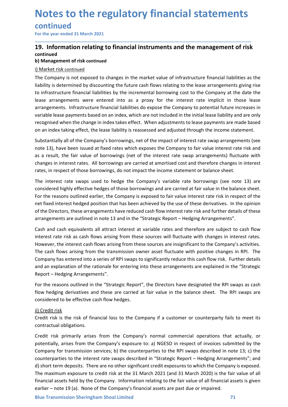### continued

## **Notes to the regulatory financial statements<br>
continued**<br>
For the year ended 31 March 2021<br> **19.** Information relating to financial instruments and the management of risk<br>
continued<br>
b) Management of risk continued<br>
i) Ma **Notes to the regulatory financial statements**<br>
For the year ended 31 March 2021<br>
19. Information relating to financial instruments and the management of risk<br>
continued<br>
b) Management of risk continued<br>
The Company is not continued

\_\_\_\_\_\_\_\_\_\_\_\_\_\_\_\_\_\_\_\_\_\_\_\_\_\_\_\_\_\_\_\_\_\_\_\_\_\_\_\_\_\_\_\_\_\_\_\_\_\_\_\_\_\_\_\_\_\_\_\_\_\_\_\_\_\_\_\_\_\_\_\_\_\_\_\_\_\_\_\_\_\_\_\_\_\_\_\_\_\_

**Notes to the regulatory financial statement continued**<br>For the year ended 31 March 2021<br>**19.** Information relating to financial instruments and the management<br>continued<br>b) Management of risk continued<br>The Company is not e **Notes to the regulatory financial state**<br> **continued**<br>
For the year ended 31 March 2021<br> **19.** Information relating to financial instruments and the manageontinued<br>
b) Management of risk continued<br>
i) Market risk continue **Notes to the regulatory financial statements**<br>
For the year ended 31 March 2021<br> **19.** Information relating to financial instruments and the management of risk<br>
continued<br>
i) Maragement of risk continued<br>
i) Market risk c **Notes to the regulatory financial statements**<br>For the year ended 31 March 2021<br>19. Information relating to financial instruments and the management of risk<br>continued<br>b) Management of risk continued<br>il Market risk continue **Notes to the regulatory financial statements**<br>For the year ended 31 March 2021<br>19. Information relating to financial instruments and the management of risk<br>continued<br>b) Management of risk continued<br>i) Market risk continue **Notes to the regulatory financial statements**<br>
For the year ended 31 March 2021<br>
19. Information relating to financial instruments and the management of risk<br>
continued<br>
b) Management of risk continued<br>
b) Management of r **Notes to the regulatory financial statements**<br>For the year ended 31 March 2021<br>19. Information relating to financial instruments and the management of risk<br>continued<br>i) Management of risk continued<br>i) Management of risk c **Notes to the regulatory financial statements**<br>For the year ended 31 March 2021<br>19. Information relating to financial instruments and the management of risk<br>continued<br>i) Management of risk continued<br>i) Management of risk c **Notes to the regulatory financial statements**<br>For the year ended 31 March 2021<br>19. Information relating to financial instruments and the management of risk<br>continued<br>b) Management of risk continued<br>in imagement of risk co **Notes to the regulatory financial statements**<br>
For the year ended 31 March 2021<br> **19.** Information relating to financial instruments and the management of risk<br>
continued<br>
b) Management of risk continued<br>
i) Market risk c **CONTLINUMENT SUBSTANT ASSET ASSET ASSET ASSET ASSET ASSET ASSET ASSET ASSET ASSET AND A CONDIMENT AND MARKET ISK CONTINUED IN DAVANCE IS A CONTINUED IN DAVANCE IS A CONTINUED THE COMPANY is of the impact of the impact of EVALUATING THE THE ISON TERT AND THE THE ISON TERRAT THE INTERNATION THE INTERNATION IN DESCRIPTION IN A DEVALU<br>
THE COMPARY IS ISO AND THE COMPARY IS ON THE COMPARY IS ON THE COMPARY IS ON THE COMPARY IS ON EXPOSED TO TH** For the year ended 3.1 Match 2021<br> **19. Information relating to financial instruments and the management of risk**<br>
continued<br>
Dhamagement of risk continued<br>
ID Management of risk continued<br>
ID Management of risk continued<br> **19. Information relating to financial instruments and the management of risk continued<br>
b) Management of risk continued<br>
b) Management of risk continued<br>
The Company is not exposed to changes in the market value of infras Considered in the interest of the interest of the interest of the income statement of this continued in Market risk continued The Company is not exposed to changes in the market value of infrastructure financial liabiliti b) Management of risk continued**<br>
The Company is not exposed to changes in the market value of infrastructure financial liabilities as the<br>
liability is determined by discounting the future cash flows relating to the leas i) Market risk continued<br>The Company is not exposed to changes in the market value of infrastructure financial liabilities as the<br>The liability is determined by discounting the future cash flows relating to the lease arran The Company is not exposed to changes in the market value of infrastructure financial liabilities as the liability is determined by discounting the future cash flows relating to the lease arrangements giving rise to infras liability is determined by discounting the future cash flows relating to the lease arrangements giving rise<br>to infrastructure financial liabilities by the incremental borrowing cost to the Company at the date the<br>tease arr to infrastructure financial liabilities by the incremental borrowing cost to the Company at the date the lease arrangements. Infrastructure financial liabilities do expose the Company to potential future increases in varia

lease arrangements were entered into as a proxy for the interest rate implicit in those lease<br>arrangements. Infrastructure financial ilabilities do expose the Company to potential future increases in<br>ovariable lease paymen and and cash musion to the linear the measure interest at the compary of potential trunces are the comparts all attract interests and a digitated through the income statement.<br>The compiled when the change in index takes ef

valuate less paysitents as assol on all mothes, which are not included until the matterial as ending that the company's borrowings, net of the impact of interest rate swap arrangements (see nablest at lability is reassesse However, the interest cash flows arising from these sources will fluctuate with chompany's articlear are the income statement.<br>Substantially all of the Company's borrowings, net of the impact of interest rate swap arrangem on an interact and genet, the lease hathlifty is reassessed and adjusted timolger the mether statement.<br>Substantially all of the Company's borrowings, net of the impact of interest rate swap arrangements (see<br>note 13), hav Substantially all of the Company's borrowings, net of the impact of interest rate swap arrangements (see<br>note 13), have been issued at fixed rates which exposes the Company to fair value interest rate risk and<br>as a result, note 13), have been issued at fixed rates which exposes the Company to fair value interest rate risk and<br>as a result, the fair value of borrowings (net of the interest rate swap arrangements) fluctuate with<br>changes in inte Report - Hedging Arrangements". Unlares in interest rates. Am bouthomigs are carried at aniviation custo and unerel currence currence in the interest rates in meters.<br>The interest rate swaps used to hedge the Company's variable rate borrowings (see note rates, in respect or titles worridomy as, to not impact the introduce sheet. The interest rate is worry and the interest rate is worrely to considered highly effective hedges of those borrowings and are carried at fair val The interest rate swaps used to hedge the Company's variable rate borrowings (see note 13) are<br>considered highly effective hedges of those borrowings and are carried at fair value in the balance sehect.<br>For the reasons out considered inginy entervie reages of those borrowings and a et carried at rain value.<br>For the reasons outlined earlier, the Company is exposed to fair value interest rather that theres there are there are there are the dif row the reasons outlined earth; the Company is exposed to all value fluences faest rate insk in respect of the<br>Credit risk in the control of the Directors, these arrangements have reduced cash flow interest rate risk and f For the universine the company is and the other and the between the control of the Directors, these arrangements have reduced cash flow interest rate risk and furtherarrangements are outlined in note 13 and in the "Strateg arrangements are outlined in note 13 and in the "Strategic Report – Hedging Arrangements".<br>Cash and cash equivalents all attract interest at variable rates and therefore are subject to cash flow<br>interest rate risk as cash Cash and cash equivalents all attract interest at variable rates and therefore are subject to cash flow<br>interest rate risk as cash flows arising from these sources will fluctuate with changes in interest rates.<br>However, th

report integrance intergentialled in the "Strategic Report", the Directors have designated the RPI swaps as cash<br>Flow hedging derivatives and these are carried at fair value in the balance sheet. The RPI swaps are<br>consider Compare the interest and attract interest at variable and the feat with changes in interest rates.<br>However, the interest cash flows arising from these sources are insignificant to the Company's activities.<br>However, the int Interest risk as a sail flows ansing in thin as sources wir includine wirr clariges in fluences in the company's activities.<br>The cash flows arising from the transmission owner asset fluctuate with positive changes in RPI. However, the interest cast intowa anisig norm threse boutes are insignment to the Company saturouse.<br>The cash flows arising from the transmission owner asset fluctuate with positive changes in RPI. The<br>Company has entered The casn nows ansing mon une transmission owner asset notcule wour possive changes in with the company has entered into a series of RPI swaps to significantly reduce this cash flow risk. Further details and an explanation Company mas entere anno a seres on keris waps to signinicantly reduce this cash now fisk. Further "Strategic Report - Hedging Arrangements".<br>
For the reasons outlined in the "Strategic Report", the Directors have designate and an expanatorio tie rational eror entering into these arrangements are explained in the strategic<br>Report – Hedging Arrangements".<br>For the reasons outlined in the "Strategic Report", the Directors have designated the RPI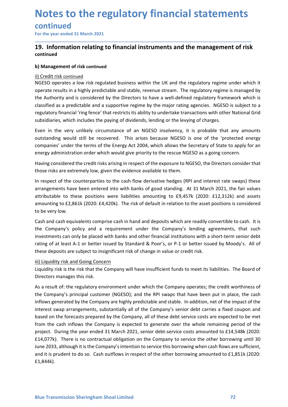# continued

# **Notes to the regulatory financial statements**<br>
For the year ended 31 March 2021<br>
For the year ended 31 March 2021<br> **19.** Information relating to financial instruments and the management of risk<br>
continued<br>
b) Management o **Notes to the regulatory financial statements<br>
For the year ended 31 March 2021**<br>
19. Information relating to financial instruments and the management of risk<br>
continued<br>
b) Management of risk continued<br>
ii) Credit risk co continued

\_\_\_\_\_\_\_\_\_\_\_\_\_\_\_\_\_\_\_\_\_\_\_\_\_\_\_\_\_\_\_\_\_\_\_\_\_\_\_\_\_\_\_\_\_\_\_\_\_\_\_\_\_\_\_\_\_\_\_\_\_\_\_\_\_\_\_\_\_\_\_\_\_\_\_\_\_\_\_\_\_\_\_\_\_\_\_\_\_\_

**Notes to the regulatory financial statement**<br>
For the year ended 31 March 2021<br> **19.** Information relating to financial instruments and the management<br>
continued<br>
b) Management of risk continued<br>
ii) Credit risk continued **Notes to the regulatory financial state**<br>
For the year ended 31 March 2021<br> **19.** Information relating to financial instruments and the mana<br>
continued<br>
b) Management of risk continued<br>
ii) Credit risk continued<br>
ii) Cred **Notes to the regulatory financial statements<br>
For the year ended 31 March 2021**<br> **19.** Information relating to financial instruments and the management of risk<br>
continued<br>
b) Management of risk continued<br>
il) Credit risk **Notes to the regulatory financial statements**<br>
For the year ended 31 March 2021<br> **19.** Information relating to financial instruments and the management of risk<br>
continued<br>
ii) Credit risk continued<br>
ii) Credit risk contin **Notes to the regulatory financial statements**<br>
For the year ended 31 March 2021<br> **19. Information relating to financial instruments and the management of risk**<br>
continued<br>
b) Management of risk continued<br>
i) Credit risk c **Notes to the regulatory financial statements**<br>
For the year ended 31 March 2021<br>
19. Information relating to financial instruments and the management of risk<br>
continued<br>
b) Management of risk continued<br>
ii) Credit risk co **Notes to the regulatory financial statements**<br>
For the year ended 31 March 2021<br> **19.** Information relating to financial instruments and the management of risk<br>
continued<br>
ii) Credit risk continued<br>
ii) Credit risk contin **Notes to the regulatory financial statements**<br>
For the year ended 31 March 2021<br> **19.** Information relating to financial instruments and the management of risk<br>
continued<br>
b) Management of risk continued<br>
il) Credit risk **Notes to the regulatory financial statements**<br>
For the year ended 31 March 2021<br> **19.** Information relating to financial instruments and the management of risk<br>
continued<br>
b) Management of risk continued<br>
in Credit risk c **CONTINUE CONTROLLATE CONTROLLATE CONTROLLATE CONTROLLATE CONTROLLATE CONTROLLATE THE CONTROLLATE THE CONTROLLAT<br>
19. Information relating to financial instruments and the management of risk<br>
continued<br>
ii) Credit risk con CONTLINUEG (**<br> **Comparison and the management of risk**<br> **COMPACTE ACT INTERT INTERT COMPACTE INTERT INTERT INTERT INTERT INTERT INTERT INTERT INTERT INTERT INTERT INTERT INTERT INTERT INTERT INTERT INTERT INTERT INTERT IN** For the year ended 31 March 2021<br> **19. Information relating to financial instruments and the management of risk**<br>
continued<br>
b) Management of risk continued<br>
il) Credit risk continued<br>
il) Credit risk continued<br>
or<br>
clossi **19. Information relating to financial instruments and the management of risk<br>
continued<br>
ii) Credit risk continued<br>
ii) Credit risk continued<br>
ii) Credit risk continued<br>
ii) Credit risk continued<br>
ii) Credit risk continue Continued**<br> **b) Management of risk continued**<br> **ii)** Credit risk continued<br>
ii) Credit risk continued<br>
ii) Credit risk continued<br>
NGESO operates a low risk regulated business within the UK and the regulatory regime under **b) Management of risk continued**<br>II) <u>Credit risk continued</u><br>INGESO operates a low risk regulated business within the UK and the regulatory regime is managed by<br>operate results in a highly predictable and stable, revenue gy management or risk continued into the UK and the regulatory regime under which it<br>in Credit risk continued<br>NGESO operates a low risk regulated bank stable, revenue stream. The regulatory regime is managed by<br>the authori ii) Credit risk continued<br>(NGESO operates a low risk regulated business within the UK and the regulatory regime under which it<br>operate results in a highly predictable and stable, revenue stream. The regulatory regime is ma Not SO operates a low risk regulated business within the UK and the regulatory regime under which it soles<br>identication and is considered by the Directors to have a well-defined regulatory framework which is<br>dassified as a

operate results in a highly predictable and stable, revenue stream. The regulatory recorded to the Authority and is considered by the Directors to have a well-defined regulatory predicable and a supportive regime by the ma

classified as a predictable and a supportive regime by the major rating agencies. NGESO is subject to a<br>regulatory financial 'ring fence' that restricts its ability to undertake transactions with other National Grid<br>subsid regulatory financial 'ring fence' that restricts its ability to undertake transactions with other National Grid<br>subsidiaries, which includes the paying of dividends, lending or the levying of charges.<br>Even in the very unli subsidiaries, which includes the paying of dividends, lending or the levying of charges.<br>Even in the very unlikely circumstance of an NGESO insolvency, it is probable that any amounts<br>outstanding would still be recovered. Even in the very unlikely circumstance of an NGESO insolvency, it is probable that any amounts<br>outstanding would still be recovered. This arises because NGESO is one of the 'protected energy<br>companies' under the terms of t Even in the wery univergluctures are an NGESO insolvency, it is probable that any amounts<br>toutstanding would still be recovered. This arises because NGESO is one of the 'protected energy<br>companies' under the terms of the E companies' under the terms of the Energy Act 2004, which allows the Secretary of State to apply fo<br>energy administration order which would give priority to the rescue NGESO, the Directors consider<br>energy administration ord energy administration order which would give priority to the rescue NGESO, as a going concern.<br>Having considered the credit risks arising in respect of the exposure to NGESO, the Directors consider that<br>those risks are ext Having considered the credit risks arising in respect of the exposure to NGESO, the Directors consi<br>Having considered the credit risks arising in respect of the exposure to NGESO, the Directors consi<br>those risks are extrem

Directors manages this risk.<br>
As a result of: the regulatory environment under which the Company operates; the credit worthiness of<br>
the Company's principal customer (NGESO); and the RPI swaps that have been put in place, those risks are extremely low, given the evidence available to them.<br>
In respect of the counterparties to the cash flow derivative hedges (RPI and interest rate swaps) these<br>
arrangements have been entered into with banks In respect of the counterparties to the cash flow derivative hedges (RPI and interest rate swaps) these<br>arrangements have been entered into with banks of good standing. At 31 March 2021, the fair values<br>attributable to the In respect of the company spiritual customer (NGESO); and the RPI swaps and interest rate swaps) these parameters are approximately to these positions were liabilities amounting to £9,857k (2020: £1,2312k) and assets amoun arrangements have been entered into with banks of good standing. At 31 March 2021, the fair values<br>arributable to these positions were liabilities amounting to £9,457k (2020: £1,3,12k) and assets<br>amounting to £2,861k (2020 attributable to these positions were liabilities amounting to £9,457K (2020: £12,312k) and assets amounting to £2,861k (2020: £4,420k). The risk of default in relation to the asset positions is considered to be very low.<br> amounting to text, expected to the remains of the company is expected to be very low.<br>The company's policy and a requirement under the Company's lending agreements, that such finds the Company's policy and a requirement un to be very low.<br>
Cash and cash equivalents comprise cash in hand and deposits which are readily convertible to cash. It is<br>
Cash and cash equivalents can only be placed with banks and other financial institutions with a sh Cash and cash equivalents comprise cash in hand and deposits which are readily convertible to cash. It is<br>thre Company's policy and a requirement under the Company's lending agreements, that such<br>tinvestments can only be p the Company's policy and a requirement under the Company's lending agreements, that such<br>investments can only be placed with banks and other financial institutions with a short-term senior debt<br>trating of at least A-1 or b investments can only be placed with banks and other financial institutions with a short-term senior debt<br>rating of a least A-1 or better issued by Standard & Poor's, or P-1 or better issued by Moody's. All of<br>these deposit £1,844k).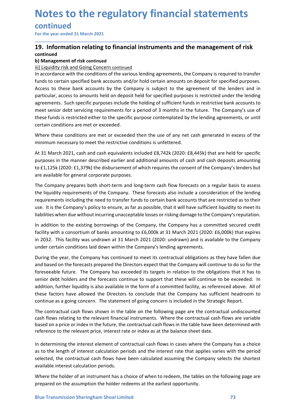# continued

# **Notes to the regulatory financial statements<br>
continued**<br>
For the year ended 31 March 2021<br> **19.** Information relating to financial instruments and the management of risk<br>
continued<br>
b) Management of risk continued<br>
iii) **Notes to the regulatory financial statements<br>
For the year ended 31 March 2021**<br> **19. Information relating to financial instruments and the management of risk**<br> **continued**<br> **ii) Management of risk continued**<br> **iii) Liqui** continued

\_\_\_\_\_\_\_\_\_\_\_\_\_\_\_\_\_\_\_\_\_\_\_\_\_\_\_\_\_\_\_\_\_\_\_\_\_\_\_\_\_\_\_\_\_\_\_\_\_\_\_\_\_\_\_\_\_\_\_\_\_\_\_\_\_\_\_\_\_\_\_\_\_\_\_\_\_\_\_\_\_\_\_\_\_\_\_\_\_\_

**Notes to the regulatory financial statement continued**<br>
For the year ended 31 March 2021<br> **19.** Information relating to financial instruments and the management<br>
continued<br>
b) Management of risk continued<br>
ii) Liquidity r **Notes to the regulatory financial statements**<br>
For the year ended 31 March 2021<br> **19.** Information relating to financial instruments and the management of risk<br>
continued<br>
b) Management of risk continued<br>
ii) Liquidity ri **Notes to the regulatory financial statements**<br>
For the year ended 31 March 2021<br> **19.** Information relating to financial instruments and the management of risk<br>
continued<br>
iii) ilquidity risk and Going Concern continued<br> **Notes to the regulatory financial statements**<br>For the year ended 31 March 2021<br>**19.** Information relating to financial instruments and the management of risk<br>b) Management of risk continued<br>ii) Liquidity risk and Going Co Notes to the regulatory financial statements<br>
For the year ended 31 March 2021<br>
19. Information relating to financial instruments and the management of risk<br>
continued<br>
(ii) it<br>
iii) it<br>
iii) it<br>
iii) it<br>
iii) it<br>
in accor **Notes to the regulatory financial statements**<br>For the year ended 31 March 2021<br>The The theyear ended 31 March 2021<br>19. Information relating to financial instruments and the management of risk<br>invidibly itsided Going Conce **Notes to the regulatory financial statements**<br>
for the year ended 31 March 2021<br> **19.** Information relating to financial instruments and the management of risk<br>
continued<br>
by Nanagement of risk continued<br>
iii) Liquidity r **Notes to the regulatory financial statements of risk**<br>For the year ended 31 March 2021<br>19. Information relating to financial instruments and the management of risk<br>continued<br>in liquidity risk and Going Concern continued<br>i **Notes to the regulatory financial statements**<br>
For the year ended 31 March 2021<br> **19.** Information relating to financial instruments and the management of risk<br>
continued<br>
b) Management of risk continued<br>
ii) Laquidity ri **Notes to the regulatory financial statements**<br>
For the year ended 31 March 2021<br> **19.** Information relating to financial instruments and the management of risk<br>
continued<br>
2011<br> **19.** Information relating to financial ins **INDUES LU LIFE FEGUIDENTY ITHOITCIDI STATEMITE S**<br> **CONTINUED**<br> **CONTINUED CONTINUED INTO A CONTINUED IS AREND CONTINUED ASSEM CONTINUED AS CONTINUED IN UNITED SUBMARY INTO A<br>
<b>CONTINUED**<br> **CONTINUED INTO A CONTINUED INTO For the year ended 31 March 2021**<br> **19. Information relating to financial instruments and the management of risk**<br> **continued**<br> **b) Management of risk continued**<br> **iii) Liquidity risk and Going Concern continued**<br> **iii) L** For the year ended 31 March 2021,<br> **19. Information relating to financial instruments and the management of risk<br>
continued<br>
iii) Liquidity risk and Going Concern continued<br>
iii) Liquidity risk and Going Concern continued<br> 19. Information relating to financial instruments and the management of risk**<br> **by Management of risk continued**<br> **by Management of risk continued**<br> **iii) Liquidity risk and Going Concern continued**<br> **iii) Liquidity risk** 19. Information relating to financial instruments and the management of risk<br>
in liquidity risk and Going Concern continued<br>
iii) Liquidity risk and Going Concern continued<br>
iii) Liquidity risk and Going Concern continued<br> continued<br>
implanement of risk continued<br>
iii) Liquidity risk and Going Concern continued<br>
iii) Liquidity risk and Going Concern continued<br>
iii) Liquidity risk and Going Concern continued<br>
flows for the contidinate of the III) Liquidity risk and Going Concern continued<br>In accordance with the conditions of the various lending agreements, the Company is required to transfer<br>In constants to certain specified bank accounts and/or hold certain a In accordance with the conditions of the various lending agreements, the Company is required to transfer<br>funds to certain specified bank accounts and/or hold certain amounts on deposit for specified purposes.<br>Access to the funds to certain specified bank accounts and/or hold certain amounts on deposit for specified purposes.<br>
Access to these bank accounts by the Company is subject to the agreement of the lenders and in<br>
particular, access to Access to these bank accounts by the Company is subject to the agreement of the lenders and in<br>particular, access to amounts held on deposit held for specified purposes instericted under the lending<br>agreements. Such specif

particular, access to amounts held on deposit held for specified purposes is restricted under the lending<br>agreements. Such specific purposes include the holding of sufficient funds in restrictive bank accounts to<br>meet seni geeemins. Sours pecure, purposes sincula e including to source through under tension and existing policies and the future. The Company's use of these funds is restricted either to the specific purpose contemplated by the l mete semior acea serving equinements of a period of s munitism in the toute. The Company sole of the Security of the leading agreements, or until certain conditions are met or exceeded.<br>Where these conditions are met or ex ineer unions i estituted unter to the specimic purpose concemplated by the lentaing agreements, or untir<br>
Where these conditions are met or exceeded.<br>
At 31 March 2021, cash and cash equivalents included £8,742k (2020: £8, etrain conutions are met or exceeded.<br>
Where these conditions are met or exceeded then the use of any net cash generated in excess of the<br>
Which the mismon mecessary to meet the restrictive conditions is unfettered.<br>
At 31

senior debt holders and the forecasts continue to support that these will continue to be exceeded. In addition, further liquidity is also available in the form of a committed facility, as referenced above. All of these fac Where these controllions are inter to receive the inter are so the any inclusion mechanism mecassary to meet the restrictive conditions is unfeltered.<br>At 31 March 2021, cash and cash equivalents included £8,742k (2020: £8, mumum intecessary to mete the farculatore contanons is simetere.<br>
At 31 March 2021, cash and cash equivalents included £8,742k (2020: £8,445k) that are held for specific<br>
At 31 March 2020. E1,379k) the disbursement of whic At 31 March 2021, cash and cash equivalents included £8,742k (2020: £8,445k) that are held for specific<br>purposes in the manner described earlier and additional anounts of cash and cash deposits amounting<br>to £1,125k (2020: purposes in the manner described earlier and additional amounts of cash and cash deposits amounting<br>of c1,1258 (2020: E1,3,998) the disbursement of which requires the consent of the Company's lenders but<br>of ac available fo to £1,125k (2020: £1,379k) the disbursement of which requires the consent of the Company's lenders but<br>are available for general corporate purposes.<br>The Company prepares both short-term and long-term cash flow forceasts on are available for general corporate purposes.<br>The Company prepares both short-term and long-term cash flow forecasts on a regular basis to assess<br>the liquidity requirements of the Company. These forecasts also include a co The Company prepares both short-term and long-term cash flow forecasts on a regular basis to assess<br>the liquidity requirements of the Company. These forecasts also include a consideration of the lending<br>requirements includ the liquidity requirements of the Company. These forecasts also include a consideration of the lending<br>requirements including the need to transfer funds to certain bank accounts that are restricted as to their<br>list list be requirements including the need to transfer funds to certain bank accounts that are restricted as to their<br>use. It is the Company's policy to ensure, as far as possible, that it will have sufficient liquidity to meet its<br>l use. It is the Company's policy to ensure, as far as possible, that it will have sufficient liquidity to meet its<br>ilabilities when due without incurring unacceptable losses or risking damage to the Company's reputation.<br>In liabilities when due without incurring unacceptable losses or risking damage to the Company's reputation.<br>In addition to the existing borrowings of the Company, the Company has a committed secured credit<br>facility with a co In addition to the existing borrowings of the Company, the Company has a committed secured credit<br>
fiacility with a consortium of banks amounting to £6,000k at 31 March 2021 (2020: £,000k) that expires<br>
in 2032. This facil facility with a consortium of banks amounting to £6,000k at 31 March 2021 (2020: £6,000k) that expires<br>in 2032. This facility was undrawn at 31 March 2021 (2020: undrawn) and is available to the Company<br>under certain condi in 2032. This facility was undrawn at 31 March 2021 (2020: undrawn) and is available to the Company under certain conditions laid down within the Company's lending agreements.<br>During the year, the Company has continued to under certain conditions laid down within the Company's lending agreements.<br>During the year, the Company has continued to meet its contractual obligations as they have fallen do<br>and based on the forecasts prepared the Dire During the year, the Company has continued to meet its contractual obligations as they have fallen due<br>and based on the forceasts prepared the Directors expect that the Company will continue to do so for the<br>foreseeable fu and based on the forecasts prepared the Directors expect that the Company will continue to do so for the compary ories cends the turns. The Company has exceeded is targets in relation to the obligations that it has to forc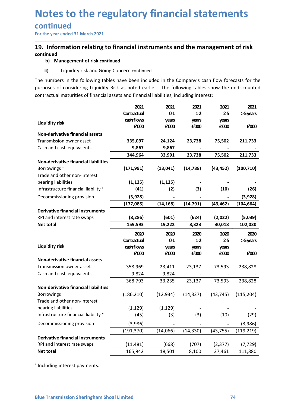# continued

# **Notes to the regulatory financial statements<br>
continued**<br>
For the year ended 31 March 2021<br> **19.** Information relating to financial instruments and the management of risk<br>
continued<br>
b) Management of risk continued<br>
in a **Notes to the regulatory financial statements**<br>
For the year ended 31 March 2021<br>
19. Information relating to financial instruments and the management of risk<br>
continued<br>
b) Management of risk continued<br>
iii) Liquidity ris continued

**b) The State of the State (Financial statements<br>
Information relating to financial instruments and the management of risk<br>
Information relating to financial instruments and the management of risk<br>
b) Management of risk co Otes to the regulatory financial statements**<br>
Information relating to financial instruments and the management of risk<br>
iii) Liquidity risk and Going Concern continued<br>
iii) Liquidity risk and Going Concern continued<br>
iii **Notes to the regulatory financial statements**<br>
For the year ended 31 March 2021<br> **19.** Information relating to financial instruments and the management of risk<br>
continued<br>
ii) <u>Uguidity risk and Going Concern continued</u><br>

| 19. Information relating to financial instruments and the management of risk<br>continued                                                                                                                                                                                                               |                                   |                 |                          |                |                  |
|---------------------------------------------------------------------------------------------------------------------------------------------------------------------------------------------------------------------------------------------------------------------------------------------------------|-----------------------------------|-----------------|--------------------------|----------------|------------------|
| b) Management of risk continued                                                                                                                                                                                                                                                                         |                                   |                 |                          |                |                  |
| <b>Liquidity risk and Going Concern continued</b><br>iii)                                                                                                                                                                                                                                               |                                   |                 |                          |                |                  |
| The numbers in the following tables have been included in the Company's cash flow forecasts for the<br>purposes of considering Liquidity Risk as noted earlier. The following tables show the undiscounted<br>contractual maturities of financial assets and financial liabilities, including interest: |                                   |                 |                          |                |                  |
|                                                                                                                                                                                                                                                                                                         | 2021<br>Contractual<br>cash flows | 2021<br>$0-1$   | 2021<br>$1-2$            | 2021<br>$2-5$  | 2021<br>>5 years |
| <b>Liquidity risk</b>                                                                                                                                                                                                                                                                                   | £'000                             | years<br>£'000  | years<br>£'000           | years<br>£'000 | £'000            |
| Non-derivative financial assets<br>Transmission owner asset<br>Cash and cash equivalents                                                                                                                                                                                                                | 335,097<br>9,867                  | 24,124<br>9,867 | 23,738                   | 75,502         | 211,733          |
|                                                                                                                                                                                                                                                                                                         | 344,964                           | 33,991          | 23,738                   | 75,502         | 211,733          |
| Non-derivative financial liabilities<br>Borrowings <sup>+</sup><br>Trade and other non-interest                                                                                                                                                                                                         | (171, 991)                        | (13, 041)       | (14, 788)                | (43, 452)      | (100, 710)       |
| bearing liabilities                                                                                                                                                                                                                                                                                     | (1, 125)                          | (1, 125)        |                          |                |                  |
| Infrastructure financial liability +                                                                                                                                                                                                                                                                    | (41)                              | (2)             | (3)                      | (10)           | (26)             |
| Decommissioning provision                                                                                                                                                                                                                                                                               | (3,928)                           |                 |                          |                | (3,928)          |
| <b>Derivative financial instruments</b>                                                                                                                                                                                                                                                                 | (177, 085)                        | (14, 168)       | (14, 791)                | (43, 462)      | (104, 664)       |
| RPI and interest rate swaps                                                                                                                                                                                                                                                                             | (8, 286)                          | (601)           | (624)                    | (2,022)        | (5,039)          |
| Net total                                                                                                                                                                                                                                                                                               | 159,593                           | 19,222          | 8,323                    | 30,018         | 102,030          |
|                                                                                                                                                                                                                                                                                                         | 2020                              | 2020            | 2020                     | 2020           | 2020             |
| <b>Liquidity risk</b>                                                                                                                                                                                                                                                                                   | Contractual<br>cashflows          | $0-1$           | $1-2$                    | $2-5$          | >5 years         |
|                                                                                                                                                                                                                                                                                                         | £'000                             | years<br>£'000  | years<br>£'000           | years<br>£'000 | £'000            |
| Non-derivative financial assets                                                                                                                                                                                                                                                                         |                                   |                 |                          |                |                  |
| Transmission owner asset<br>Cash and cash equivalents                                                                                                                                                                                                                                                   | 358,969<br>9,824                  | 23,411          | 23,137                   | 73,593         | 238,828          |
|                                                                                                                                                                                                                                                                                                         | 368,793                           | 9,824<br>33,235 | 23,137                   | 73,593         | 238,828          |
| Non-derivative financial liabilities<br>Borrowings <sup>+</sup><br>Trade and other non-interest                                                                                                                                                                                                         | (186, 210)                        | (12, 934)       | (14, 327)                | (43, 745)      | (115, 204)       |
| bearing liabilities                                                                                                                                                                                                                                                                                     | (1, 129)                          | (1, 129)        |                          |                |                  |
| Infrastructure financial liability +                                                                                                                                                                                                                                                                    | (45)                              | (3)             | (3)                      | (10)           | (29)             |
| Decommissioning provision                                                                                                                                                                                                                                                                               | (3,986)                           |                 | $\overline{\phantom{a}}$ |                | (3,986)          |
|                                                                                                                                                                                                                                                                                                         | (191, 370)                        | (14,066)        | (14, 330)                | (43, 755)      | (119, 219)       |
| <b>Derivative financial instruments</b><br>RPI and interest rate swaps                                                                                                                                                                                                                                  | (11, 481)                         | (668)           | (707)                    | (2, 377)       | (7, 729)         |
| Net total                                                                                                                                                                                                                                                                                               | 165,942                           | 18,501          | 8,100                    | 27,461         | 111,880          |
| <sup>+</sup> Including interest payments.<br><b>Blue Transmission Sheringham Shoal Limited</b>                                                                                                                                                                                                          |                                   |                 |                          |                | 74               |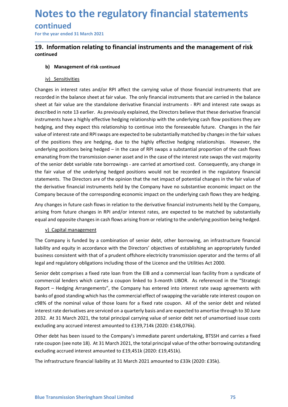# continued

# **Notes to the regulatory financial statements**<br>
For the year ended 31 March 2021<br>
T9. Information relating to financial instruments and the management of risk<br>
continued<br>
b) Management of risk continued **Notes to the regulatory financial statements**<br>
For the year ended 31 March 2021<br>
19. Information relating to financial instruments and the management of risk<br>
continued<br>
b) Management of risk continued<br>
<u>iv) Sensitivities</u> continued

\_\_\_\_\_\_\_\_\_\_\_\_\_\_\_\_\_\_\_\_\_\_\_\_\_\_\_\_\_\_\_\_\_\_\_\_\_\_\_\_\_\_\_\_\_\_\_\_\_\_\_\_\_\_\_\_\_\_\_\_\_\_\_\_\_\_\_\_\_\_\_\_\_\_\_\_\_\_\_\_\_\_\_\_\_\_\_\_\_\_

**Different COLOGET COLOGET COLOGET COLOGET COLOGET COLOGET COLOGET COLOGET COLOGET COLOGET COLOGET COLOGET COLOGET COLOGET COLOGET COLOGET COLOGET COLOGET COLOGET COLOGET COLOGET COLOGET COLOGET COLOGET COLOGET COLOGET COL Othe regulatory financial state**<br>
Information relating to financial instruments and the mana<br>
Information relating to financial instruments and the mana<br>
inued<br>
b) Management of risk continued<br>
iv) Sensitivities<br>
Iges in **Notes to the regulatory financial statements**<br>
For the year ended 31 March 2021<br> **19.** Information relating to financial instruments and the management of risk<br>
continued<br>
b) Management of risk continued<br>
b) Management of **Notes to the regulatory financial statements**<br>
For the year ended 31 March 2021<br> **19.** Information relating to financial instruments and the management of risk<br>
continued<br>
b) Management of risk continued<br>
b) Management of **Notes to the regulatory financial statements**<br>
For the year ended 31 March 2021<br>
19. Information relating to financial instruments and the management of risk<br>
continued<br>
b) Management of risk continued<br>
b) Management of r **Notes to the regulatory financial statements**<br>
For the year ended 31 March 2021<br> **19.** Information relating to financial instruments and the management of risk<br>
continued<br>
b) Management of risk continued<br>
in the balance s **Notes to the regulatory financial statements**<br>
For the year ended 31 March 2021<br> **19.** Information relating to financial instruments and the management of risk<br>
continued<br>
b) Management of risk continued<br>
in the balance s **Notes to the regulatory financial statements**<br>
For the year ended 31 March 2021<br> **19.** Information relating to financial instruments and the management of risk<br>
continued<br>
b) Management of risk continued<br>
b) Management of **NOTES TO THE PEGUIDITORY TIMBINGIAI STATEMENTS**<br> **Continued**<br> **19. Information relating to financial instruments and the management of risk**<br> **continued**<br> **b)** Management of risk continued<br> **b)** Management of risk continu **Continued**<br> **Source** the year ended 31 March 2021<br> **19. Information relating to financial instruments and the management of risk<br>
continued<br>
b) Management of risk continued<br>
chighly effect the carrying value of those fina Earth Exerce Constrained and Solutions and the management of risk**<br> **19. Information relating to financial instruments and the management of risk**<br> **continued**<br> **b)** Management of risk continued<br> **constrained**<br> **constrain 19. Information relating to financial instruments and the management of risk**<br>
b) Management of risk continued<br>
b) Management of risk continued<br>
changes in interest rates and/or RPI affect the carrying value of those fin **19. Information relating to financial instruments and the management of risk**<br>
b) Management of risk continued<br>
iv) Sensitivities<br>
Changes in interest rates and/or RPI affect the carrying value of those financial instrume **the standare in the fair value of the underlying which is the underlying which compares in the underlying the underlying value of those financial instruments that are recorded in the balance sheet at fair value. The only b)** Management of risk continued<br>
<u>iv) Sensitivities</u><br>
Changes in interest rates and/or RPI affect the carrying value of those financial instruments that are<br>
recorded in the balance sheet at fair value. The only financia b) Management of risk continued<br>
In Sensitivities<br>
Changes in interest rates and/or RPI affect the carrying value of those financial instruments that are<br>
crecorded in the balance sheet at fair value. The only financial in <u>iv) Sensitivities</u><br>
<u>iv) Sensitivities</u><br>
Changes in interest rates and/or RPI affect the carrying value of those financial instruments that are<br>
recorded in the balance sheet at fair value. The only financial instruments Changes in interest rates and/or RPI affect the carrying value of those financial instruments that are recorded in the balance erecorded in the balance sheet at fair value. The only financial instruments that are carried i Compary in metrical tates analyon the readying economic input of the matched by expected in the balance incorected in the balance sheet at fair value. The only financial instruments that are carried in the balance sheet at expected that end of the proposite state in the outlined the proposite changes in the unit of the control or the control or the control or the control or the control or the proposite changes in the fair policies of the pos ribed in note 13 earlier. As previously explained, the Directors believe that these deurments have a highly effective hedging relationship with the underlying cash flow poing, and they expect this relationship to continue Instruments have a nighly errective headging realitonsimp with the underlying cash flow positions freey are<br>nedding, and they expect this relationship to continue into the foreseeable furture. Changes in the fair<br>value of neappy, and they expect this felationship to continue into the foreseeable tuture. Changes in the fair values of interest atte and RPI swaps are expected to be substantially matched by changes in the fair values of the pos value of threestrate and MPTs<sup>yag</sup>as are expected to be substantially mattered op Vranges in the rain values<br>of the positions being hedged – in the case of RPI swaps a substantial proportion of the cash flows<br>emanating fro of the positions they are neeging, due to the highy effective heaping relationships. However, the<br>underlying positions being hedged – in the case of RPI swaps a substantial proportion of the cash flows<br>emanatting from the emanating from the transmission owner asset and in the case of the interest rate swaps the vast majority<br>of the senior debt variable rate borrowings - are carried at amortised cost. Consequently, any change in<br>the fair val

commercial lenders which carries a coupon linked to 3-month LIBOR. As referenced in the "Strategic Report – Hedging Arrangements", the Company has entered into interest rate swap agreements with banks of good standing whic of the senior debt variable rate borrowings - are carried at amortised cost. Consequently, any change in<br>the fair value of the underlying hedged positions would not be recorded in the regulatory financial<br>statements. The D the fair value of the underlying hedged positions would not be recorded in the regulatory financial<br>statements. The Directors are of the opinion that the net impact of potential changes in the fair value of<br>the derivative statements. The Directors are of the opinion that the net impact of potential changes in the fair value of<br>the derivative financial instruments held by the Company have no substantive economic impact on the<br>Company because the derivative financial instruments held by the Company have no substantive economic impact on the Company because of the corresponding economic impact on the underlying cash flows they are hedging.<br>Any changes in future Company because of the corresponding economic impact on the underlying cash flows they are hedging.<br>Any changes in future cash flows in relation to the derivative financial instruments held by the Company,<br>arising from fut Any changes in future cash flows in relation to the derivative financial instruments held by the Company, arising from future changes in RPI and/or interest rates, are expected to be matched by substantially equal and oppo Any ranages in tuture cash nows in relation to the derivative financial instruments field by two Company<br>arising from future changes in RPI and/or interest rates, are expected to be matched by substantially<br>equal and oppos equal and opposite changes in cash flows arising from or relating to the underlying position being hedged.<br>
V) Capital management<br>
The Company is funded by a combination of senior debt, other borrowing, an infrastructure f v) Capital management<br>The Company is funded by a combination of senior debt, other borrowing, an infrastructure financial<br>liability and equity in accordance with the Directors' objectives of establishing an appropriately f V) Capital management<br>The Company is funded by a combination of senior debt, other borrowing, an infrastructure financial<br>liability and equity in accordance with the Directors' objectives of establishing an appropriately f The Company is funded by a combination of senior deti, other borrowing, an infrastructure financial<br>liability and equity in accordance with the Directors' objectives of establishing an appropriately funded<br>business consist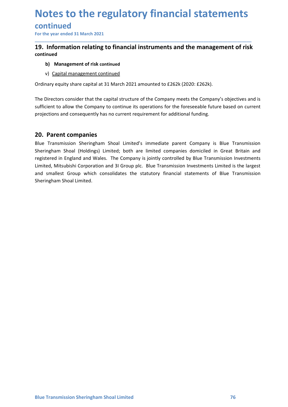# continued

# **Notes to the regulatory financial statements**<br>
For the year ended 31 March 2021<br>
For the year ended 31 March 2021<br> **19.** Information relating to financial instruments and the management of risk<br>
continued<br>
b) Management o **Notes to the regulatory financial statements**<br>
For the year ended 31 March 2021<br>
19. Information relating to financial instruments and the management of risk<br>
continued<br>
b) Management of risk continued<br>
explications conti continued **Dives to the regulatory financial statements<br>
Information relating to financial instruments and the management of risk<br>
Information relating to financial instruments and the management of risk<br>
b) Management of risk conti Diversed to the regulatory financial statements**<br>
Information relating to financial instruments and the management of risk<br>
inved<br>
b) Management of risk continued<br>
v) Capital management continued<br>
v) Capital management co

\_\_\_\_\_\_\_\_\_\_\_\_\_\_\_\_\_\_\_\_\_\_\_\_\_\_\_\_\_\_\_\_\_\_\_\_\_\_\_\_\_\_\_\_\_\_\_\_\_\_\_\_\_\_\_\_\_\_\_\_\_\_\_\_\_\_\_\_\_\_\_\_\_\_\_\_\_\_\_\_\_\_\_\_\_\_\_\_\_\_

- 
- 

**Notes to the regulatory financial statements**<br>
For the year ended 31 March 2021<br> **19.** Information relating to financial instruments and the management of risk<br>
ocontinued<br>
b) Management of risk continued<br>
v) Capital mana **Notes to the regulatory financial statements**<br>
For the year ended 31 March 2021<br> **19.** Information relating to financial instruments and the management of risk<br>
continued<br>
b) Management of risk continued<br>
v) <u>Capital mana</u> **Notes to the regulatory financial statements<br>
For the year ended 31 March 2021**<br> **19.** Information relating to financial instruments and the management of risk<br>
continued<br>
b) Management of risk continued<br>
v) <u>Capital mana</u> **Notes to the regulatory financial statements**<br>
For the year ended 31 March 2021<br>
19. Information relating to financial instruments and the management of risk<br>
continued<br>
b) Management of risk continued<br>
v) <u>Capital manage</u>

**COLLES LOTTIC FEGUIDE ITY TIMBITCIDE STATEM**<br>
For the year ended 31 March 2021<br> **19.** Information relating to financial instruments and the management<br>
ontinued<br>
b) Management of risk continued<br>
v) Capital management cont **Continued**<br>
For the year ended 31 March 2021<br> **19. Information relating to financial instruments and the management of risk<br>
continued<br>
b) Management of risk continued<br>
v) <u>Capital management continued</u><br>
Ordinary equity s** For the year ended 31 March 2021<br> **19. Information relating to financial instruments and the management of risk**<br>
continued<br>
b) Management of risk continued<br>
v) <u>Capital management continued</u><br>
Cordinary equity share capita **19. Information relating to financial instruments and the management of risk**<br> **continued**<br> **b)** Management ontinued<br>  $\vee$ ) <u>Capital management continued</u><br>
Ordinary equity share capital at 31 March 2021 amounted to £262k **19. Information relating to financial instruments and the management of risk**<br>
b) Management of risk continued<br>
v) <u>Capital management continued</u><br>
Ordinary equity share capital at 31 March 2021 amounted to £262k (2020: £2 **continued**<br> **b)** Management of risk continued<br>
v) <u>Capital management continued</u><br>
Ordinary equity share capital at 31 March 2021 amounted to £262k (2020: £262k).<br>
The Directors consider that the capital structure of the C b) Management of risk continued<br>v) <u>Capital management continued</u><br>Ordinary equity share capital at 31 March 2021 amounted to £262k (2020: £262k).<br>The Directors consider that the capital structure of the Company meets the C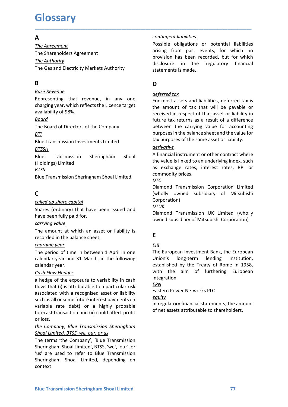# Glossary

# $\overline{A}$

**Glossary**<br>
The Agreement<br>
The Agreement<br>
The Shareholders Agreement<br>
The Gas and Electricity Markets Authority<br>
The Gas and Electricity Markets Authority<br> **Component Access Authority**<br>
The Gas and Electricity Markets Auth **GLOSSATY**<br>
The Agreement<br>
The Antenders Agreement<br>
The Shareholders Agreement<br>
The Gas and Electricity Markets Authority<br>
The Gas and Electricity Markets Authority<br>
B<br>
B<br>
B<br>
D<br>
Base Revenue<br>
deferred tox **Glossary**<br>
The Agreement<br>
The Agreement<br>
The Shareholders Agreement<br>
The Shareholders Agreement<br>
The Shareholders Agreement<br>
The Authority<br>
The Gas and Electricity Markets Authority<br>
The Gas and Electricity Markets Author

# B<sub>a</sub> Barat and the second service of the series of the series of the series of the series of the series of the series of the series of the series of the series of the series of the series of the series of the series of the

### Board

### BTI

**BTSSH** 

### **BTSS**

# C

**Cash Flow Hedges**<br>
Cash Flow Hedges<br>
a hedge of the exposure to variability in cash<br>
flows that (i) is attributable to a particular risk<br>
flows that (i) is attended a particular risk<br>
sassociated with a recognised asset o **EXAMPLE SETTS AND SETTS AND THE CONDUCT THE CONDUCTED SETTS AND THE CONDINGLY THE CONDINGLY THE SETTS THE SETTS SETT AND THE CONDUCTED THE CONDUCTED STATES (COLLED UP share capital Composition (wholly owned subsidiar com EXECT THE SET THE SET THE CONDUCES THE SET THANGES (SET THE SET THANGES)**<br> **EXECT THE CASH FLOW THE CASH FLOW THE CASH FLOW THE SET THE SET THANGES THE THE SET THE SET THE DETERMIND Shares (ordinary) that have been issue** (Holdings) Limited<br>
Exposite Transmission Sheringham Shoal Limited<br>
as exchange retuse, interest rates, RPI or<br>
EBUe Transmission Sheringham Shoal Limited<br>
C<br>
C (wholly owned subsidiary of Mitsubishi<br>
Shares (ordinary) th FISS<br>
ENSINETED SECTION and ENERGY AND THE CONDUCT TO BOTHOM THE CONDUCT DISTINGUISHED CONDUCT DISTINGUISH (Wholly owned subsidiary of Mitsubishi<br>
Called up share capital connorino (wholly owned subsidiary of Mitsubishi<br> **EVALUAT EXECT THE CONSTRANS CONSTRANS (CONSTRANS)**<br> **EVALUAT CONSTRANS CONSTRANS CONSTRANS CONSTRANS (World)** when denoted subsidiary of Mitsubishi<br>
Corporation Conporation Comporation Comporation Comporation Shares (ord state control of the exposure to the exponential of the exponential of the control of the exponential of the share control<br>Shares (ordinary) that have been issued and  $\frac{DT}{OL}$ <br>That are been fully paid for.<br>The amount at w C<br>
C<br>
C Diamond Transmission Corporation Limited<br>
Shares (ordinary) that have been issued and<br>  $\frac{DTUK}{D}$ <br>
Shares (ordinary) that have been issued and<br>  $\frac{DTUK}{D}$ <br>
Free anount at which an asset or liability is<br>  $\frac{151B}{2$ Composition and the comparison of Mitsubishi<br>
Corporation Corporation and Corporation and SIME The terms the Componential and the balance sheet fully paid for.<br>
The amount at which an asset or liability is<br>
the mount at w Corporation<br>
Shares (ordinary) that have been issued and<br>
Diamond Transmission<br>
Corporation<br>
Diamond Transmission<br>
owned subsidiary of Ne<br>
The amount at which an asset or liability is<br>
recorded in the balance sheet.<br>
Char Shares (ordinary) that have been issued and<br>
Diamond Transmission UK Limited (wholly<br>
onwred subsidiary of Mitsubishi Corporation)<br>
The amount at which an asset or liability is<br>
the mount at which an asset or liability is have been fully paid for.<br>
Show the three and the paid for the masset of liability is<br>
The amound at which an asset or liability is<br>  $\frac{1512}{2}$ <br>
tere corded in the balance sheet.<br> *Charging year*<br>  $\frac{1512}{2}$ <br>
charging company and the company and the matter of liability is<br>
The amount at which an asset or liability is<br>  $\frac{EB}{channel}$ <br>  $\frac{b = 20}{25}$ <br>  $\frac{b = 20}{25}$ <br>  $\frac{c = 20}{25}$ <br>  $\frac{d = 20}{25}$ <br>  $\frac{d = 20}{25}$ <br>  $\frac{d = 20}{25}$ <br>  $\frac{d = 20}{25$ The amount at which an asset or liability is<br>  $\frac{EIB}{D}$ <br>  $\frac{R}{D}$  recorded in the balance sheet.<br>  $\frac{EIB}{D}$ <br>  $\frac{R}{D}$  recorded in the balance sheet.<br>  $\frac{EIB}{D}$ <br>  $\frac{R}{D}$  recorded in the solar and 31 March, in the fo The period of time and 31 March and the two method of the in between 1 April in one<br>
Energing year.<br>
calendar year and 31 March, in the following<br>
calendar year and 31 March, in the following<br>
calendar year.<br>
Cash Flow He Etainet Bernard Wear<br>
Echanical Wear<br>
The period of time in between 1 April in one<br>
Echanical Vear<br>
Cale Bernard 31 March, in the following<br>
cale Bernard Union's long-term lending institution,<br>
calendar year.<br>
Cash Flow H

context

\_\_\_\_\_\_\_\_\_\_\_\_\_\_\_\_\_\_\_\_\_\_\_\_\_\_\_\_\_\_\_\_\_\_\_\_\_\_\_\_\_\_\_\_\_\_\_\_\_\_\_\_\_\_\_\_\_\_\_\_\_\_\_\_\_\_\_\_\_\_\_\_\_\_\_\_\_\_\_\_\_\_\_\_\_\_\_\_\_\_

**Glossary**<br>
The Agreement<br>
The Shareholders Agreement<br>
The Shareholders Agreement<br>
The Authority<br>
The Gas and Electricity Markets Authority<br>
The Gas and Electricity Markets Authority<br>
B<br>
D<br>
The Shareholders Agreement<br>
Shar **GLOSSATY**<br>
The Agreement<br>
The Agreement<br>
The Shareholders Agreement<br>
The Shareholders Agreement<br>
The Authority<br>
The Authority<br>
The Authority<br>
The Gas and Electricity Markets Authority<br>
The Gas and Electricity Markets Auth **Contingent liabilities**<br> **Possible obligations or potential liabilities**<br> **Possible obligations or potential liabilities**<br> **Possible obligations** are exactly for which<br> **Provision has been recorded, but for which**<br> **discl Contingent liabilities**<br>Possible obligations or potential liabilities<br>arising from past events, for which no<br>provision has been recorded, but for which<br>disclosure in the regulatory financial<br>statements is made. **Example 11 Contingent liabilities**<br> **Possible obligations or potential liabilities**<br>
arising from past events, for which no<br>
provision has been recorded, but for which<br>
disclosure in the regulatory financial<br>
statements i **Contingent liabilities**<br> **Possible obligations or potential liabilities**<br> **arising from past events, for which no**<br> **provision has been recorded, but for which**<br> **disclosure in the regulatory financial**<br> **statements is ma Contingent liabilities**<br> **Example 18**<br> **Possible obligations or potential liabilities**<br>
arising from past events, for which no<br>
provision has been recorded, but for which<br>
disclosure in the regulatory financial<br>
statement **Contingent liabilities**<br> **Example 18**<br> **Possible obligations or potential liabilities**<br> **Example 18**<br> **Example 18**<br> **Example 18**<br> **Example 18**<br> **Example 18**<br> **Example 18**<br> **D**<br> **D**<br> **D**<br> **Example 18**<br> **Example 18**<br> **Examp** 

## D<sub>a</sub> based on the set of the set of the set of the set of the set of the set of the set of the set of the set of the set of the set of the set of the set of the set of the set of the set of the set of the set of the set of

**Glossary**<br> **A**<br> **Examplement**<br> **Examplement**<br> **Examplement**<br> **Examplement**<br> **Examplement**<br> **Examplement**<br> **Examplement**<br> **Examplement**<br> **Examplement**<br> **Examplement**<br> **Examplement**<br> **Examplement**<br> **Examplement**<br> **Exampleme GLOSSATY**<br> **COLOSSATY**<br>
The Agreement<br>
The Shareholders Agreement<br>
The Shareholders Agreement<br>
The Gas and Electricity Markets Authority<br>
The Gas and Electricity Markets Authority<br> **COLOGY**<br> **COLOGY**<br> **COLOGY**<br> **COLOGY**<br> **Gologitary**<br>
The Agreement<br>
The Agreement<br>
The Sareholders Agreement<br>
The Sas and Electricity Markets Authority<br>
The Gas and Electricity Markets Authority<br>
B<br>
B<br>
B<br>
B<br>
B<br>
B<br>
B<br>
Representing that revenue, in any one<br>
defer **GIOSSATY**<br> **Example 1998 Contingent liabilities**<br>
The Agreement<br>
The Shareholders Agreement<br>
The Shareholders Agreement<br>
The Shareholders Agreement<br>
The Shareholders Agreement<br>
The Gas and Electricity Markets Authority<br>
T **EXECUTE:**<br> **EXECUTE:**<br>
The Aurement<br>
The Shareholders Agreement<br>
The Shareholders Agreement<br>
The Gas and Electricity Markets Authority<br>
The Gas and Electricity Markets Authority<br>
Buse Revenue<br> **BUSE Authority**<br>
Buse Reven **Assume The Matter Sheringham Shoal Limited**<br> **Assume Configurer** The Shareholders Agreement<br>
The Shareholders Agreement<br>
The Shareholders Agreement<br>
The Gas and Electricity Markets Authority<br>
The Gas and Electricity Marke The Agreement<br>
The Agreement<br>
The Shareholders Agreement<br>
The Shareholders Agreement<br>
The Authority<br>
The Gas and Electricity Markets Authority<br>
The Gas and Electricity Markets Authority<br>
Buse Revenue<br>
Buse Revenue<br>
Repres The Authority<br>
The Authority<br>
The Gas and Electricity Markets Authority<br>
Show disclosure in the regulatory financial<br>
Show disclosure in the regulatory financial<br>
Show disclosure in any one<br>
Show discusses and liabilities **B**<br> **B**<br> **EXERIBNE ENDEVENTIFY ASSES AND THE AND AND ANNONG THE AND AND ANNONG THE AND AND ANNONG THE CONDUCT AND ANNONG THE BOAT OF DESCRIPTION THE BOAT OF DESCRIPTION THE BOAT OF DECREMENT AND MENDEPAPPED THE BOAT OF D Example 12.1**<br> **Example 12.1**<br> **Example 12.1**<br> **Example 12.1**<br> **Example 12.1**<br> **Example 12.1**<br> **EXAMPLE 12.1**<br> **EXAMPLE 12.1**<br> **EXAMPLE 12.1**<br> **EXAMPLE 12.1**<br> **EXAMPLE 12.1**<br> **EXAMPLE 12.1**<br> **EXAMPLE 12.1**<br> **EXAMPLE 12.1** Representing that revenue, in any one<br>
For most assets and liabilities, deferred<br>
availability of 98%.<br>
Board<br>
Board<br>
Board<br>
Board<br>
Board of Directors of the Company<br>
Boue Transmission Investments Limited<br>
Bue Transmissio charging year, which reflects the Licence target<br>
the amount of tax that \<br>
availability of 98%.<br>
Branch of Directors of the Company<br>
the amount of tax that \<br>
free Board of Directors of the Company<br>
ETLIE BLOW between th availability of 98%.<br> **EXECUTE 1000**<br> **EXECUTE SECUTE SECUTE SECUTE AND THE SECUTE SECUTE TO ENDIRIGHT THE SECUTE THE SECUTE OF THE CONDENSITE INTERNATION DRESS ARE THE CHIRD PUTTOSES IN INCLUSION THE SECUTE THE SECUTE TH EXEMPLE Solution** Fourthouse the Company<br>
From Ball Chera of Directors of the Company<br>
ETM between the carrying value for accounting the particular proposes in the balance sheet and the value<br>
ETM proposes of the same as **Contingent liabilities**<br> **Possible obligations or potential liabilities**<br> **arising from past events, for which no**<br> **provision has been recorded, but for which**<br> **disclosure in the regulatory financial**<br> **disclements is m Contingent liabilities**<br> **Example 15**<br> **Example 15**<br> **Example 15**<br> **Example 16**<br> **Example 16**<br> **Example 16**<br> **Example 16**<br> **Example 16**<br> **Example 16**<br> **Example 16**<br> **Example 16**<br> **Example 16**<br> **Example 16**<br> **Example 16**<br> **Contingent liabilities**<br> **Possible obligations or potential liabilities**<br>
arising from past events, for which no<br>
provision has been recorded, but for which<br>
disclosure in the regulatory financial<br>
statements is made.<br> **D Example 11 Contingent liabilities**<br> **Possible obligations or potential liabilities**<br>
arising from past events, for which no<br>
provision has been recorded, but for which<br>
disclosure in the regulatory financial<br>
statements i **Contingent liabilities**<br> **Possible obligations or potential liabilities**<br> **arising from past events, for which no**<br> **provision has been recorded, but for which**<br> **disclosure in the regulatory financial**<br> **has the monut of Contingent liabilities**<br> **Possible** obligations or potential liabilities<br>
Possible obligations or potential liabilities<br>
arising from past events, for which no<br>
provision has been recorded, but for which<br>
disclosure in th purposes in the balance sheet and the value for **Contingent liabilities**<br> **Possible obligations or potential liabilities**<br> **Possible obligations or potential liabilities**<br> **orionion** has been recorded, but for which no<br> **Disclements is made.**<br> **D**<br> **D**<br> **D**<br> **D**<br> **D**<br> **Contingent liabilities**<br> **Possible obligations or potential liabilities**<br> **arising from past events, for which no**<br> **provision has been recorded, but for which no**<br> **disclosure** in the regulatory financial<br> **statements i** Possible obligations or potential liabilities<br>arising from past events, for which no<br>provision has been recorded, but for which<br>disclosure in the regulatory financial<br>statements is made.<br>**D**<br>**D**<br><u>deferred tox</u><br>For most ass Fraising from past events, for which no<br>provision has been recorded, but for which no<br>provision has been recorded, but for which<br>disclosure in the regulatory financial<br>statements is made.<br>D<br>D<br>D<br>deferred tax<br>For most assets provision has been recorded, but for which<br>provision has been recorded, but for which<br>disclosure in the regulatory financial<br>statements is made.<br>D<br>D<br>**D**<br>**D**<br>deferred tax<br>to ansume of tax that will be payable or<br>received in Diamond Transmission Corporation Limited **DD**<br> **D**<br> **D**<br> **D**<br> **D**<br> **Exerce the Subsidiary Section III and III and III and III and III and III and III and III and III<br>
<b>Exerce ive d** in respect of that asset or liability in<br> **Exerce the Carrying value for accunit** deferred tax<br>For most assets and liabilities, deferred tax is<br>the amount of tax that will be payable or<br>received in respect of that asset or liability in<br>future tax returns as a result of a difference<br>between the carrying For most assets and liabilities, deferred tax is<br>the amount of tax that will be payable or<br>received in respect of that asset or liability in<br>future tax returns as a result of a difference<br>between the carrying value for acc

### derivative

### <u>DTC</u> and the set of the set of the set of the set of the set of the set of the set of the set of the set of the set of the set of the set of the set of the set of the set of the set of the set of the set of the set of the

Corporation)

### DTUK

# Experience of the state of the state of the state of the state of the state of the state of the state of the state of the state of the state of the state of the state of the state of the state of the state of the state of

## EIB **EIB**

The Board of Directors of the Company<br>
<u>BTI</u><br>
<u>BTI</u><br>
BILE Transmission Investments Limited<br>
BILE Transmission Investments Limited<br>
BILE Transmission Sheringham Shoal<br>
A financial instrument or ott<br>
(Holdings) Limited<br>
BIL **EXEMPLE Transmission Investments Limited**<br> **EXEMPLE Transmission** Investments Limited<br> **EXEMPLE Transmission** Sheringham Shoal<br> **EXEMPLE Transmission** Sheringham Shoal<br> **EXEMPLE TRANSMISS**<br> **EXEMPLE TRANSMISS**<br> **EXEMPLE** Blue Transmission Investments Limited<br>
<u>Browner Transmission</u> Sheringham Shoal<br>
<u>Elister Transmission</u> Sheringham Shoal<br>
A financial instrument or other contract where<br>  $\frac{\text{B}TSS}{\text{B}T}$ <br>
Elister Transmission Sheringham purposes in the balance sheet and the value for<br>tax purposes of the same asset or liability.<br>
<u>derivative</u><br>
A financial instrument or other contract where<br>
the value is linked to an underlying index, such<br>
as exchange rate tax purposes of the same asset or liability.<br>
<u>derivative</u><br>
A financial instrument or other contract where<br>
the value is linked to an underlying index, such<br>
as exchange rates, interest rates, RPI or<br>
commodity prices.<br>
<u>D</u> **Example 11**<br>
<u>A financial instrument or other contract where</u><br>
the value is linked to an underlying index, such<br>
as exchange rates, interest rates, RPI or<br>
<u>DTC</u><br>
Diamond Transmission Corporation Limited<br>
(wholly owned su A financial instrument or other contract where<br>the value is linked to an underlying index, such<br>as exchange rates, interest rates, RPI or<br>Commodity prices.<br>Diamond Transmission Corporation Limited<br>(wholly owned subsidiary integration. commodity prices.<br>
Diamond Transmission Corporation Limited<br>
(wholly owned subsidiary of Mitsubishi<br>
Croporation)<br>
DILIK<br>
Diamond Transmission UK Limited (wholly<br>
DILIK<br>
Diamond Transmission UK Limited (wholly<br>
CORPORT<br>
DI Tramond Transmission Corporation Limited<br>
(wholly owned subsidiary of Mitsubishi<br>
Corporation)<br>
<u>DTUK</u><br>
Diamond Transmission UK Limited (wholly<br>
owned subsidiary of Mitsubishi Corporation)<br> **E**<br> **E**<br>
<u>ERE</u><br>
The European In (wholly owned subsidiary of Mitsubishi<br>
Corporation)<br>
<u>DTUK</u><br>
Diamond Transmission UK Limited (wholly<br>
OMENDER Diamond Transmission UK Limited (wholly<br>
owned subsidiary of Mitsubishi Corporation)<br>
E<br>
E<br>
E<br>
E<br>
E<br>
E<br>
The Eur

### <u>EPN</u> Services and the services of the services of the services of the services of the services of the services

### equity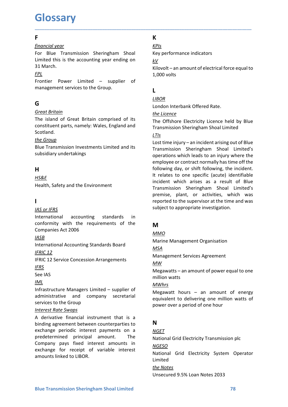# **Glossary**

## **F F** *F F*

**Glossary**<br>
Financial year<br>
For Blue Transmission Sheringham Shoal<br>
Limited this is the accounting year ending on<br>  $\frac{kV}{N}$ <br>
S1 March.<br>
Frontier Power Limited – sunnlier of<br>
Frontier Power Limited – sunnlier of **Glossary**<br>
For Blue Transmission Sheringham Shoal<br>
For Blue Transmission Sheringham Shoal<br>
Limited this is the accounting year ending on<br>  $\frac{kV}{5}$ <br>  $\frac{kT}{5}$ <br>
Standard March.<br>
For Blue Transmission Sheringham Shoal<br>  $\frac$ **GLOSSATY**<br>
Financial year<br>
For Blue Transmission Sheringham Shoal<br>
Limited this is the accounting year ending on<br>  $\frac{k}{V}$ <br>
Silovolt – an amount of electrical force equal to<br>
Financial March.<br>
Frontier Power Limited – su **Glossary**<br>
F<br>
F thing the Transmission Sheringham Shoal<br>
Limited this is the accounting year ending on<br>
31 March.<br>
S a March.<br>
Frontier Power Limited – supplier of<br>
The thing of the Group.<br>
C<br>
C<br>
C<br>
C<br>
C<br>
C<br>
C<br>
C<br>
C<br>
C<br> **F**<br>
From Blue Transmission Sheringham Shoal<br>
For Blue Transmission Sheringham Shoal<br>
Limited this is the accounting year ending on<br>  $\frac{kV}{d}$ <br>
31 March.<br>  $\frac{FPL}{P}$ <br>  $\frac{1,000 \text{ volts}}{1,000 \text{ volts}}$ <br>
Frontier Power Limited – s **Glossary**<br>
F<br>
Froncial year<br>
For Blue Transmission Sheringham Shoal<br>
Limited this is the accounting year ending on<br>  $\frac{kV}{k}$ <br>
31 March.<br>
31 March.<br>
Frontier Power Limited – supplier of<br>
1,000 volts<br>
Frontier Power Limit

FPL

# Germany and the second control of the second second control of the second second control of the second second second second second second second second second second second second second second second second second second

**Glossary**<br>
F<br>
Francial vear<br>
For Blue Transmission Sheringham Shoal<br>
Limited this is the accounting year ending on<br>  $\frac{kV}{d}$ <br>
31 March.<br>
Salmach.<br>
Frontier Power Limited – supplier of<br>  $\frac{1,000 \text{ volts}}{1,000 \text{ volts}}$ <br>
Fronti **Giooscary**<br>
From Channel Channel Channel Channel Channel Channel Channel Channel Channel Channel Channel Channel Channel Channel Channel Channel Channel Channel Channel Channel Channel Channel Channel Channel Channel Cha Scotland. **Example 10000 11 Formulate School (EVALUS ACT)**<br>
From Bureau Transmission Sheringham Shoal<br>
Limited this is the accounting year ending on<br>  $\frac{k}{2}$ <br>
EFLOT STATIGENT POWER Limited - supplier of<br>
Frontier Power Limited - s

# H<sub>ar</sub> and the state of the state of the state of the state of the state of the state of the state of the state of the state of the state of the state of the state of the state of the state of the state of the state of the

HS&E

# **I** and the state of the

### **IASB International Contract Contract Contract Contract Contract Contract Contract Contract Contract Contract Contract Contract Contract Contract Contract Contract Contract Contract Contract Contract Contract Contract Co**

### IFRS

### IML

Example The Moreover the Moreover the Moreover the Million watter<br>
See IAS<br>
Infrastructure Managers Limited – supplier of<br> *MWhrs*<br>
Services to the Group<br> *Interest Rate Swaps*<br> *Blue Corolling agreement between counterpa* Health, Safety and the Environment<br>
Transmission Sheringham Shoses as a rees<br>
Transmission Sheringham Shose<br>
International<br>
International accounting standards in<br>
conformity with the requirements of the<br>
Companies Act 200 **ISONAL SET ASS INTERNATE CALCE THERE AND SURFACE INTERNATE SURFACE INTERNATE INTERNATE INCONDUCT THE SURFACE IS CONDIMITED AND COMPARIES THE CLUST THE SET AND MANGED INTERNATE INTERNATE IN EXECUTION (FIRE SHAPE AND MANGE A**<br> **EXECUTERENT FINGTERT CONSUMIST THE CONSUMIST CONSUMIST THE CONSUMIST THE COMPART CONSUMIST CONSUMIST THE CONSUMIST CONSUMIST CONSUMIST CONSUMIST CONSUMIST CONSUMIST CONSUMIST THE CONSUMIST CONSUMIST THE CONSUMIST CO EXECUTE ASSES**<br>
INSO TIFRS<br>
International accounting standards in<br>
Companies Act 2006<br>
Companies Act 2006<br>
Companies Act 2006<br>
International Accounting Standards Board<br>
INCO<br>
IERIC 12 Service Concession Arrangements<br>
IERI Example the Groundary and accounting standards in<br>
the companies Act 2006<br>
Companies Act 2006<br>
International accounting Standards Board<br>
IMAD<br>
IMAD<br>
IMAGE<br>
IMAGE<br>
IMAGE<br>
IMAGE<br>
IMAGE<br>
IMAGE<br>
IMAGE<br>
IMAGE<br>
IMAGE<br>
IMAGE<br>
IM International accounting standards in<br>
Companies Act 2006<br>
Companies Act 2006<br>
Marine Management Organisation<br>
International Accounting Standards Board<br>
IFRIC.12<br>
IFRIC.12<br>
IFRIC.12<br>
IFRIC.12<br>
IFRIC.12<br>
IFRIC.12<br>
IFRIC.12<br> comformity with the requirements of the<br>
Companies Act 2006<br>
International Accounting Standards Board<br>
Infractical<br>
IERC 12<br>
IERC 12<br>
IERC 12<br>
IERC 12<br>
IERC 12<br>
EFRIC 12<br>
Service Concession Arrangements<br>
IMPORTIENT Managem EXECT<br>
Companies Act 2006<br>
International Accounting Standards Board<br>
International Accounting Standards Board<br>
INTERC 12<br>
IFRIC 12<br>
IFRIC 12<br>
IFRIC 12<br>
IFRIC 12<br>
IFRIC 12<br>
IFRIC 12<br>
IFRIC 12<br>
IFRIC 12<br>
IFRIC 12<br>
IFRIC 12<br> Mation Accounting Standards Board<br>
International Accounting Standards Board<br>
IFRIC 12<br>
IFRIC 12 Service Concession Arrangements<br>
Mating Management Services Agreement<br>
IFRS<br>
See IAS<br>
Management Services Agreement<br>
Million w

# **K** and the set of the set of the set of the set of the set of the set of the set of the set of the set of the set of the set of the set of the set of the set of the set of the set of the set of the set of the set of the s

KPIs

\_\_\_\_\_\_\_\_\_\_\_\_\_\_\_\_\_\_\_\_\_\_\_\_\_\_\_\_\_\_\_\_\_\_\_\_\_\_\_\_\_\_\_\_\_\_\_\_\_\_\_\_\_\_\_\_\_\_\_\_\_\_\_\_\_\_\_\_\_\_\_\_\_\_\_\_\_\_\_\_\_\_\_\_\_\_\_\_\_\_

 $kV$ 

**KARENT EXECUTE ASSEMANCE ASSESS**<br>
Key performance indicators<br>
<u>KV</u><br>
Kilovolt – an amount of electrical force equal to<br> **1**,000 volts **K**<br>
<u>KPIs</u><br>
Key performance indicators<br>
<u>KV</u><br>
Kilovolt – an amount of electrical force equal to<br>
1,000 volts<br>
L<br>
L<br>
<u>LIBOR</u> K<br>
<u>KPIs</u><br>
Key performance indicators<br>
<u>kV</u><br>
Kilovolt – an amount of electrical force equal to<br>1,000 volts<br>
L<br>
L<u>IBOR</u><br>
London Interbank Offered Rate. K<br>
<u>KPIs</u><br>
Key performance indicators<br>
<u>KV</u><br>
Kilovolt – an amount of electrical force equal to<br>
1,000 volts<br>
L<br>
L<u>IBOR</u><br>
London Interbank Offered Rate.<br>
The Licence<br>
The Offshore Electricity Licence held by Blue<br>
Transmiss **K**<br>
<u>KPIs</u><br>
Key performance indicators<br>
<u>KV</u><br>
Kilovolt – an amount of electrical force equal to<br>
1,000 volts<br> **L**<br> **LIBOR**<br>
London Interbank Offered Rate.<br>
The Offshore Electricity Licence held by Blue<br>
Transmission Sher

# L<sub>ine</sub> and the state of the state of the state of the state of the state of the state of the state of the state of the state of the state of the state of the state of the state of the state of the state of the state of the

### LIBOR

### LTIs

**GIOSSATY**<br>
From Elue Transmission Sheringham Shoal<br>
For Blue Transmission Sheringham Shoal<br>
United this is the accounting year ending on<br>  $\frac{kY}{2M}$ <br>  $\frac{FPL}{F2M}$ <br>
Frontier Power Limited – supplier of<br>  $\frac{LIBOR}{F2M}$ <br>
Lan F<br>
From Elue Transmission Sheringham Shoal<br>
Engine Transmission Sheringham Shoal<br>
State Transmission Sheringham Shoal<br>
State Transmission and Electrical force equal to<br>
Frontier Power Limited – supplier of<br>
Limited 1.000 For Blue Transmission Sheringham Shoal<br>
Subsidiary of Blue Transmission Sheringham Shoal<br>
Subsidiary exerces indicators<br>
Subsidiary that is the accounting year ending on<br>  $\frac{kV}{3.000}$  volts<br>
Fight Shoal<br>
Frontier Power L 31 March.<br>
Find Frontier Power Limited – supplier of<br>  $\frac{FPL}{F}$ <br>
Frontier Power Limited – supplier of<br>  $\frac{LIBOR}{F}$ <br>
Cordovolts<br>  $\frac{FH}{F}$ <br>  $\frac{G\times T}{F}$ <br>  $\frac{G\times T}{F}$ <br>  $\frac{G\times T}{F}$ <br>  $\frac{G\times T}{F}$ <br>  $\frac{G\times T}{F}$ <br>  $\frac{G\times T}{F$ For the sixten of Great Britain<br>
G<br>
Great Britain<br>
The island of Great Britain comprised of its<br>
the Licence<br>
The Offshore Electricity<br>
constituent parts, namely: Wales, England and<br>
Scotland.<br>
EVIDE Transmission Sheringh **G**<br>
<u>Great Britain</u><br>
The island of Great Britain comprised of its<br>
the Licence<br>
constituent parts, namely: Wales, England and<br>
Scotland.<br>
Scotland.<br>
Scotland.<br>
Scotland.<br>
Scotland.<br>
Scotland.<br>
Scotland.<br>
Scotland.<br>
Scotl **Great Britain**<br> **Conformition** Conforming the religence of the reflection of the reflection of Great Britain comprised of its<br> **Conformitive religence** the requirements of the requirements of the requirements of the requ Great Britain<br>
The island of Great Britain comprised of its<br>
constitution profits of the Licence<br>
Constitution parts, namely: Wales, England and Transmission Sheringham Shoal Line<br>
Scotland.<br>
Scotland.<br>
English Companissio constituent parts, namely: Wales, England and<br>
Scotland.<br>
Scotland.<br>
England and England and England and England and England and England and the Ground<br>
Elue Transmission Investments Limited and its<br>
subsidiary undertaking Scotland.<br>
<u>EXEMPLE Transmission</u> Investments Limited and its<br>
Elue Transmission Investments Limited and its<br>
Transmission Sheringh<br>
operations which leads<br>
the distance of precisions which heads<br>
employee or contract no<br> ENCOLE Transmission Investments Limited and its<br>
Bubstillary  $-$  an incident arising out of Blue<br>
subsidiary undertakings<br>
Undertaking spectral concernations which leads to an injury where the<br>
employee or contract normall subsidiary undertakings<br> **H**<br> **H**<br>
following day, or shift<br>
following day, or shift<br> **HS&E**<br>
Health, Safety and the Environment<br> **I**<br> **I**<br> **I**<br> **I**<br> **IAS or IFRS**<br> **ICOMENTIFIEM**<br> **ICOMENT ASSEMENT TO THE THE TERM**<br> **ICONE HERE**<br>
IN the material of the subsequence of the subsequence of the subsequence of the subsequence of the Heatsth, Safety and the Environment<br>
Interaction Secretive in Transmission Sheringham Shotlands<br>
International acc Example 11 relates to one specific (actual dietination and companies are such a security of the metallity, Safety and the Environment<br>
1 ransmission Sheringham Shoal Limited's<br>
1 represints, plant, or activities, which wa **K**<br>
<u>KPIs</u><br>
Key performance indicators<br>
<u>kV</u><br>
Kilovolt – an amount of electrical force equal to<br>
1,000 volts<br>
L<br>
<u>LIBOR</u><br>
London Interbank Offered Rate.<br>
<u>The</u> Offshore Electricity Licence held by Blue<br>
Transmission Sheri K<br>
<u>KPIs</u><br>
<u>KPIs</u><br>
<u>KV</u><br>
Kilovolt – an amount of electrical force equal to<br>
1,000 volts<br>
L<br>
<u>LIBOR</u><br>
London Interbank Offered Rate.<br>
<u>the Licence</u><br>
The Offshore Electricity Licence held by Blue<br>
Transmission Sheringham Sho **K**<br>
<u>KPIs</u><br>
Key performance indicators<br>
<u>KV</u><br>
Kilovolt – an amount of electrical force equal to<br>
1,000 volts<br> **L**<br> **L**<br> **L**<br> **L**<br> **L**<br> **LOSE**<br> **COSE COSE COSE COSE Area in the Unit<br>
The Offshore Electricity Licence held K**<br>
<u>KPIs</u><br>
Key performance indicators<br>
<u>KV</u><br>
Kilovolt – an amount of electrical force equal to<br>
1,000 volts<br>
L<br>
L<br>
L<br>
<u>IROR</u><br>
Transmission Sheringham Shoal Limited<br>
Transmission Sheringham Shoal Limited<br>
ITIS<br>
Lost time **K**<br>
<u>KPIs</u><br>
Key performance indicators<br>
<u>KV</u><br>
Kilovolt – an amount of electrical force equal to<br>
1,000 volts<br> **L**<br> **L**<br> **L**<br> **D**<br> **Combinding**<br>
Combine the Combine of the Combine of the Combine of the Combine<br>
ITTAT<br>
LOS employee or contract normally has time off the  $\frac{KtQ}{Kt}$ <br>  $\frac{V}{Kt}$  performance indicators<br>  $\underline{k}V$ <br>  $Kt|V$ <br>  $\overline{k}$  (Novolt – an amount of electrical force equal to<br>  $1,000$  volts<br>  $\overline{k}$ <br>  $\overline{R}$   $\overline{R}$   $\overline{R}$   $\overline{R}$  (Doffshore Electricity Licence held It relates to one specific (acute) identifiable incident which arises as a result of Blue Kilovolt – an amount of electrical force equal to<br>
1,000 volts<br>
L<br>
<u>LIBOR</u><br>
L<br>
L<br>
C<br>
C<br>
C<br>
C<br>
C<br>
C<br>
C<br>
C<br>
Transmission Sheringham Shoal Limited<br>
ITIS<br>
L<br>
C<br>
C<br>
C<br>
C<br>
Transmission Sheringham Shoal Limited's<br>
operations whic 1,000 volts<br>
<u>LIBOR</u><br>
<u>LIBOR</u><br>
LOMON Interbank Offered Rate.<br>
The Offshore Electricity Licence held by Blue<br>
Transmission Sheringham Shoal Limited's<br>
LOSt time injury – an incident arising out of Blue<br>
Transmission Shering L<br>
<u>LIBOR</u><br>
LIBOR<br>
London Interbank Offered Rate.<br>
The Offshore Electricity Licence held by Blue<br>
LTIS<br>
LITIS<br>
LITIS<br>
LOT time injury – an incident arising out of Blue<br>
Transmission Sheringham Shoal Limited's<br>
operations w **LIBOR**<br> **LIBOR**<br> **LIBOR**<br> **CHOT LIBOR LIGORER CONSTANDIST CONSTAND TO MANGE CONSTANDING THE OFF STARD CONSTANDING THE THAT CONSTANDING THE THAT SURPATIONS THE CONSTANDING THE CONSTANDING THE CONDING THE CONDING THE CONDIN** The Offshore Electricity Licence held by Blue<br>
Transmission Sheringham Shoal Limited<br>
LTIs<br>
LOSt time injury – an incident arising out of Blue<br>
Lost time injury – an incident arising out of Blue<br>
Transmission Sheringham Sh <u>LTIs</u><br>
LOST time injury – an incident arising out of Blue<br>
Cost time injury – an incident arising out of Blue<br>
operations which leads to an injury where the<br>
employee or contract normally has time off the<br>
following day, Transmission Sinemigram<br>
Transmission Sinemigram<br>
employee or contract normally has time off the<br>
employee or contract normally has time off the<br>
following day, or shift following, the incident.<br>
It relates to one specifi operations winch relates to an injury wine the<br>employee or contract normally has time off the<br>following day, or shift following, the incident.<br>It relates to one specific (acute) identifiable<br>incident which arises as a resu It relates to one specific (acute) identifiable<br>incident which arises as a result of Blue<br>Transmission Sheringham Shoal Limited's<br>premise, plant, or activities, which was<br>reported to the supervisor at the time and was<br>subj incident which arises as a result of Blue<br>Transmission Sheringham Shoal Limited's<br>premise, plant, or activities, which was<br>reported to the supervisor at the time and was<br>subject to appropriate investigation.<br>M<br>M<br>MMO<br>Marine Transmission Sheringham Shoal Limited's<br>premise, plant, or activities, which was<br>reported to the supervisor at the time and was<br>subject to appropriate investigation.<br><br>**M**<br>**M**<br><u>MMO</u><br>Marine Management Organisation<br>M<u>MO</u><br>Mana

# M<sub>a</sub> and the set of the set of the set of the set of the set of the set of the set of the set of the set of the set of the set of the set of the set of the set of the set of the set of the set of the set of the set of the

### MMO

### MSA PARTICIPATION CONTINUES AND LOCAL CONTINUES.

### MW

### **MWhrs**

# N<sub>N</sub>N<sub>N</sub>

**NGET** M<br>
<u>MMO</u><br>
Marine Management Organisation<br>
<u>MMA</u><br>
Megawatts – an amount of power equal to one<br>
million watts<br>
MWhrs<br>
Megawatt hours – an amount of energy<br>
equivalent to delivering one million watts of<br>
power over a period o NGESO MMO<br>
Marine Management Organisation<br>
<u>MSA</u><br>
Management Services Agreement<br>
Megawatts – an amount of power equal to one<br>
million watts<br>
Megawatt hours – an amount of energy<br>
equivalent to delivering one million watts of<br>
po Limited MSA<br>
Management Services Agreement<br>
<u>MW</u><br>
Megawatts – an amount of power equal to one<br>
million watts<br>
MMChrs<br>
Megawatt hours – an amount of energy<br>
Megawatt hours – an amount of energy<br>
equivalent to delivering one million Management Services Agreement<br>
<u>MW</u><br>
Megawatts – an amount of power equal to one<br>
million watts<br>
<u>MWhrs</u><br>
Megawatt hours – an amount of energy<br>
equivalent to delivering one million watts of<br>
power over a period of one hour